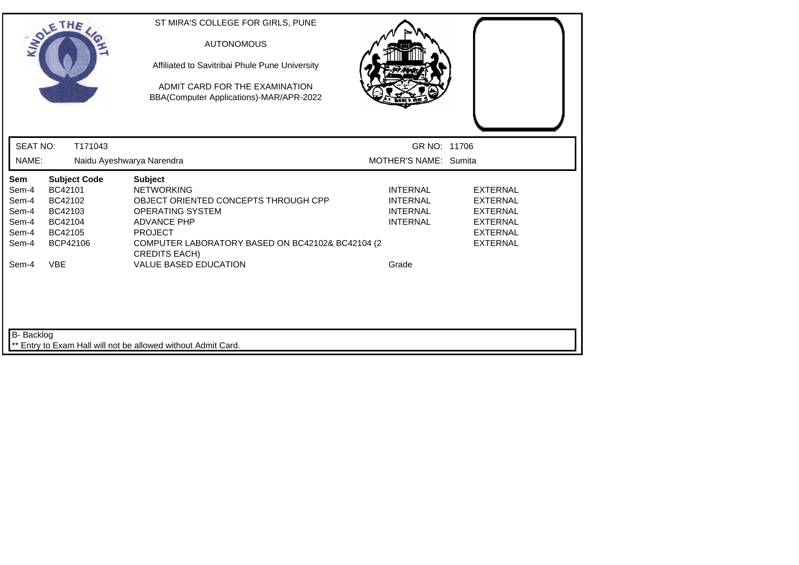|                                                           | SOLETHE .                                                                              | ST MIRA'S COLLEGE FOR GIRLS, PUNE<br><b>AUTONOMOUS</b><br>Affiliated to Savitribai Phule Pune University<br>ADMIT CARD FOR THE EXAMINATION<br>BBA(Computer Applications)-MAR/APR-2022                                       |                                                                          |                                                                                                                |
|-----------------------------------------------------------|----------------------------------------------------------------------------------------|-----------------------------------------------------------------------------------------------------------------------------------------------------------------------------------------------------------------------------|--------------------------------------------------------------------------|----------------------------------------------------------------------------------------------------------------|
| <b>SEAT NO:</b>                                           | T171043                                                                                |                                                                                                                                                                                                                             | GR NO: 11706                                                             |                                                                                                                |
| NAME:                                                     |                                                                                        | Naidu Ayeshwarya Narendra                                                                                                                                                                                                   | MOTHER'S NAME: Sumita                                                    |                                                                                                                |
| Sem<br>Sem-4<br>Sem-4<br>Sem-4<br>Sem-4<br>Sem-4<br>Sem-4 | <b>Subject Code</b><br>BC42101<br>BC42102<br>BC42103<br>BC42104<br>BC42105<br>BCP42106 | <b>Subject</b><br><b>NETWORKING</b><br>OBJECT ORIENTED CONCEPTS THROUGH CPP<br><b>OPERATING SYSTEM</b><br><b>ADVANCE PHP</b><br><b>PROJECT</b><br>COMPUTER LABORATORY BASED ON BC42102& BC42104 (2)<br><b>CREDITS EACH)</b> | <b>INTERNAL</b><br><b>INTERNAL</b><br><b>INTERNAL</b><br><b>INTERNAL</b> | <b>EXTERNAL</b><br><b>EXTERNAL</b><br><b>EXTERNAL</b><br><b>EXTERNAL</b><br><b>EXTERNAL</b><br><b>EXTERNAL</b> |
| Sem-4                                                     | <b>VBE</b>                                                                             | <b>VALUE BASED EDUCATION</b>                                                                                                                                                                                                | Grade                                                                    |                                                                                                                |
| B- Backlog                                                |                                                                                        | ** Entry to Exam Hall will not be allowed without Admit Card.                                                                                                                                                               |                                                                          |                                                                                                                |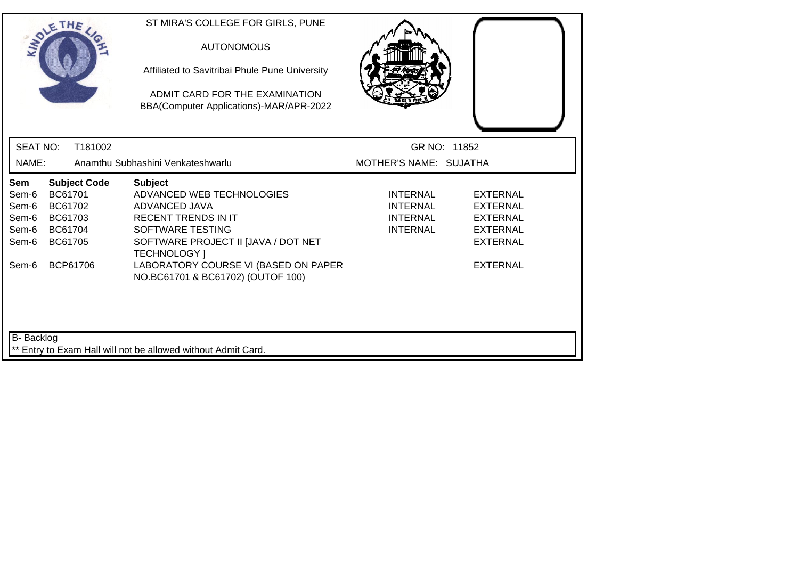|                                                                            | SOLETHE .                                                       |                     | ST MIRA'S COLLEGE FOR GIRLS, PUNE<br><b>AUTONOMOUS</b><br>Affiliated to Savitribai Phule Pune University<br>ADMIT CARD FOR THE EXAMINATION<br>BBA(Computer Applications)-MAR/APR-2022                                                                     |                                                                          |                                                                                                                |  |
|----------------------------------------------------------------------------|-----------------------------------------------------------------|---------------------|-----------------------------------------------------------------------------------------------------------------------------------------------------------------------------------------------------------------------------------------------------------|--------------------------------------------------------------------------|----------------------------------------------------------------------------------------------------------------|--|
| <b>SEAT NO:</b>                                                            |                                                                 | T181002             |                                                                                                                                                                                                                                                           | GR NO: 11852                                                             |                                                                                                                |  |
| NAME:                                                                      |                                                                 |                     | Anamthu Subhashini Venkateshwarlu                                                                                                                                                                                                                         | MOTHER'S NAME: SUJATHA                                                   |                                                                                                                |  |
| Sem<br>Sem-6<br>Sem-6<br>Sem-6<br>Sem-6<br>Sem-6<br>Sem-6                  | BC61701<br>BC61702<br>BC61703<br>BC61704<br>BC61705<br>BCP61706 | <b>Subject Code</b> | <b>Subject</b><br>ADVANCED WEB TECHNOLOGIES<br>ADVANCED JAVA<br><b>RECENT TRENDS IN IT</b><br>SOFTWARE TESTING<br>SOFTWARE PROJECT II [JAVA / DOT NET<br><b>TECHNOLOGY</b> 1<br>LABORATORY COURSE VI (BASED ON PAPER<br>NO.BC61701 & BC61702) (OUTOF 100) | <b>INTERNAL</b><br><b>INTERNAL</b><br><b>INTERNAL</b><br><b>INTERNAL</b> | <b>EXTERNAL</b><br><b>EXTERNAL</b><br><b>EXTERNAL</b><br><b>EXTERNAL</b><br><b>EXTERNAL</b><br><b>EXTERNAL</b> |  |
| B-Backlog<br>** Entry to Exam Hall will not be allowed without Admit Card. |                                                                 |                     |                                                                                                                                                                                                                                                           |                                                                          |                                                                                                                |  |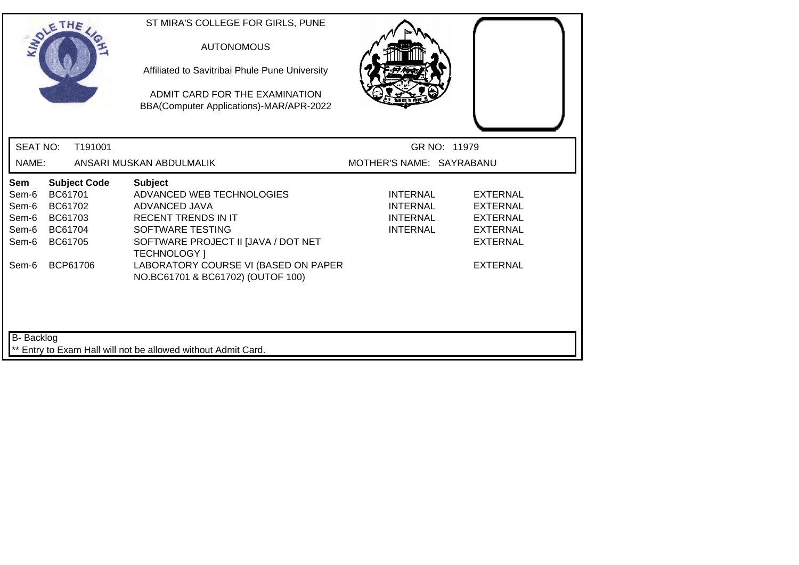|                                                                                    | SOLETHE .                                                       |                     | ST MIRA'S COLLEGE FOR GIRLS, PUNE<br><b>AUTONOMOUS</b><br>Affiliated to Savitribai Phule Pune University<br>ADMIT CARD FOR THE EXAMINATION<br>BBA(Computer Applications)-MAR/APR-2022                                                                            |                                                                          |                                                                                                                |  |
|------------------------------------------------------------------------------------|-----------------------------------------------------------------|---------------------|------------------------------------------------------------------------------------------------------------------------------------------------------------------------------------------------------------------------------------------------------------------|--------------------------------------------------------------------------|----------------------------------------------------------------------------------------------------------------|--|
| <b>SEAT NO:</b>                                                                    |                                                                 | T191001             |                                                                                                                                                                                                                                                                  | GR NO: 11979                                                             |                                                                                                                |  |
| NAME:                                                                              |                                                                 |                     | ANSARI MUSKAN ABDULMALIK                                                                                                                                                                                                                                         | MOTHER'S NAME: SAYRABANU                                                 |                                                                                                                |  |
| Sem<br>Sem-6<br>Sem-6<br>Sem-6<br>Sem-6<br>Sem-6<br>Sem-6                          | BC61701<br>BC61702<br>BC61703<br>BC61704<br>BC61705<br>BCP61706 | <b>Subject Code</b> | <b>Subject</b><br>ADVANCED WEB TECHNOLOGIES<br>ADVANCED JAVA<br><b>RECENT TRENDS IN IT</b><br><b>SOFTWARE TESTING</b><br>SOFTWARE PROJECT II [JAVA / DOT NET<br><b>TECHNOLOGY</b> 1<br>LABORATORY COURSE VI (BASED ON PAPER<br>NO.BC61701 & BC61702) (OUTOF 100) | <b>INTERNAL</b><br><b>INTERNAL</b><br><b>INTERNAL</b><br><b>INTERNAL</b> | <b>EXTERNAL</b><br><b>EXTERNAL</b><br><b>EXTERNAL</b><br><b>EXTERNAL</b><br><b>EXTERNAL</b><br><b>EXTERNAL</b> |  |
| <b>B-</b> Backlog<br>** Entry to Exam Hall will not be allowed without Admit Card. |                                                                 |                     |                                                                                                                                                                                                                                                                  |                                                                          |                                                                                                                |  |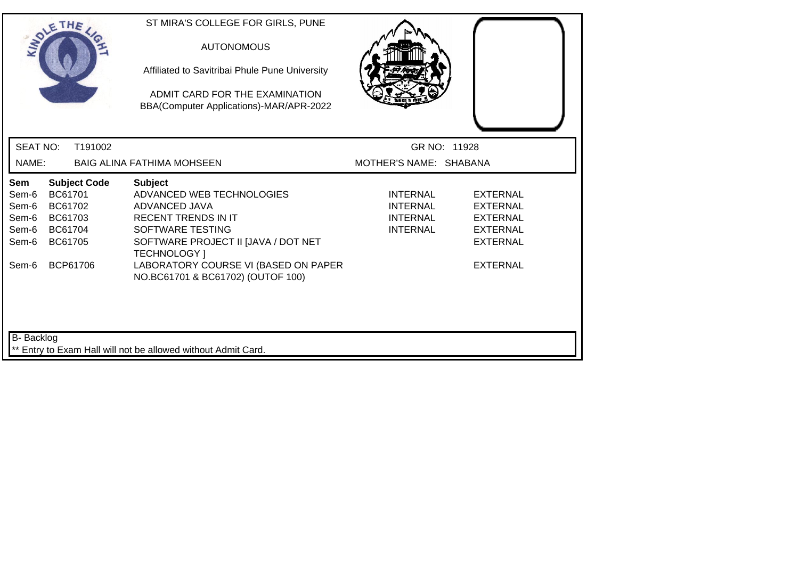| SOLETHE .                                                 |                                                                 |                     | ST MIRA'S COLLEGE FOR GIRLS, PUNE<br><b>AUTONOMOUS</b><br>Affiliated to Savitribai Phule Pune University<br>ADMIT CARD FOR THE EXAMINATION<br>BBA(Computer Applications)-MAR/APR-2022                                                                     |                                                                   |                                                                                                                |
|-----------------------------------------------------------|-----------------------------------------------------------------|---------------------|-----------------------------------------------------------------------------------------------------------------------------------------------------------------------------------------------------------------------------------------------------------|-------------------------------------------------------------------|----------------------------------------------------------------------------------------------------------------|
| <b>SEAT NO:</b>                                           |                                                                 | T191002             |                                                                                                                                                                                                                                                           |                                                                   | GR NO: 11928                                                                                                   |
| NAME:                                                     |                                                                 |                     | <b>BAIG ALINA FATHIMA MOHSEEN</b>                                                                                                                                                                                                                         | MOTHER'S NAME: SHABANA                                            |                                                                                                                |
| Sem<br>Sem-6<br>Sem-6<br>Sem-6<br>Sem-6<br>Sem-6<br>Sem-6 | BC61701<br>BC61702<br>BC61703<br>BC61704<br>BC61705<br>BCP61706 | <b>Subject Code</b> | <b>Subject</b><br>ADVANCED WEB TECHNOLOGIES<br>ADVANCED JAVA<br><b>RECENT TRENDS IN IT</b><br>SOFTWARE TESTING<br>SOFTWARE PROJECT II [JAVA / DOT NET<br><b>TECHNOLOGY</b> 1<br>LABORATORY COURSE VI (BASED ON PAPER<br>NO.BC61701 & BC61702) (OUTOF 100) | <b>INTERNAL</b><br>INTERNAL<br><b>INTERNAL</b><br><b>INTERNAL</b> | <b>EXTERNAL</b><br><b>EXTERNAL</b><br><b>EXTERNAL</b><br><b>EXTERNAL</b><br><b>EXTERNAL</b><br><b>EXTERNAL</b> |
| <b>B-</b> Backlog                                         |                                                                 |                     | ** Entry to Exam Hall will not be allowed without Admit Card.                                                                                                                                                                                             |                                                                   |                                                                                                                |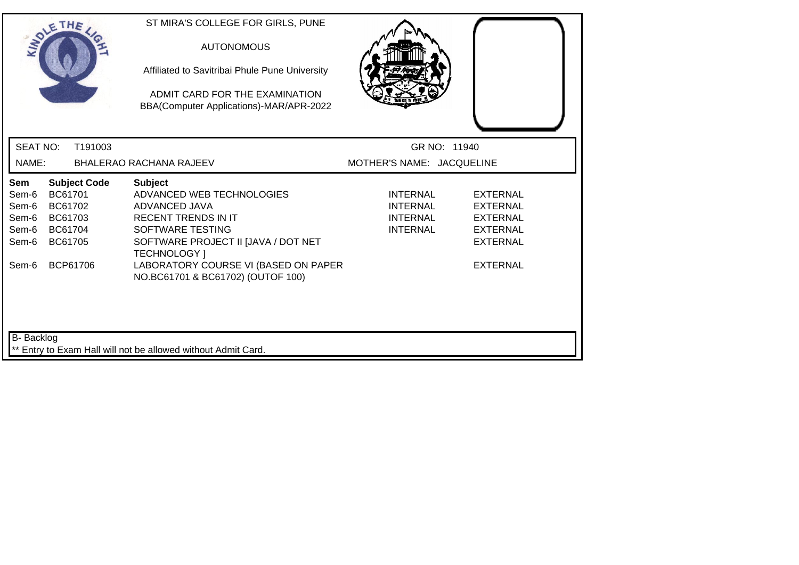|                                                           | SOLETHE .                                                                              | ST MIRA'S COLLEGE FOR GIRLS, PUNE<br><b>AUTONOMOUS</b><br>Affiliated to Savitribai Phule Pune University<br>ADMIT CARD FOR THE EXAMINATION<br>BBA(Computer Applications)-MAR/APR-2022                                |                                                            |                                                                                                                |  |
|-----------------------------------------------------------|----------------------------------------------------------------------------------------|----------------------------------------------------------------------------------------------------------------------------------------------------------------------------------------------------------------------|------------------------------------------------------------|----------------------------------------------------------------------------------------------------------------|--|
| <b>SEAT NO:</b>                                           | T191003                                                                                |                                                                                                                                                                                                                      | GR NO: 11940                                               |                                                                                                                |  |
| NAME:                                                     |                                                                                        | BHALERAO RACHANA RAJEEV                                                                                                                                                                                              | MOTHER'S NAME: JACQUELINE                                  |                                                                                                                |  |
| Sem<br>Sem-6<br>Sem-6<br>Sem-6<br>Sem-6<br>Sem-6<br>Sem-6 | <b>Subject Code</b><br>BC61701<br>BC61702<br>BC61703<br>BC61704<br>BC61705<br>BCP61706 | <b>Subject</b><br>ADVANCED WEB TECHNOLOGIES<br>ADVANCED JAVA<br><b>RECENT TRENDS IN IT</b><br>SOFTWARE TESTING<br>SOFTWARE PROJECT II JJAVA / DOT NET<br><b>TECHNOLOGY</b> 1<br>LABORATORY COURSE VI (BASED ON PAPER | <b>INTERNAL</b><br>INTERNAL<br>INTERNAL<br><b>INTERNAL</b> | <b>EXTERNAL</b><br><b>EXTERNAL</b><br><b>EXTERNAL</b><br><b>EXTERNAL</b><br><b>EXTERNAL</b><br><b>EXTERNAL</b> |  |
| <b>B-</b> Backlog                                         |                                                                                        | NO.BC61701 & BC61702) (OUTOF 100)<br>** Entry to Exam Hall will not be allowed without Admit Card.                                                                                                                   |                                                            |                                                                                                                |  |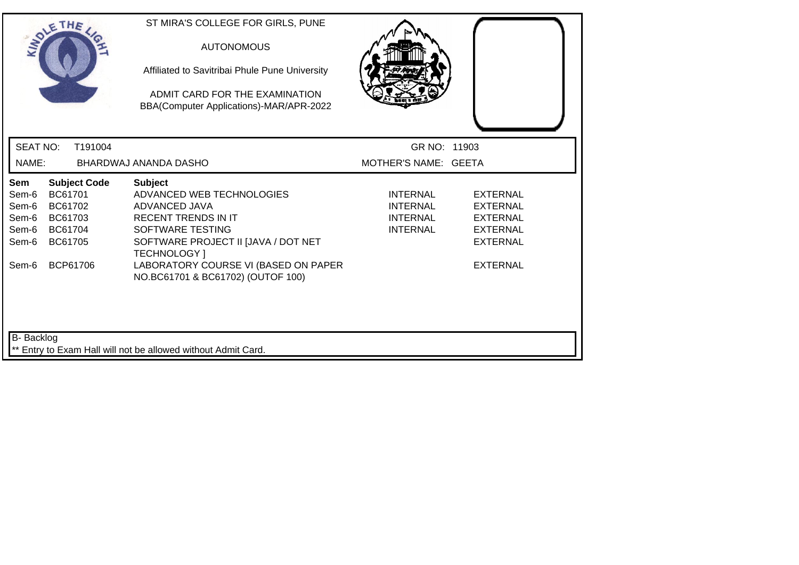|                                                                             | SOLETHE .                                                                              |         | ST MIRA'S COLLEGE FOR GIRLS, PUNE<br><b>AUTONOMOUS</b><br>Affiliated to Savitribai Phule Pune University<br>ADMIT CARD FOR THE EXAMINATION<br>BBA(Computer Applications)-MAR/APR-2022                                                                     |                                                                          |                                                                                                         |  |
|-----------------------------------------------------------------------------|----------------------------------------------------------------------------------------|---------|-----------------------------------------------------------------------------------------------------------------------------------------------------------------------------------------------------------------------------------------------------------|--------------------------------------------------------------------------|---------------------------------------------------------------------------------------------------------|--|
| <b>SEAT NO:</b>                                                             |                                                                                        | T191004 |                                                                                                                                                                                                                                                           | GR NO: 11903                                                             |                                                                                                         |  |
| NAME:                                                                       |                                                                                        |         | BHARDWAJ ANANDA DASHO                                                                                                                                                                                                                                     | MOTHER'S NAME: GEETA                                                     |                                                                                                         |  |
| <b>Sem</b><br>Sem-6<br>Sem-6<br>Sem-6<br>Sem-6<br>Sem-6<br>Sem-6            | <b>Subject Code</b><br>BC61701<br>BC61702<br>BC61703<br>BC61704<br>BC61705<br>BCP61706 |         | <b>Subject</b><br>ADVANCED WEB TECHNOLOGIES<br>ADVANCED JAVA<br><b>RECENT TRENDS IN IT</b><br>SOFTWARE TESTING<br>SOFTWARE PROJECT II [JAVA / DOT NET<br><b>TECHNOLOGY</b> 1<br>LABORATORY COURSE VI (BASED ON PAPER<br>NO.BC61701 & BC61702) (OUTOF 100) | <b>INTERNAL</b><br><b>INTERNAL</b><br><b>INTERNAL</b><br><b>INTERNAL</b> | EXTERNAL<br><b>EXTERNAL</b><br><b>EXTERNAL</b><br><b>EXTERNAL</b><br><b>EXTERNAL</b><br><b>EXTERNAL</b> |  |
| B- Backlog<br>** Entry to Exam Hall will not be allowed without Admit Card. |                                                                                        |         |                                                                                                                                                                                                                                                           |                                                                          |                                                                                                         |  |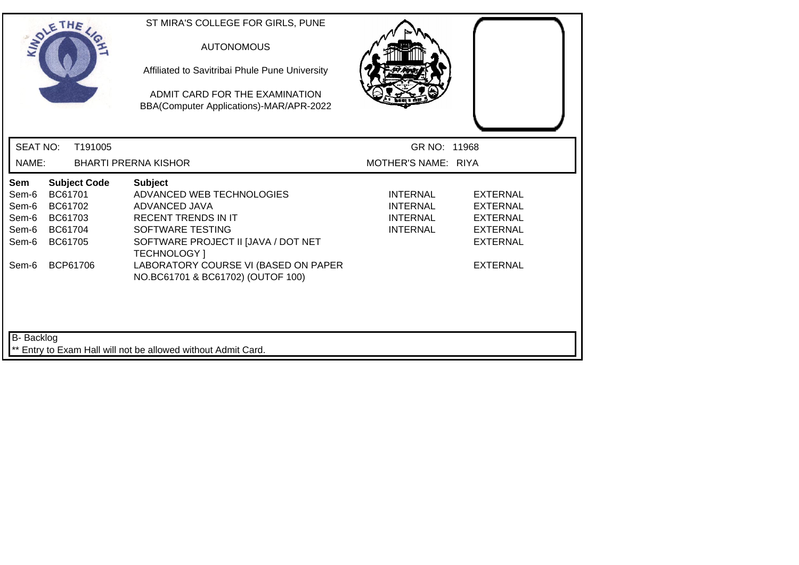|                                                                             | SOLETHE .                                                       |                     | ST MIRA'S COLLEGE FOR GIRLS, PUNE<br><b>AUTONOMOUS</b><br>Affiliated to Savitribai Phule Pune University<br>ADMIT CARD FOR THE EXAMINATION<br>BBA(Computer Applications)-MAR/APR-2022                                                                     |                                                                   |                                                                                                         |  |
|-----------------------------------------------------------------------------|-----------------------------------------------------------------|---------------------|-----------------------------------------------------------------------------------------------------------------------------------------------------------------------------------------------------------------------------------------------------------|-------------------------------------------------------------------|---------------------------------------------------------------------------------------------------------|--|
| <b>SEAT NO:</b>                                                             |                                                                 | T191005             |                                                                                                                                                                                                                                                           | GR NO: 11968                                                      |                                                                                                         |  |
| NAME:                                                                       |                                                                 |                     | <b>BHARTI PRERNA KISHOR</b>                                                                                                                                                                                                                               | MOTHER'S NAME: RIYA                                               |                                                                                                         |  |
| <b>Sem</b><br>Sem-6<br>Sem-6<br>Sem-6<br>Sem-6<br>Sem-6<br>Sem-6            | BC61701<br>BC61702<br>BC61703<br>BC61704<br>BC61705<br>BCP61706 | <b>Subject Code</b> | <b>Subject</b><br>ADVANCED WEB TECHNOLOGIES<br>ADVANCED JAVA<br><b>RECENT TRENDS IN IT</b><br>SOFTWARE TESTING<br>SOFTWARE PROJECT II [JAVA / DOT NET<br><b>TECHNOLOGY</b> 1<br>LABORATORY COURSE VI (BASED ON PAPER<br>NO.BC61701 & BC61702) (OUTOF 100) | INTERNAL<br><b>INTERNAL</b><br><b>INTERNAL</b><br><b>INTERNAL</b> | EXTERNAL<br><b>EXTERNAL</b><br><b>EXTERNAL</b><br><b>EXTERNAL</b><br><b>EXTERNAL</b><br><b>EXTERNAL</b> |  |
| B- Backlog<br>** Entry to Exam Hall will not be allowed without Admit Card. |                                                                 |                     |                                                                                                                                                                                                                                                           |                                                                   |                                                                                                         |  |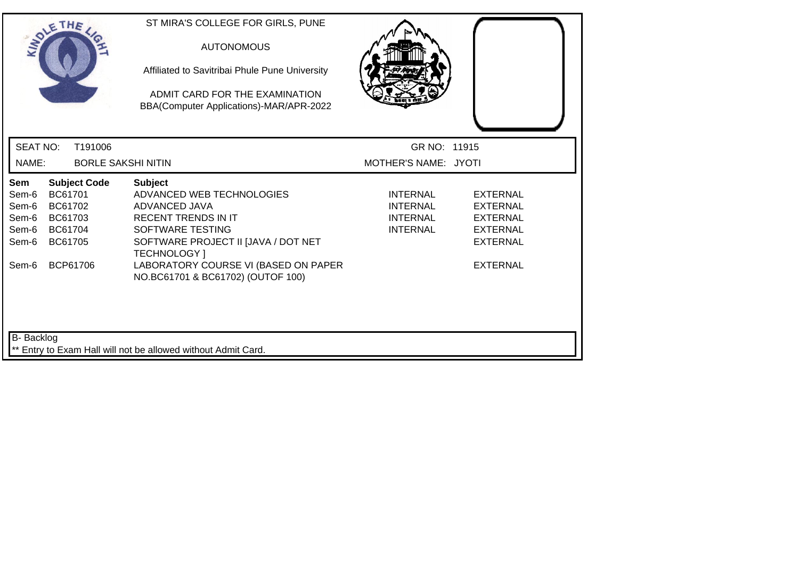|                                                                             | SOLETHE .                                                                              | ST MIRA'S COLLEGE FOR GIRLS, PUNE<br><b>AUTONOMOUS</b><br>Affiliated to Savitribai Phule Pune University<br>ADMIT CARD FOR THE EXAMINATION<br>BBA(Computer Applications)-MAR/APR-2022                                                                     |                                                                   |                                                                                                                |  |  |
|-----------------------------------------------------------------------------|----------------------------------------------------------------------------------------|-----------------------------------------------------------------------------------------------------------------------------------------------------------------------------------------------------------------------------------------------------------|-------------------------------------------------------------------|----------------------------------------------------------------------------------------------------------------|--|--|
| <b>SEAT NO:</b>                                                             | T191006                                                                                |                                                                                                                                                                                                                                                           | GR NO: 11915                                                      |                                                                                                                |  |  |
| NAME:                                                                       |                                                                                        | <b>BORLE SAKSHI NITIN</b>                                                                                                                                                                                                                                 | MOTHER'S NAME: JYOTI                                              |                                                                                                                |  |  |
| Sem<br>Sem-6<br>Sem-6<br>Sem-6<br>Sem-6<br>Sem-6<br>Sem-6                   | <b>Subject Code</b><br>BC61701<br>BC61702<br>BC61703<br>BC61704<br>BC61705<br>BCP61706 | <b>Subject</b><br>ADVANCED WEB TECHNOLOGIES<br>ADVANCED JAVA<br><b>RECENT TRENDS IN IT</b><br>SOFTWARE TESTING<br>SOFTWARE PROJECT II [JAVA / DOT NET<br><b>TECHNOLOGY</b> 1<br>LABORATORY COURSE VI (BASED ON PAPER<br>NO.BC61701 & BC61702) (OUTOF 100) | <b>INTERNAL</b><br><b>INTERNAL</b><br>INTERNAL<br><b>INTERNAL</b> | <b>EXTERNAL</b><br><b>EXTERNAL</b><br><b>EXTERNAL</b><br><b>EXTERNAL</b><br><b>EXTERNAL</b><br><b>EXTERNAL</b> |  |  |
| B- Backlog<br>** Entry to Exam Hall will not be allowed without Admit Card. |                                                                                        |                                                                                                                                                                                                                                                           |                                                                   |                                                                                                                |  |  |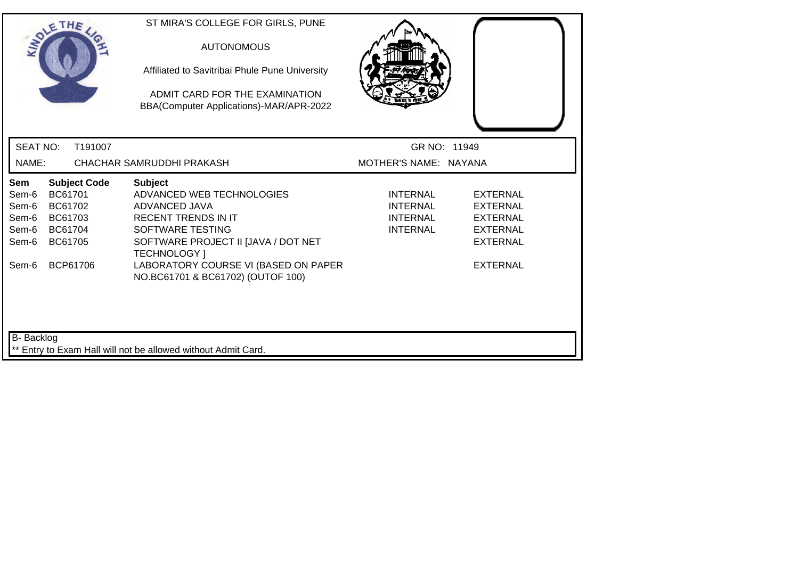| SOLETHE .                                                                                                                                           | ST MIRA'S COLLEGE FOR GIRLS, PUNE<br><b>AUTONOMOUS</b><br>Affiliated to Savitribai Phule Pune University<br>ADMIT CARD FOR THE EXAMINATION<br>BBA(Computer Applications)-MAR/APR-2022                                                                     |                                                                          |                                                                                                         |  |  |  |
|-----------------------------------------------------------------------------------------------------------------------------------------------------|-----------------------------------------------------------------------------------------------------------------------------------------------------------------------------------------------------------------------------------------------------------|--------------------------------------------------------------------------|---------------------------------------------------------------------------------------------------------|--|--|--|
| <b>SEAT NO:</b><br>T191007                                                                                                                          |                                                                                                                                                                                                                                                           | GR NO: 11949                                                             |                                                                                                         |  |  |  |
| NAME:                                                                                                                                               | CHACHAR SAMRUDDHI PRAKASH                                                                                                                                                                                                                                 | MOTHER'S NAME: NAYANA                                                    |                                                                                                         |  |  |  |
| <b>Subject Code</b><br>Sem<br>BC61701<br>Sem-6<br>Sem-6<br>BC61702<br>Sem-6<br>BC61703<br>BC61704<br>Sem-6<br>Sem-6<br>BC61705<br>BCP61706<br>Sem-6 | <b>Subject</b><br>ADVANCED WEB TECHNOLOGIES<br>ADVANCED JAVA<br><b>RECENT TRENDS IN IT</b><br>SOFTWARE TESTING<br>SOFTWARE PROJECT II [JAVA / DOT NET<br><b>TECHNOLOGY</b> 1<br>LABORATORY COURSE VI (BASED ON PAPER<br>NO.BC61701 & BC61702) (OUTOF 100) | <b>INTERNAL</b><br><b>INTERNAL</b><br><b>INTERNAL</b><br><b>INTERNAL</b> | <b>EXTERNAL</b><br>EXTERNAL<br><b>EXTERNAL</b><br><b>EXTERNAL</b><br><b>EXTERNAL</b><br><b>EXTERNAL</b> |  |  |  |
| <b>B-</b> Backlog<br>** Entry to Exam Hall will not be allowed without Admit Card.                                                                  |                                                                                                                                                                                                                                                           |                                                                          |                                                                                                         |  |  |  |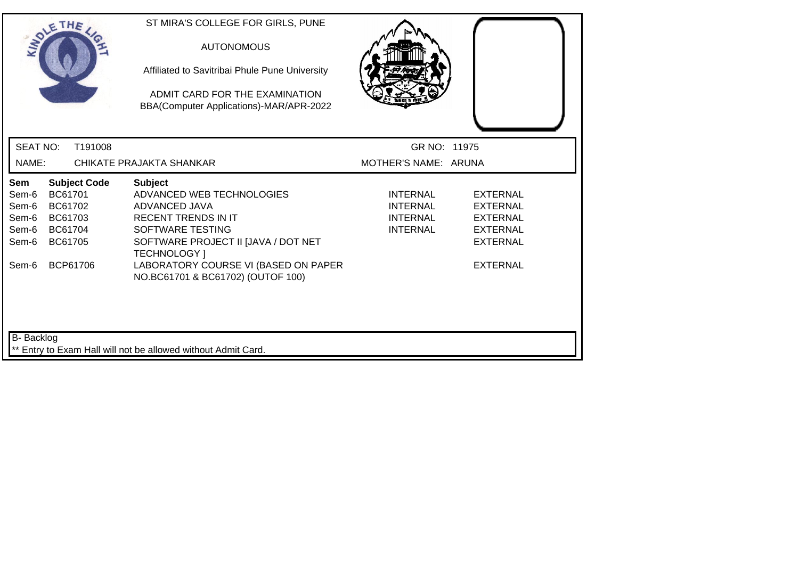| SOLETHE .                                                                                                                                           | ST MIRA'S COLLEGE FOR GIRLS, PUNE<br><b>AUTONOMOUS</b><br>Affiliated to Savitribai Phule Pune University<br>ADMIT CARD FOR THE EXAMINATION<br>BBA(Computer Applications)-MAR/APR-2022                                                                     |                                                                          |                                                                                                                |  |  |  |
|-----------------------------------------------------------------------------------------------------------------------------------------------------|-----------------------------------------------------------------------------------------------------------------------------------------------------------------------------------------------------------------------------------------------------------|--------------------------------------------------------------------------|----------------------------------------------------------------------------------------------------------------|--|--|--|
| <b>SEAT NO:</b>                                                                                                                                     | T191008                                                                                                                                                                                                                                                   | GR NO: 11975                                                             |                                                                                                                |  |  |  |
| NAME:                                                                                                                                               | CHIKATE PRAJAKTA SHANKAR                                                                                                                                                                                                                                  | MOTHER'S NAME: ARUNA                                                     |                                                                                                                |  |  |  |
| <b>Subject Code</b><br>Sem<br>BC61701<br>Sem-6<br>Sem-6<br>BC61702<br>Sem-6<br>BC61703<br>Sem-6<br>BC61704<br>BC61705<br>Sem-6<br>BCP61706<br>Sem-6 | <b>Subject</b><br>ADVANCED WEB TECHNOLOGIES<br>ADVANCED JAVA<br><b>RECENT TRENDS IN IT</b><br>SOFTWARE TESTING<br>SOFTWARE PROJECT II [JAVA / DOT NET<br><b>TECHNOLOGY</b> 1<br>LABORATORY COURSE VI (BASED ON PAPER<br>NO.BC61701 & BC61702) (OUTOF 100) | <b>INTERNAL</b><br><b>INTERNAL</b><br><b>INTERNAL</b><br><b>INTERNAL</b> | <b>EXTERNAL</b><br><b>EXTERNAL</b><br><b>EXTERNAL</b><br><b>EXTERNAL</b><br><b>EXTERNAL</b><br><b>EXTERNAL</b> |  |  |  |
| B-Backlog<br>** Entry to Exam Hall will not be allowed without Admit Card.                                                                          |                                                                                                                                                                                                                                                           |                                                                          |                                                                                                                |  |  |  |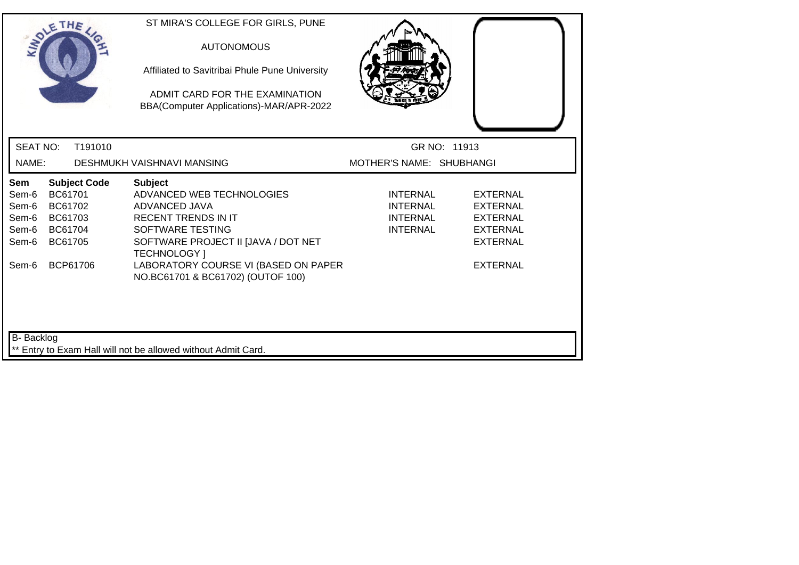| SOLETHE .                                                                          |                                                                 |                     | ST MIRA'S COLLEGE FOR GIRLS, PUNE<br><b>AUTONOMOUS</b><br>Affiliated to Savitribai Phule Pune University<br>ADMIT CARD FOR THE EXAMINATION<br>BBA(Computer Applications)-MAR/APR-2022                                                                     |                                                                          |                                                                                                         |  |
|------------------------------------------------------------------------------------|-----------------------------------------------------------------|---------------------|-----------------------------------------------------------------------------------------------------------------------------------------------------------------------------------------------------------------------------------------------------------|--------------------------------------------------------------------------|---------------------------------------------------------------------------------------------------------|--|
| <b>SEAT NO:</b>                                                                    |                                                                 | T191010             |                                                                                                                                                                                                                                                           | GR NO: 11913                                                             |                                                                                                         |  |
| NAME:                                                                              |                                                                 |                     | DESHMUKH VAISHNAVI MANSING                                                                                                                                                                                                                                | MOTHER'S NAME: SHUBHANGI                                                 |                                                                                                         |  |
| Sem<br>Sem-6<br>Sem-6<br>Sem-6<br>Sem-6<br>Sem-6<br>Sem-6                          | BC61701<br>BC61702<br>BC61703<br>BC61704<br>BC61705<br>BCP61706 | <b>Subject Code</b> | <b>Subject</b><br>ADVANCED WEB TECHNOLOGIES<br>ADVANCED JAVA<br><b>RECENT TRENDS IN IT</b><br>SOFTWARE TESTING<br>SOFTWARE PROJECT II [JAVA / DOT NET<br><b>TECHNOLOGY</b> 1<br>LABORATORY COURSE VI (BASED ON PAPER<br>NO.BC61701 & BC61702) (OUTOF 100) | <b>INTERNAL</b><br><b>INTERNAL</b><br><b>INTERNAL</b><br><b>INTERNAL</b> | <b>EXTERNAL</b><br>EXTERNAL<br><b>EXTERNAL</b><br><b>EXTERNAL</b><br><b>EXTERNAL</b><br><b>EXTERNAL</b> |  |
| <b>B-</b> Backlog<br>** Entry to Exam Hall will not be allowed without Admit Card. |                                                                 |                     |                                                                                                                                                                                                                                                           |                                                                          |                                                                                                         |  |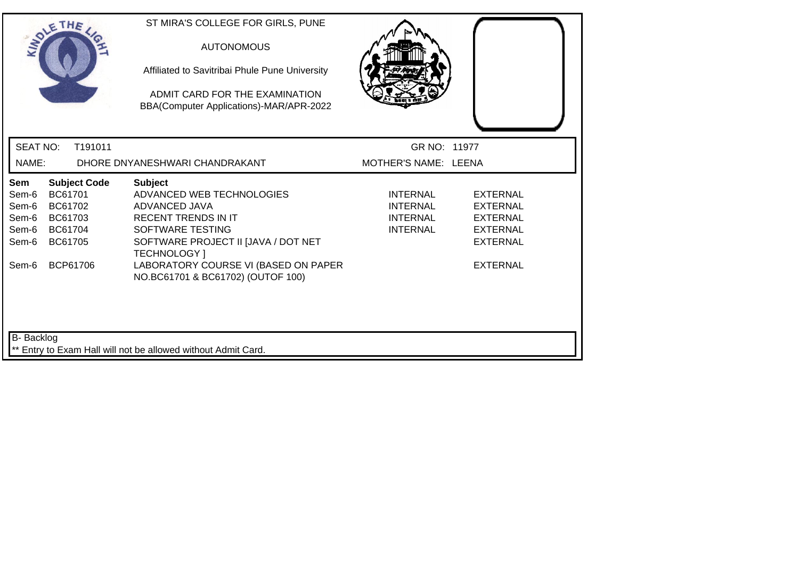| SOLETHE .                                                                                                                                           | ST MIRA'S COLLEGE FOR GIRLS, PUNE<br><b>AUTONOMOUS</b><br>Affiliated to Savitribai Phule Pune University<br>ADMIT CARD FOR THE EXAMINATION<br>BBA(Computer Applications)-MAR/APR-2022                                                                     |                                                                   |                                                                                                                |  |
|-----------------------------------------------------------------------------------------------------------------------------------------------------|-----------------------------------------------------------------------------------------------------------------------------------------------------------------------------------------------------------------------------------------------------------|-------------------------------------------------------------------|----------------------------------------------------------------------------------------------------------------|--|
| <b>SEAT NO:</b><br>T191011                                                                                                                          |                                                                                                                                                                                                                                                           | GR NO: 11977                                                      |                                                                                                                |  |
| NAME:                                                                                                                                               | DHORE DNYANESHWARI CHANDRAKANT                                                                                                                                                                                                                            | MOTHER'S NAME: LEENA                                              |                                                                                                                |  |
| <b>Subject Code</b><br>Sem<br>BC61701<br>Sem-6<br>Sem-6<br>BC61702<br>Sem-6<br>BC61703<br>Sem-6<br>BC61704<br>Sem-6<br>BC61705<br>BCP61706<br>Sem-6 | <b>Subject</b><br>ADVANCED WEB TECHNOLOGIES<br>ADVANCED JAVA<br><b>RECENT TRENDS IN IT</b><br>SOFTWARE TESTING<br>SOFTWARE PROJECT II [JAVA / DOT NET<br><b>TECHNOLOGY</b> 1<br>LABORATORY COURSE VI (BASED ON PAPER<br>NO.BC61701 & BC61702) (OUTOF 100) | <b>INTERNAL</b><br>INTERNAL<br><b>INTERNAL</b><br><b>INTERNAL</b> | <b>EXTERNAL</b><br><b>EXTERNAL</b><br><b>EXTERNAL</b><br><b>EXTERNAL</b><br><b>EXTERNAL</b><br><b>EXTERNAL</b> |  |
| <b>B-</b> Backlog                                                                                                                                   | ** Entry to Exam Hall will not be allowed without Admit Card.                                                                                                                                                                                             |                                                                   |                                                                                                                |  |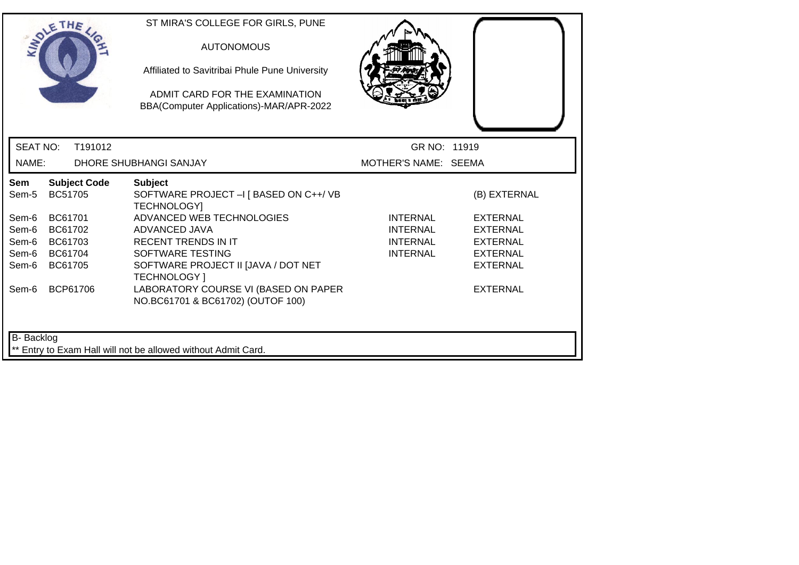|                                                                                                                                                                         | Affiliated to Savitribai Phule Pune University<br>ADMIT CARD FOR THE EXAMINATION<br>BBA(Computer Applications)-MAR/APR-2022                                                                                                                                                                                                |                                                                          |                                                                                                                                |
|-------------------------------------------------------------------------------------------------------------------------------------------------------------------------|----------------------------------------------------------------------------------------------------------------------------------------------------------------------------------------------------------------------------------------------------------------------------------------------------------------------------|--------------------------------------------------------------------------|--------------------------------------------------------------------------------------------------------------------------------|
| <b>SEAT NO:</b><br>T191012                                                                                                                                              |                                                                                                                                                                                                                                                                                                                            | GR NO: 11919                                                             |                                                                                                                                |
| NAME:                                                                                                                                                                   | DHORE SHUBHANGI SANJAY                                                                                                                                                                                                                                                                                                     | MOTHER'S NAME: SEEMA                                                     |                                                                                                                                |
| Sem<br><b>Subject Code</b><br>BC51705<br>Sem-5<br>BC61701<br>Sem-6<br>Sem-6<br>BC61702<br>Sem-6<br>BC61703<br>Sem-6<br>BC61704<br>Sem-6<br>BC61705<br>BCP61706<br>Sem-6 | <b>Subject</b><br>SOFTWARE PROJECT - I [ BASED ON C++/ VB<br><b>TECHNOLOGY]</b><br>ADVANCED WEB TECHNOLOGIES<br>ADVANCED JAVA<br><b>RECENT TRENDS IN IT</b><br>SOFTWARE TESTING<br>SOFTWARE PROJECT II [JAVA / DOT NET<br><b>TECHNOLOGY</b> 1<br>LABORATORY COURSE VI (BASED ON PAPER<br>NO.BC61701 & BC61702) (OUTOF 100) | <b>INTERNAL</b><br><b>INTERNAL</b><br><b>INTERNAL</b><br><b>INTERNAL</b> | (B) EXTERNAL<br><b>EXTERNAL</b><br><b>EXTERNAL</b><br><b>EXTERNAL</b><br><b>EXTERNAL</b><br><b>EXTERNAL</b><br><b>EXTERNAL</b> |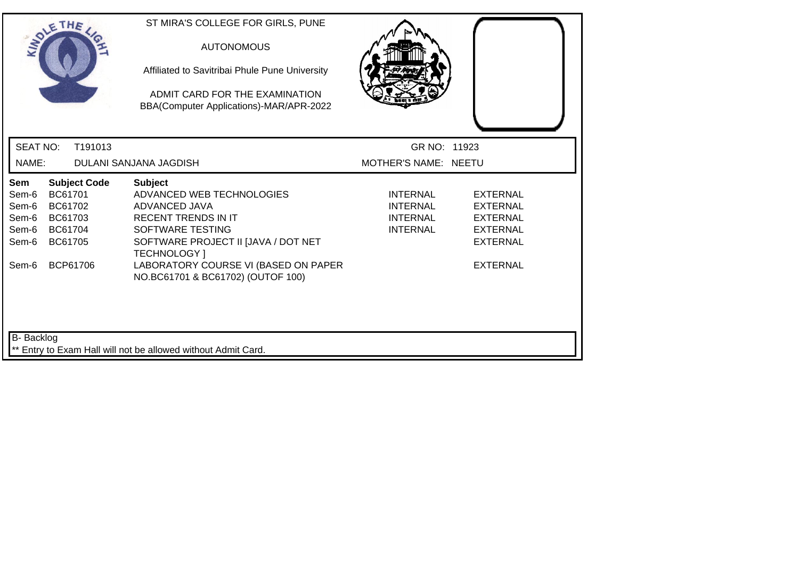| SOLETHE .                                                 |                                                     |                                 | ST MIRA'S COLLEGE FOR GIRLS, PUNE<br><b>AUTONOMOUS</b><br>Affiliated to Savitribai Phule Pune University<br>ADMIT CARD FOR THE EXAMINATION<br>BBA(Computer Applications)-MAR/APR-2022                                                                     |                                                                   |                                                                                                                |
|-----------------------------------------------------------|-----------------------------------------------------|---------------------------------|-----------------------------------------------------------------------------------------------------------------------------------------------------------------------------------------------------------------------------------------------------------|-------------------------------------------------------------------|----------------------------------------------------------------------------------------------------------------|
| <b>SEAT NO:</b>                                           |                                                     | T191013                         |                                                                                                                                                                                                                                                           | GR NO: 11923                                                      |                                                                                                                |
| NAME:                                                     |                                                     |                                 | DULANI SANJANA JAGDISH                                                                                                                                                                                                                                    | MOTHER'S NAME: NEETU                                              |                                                                                                                |
| Sem<br>Sem-6<br>Sem-6<br>Sem-6<br>Sem-6<br>Sem-6<br>Sem-6 | BC61701<br>BC61702<br>BC61703<br>BC61704<br>BC61705 | <b>Subject Code</b><br>BCP61706 | <b>Subject</b><br>ADVANCED WEB TECHNOLOGIES<br>ADVANCED JAVA<br><b>RECENT TRENDS IN IT</b><br>SOFTWARE TESTING<br>SOFTWARE PROJECT II [JAVA / DOT NET<br><b>TECHNOLOGY</b> 1<br>LABORATORY COURSE VI (BASED ON PAPER<br>NO.BC61701 & BC61702) (OUTOF 100) | <b>INTERNAL</b><br><b>INTERNAL</b><br>INTERNAL<br><b>INTERNAL</b> | <b>EXTERNAL</b><br><b>EXTERNAL</b><br><b>EXTERNAL</b><br><b>EXTERNAL</b><br><b>EXTERNAL</b><br><b>EXTERNAL</b> |
| B-Backlog                                                 |                                                     |                                 | ** Entry to Exam Hall will not be allowed without Admit Card.                                                                                                                                                                                             |                                                                   |                                                                                                                |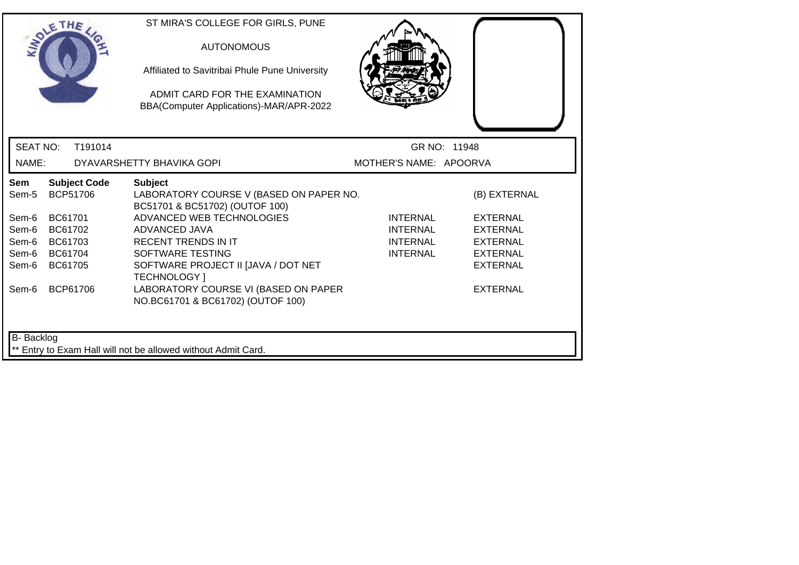| SOLETHE                                                            |                                                     |                                                    | ST MIRA'S COLLEGE FOR GIRLS, PUNE<br><b>AUTONOMOUS</b><br>Affiliated to Savitribai Phule Pune University<br>ADMIT CARD FOR THE EXAMINATION<br>BBA(Computer Applications)-MAR/APR-2022                                                                                                                                           |                                                                   |                                                                                                                                |
|--------------------------------------------------------------------|-----------------------------------------------------|----------------------------------------------------|---------------------------------------------------------------------------------------------------------------------------------------------------------------------------------------------------------------------------------------------------------------------------------------------------------------------------------|-------------------------------------------------------------------|--------------------------------------------------------------------------------------------------------------------------------|
| <b>SEAT NO:</b>                                                    |                                                     | T191014                                            |                                                                                                                                                                                                                                                                                                                                 | GR NO: 11948                                                      |                                                                                                                                |
| NAME:                                                              |                                                     |                                                    | DYAVARSHETTY BHAVIKA GOPI                                                                                                                                                                                                                                                                                                       | MOTHER'S NAME: APOORVA                                            |                                                                                                                                |
| Sem<br>Sem-5<br>Sem-6<br>Sem-6<br>Sem-6<br>Sem-6<br>Sem-6<br>Sem-6 | BC61701<br>BC61702<br>BC61703<br>BC61704<br>BC61705 | <b>Subject Code</b><br><b>BCP51706</b><br>BCP61706 | <b>Subject</b><br>LABORATORY COURSE V (BASED ON PAPER NO.<br>BC51701 & BC51702) (OUTOF 100)<br>ADVANCED WEB TECHNOLOGIES<br>ADVANCED JAVA<br><b>RECENT TRENDS IN IT</b><br>SOFTWARE TESTING<br>SOFTWARE PROJECT II [JAVA / DOT NET<br>TECHNOLOGY ]<br>LABORATORY COURSE VI (BASED ON PAPER<br>NO.BC61701 & BC61702) (OUTOF 100) | <b>INTERNAL</b><br>INTERNAL<br><b>INTERNAL</b><br><b>INTERNAL</b> | (B) EXTERNAL<br><b>EXTERNAL</b><br><b>EXTERNAL</b><br><b>EXTERNAL</b><br><b>EXTERNAL</b><br><b>EXTERNAL</b><br><b>EXTERNAL</b> |
| B- Backlog                                                         |                                                     |                                                    | ** Entry to Exam Hall will not be allowed without Admit Card.                                                                                                                                                                                                                                                                   |                                                                   |                                                                                                                                |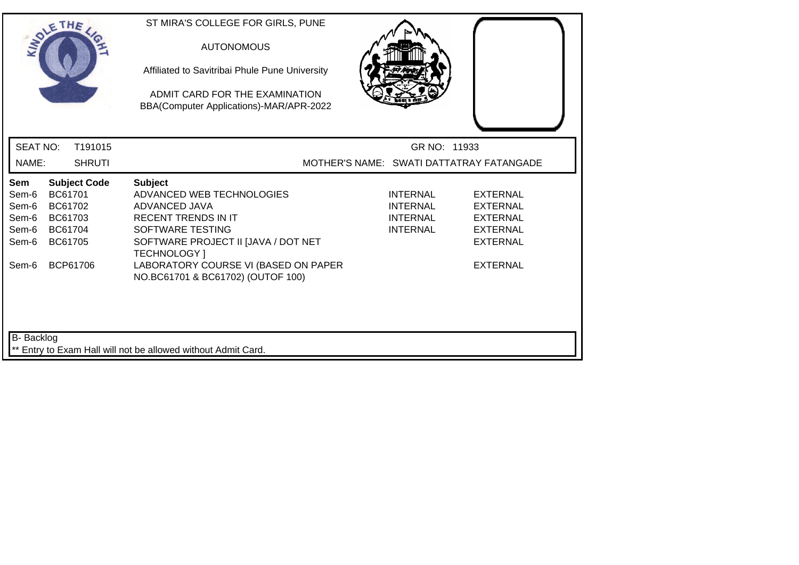| SOLETHE .                                        |                                                     |                     | ST MIRA'S COLLEGE FOR GIRLS, PUNE<br><b>AUTONOMOUS</b><br>Affiliated to Savitribai Phule Pune University<br>ADMIT CARD FOR THE EXAMINATION<br>BBA(Computer Applications)-MAR/APR-2022 |  |                                                                   |                                                                                             |  |
|--------------------------------------------------|-----------------------------------------------------|---------------------|---------------------------------------------------------------------------------------------------------------------------------------------------------------------------------------|--|-------------------------------------------------------------------|---------------------------------------------------------------------------------------------|--|
| <b>SEAT NO:</b>                                  |                                                     | T191015             |                                                                                                                                                                                       |  | GR NO: 11933                                                      |                                                                                             |  |
| NAME:                                            |                                                     | <b>SHRUTI</b>       |                                                                                                                                                                                       |  |                                                                   | MOTHER'S NAME: SWATI DATTATRAY FATANGADE                                                    |  |
| Sem<br>Sem-6<br>Sem-6<br>Sem-6<br>Sem-6<br>Sem-6 | BC61701<br>BC61702<br>BC61703<br>BC61704<br>BC61705 | <b>Subject Code</b> | <b>Subject</b><br>ADVANCED WEB TECHNOLOGIES<br>ADVANCED JAVA<br><b>RECENT TRENDS IN IT</b><br>SOFTWARE TESTING<br>SOFTWARE PROJECT II [JAVA / DOT NET<br><b>TECHNOLOGY</b> 1          |  | <b>INTERNAL</b><br>INTERNAL<br><b>INTERNAL</b><br><b>INTERNAL</b> | <b>EXTERNAL</b><br><b>EXTERNAL</b><br><b>EXTERNAL</b><br><b>EXTERNAL</b><br><b>EXTERNAL</b> |  |
| Sem-6                                            |                                                     | BCP61706            | LABORATORY COURSE VI (BASED ON PAPER<br>NO.BC61701 & BC61702) (OUTOF 100)                                                                                                             |  |                                                                   | <b>EXTERNAL</b>                                                                             |  |
| B- Backlog                                       |                                                     |                     |                                                                                                                                                                                       |  |                                                                   |                                                                                             |  |
|                                                  |                                                     |                     | ** Entry to Exam Hall will not be allowed without Admit Card.                                                                                                                         |  |                                                                   |                                                                                             |  |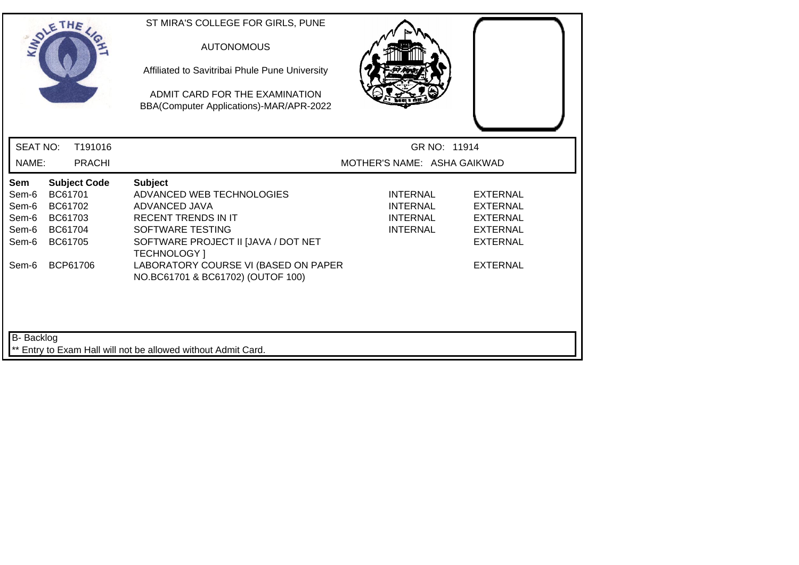| SOLETHE .                                                                                                                                                  | ST MIRA'S COLLEGE FOR GIRLS, PUNE<br><b>AUTONOMOUS</b><br>Affiliated to Savitribai Phule Pune University<br>ADMIT CARD FOR THE EXAMINATION<br>BBA(Computer Applications)-MAR/APR-2022                                |                                                                          |                                                                                                                |
|------------------------------------------------------------------------------------------------------------------------------------------------------------|----------------------------------------------------------------------------------------------------------------------------------------------------------------------------------------------------------------------|--------------------------------------------------------------------------|----------------------------------------------------------------------------------------------------------------|
| <b>SEAT NO:</b><br>T191016                                                                                                                                 |                                                                                                                                                                                                                      | GR NO: 11914                                                             |                                                                                                                |
| NAME:<br><b>PRACHI</b>                                                                                                                                     |                                                                                                                                                                                                                      | MOTHER'S NAME: ASHA GAIKWAD                                              |                                                                                                                |
| <b>Subject Code</b><br><b>Sem</b><br>BC61701<br>Sem-6<br>Sem-6<br>BC61702<br>Sem-6<br>BC61703<br>Sem-6<br>BC61704<br>Sem-6<br>BC61705<br>BCP61706<br>Sem-6 | <b>Subject</b><br>ADVANCED WEB TECHNOLOGIES<br>ADVANCED JAVA<br><b>RECENT TRENDS IN IT</b><br>SOFTWARE TESTING<br>SOFTWARE PROJECT II JJAVA / DOT NET<br><b>TECHNOLOGY</b> 1<br>LABORATORY COURSE VI (BASED ON PAPER | <b>INTERNAL</b><br><b>INTERNAL</b><br><b>INTERNAL</b><br><b>INTERNAL</b> | <b>EXTERNAL</b><br><b>EXTERNAL</b><br><b>EXTERNAL</b><br><b>EXTERNAL</b><br><b>EXTERNAL</b><br><b>EXTERNAL</b> |
| <b>B-</b> Backlog                                                                                                                                          | NO.BC61701 & BC61702) (OUTOF 100)<br>** Entry to Exam Hall will not be allowed without Admit Card.                                                                                                                   |                                                                          |                                                                                                                |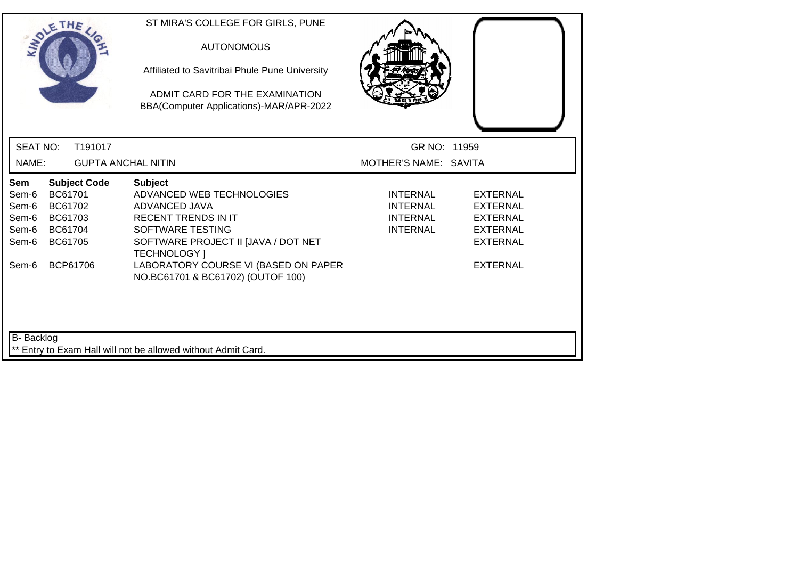|                                                           | SOLETHE .                                                                              | ST MIRA'S COLLEGE FOR GIRLS, PUNE<br><b>AUTONOMOUS</b><br>Affiliated to Savitribai Phule Pune University<br>ADMIT CARD FOR THE EXAMINATION<br>BBA(Computer Applications)-MAR/APR-2022                                |                                                                   |                                                                                                                |
|-----------------------------------------------------------|----------------------------------------------------------------------------------------|----------------------------------------------------------------------------------------------------------------------------------------------------------------------------------------------------------------------|-------------------------------------------------------------------|----------------------------------------------------------------------------------------------------------------|
| <b>SEAT NO:</b>                                           | T191017                                                                                |                                                                                                                                                                                                                      | GR NO: 11959                                                      |                                                                                                                |
| NAME:                                                     |                                                                                        | <b>GUPTA ANCHAL NITIN</b>                                                                                                                                                                                            | MOTHER'S NAME: SAVITA                                             |                                                                                                                |
| Sem<br>Sem-6<br>Sem-6<br>Sem-6<br>Sem-6<br>Sem-6<br>Sem-6 | <b>Subject Code</b><br>BC61701<br>BC61702<br>BC61703<br>BC61704<br>BC61705<br>BCP61706 | <b>Subject</b><br>ADVANCED WEB TECHNOLOGIES<br>ADVANCED JAVA<br><b>RECENT TRENDS IN IT</b><br>SOFTWARE TESTING<br>SOFTWARE PROJECT II [JAVA / DOT NET<br><b>TECHNOLOGY</b> 1<br>LABORATORY COURSE VI (BASED ON PAPER | <b>INTERNAL</b><br>INTERNAL<br><b>INTERNAL</b><br><b>INTERNAL</b> | <b>EXTERNAL</b><br><b>EXTERNAL</b><br><b>EXTERNAL</b><br><b>EXTERNAL</b><br><b>EXTERNAL</b><br><b>EXTERNAL</b> |
| <b>B-</b> Backlog                                         |                                                                                        | NO.BC61701 & BC61702) (OUTOF 100)<br>** Entry to Exam Hall will not be allowed without Admit Card.                                                                                                                   |                                                                   |                                                                                                                |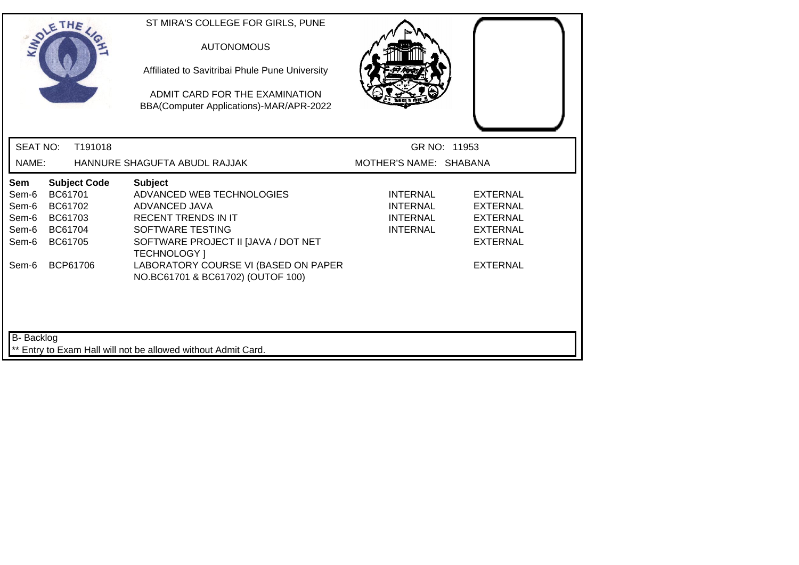|                                                           | SOLETHE .                                                       |                     | ST MIRA'S COLLEGE FOR GIRLS, PUNE<br><b>AUTONOMOUS</b><br>Affiliated to Savitribai Phule Pune University<br>ADMIT CARD FOR THE EXAMINATION<br>BBA(Computer Applications)-MAR/APR-2022                                                                     |                                                                          |                                                                                                                |
|-----------------------------------------------------------|-----------------------------------------------------------------|---------------------|-----------------------------------------------------------------------------------------------------------------------------------------------------------------------------------------------------------------------------------------------------------|--------------------------------------------------------------------------|----------------------------------------------------------------------------------------------------------------|
| <b>SEAT NO:</b>                                           |                                                                 | T191018             |                                                                                                                                                                                                                                                           | GR NO: 11953                                                             |                                                                                                                |
| NAME:                                                     |                                                                 |                     | HANNURE SHAGUFTA ABUDL RAJJAK                                                                                                                                                                                                                             | MOTHER'S NAME: SHABANA                                                   |                                                                                                                |
| Sem<br>Sem-6<br>Sem-6<br>Sem-6<br>Sem-6<br>Sem-6<br>Sem-6 | BC61701<br>BC61702<br>BC61703<br>BC61704<br>BC61705<br>BCP61706 | <b>Subject Code</b> | <b>Subject</b><br>ADVANCED WEB TECHNOLOGIES<br>ADVANCED JAVA<br><b>RECENT TRENDS IN IT</b><br>SOFTWARE TESTING<br>SOFTWARE PROJECT II [JAVA / DOT NET<br><b>TECHNOLOGY</b> 1<br>LABORATORY COURSE VI (BASED ON PAPER<br>NO.BC61701 & BC61702) (OUTOF 100) | <b>INTERNAL</b><br><b>INTERNAL</b><br><b>INTERNAL</b><br><b>INTERNAL</b> | <b>EXTERNAL</b><br><b>EXTERNAL</b><br><b>EXTERNAL</b><br><b>EXTERNAL</b><br><b>EXTERNAL</b><br><b>EXTERNAL</b> |
| <b>B-</b> Backlog                                         |                                                                 |                     | ** Entry to Exam Hall will not be allowed without Admit Card.                                                                                                                                                                                             |                                                                          |                                                                                                                |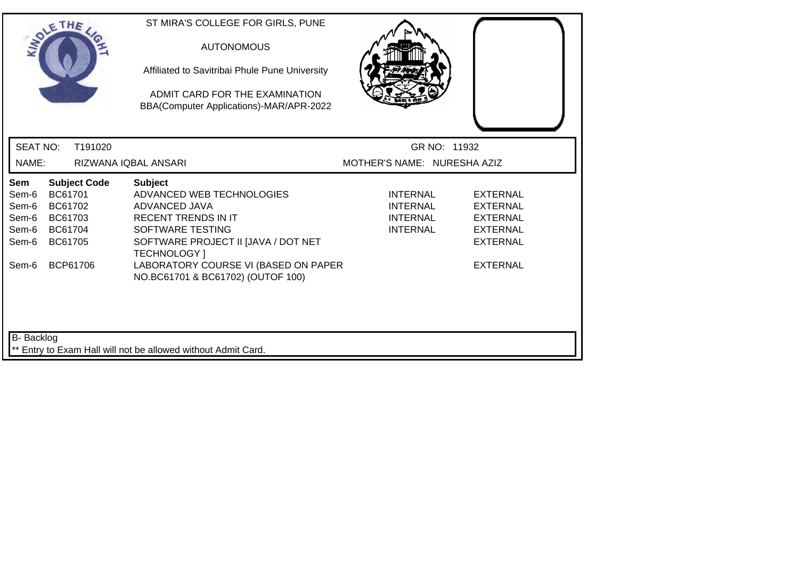|                                                                             | SOLETHE .                                                                  | ST MIRA'S COLLEGE FOR GIRLS, PUNE<br><b>AUTONOMOUS</b><br>Affiliated to Savitribai Phule Pune University<br>ADMIT CARD FOR THE EXAMINATION<br>BBA(Computer Applications)-MAR/APR-2022 |                                                                          |                                                                                             |  |
|-----------------------------------------------------------------------------|----------------------------------------------------------------------------|---------------------------------------------------------------------------------------------------------------------------------------------------------------------------------------|--------------------------------------------------------------------------|---------------------------------------------------------------------------------------------|--|
| <b>SEAT NO:</b>                                                             | T191020                                                                    |                                                                                                                                                                                       | GR NO: 11932                                                             |                                                                                             |  |
| NAME:                                                                       |                                                                            | RIZWANA IQBAL ANSARI                                                                                                                                                                  | MOTHER'S NAME: NURESHA AZIZ                                              |                                                                                             |  |
| Sem<br>Sem-6<br>Sem-6<br>Sem-6<br>Sem-6<br>Sem-6                            | <b>Subject Code</b><br>BC61701<br>BC61702<br>BC61703<br>BC61704<br>BC61705 | <b>Subject</b><br>ADVANCED WEB TECHNOLOGIES<br>ADVANCED JAVA<br><b>RECENT TRENDS IN IT</b><br>SOFTWARE TESTING<br>SOFTWARE PROJECT II [JAVA / DOT NET<br><b>TECHNOLOGY</b> 1          | <b>INTERNAL</b><br><b>INTERNAL</b><br><b>INTERNAL</b><br><b>INTERNAL</b> | <b>EXTERNAL</b><br><b>EXTERNAL</b><br><b>EXTERNAL</b><br><b>EXTERNAL</b><br><b>EXTERNAL</b> |  |
| Sem-6                                                                       | BCP61706                                                                   | LABORATORY COURSE VI (BASED ON PAPER<br>NO.BC61701 & BC61702) (OUTOF 100)                                                                                                             |                                                                          | <b>EXTERNAL</b>                                                                             |  |
| B- Backlog<br>** Entry to Exam Hall will not be allowed without Admit Card. |                                                                            |                                                                                                                                                                                       |                                                                          |                                                                                             |  |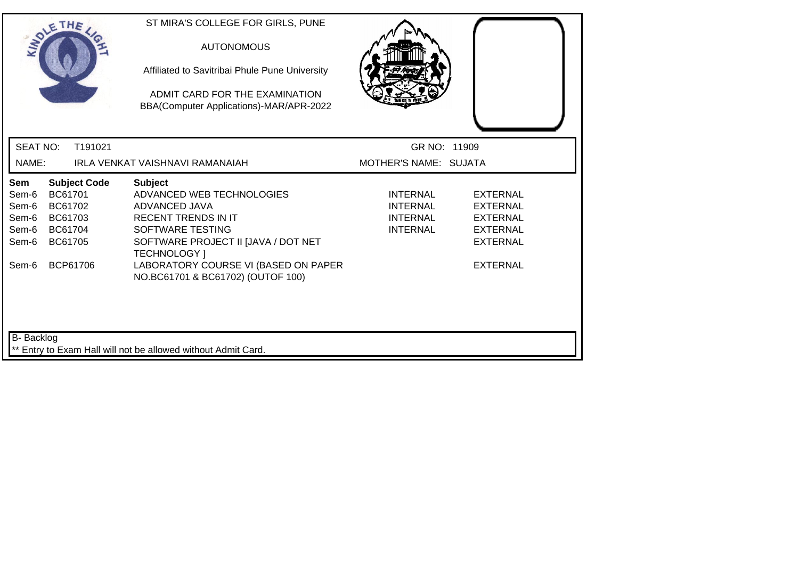| SOLETHE .                                                 |                                                                                        | ST MIRA'S COLLEGE FOR GIRLS, PUNE<br><b>AUTONOMOUS</b><br>Affiliated to Savitribai Phule Pune University<br>ADMIT CARD FOR THE EXAMINATION<br>BBA(Computer Applications)-MAR/APR-2022                                                                     |                                                                          |                                                                                                         |
|-----------------------------------------------------------|----------------------------------------------------------------------------------------|-----------------------------------------------------------------------------------------------------------------------------------------------------------------------------------------------------------------------------------------------------------|--------------------------------------------------------------------------|---------------------------------------------------------------------------------------------------------|
| <b>SEAT NO:</b>                                           | T191021                                                                                |                                                                                                                                                                                                                                                           | GR NO: 11909                                                             |                                                                                                         |
| NAME:                                                     |                                                                                        | IRLA VENKAT VAISHNAVI RAMANAIAH                                                                                                                                                                                                                           | MOTHER'S NAME: SUJATA                                                    |                                                                                                         |
| Sem<br>Sem-6<br>Sem-6<br>Sem-6<br>Sem-6<br>Sem-6<br>Sem-6 | <b>Subject Code</b><br>BC61701<br>BC61702<br>BC61703<br>BC61704<br>BC61705<br>BCP61706 | <b>Subject</b><br>ADVANCED WEB TECHNOLOGIES<br>ADVANCED JAVA<br><b>RECENT TRENDS IN IT</b><br>SOFTWARE TESTING<br>SOFTWARE PROJECT II [JAVA / DOT NET<br><b>TECHNOLOGY</b> 1<br>LABORATORY COURSE VI (BASED ON PAPER<br>NO.BC61701 & BC61702) (OUTOF 100) | <b>INTERNAL</b><br><b>INTERNAL</b><br><b>INTERNAL</b><br><b>INTERNAL</b> | <b>EXTERNAL</b><br><b>EXTERNAL</b><br><b>EXTERNAL</b><br><b>EXTERNAL</b><br>EXTERNAL<br><b>EXTERNAL</b> |
| B-Backlog                                                 |                                                                                        | ** Entry to Exam Hall will not be allowed without Admit Card.                                                                                                                                                                                             |                                                                          |                                                                                                         |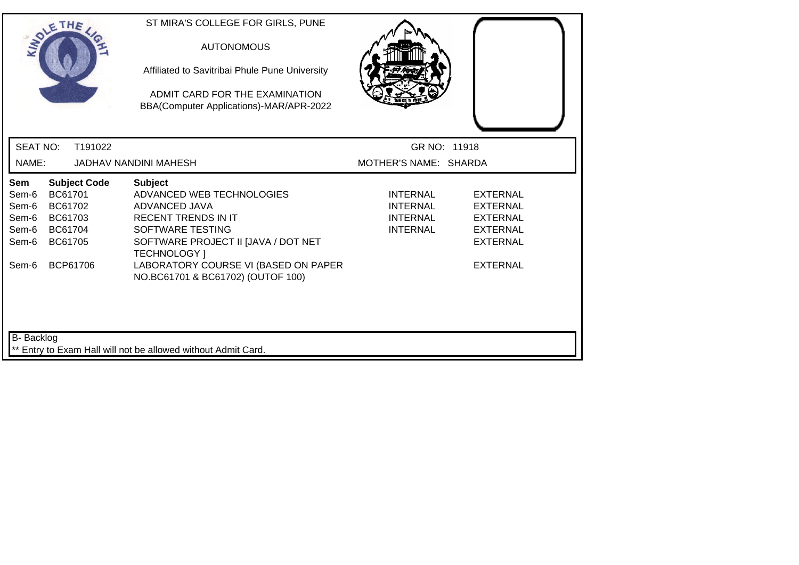|                                                           | SOLETHE .                                                                              | ST MIRA'S COLLEGE FOR GIRLS, PUNE<br><b>AUTONOMOUS</b><br>Affiliated to Savitribai Phule Pune University<br>ADMIT CARD FOR THE EXAMINATION<br>BBA(Computer Applications)-MAR/APR-2022                                                                     |                                                                   |                                                                                                                |
|-----------------------------------------------------------|----------------------------------------------------------------------------------------|-----------------------------------------------------------------------------------------------------------------------------------------------------------------------------------------------------------------------------------------------------------|-------------------------------------------------------------------|----------------------------------------------------------------------------------------------------------------|
| <b>SEAT NO:</b>                                           | T191022                                                                                |                                                                                                                                                                                                                                                           | GR NO: 11918                                                      |                                                                                                                |
| NAME:                                                     |                                                                                        | JADHAV NANDINI MAHESH                                                                                                                                                                                                                                     | MOTHER'S NAME: SHARDA                                             |                                                                                                                |
| Sem<br>Sem-6<br>Sem-6<br>Sem-6<br>Sem-6<br>Sem-6<br>Sem-6 | <b>Subject Code</b><br>BC61701<br>BC61702<br>BC61703<br>BC61704<br>BC61705<br>BCP61706 | <b>Subject</b><br>ADVANCED WEB TECHNOLOGIES<br>ADVANCED JAVA<br><b>RECENT TRENDS IN IT</b><br>SOFTWARE TESTING<br>SOFTWARE PROJECT II [JAVA / DOT NET<br><b>TECHNOLOGY</b> 1<br>LABORATORY COURSE VI (BASED ON PAPER<br>NO.BC61701 & BC61702) (OUTOF 100) | <b>INTERNAL</b><br>INTERNAL<br><b>INTERNAL</b><br><b>INTERNAL</b> | <b>EXTERNAL</b><br><b>EXTERNAL</b><br><b>EXTERNAL</b><br><b>EXTERNAL</b><br><b>EXTERNAL</b><br><b>EXTERNAL</b> |
| <b>B-</b> Backlog                                         |                                                                                        | ** Entry to Exam Hall will not be allowed without Admit Card.                                                                                                                                                                                             |                                                                   |                                                                                                                |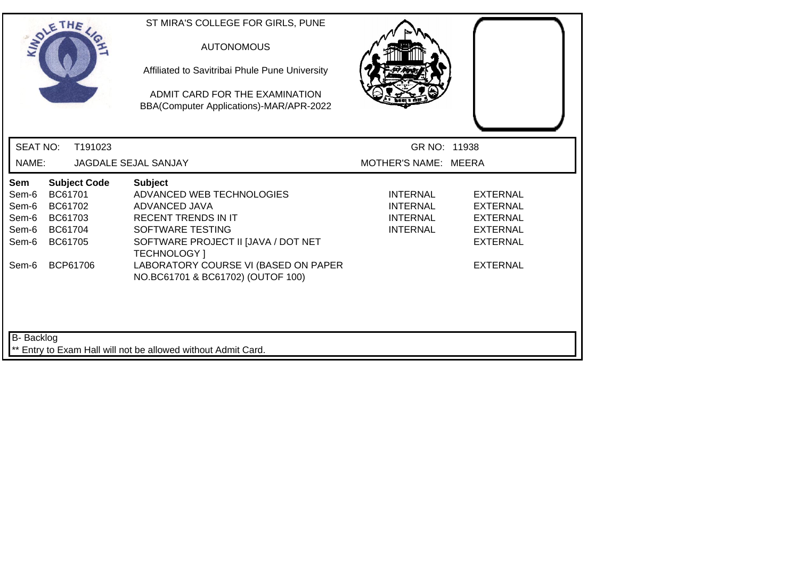| SOLETHE .                                                                                                                                           | ST MIRA'S COLLEGE FOR GIRLS, PUNE<br><b>AUTONOMOUS</b><br>Affiliated to Savitribai Phule Pune University<br>ADMIT CARD FOR THE EXAMINATION<br>BBA(Computer Applications)-MAR/APR-2022                                                                     |                                                                   |                                                                                                                |  |
|-----------------------------------------------------------------------------------------------------------------------------------------------------|-----------------------------------------------------------------------------------------------------------------------------------------------------------------------------------------------------------------------------------------------------------|-------------------------------------------------------------------|----------------------------------------------------------------------------------------------------------------|--|
| <b>SEAT NO:</b><br>T191023                                                                                                                          |                                                                                                                                                                                                                                                           | GR NO: 11938                                                      |                                                                                                                |  |
| NAME:                                                                                                                                               | JAGDALE SEJAL SANJAY                                                                                                                                                                                                                                      | MOTHER'S NAME: MEERA                                              |                                                                                                                |  |
| <b>Subject Code</b><br>Sem<br>BC61701<br>Sem-6<br>Sem-6<br>BC61702<br>BC61703<br>Sem-6<br>Sem-6<br>BC61704<br>BC61705<br>Sem-6<br>BCP61706<br>Sem-6 | <b>Subject</b><br>ADVANCED WEB TECHNOLOGIES<br>ADVANCED JAVA<br><b>RECENT TRENDS IN IT</b><br>SOFTWARE TESTING<br>SOFTWARE PROJECT II [JAVA / DOT NET<br><b>TECHNOLOGY</b> 1<br>LABORATORY COURSE VI (BASED ON PAPER<br>NO.BC61701 & BC61702) (OUTOF 100) | <b>INTERNAL</b><br><b>INTERNAL</b><br>INTERNAL<br><b>INTERNAL</b> | <b>EXTERNAL</b><br><b>EXTERNAL</b><br><b>EXTERNAL</b><br><b>EXTERNAL</b><br><b>EXTERNAL</b><br><b>EXTERNAL</b> |  |
| B-Backlog                                                                                                                                           | ** Entry to Exam Hall will not be allowed without Admit Card.                                                                                                                                                                                             |                                                                   |                                                                                                                |  |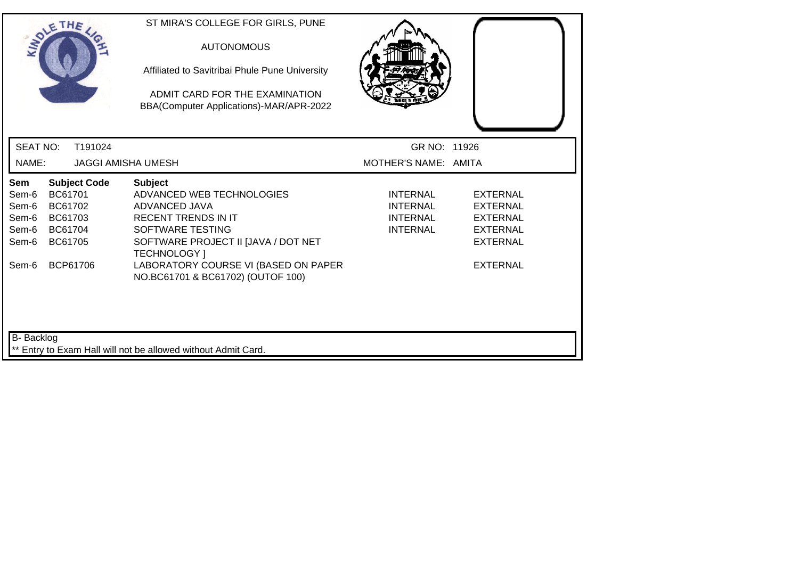|                                                           | SOLETHE.                                                                               | ST MIRA'S COLLEGE FOR GIRLS, PUNE<br><b>AUTONOMOUS</b><br>Affiliated to Savitribai Phule Pune University<br>ADMIT CARD FOR THE EXAMINATION<br>BBA(Computer Applications)-MAR/APR-2022                                                                     |                                                                   |                                                                                                                |
|-----------------------------------------------------------|----------------------------------------------------------------------------------------|-----------------------------------------------------------------------------------------------------------------------------------------------------------------------------------------------------------------------------------------------------------|-------------------------------------------------------------------|----------------------------------------------------------------------------------------------------------------|
| <b>SEAT NO:</b>                                           | T191024                                                                                |                                                                                                                                                                                                                                                           | GR NO: 11926                                                      |                                                                                                                |
| NAME:                                                     | <b>JAGGI AMISHA UMESH</b>                                                              |                                                                                                                                                                                                                                                           | MOTHER'S NAME: AMITA                                              |                                                                                                                |
| Sem<br>Sem-6<br>Sem-6<br>Sem-6<br>Sem-6<br>Sem-6<br>Sem-6 | <b>Subject Code</b><br>BC61701<br>BC61702<br>BC61703<br>BC61704<br>BC61705<br>BCP61706 | <b>Subject</b><br>ADVANCED WEB TECHNOLOGIES<br>ADVANCED JAVA<br><b>RECENT TRENDS IN IT</b><br>SOFTWARE TESTING<br>SOFTWARE PROJECT II [JAVA / DOT NET<br><b>TECHNOLOGY</b> 1<br>LABORATORY COURSE VI (BASED ON PAPER<br>NO.BC61701 & BC61702) (OUTOF 100) | <b>INTERNAL</b><br><b>INTERNAL</b><br>INTERNAL<br><b>INTERNAL</b> | <b>EXTERNAL</b><br><b>EXTERNAL</b><br><b>EXTERNAL</b><br><b>EXTERNAL</b><br><b>EXTERNAL</b><br><b>EXTERNAL</b> |
| B- Backlog                                                |                                                                                        | ** Entry to Exam Hall will not be allowed without Admit Card.                                                                                                                                                                                             |                                                                   |                                                                                                                |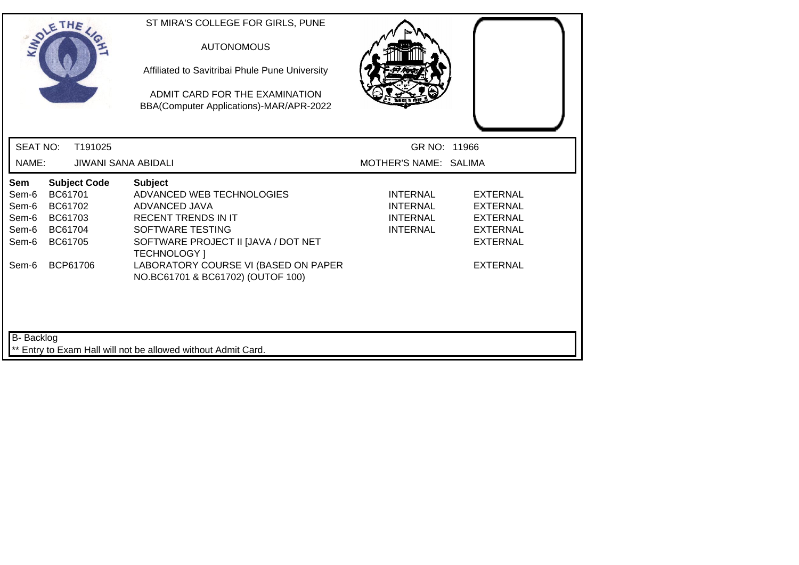| SOLETHE                                                   |                                                                 |                     | ST MIRA'S COLLEGE FOR GIRLS, PUNE<br><b>AUTONOMOUS</b><br>Affiliated to Savitribai Phule Pune University<br>ADMIT CARD FOR THE EXAMINATION<br>BBA(Computer Applications)-MAR/APR-2022                                                                     |                                                                          |                                                                                                                |
|-----------------------------------------------------------|-----------------------------------------------------------------|---------------------|-----------------------------------------------------------------------------------------------------------------------------------------------------------------------------------------------------------------------------------------------------------|--------------------------------------------------------------------------|----------------------------------------------------------------------------------------------------------------|
| <b>SEAT NO:</b>                                           |                                                                 | T191025             |                                                                                                                                                                                                                                                           | GR NO: 11966                                                             |                                                                                                                |
| NAME:                                                     |                                                                 | JIWANI SANA ABIDALI |                                                                                                                                                                                                                                                           | MOTHER'S NAME: SALIMA                                                    |                                                                                                                |
| Sem<br>Sem-6<br>Sem-6<br>Sem-6<br>Sem-6<br>Sem-6<br>Sem-6 | BC61701<br>BC61702<br>BC61703<br>BC61704<br>BC61705<br>BCP61706 | <b>Subject Code</b> | <b>Subject</b><br>ADVANCED WEB TECHNOLOGIES<br>ADVANCED JAVA<br><b>RECENT TRENDS IN IT</b><br>SOFTWARE TESTING<br>SOFTWARE PROJECT II [JAVA / DOT NET<br><b>TECHNOLOGY</b> 1<br>LABORATORY COURSE VI (BASED ON PAPER<br>NO.BC61701 & BC61702) (OUTOF 100) | <b>INTERNAL</b><br><b>INTERNAL</b><br><b>INTERNAL</b><br><b>INTERNAL</b> | <b>EXTERNAL</b><br><b>EXTERNAL</b><br><b>EXTERNAL</b><br><b>EXTERNAL</b><br><b>EXTERNAL</b><br><b>EXTERNAL</b> |
| B- Backlog                                                |                                                                 |                     | Entry to Exam Hall will not be allowed without Admit Card.                                                                                                                                                                                                |                                                                          |                                                                                                                |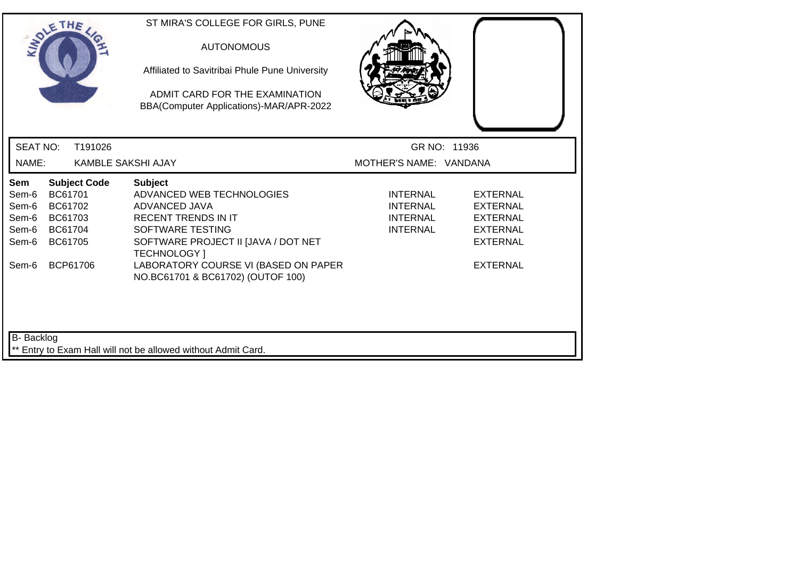|                                                           | SOLETHE .                                                                              |                           | ST MIRA'S COLLEGE FOR GIRLS, PUNE<br><b>AUTONOMOUS</b><br>Affiliated to Savitribai Phule Pune University<br>ADMIT CARD FOR THE EXAMINATION<br>BBA(Computer Applications)-MAR/APR-2022                                                                     |                                                                          |                                                                                                         |
|-----------------------------------------------------------|----------------------------------------------------------------------------------------|---------------------------|-----------------------------------------------------------------------------------------------------------------------------------------------------------------------------------------------------------------------------------------------------------|--------------------------------------------------------------------------|---------------------------------------------------------------------------------------------------------|
| <b>SEAT NO:</b>                                           |                                                                                        | T191026                   |                                                                                                                                                                                                                                                           |                                                                          | GR NO: 11936                                                                                            |
| NAME:                                                     |                                                                                        | <b>KAMBLE SAKSHI AJAY</b> |                                                                                                                                                                                                                                                           | MOTHER'S NAME: VANDANA                                                   |                                                                                                         |
| Sem<br>Sem-6<br>Sem-6<br>Sem-6<br>Sem-6<br>Sem-6<br>Sem-6 | <b>Subject Code</b><br>BC61701<br>BC61702<br>BC61703<br>BC61704<br>BC61705<br>BCP61706 |                           | <b>Subject</b><br>ADVANCED WEB TECHNOLOGIES<br>ADVANCED JAVA<br><b>RECENT TRENDS IN IT</b><br>SOFTWARE TESTING<br>SOFTWARE PROJECT II [JAVA / DOT NET<br><b>TECHNOLOGY</b> 1<br>LABORATORY COURSE VI (BASED ON PAPER<br>NO.BC61701 & BC61702) (OUTOF 100) | <b>INTERNAL</b><br><b>INTERNAL</b><br><b>INTERNAL</b><br><b>INTERNAL</b> | <b>EXTERNAL</b><br>EXTERNAL<br><b>EXTERNAL</b><br><b>EXTERNAL</b><br><b>EXTERNAL</b><br><b>EXTERNAL</b> |
| <b>B-</b> Backlog                                         |                                                                                        |                           | ** Entry to Exam Hall will not be allowed without Admit Card.                                                                                                                                                                                             |                                                                          |                                                                                                         |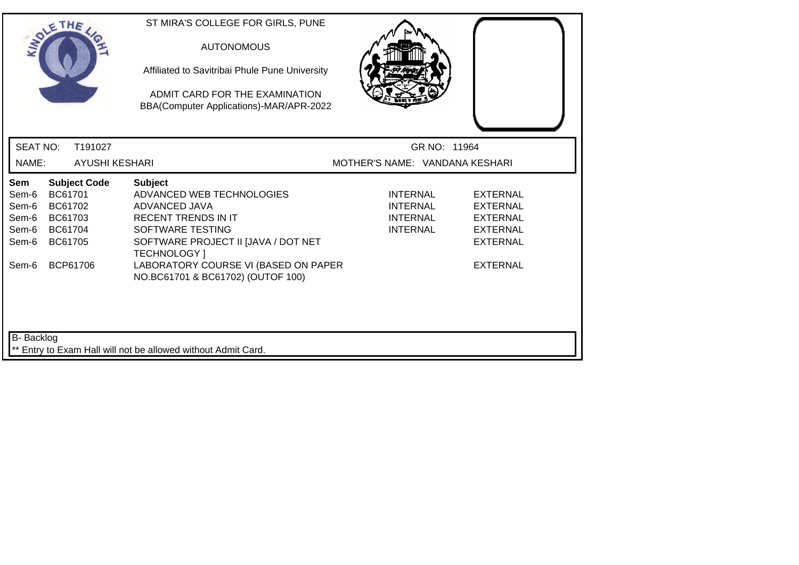| SOLETHE .                                                                                                                      | ST MIRA'S COLLEGE FOR GIRLS, PUNE<br><b>AUTONOMOUS</b><br>Affiliated to Savitribai Phule Pune University<br>ADMIT CARD FOR THE EXAMINATION<br>BBA(Computer Applications)-MAR/APR-2022 |                                                                          |                                                                                             |
|--------------------------------------------------------------------------------------------------------------------------------|---------------------------------------------------------------------------------------------------------------------------------------------------------------------------------------|--------------------------------------------------------------------------|---------------------------------------------------------------------------------------------|
| <b>SEAT NO:</b><br>T191027                                                                                                     |                                                                                                                                                                                       | GR NO: 11964                                                             |                                                                                             |
| NAME:                                                                                                                          | <b>AYUSHI KESHARI</b>                                                                                                                                                                 | MOTHER'S NAME: VANDANA KESHARI                                           |                                                                                             |
| <b>Subject Code</b><br>Sem<br>BC61701<br>Sem-6<br>Sem-6<br>BC61702<br>Sem-6<br>BC61703<br>Sem-6<br>BC61704<br>Sem-6<br>BC61705 | <b>Subject</b><br>ADVANCED WEB TECHNOLOGIES<br>ADVANCED JAVA<br><b>RECENT TRENDS IN IT</b><br>SOFTWARE TESTING<br>SOFTWARE PROJECT II [JAVA / DOT NET<br><b>TECHNOLOGY</b> 1          | <b>INTERNAL</b><br><b>INTERNAL</b><br><b>INTERNAL</b><br><b>INTERNAL</b> | <b>EXTERNAL</b><br><b>EXTERNAL</b><br><b>EXTERNAL</b><br><b>EXTERNAL</b><br><b>EXTERNAL</b> |
| BCP61706<br>Sem-6                                                                                                              | LABORATORY COURSE VI (BASED ON PAPER<br>NO.BC61701 & BC61702) (OUTOF 100)                                                                                                             |                                                                          | <b>EXTERNAL</b>                                                                             |
| <b>B-</b> Backlog                                                                                                              | ** Entry to Exam Hall will not be allowed without Admit Card.                                                                                                                         |                                                                          |                                                                                             |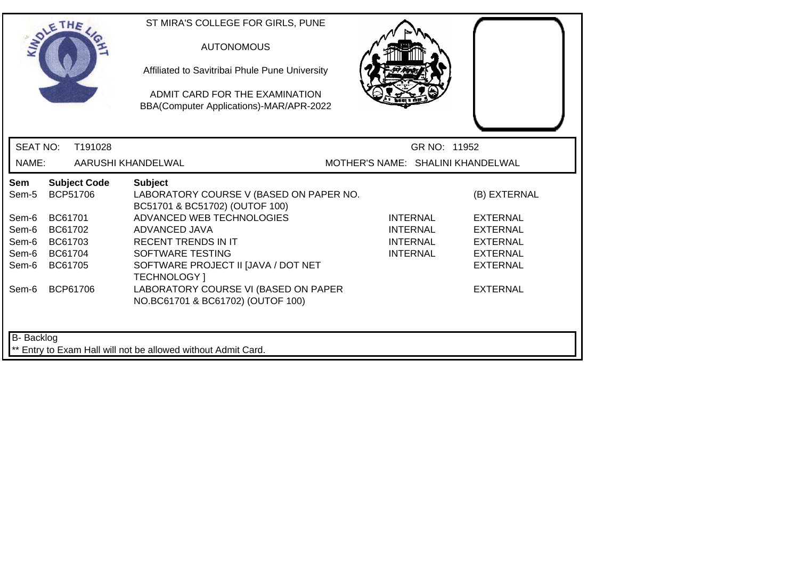| <b>SEAT NO:</b><br>T191028<br>GR NO: 11952<br>NAME:<br>AARUSHI KHANDELWAL<br>MOTHER'S NAME: SHALINI KHANDELWAL<br><b>Subject Code</b><br><b>Subject</b><br>Sem<br><b>BCP51706</b><br>LABORATORY COURSE V (BASED ON PAPER NO.<br>Sem-5<br>(B) EXTERNAL<br>BC51701 & BC51702) (OUTOF 100)<br>ADVANCED WEB TECHNOLOGIES<br>BC61701<br>Sem-6<br><b>INTERNAL</b><br><b>EXTERNAL</b><br>Sem-6<br>BC61702<br>ADVANCED JAVA<br><b>INTERNAL</b><br><b>EXTERNAL</b><br><b>RECENT TRENDS IN IT</b><br>Sem-6<br>BC61703<br><b>INTERNAL</b><br><b>EXTERNAL</b><br>SOFTWARE TESTING<br><b>INTERNAL</b><br><b>EXTERNAL</b><br>Sem-6<br>BC61704<br>Sem-6<br>BC61705<br>SOFTWARE PROJECT II [JAVA / DOT NET<br><b>EXTERNAL</b><br>TECHNOLOGY ]<br>LABORATORY COURSE VI (BASED ON PAPER<br>BCP61706<br>Sem-6<br><b>EXTERNAL</b><br>NO.BC61701 & BC61702) (OUTOF 100) | SOLETHE |  | ST MIRA'S COLLEGE FOR GIRLS, PUNE<br><b>AUTONOMOUS</b><br>Affiliated to Savitribai Phule Pune University<br>ADMIT CARD FOR THE EXAMINATION<br>BBA(Computer Applications)-MAR/APR-2022 |  |  |
|----------------------------------------------------------------------------------------------------------------------------------------------------------------------------------------------------------------------------------------------------------------------------------------------------------------------------------------------------------------------------------------------------------------------------------------------------------------------------------------------------------------------------------------------------------------------------------------------------------------------------------------------------------------------------------------------------------------------------------------------------------------------------------------------------------------------------------------------------|---------|--|---------------------------------------------------------------------------------------------------------------------------------------------------------------------------------------|--|--|
|                                                                                                                                                                                                                                                                                                                                                                                                                                                                                                                                                                                                                                                                                                                                                                                                                                                    |         |  |                                                                                                                                                                                       |  |  |
|                                                                                                                                                                                                                                                                                                                                                                                                                                                                                                                                                                                                                                                                                                                                                                                                                                                    |         |  |                                                                                                                                                                                       |  |  |
|                                                                                                                                                                                                                                                                                                                                                                                                                                                                                                                                                                                                                                                                                                                                                                                                                                                    |         |  |                                                                                                                                                                                       |  |  |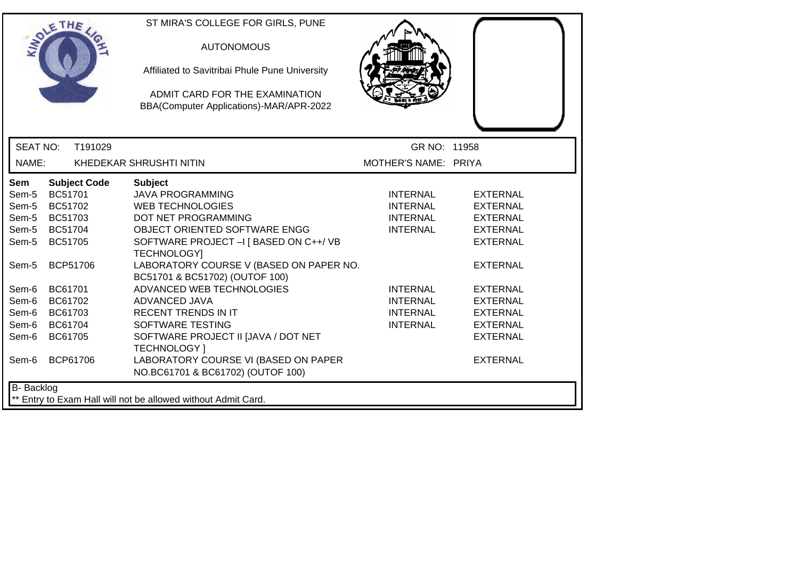| ETHE                                                                        | ST MIRA'S COLLEGE FOR GIRLS, PUNE<br><b>AUTONOMOUS</b><br>Affiliated to Savitribai Phule Pune University<br>ADMIT CARD FOR THE EXAMINATION<br>BBA(Computer Applications)-MAR/APR-2022 |                                    |                                    |
|-----------------------------------------------------------------------------|---------------------------------------------------------------------------------------------------------------------------------------------------------------------------------------|------------------------------------|------------------------------------|
| <b>SEAT NO:</b><br>T191029                                                  |                                                                                                                                                                                       | GR NO: 11958                       |                                    |
| NAME:<br>KHEDEKAR SHRUSHTI NITIN                                            |                                                                                                                                                                                       | MOTHER'S NAME: PRIYA               |                                    |
| <b>Subject Code</b><br><b>Sem</b><br>BC51701<br>Sem-5                       | <b>Subject</b><br><b>JAVA PROGRAMMING</b>                                                                                                                                             | <b>INTERNAL</b>                    | <b>EXTERNAL</b>                    |
| BC51702<br>Sem-5<br>BC51703<br>Sem-5                                        | <b>WEB TECHNOLOGIES</b><br><b>DOT NET PROGRAMMING</b>                                                                                                                                 | <b>INTERNAL</b><br><b>INTERNAL</b> | <b>EXTERNAL</b><br><b>EXTERNAL</b> |
| Sem-5<br>BC51704                                                            | OBJECT ORIENTED SOFTWARE ENGG                                                                                                                                                         | <b>INTERNAL</b>                    | <b>EXTERNAL</b>                    |
| Sem-5<br>BC51705                                                            | SOFTWARE PROJECT - [BASED ON C++/VB<br><b>TECHNOLOGY]</b>                                                                                                                             |                                    | <b>EXTERNAL</b>                    |
| <b>BCP51706</b><br>Sem-5                                                    | LABORATORY COURSE V (BASED ON PAPER NO.<br>BC51701 & BC51702) (OUTOF 100)                                                                                                             |                                    | <b>EXTERNAL</b>                    |
| BC61701<br>Sem-6                                                            | ADVANCED WEB TECHNOLOGIES                                                                                                                                                             | <b>INTERNAL</b>                    | <b>EXTERNAL</b>                    |
| BC61702<br>Sem-6                                                            | <b>ADVANCED JAVA</b>                                                                                                                                                                  | <b>INTERNAL</b>                    | <b>EXTERNAL</b>                    |
| Sem-6<br>BC61703                                                            | <b>RECENT TRENDS IN IT</b>                                                                                                                                                            | <b>INTERNAL</b>                    | <b>EXTERNAL</b>                    |
| BC61704<br>Sem-6                                                            | SOFTWARE TESTING                                                                                                                                                                      | <b>INTERNAL</b>                    | <b>EXTERNAL</b>                    |
| BC61705<br>Sem-6                                                            | SOFTWARE PROJECT II JJAVA / DOT NET<br><b>TECHNOLOGY</b> 1                                                                                                                            |                                    | <b>EXTERNAL</b>                    |
| BCP61706<br>Sem-6                                                           | LABORATORY COURSE VI (BASED ON PAPER<br>NO.BC61701 & BC61702) (OUTOF 100)                                                                                                             |                                    | <b>EXTERNAL</b>                    |
| B- Backlog<br>** Entry to Exam Hall will not be allowed without Admit Card. |                                                                                                                                                                                       |                                    |                                    |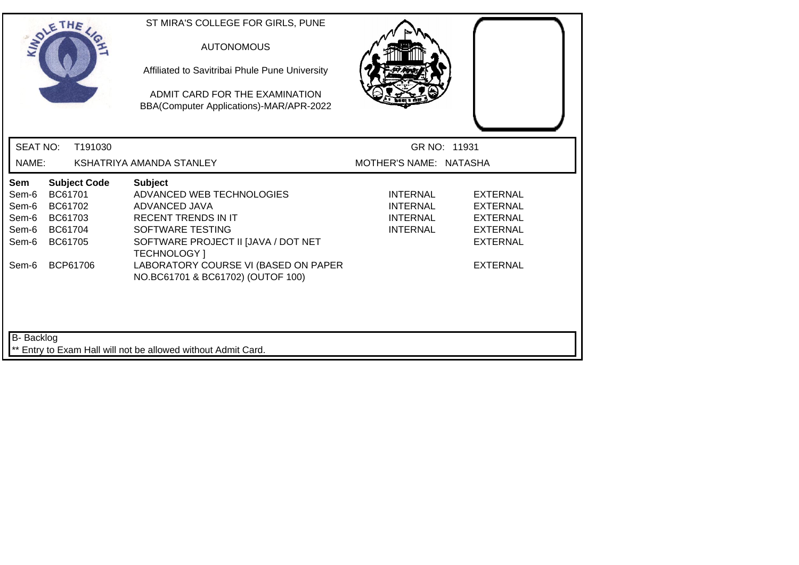|                                                           | SOLETHE .                                                                              |         | ST MIRA'S COLLEGE FOR GIRLS, PUNE<br><b>AUTONOMOUS</b><br>Affiliated to Savitribai Phule Pune University<br>ADMIT CARD FOR THE EXAMINATION<br>BBA(Computer Applications)-MAR/APR-2022                                                                            |                                                                          |                                                                                                                |
|-----------------------------------------------------------|----------------------------------------------------------------------------------------|---------|------------------------------------------------------------------------------------------------------------------------------------------------------------------------------------------------------------------------------------------------------------------|--------------------------------------------------------------------------|----------------------------------------------------------------------------------------------------------------|
| <b>SEAT NO:</b>                                           |                                                                                        | T191030 |                                                                                                                                                                                                                                                                  | GR NO: 11931                                                             |                                                                                                                |
| NAME:                                                     |                                                                                        |         | KSHATRIYA AMANDA STANLEY                                                                                                                                                                                                                                         | MOTHER'S NAME: NATASHA                                                   |                                                                                                                |
| Sem<br>Sem-6<br>Sem-6<br>Sem-6<br>Sem-6<br>Sem-6<br>Sem-6 | <b>Subject Code</b><br>BC61701<br>BC61702<br>BC61703<br>BC61704<br>BC61705<br>BCP61706 |         | <b>Subject</b><br>ADVANCED WEB TECHNOLOGIES<br>ADVANCED JAVA<br><b>RECENT TRENDS IN IT</b><br><b>SOFTWARE TESTING</b><br>SOFTWARE PROJECT II [JAVA / DOT NET<br><b>TECHNOLOGY</b> 1<br>LABORATORY COURSE VI (BASED ON PAPER<br>NO.BC61701 & BC61702) (OUTOF 100) | <b>INTERNAL</b><br><b>INTERNAL</b><br><b>INTERNAL</b><br><b>INTERNAL</b> | <b>EXTERNAL</b><br><b>EXTERNAL</b><br><b>EXTERNAL</b><br><b>EXTERNAL</b><br><b>EXTERNAL</b><br><b>EXTERNAL</b> |
| <b>B-</b> Backlog                                         |                                                                                        |         | ** Entry to Exam Hall will not be allowed without Admit Card.                                                                                                                                                                                                    |                                                                          |                                                                                                                |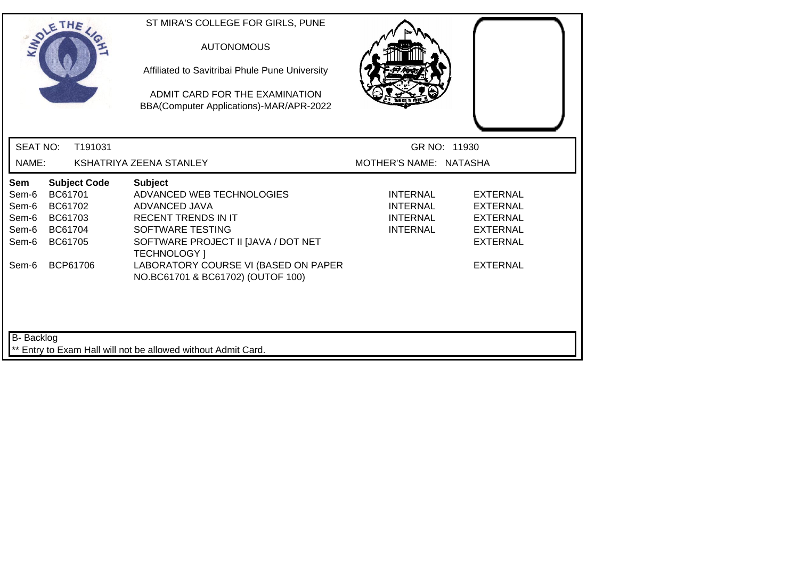|                                                           | SOLETHE .                                                                              | ST MIRA'S COLLEGE FOR GIRLS, PUNE<br><b>AUTONOMOUS</b><br>Affiliated to Savitribai Phule Pune University<br>ADMIT CARD FOR THE EXAMINATION<br>BBA(Computer Applications)-MAR/APR-2022                                |                                                            |                                                                                                                |  |
|-----------------------------------------------------------|----------------------------------------------------------------------------------------|----------------------------------------------------------------------------------------------------------------------------------------------------------------------------------------------------------------------|------------------------------------------------------------|----------------------------------------------------------------------------------------------------------------|--|
| <b>SEAT NO:</b>                                           | T191031                                                                                |                                                                                                                                                                                                                      | GR NO: 11930                                               |                                                                                                                |  |
| NAME:                                                     |                                                                                        | KSHATRIYA ZEENA STANLEY                                                                                                                                                                                              | MOTHER'S NAME: NATASHA                                     |                                                                                                                |  |
| Sem<br>Sem-6<br>Sem-6<br>Sem-6<br>Sem-6<br>Sem-6<br>Sem-6 | <b>Subject Code</b><br>BC61701<br>BC61702<br>BC61703<br>BC61704<br>BC61705<br>BCP61706 | <b>Subject</b><br>ADVANCED WEB TECHNOLOGIES<br>ADVANCED JAVA<br><b>RECENT TRENDS IN IT</b><br>SOFTWARE TESTING<br>SOFTWARE PROJECT II JJAVA / DOT NET<br><b>TECHNOLOGY</b> 1<br>LABORATORY COURSE VI (BASED ON PAPER | <b>INTERNAL</b><br>INTERNAL<br>INTERNAL<br><b>INTERNAL</b> | <b>EXTERNAL</b><br><b>EXTERNAL</b><br><b>EXTERNAL</b><br><b>EXTERNAL</b><br><b>EXTERNAL</b><br><b>EXTERNAL</b> |  |
| <b>B-</b> Backlog                                         |                                                                                        | NO.BC61701 & BC61702) (OUTOF 100)<br>** Entry to Exam Hall will not be allowed without Admit Card.                                                                                                                   |                                                            |                                                                                                                |  |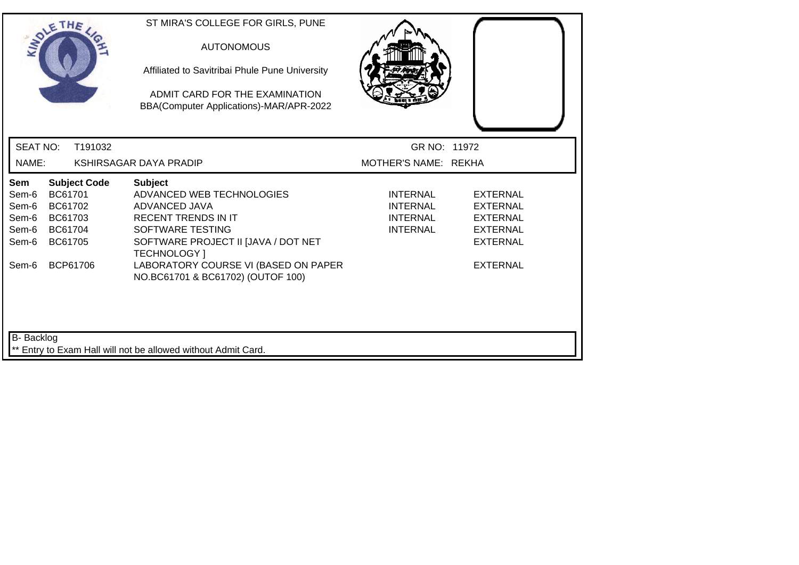|                                                           | SOLETHE .                                                                              | ST MIRA'S COLLEGE FOR GIRLS, PUNE<br><b>AUTONOMOUS</b><br>Affiliated to Savitribai Phule Pune University<br>ADMIT CARD FOR THE EXAMINATION<br>BBA(Computer Applications)-MAR/APR-2022                                                                     |                                                                   |                                                                                                                |
|-----------------------------------------------------------|----------------------------------------------------------------------------------------|-----------------------------------------------------------------------------------------------------------------------------------------------------------------------------------------------------------------------------------------------------------|-------------------------------------------------------------------|----------------------------------------------------------------------------------------------------------------|
| <b>SEAT NO:</b>                                           | T191032                                                                                |                                                                                                                                                                                                                                                           | GR NO: 11972                                                      |                                                                                                                |
| NAME:                                                     |                                                                                        | KSHIRSAGAR DAYA PRADIP                                                                                                                                                                                                                                    | MOTHER'S NAME: REKHA                                              |                                                                                                                |
| Sem<br>Sem-6<br>Sem-6<br>Sem-6<br>Sem-6<br>Sem-6<br>Sem-6 | <b>Subject Code</b><br>BC61701<br>BC61702<br>BC61703<br>BC61704<br>BC61705<br>BCP61706 | <b>Subject</b><br>ADVANCED WEB TECHNOLOGIES<br>ADVANCED JAVA<br><b>RECENT TRENDS IN IT</b><br>SOFTWARE TESTING<br>SOFTWARE PROJECT II JJAVA / DOT NET<br><b>TECHNOLOGY</b> 1<br>LABORATORY COURSE VI (BASED ON PAPER<br>NO.BC61701 & BC61702) (OUTOF 100) | <b>INTERNAL</b><br><b>INTERNAL</b><br>INTERNAL<br><b>INTERNAL</b> | <b>EXTERNAL</b><br><b>EXTERNAL</b><br><b>EXTERNAL</b><br><b>EXTERNAL</b><br><b>EXTERNAL</b><br><b>EXTERNAL</b> |
| <b>B-</b> Backlog                                         |                                                                                        | ** Entry to Exam Hall will not be allowed without Admit Card.                                                                                                                                                                                             |                                                                   |                                                                                                                |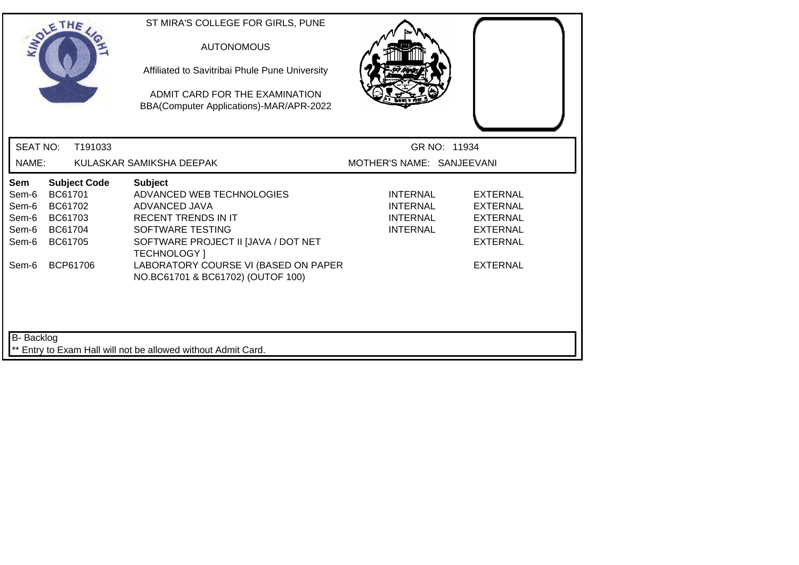|                                                           | SOLETHE .                                                                              | ST MIRA'S COLLEGE FOR GIRLS, PUNE<br><b>AUTONOMOUS</b><br>Affiliated to Savitribai Phule Pune University<br>ADMIT CARD FOR THE EXAMINATION<br>BBA(Computer Applications)-MAR/APR-2022                                |                                                            |                                                                                                  |
|-----------------------------------------------------------|----------------------------------------------------------------------------------------|----------------------------------------------------------------------------------------------------------------------------------------------------------------------------------------------------------------------|------------------------------------------------------------|--------------------------------------------------------------------------------------------------|
| <b>SEAT NO:</b>                                           | T191033                                                                                |                                                                                                                                                                                                                      |                                                            | GR NO: 11934                                                                                     |
| NAME:                                                     |                                                                                        | KULASKAR SAMIKSHA DEEPAK                                                                                                                                                                                             | MOTHER'S NAME: SANJEEVANI                                  |                                                                                                  |
| Sem<br>Sem-6<br>Sem-6<br>Sem-6<br>Sem-6<br>Sem-6<br>Sem-6 | <b>Subject Code</b><br>BC61701<br>BC61702<br>BC61703<br>BC61704<br>BC61705<br>BCP61706 | <b>Subject</b><br>ADVANCED WEB TECHNOLOGIES<br>ADVANCED JAVA<br><b>RECENT TRENDS IN IT</b><br>SOFTWARE TESTING<br>SOFTWARE PROJECT II JJAVA / DOT NET<br><b>TECHNOLOGY</b> 1<br>LABORATORY COURSE VI (BASED ON PAPER | <b>INTERNAL</b><br>INTERNAL<br>INTERNAL<br><b>INTERNAL</b> | <b>EXTERNAL</b><br>EXTERNAL<br>EXTERNAL<br><b>EXTERNAL</b><br><b>EXTERNAL</b><br><b>EXTERNAL</b> |
| <b>B-</b> Backlog                                         |                                                                                        | NO.BC61701 & BC61702) (OUTOF 100)<br>** Entry to Exam Hall will not be allowed without Admit Card.                                                                                                                   |                                                            |                                                                                                  |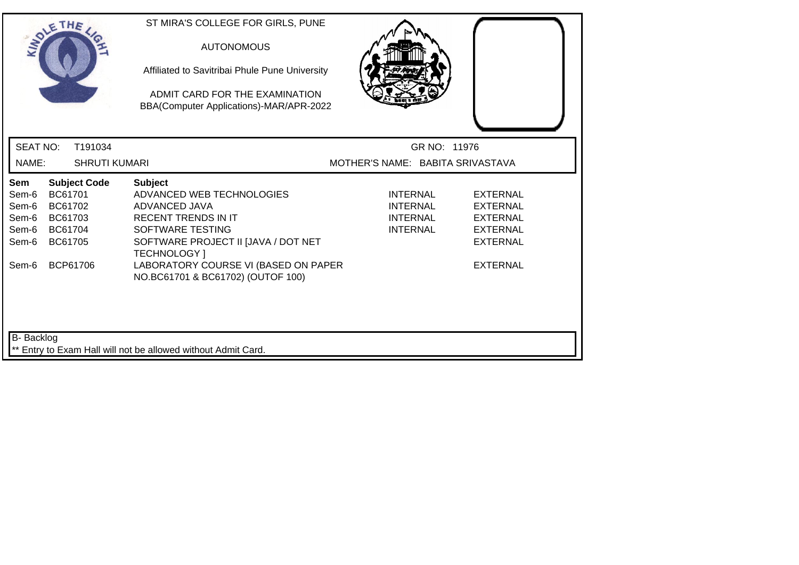| SOLETHE .                                        |                                                     |                      | ST MIRA'S COLLEGE FOR GIRLS, PUNE<br><b>AUTONOMOUS</b><br>Affiliated to Savitribai Phule Pune University<br>ADMIT CARD FOR THE EXAMINATION<br>BBA(Computer Applications)-MAR/APR-2022 |                                                                   |                                                                                             |
|--------------------------------------------------|-----------------------------------------------------|----------------------|---------------------------------------------------------------------------------------------------------------------------------------------------------------------------------------|-------------------------------------------------------------------|---------------------------------------------------------------------------------------------|
| <b>SEAT NO:</b>                                  |                                                     | T191034              |                                                                                                                                                                                       | GR NO: 11976                                                      |                                                                                             |
| NAME:                                            |                                                     | <b>SHRUTI KUMARI</b> |                                                                                                                                                                                       | MOTHER'S NAME: BABITA SRIVASTAVA                                  |                                                                                             |
| Sem<br>Sem-6<br>Sem-6<br>Sem-6<br>Sem-6<br>Sem-6 | BC61701<br>BC61702<br>BC61703<br>BC61704<br>BC61705 | <b>Subject Code</b>  | <b>Subject</b><br>ADVANCED WEB TECHNOLOGIES<br>ADVANCED JAVA<br><b>RECENT TRENDS IN IT</b><br>SOFTWARE TESTING<br>SOFTWARE PROJECT II [JAVA / DOT NET<br><b>TECHNOLOGY</b> 1          | <b>INTERNAL</b><br>INTERNAL<br><b>INTERNAL</b><br><b>INTERNAL</b> | <b>EXTERNAL</b><br><b>EXTERNAL</b><br><b>EXTERNAL</b><br><b>EXTERNAL</b><br><b>EXTERNAL</b> |
| Sem-6                                            | BCP61706                                            |                      | LABORATORY COURSE VI (BASED ON PAPER<br>NO.BC61701 & BC61702) (OUTOF 100)                                                                                                             |                                                                   | <b>EXTERNAL</b>                                                                             |
| B- Backlog                                       |                                                     |                      | ** Entry to Exam Hall will not be allowed without Admit Card.                                                                                                                         |                                                                   |                                                                                             |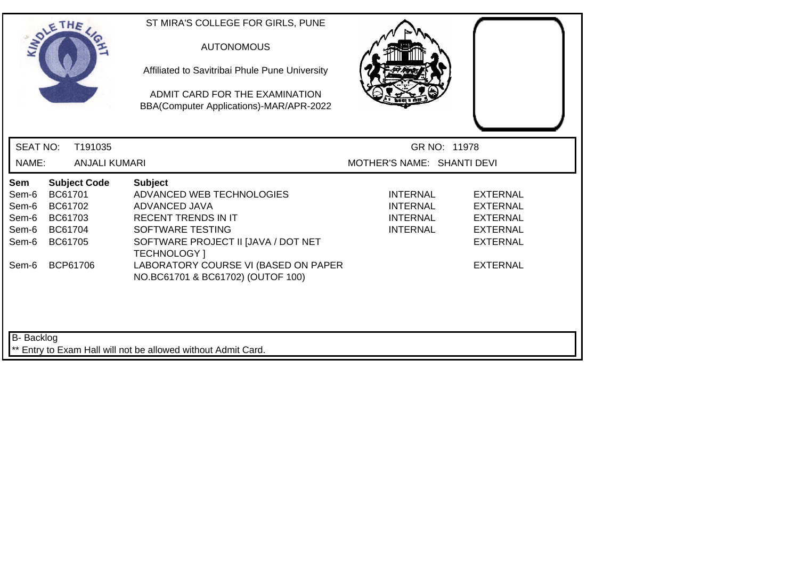| SOLETHE .                                                 |                                                                 |                      | ST MIRA'S COLLEGE FOR GIRLS, PUNE<br><b>AUTONOMOUS</b><br>Affiliated to Savitribai Phule Pune University<br>ADMIT CARD FOR THE EXAMINATION<br>BBA(Computer Applications)-MAR/APR-2022                                |                                                                          |                                                                                                                |
|-----------------------------------------------------------|-----------------------------------------------------------------|----------------------|----------------------------------------------------------------------------------------------------------------------------------------------------------------------------------------------------------------------|--------------------------------------------------------------------------|----------------------------------------------------------------------------------------------------------------|
| <b>SEAT NO:</b>                                           |                                                                 | T191035              |                                                                                                                                                                                                                      | GR NO: 11978                                                             |                                                                                                                |
| NAME:                                                     |                                                                 | <b>ANJALI KUMARI</b> |                                                                                                                                                                                                                      | MOTHER'S NAME: SHANTI DEVI                                               |                                                                                                                |
| Sem<br>Sem-6<br>Sem-6<br>Sem-6<br>Sem-6<br>Sem-6<br>Sem-6 | BC61701<br>BC61702<br>BC61703<br>BC61704<br>BC61705<br>BCP61706 | <b>Subject Code</b>  | <b>Subject</b><br>ADVANCED WEB TECHNOLOGIES<br>ADVANCED JAVA<br><b>RECENT TRENDS IN IT</b><br>SOFTWARE TESTING<br>SOFTWARE PROJECT II [JAVA / DOT NET<br><b>TECHNOLOGY</b> 1<br>LABORATORY COURSE VI (BASED ON PAPER | <b>INTERNAL</b><br><b>INTERNAL</b><br><b>INTERNAL</b><br><b>INTERNAL</b> | <b>EXTERNAL</b><br><b>EXTERNAL</b><br><b>EXTERNAL</b><br><b>EXTERNAL</b><br><b>EXTERNAL</b><br><b>EXTERNAL</b> |
| <b>B-</b> Backlog                                         |                                                                 |                      | NO.BC61701 & BC61702) (OUTOF 100)<br>** Entry to Exam Hall will not be allowed without Admit Card.                                                                                                                   |                                                                          |                                                                                                                |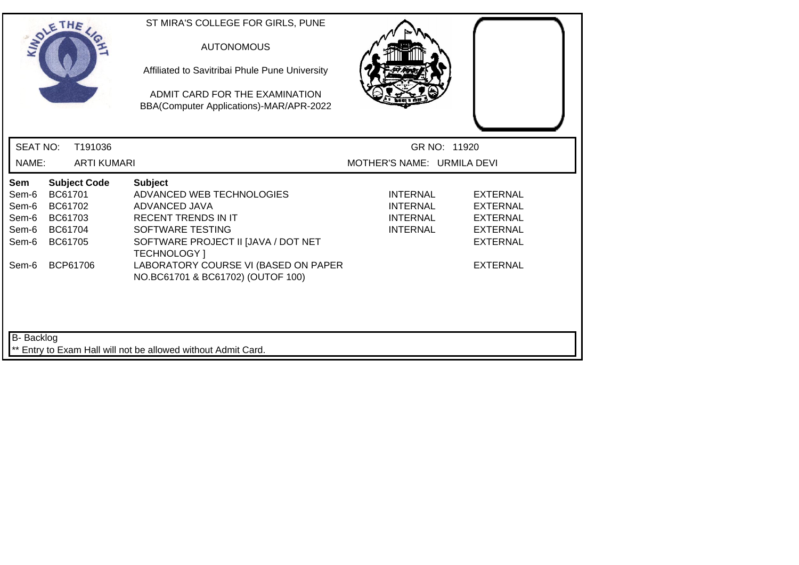| SOLETHE .                                                 |                                                                                        | ST MIRA'S COLLEGE FOR GIRLS, PUNE<br><b>AUTONOMOUS</b><br>Affiliated to Savitribai Phule Pune University<br>ADMIT CARD FOR THE EXAMINATION<br>BBA(Computer Applications)-MAR/APR-2022                                |                                                                          |                                                                                                                |
|-----------------------------------------------------------|----------------------------------------------------------------------------------------|----------------------------------------------------------------------------------------------------------------------------------------------------------------------------------------------------------------------|--------------------------------------------------------------------------|----------------------------------------------------------------------------------------------------------------|
| <b>SEAT NO:</b>                                           | T191036                                                                                |                                                                                                                                                                                                                      | GR NO: 11920                                                             |                                                                                                                |
| NAME:                                                     | <b>ARTI KUMARI</b>                                                                     |                                                                                                                                                                                                                      | MOTHER'S NAME: URMILA DEVI                                               |                                                                                                                |
| Sem<br>Sem-6<br>Sem-6<br>Sem-6<br>Sem-6<br>Sem-6<br>Sem-6 | <b>Subject Code</b><br>BC61701<br>BC61702<br>BC61703<br>BC61704<br>BC61705<br>BCP61706 | <b>Subject</b><br>ADVANCED WEB TECHNOLOGIES<br>ADVANCED JAVA<br><b>RECENT TRENDS IN IT</b><br>SOFTWARE TESTING<br>SOFTWARE PROJECT II [JAVA / DOT NET<br><b>TECHNOLOGY</b> 1<br>LABORATORY COURSE VI (BASED ON PAPER | <b>INTERNAL</b><br><b>INTERNAL</b><br><b>INTERNAL</b><br><b>INTERNAL</b> | <b>EXTERNAL</b><br><b>EXTERNAL</b><br><b>EXTERNAL</b><br><b>EXTERNAL</b><br><b>EXTERNAL</b><br><b>EXTERNAL</b> |
| <b>B-</b> Backlog                                         |                                                                                        | NO.BC61701 & BC61702) (OUTOF 100)<br>Entry to Exam Hall will not be allowed without Admit Card.                                                                                                                      |                                                                          |                                                                                                                |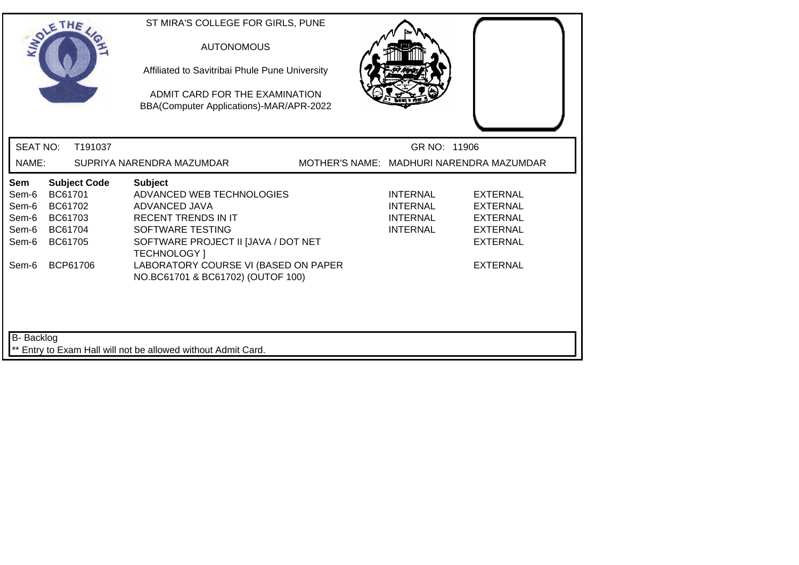| SOLETHE .                                                                                                                      | ST MIRA'S COLLEGE FOR GIRLS, PUNE<br><b>AUTONOMOUS</b><br>Affiliated to Savitribai Phule Pune University<br>ADMIT CARD FOR THE EXAMINATION<br>BBA(Computer Applications)-MAR/APR-2022                                                             |                                                                                      |
|--------------------------------------------------------------------------------------------------------------------------------|---------------------------------------------------------------------------------------------------------------------------------------------------------------------------------------------------------------------------------------------------|--------------------------------------------------------------------------------------|
| <b>SEAT NO:</b><br>T191037                                                                                                     |                                                                                                                                                                                                                                                   | GR NO: 11906                                                                         |
| NAME:                                                                                                                          | MOTHER'S NAME: MADHURI NARENDRA MAZUMDAR<br>SUPRIYA NARENDRA MAZUMDAR                                                                                                                                                                             |                                                                                      |
| <b>Subject Code</b><br>Sem<br>BC61701<br>Sem-6<br>Sem-6<br>BC61702<br>BC61703<br>Sem-6<br>BC61704<br>Sem-6<br>BC61705<br>Sem-6 | <b>Subject</b><br>ADVANCED WEB TECHNOLOGIES<br><b>INTERNAL</b><br>ADVANCED JAVA<br>INTERNAL<br><b>RECENT TRENDS IN IT</b><br><b>INTERNAL</b><br>SOFTWARE TESTING<br><b>INTERNAL</b><br>SOFTWARE PROJECT II [JAVA / DOT NET<br><b>TECHNOLOGY</b> 1 | <b>EXTERNAL</b><br>EXTERNAL<br><b>EXTERNAL</b><br><b>EXTERNAL</b><br><b>EXTERNAL</b> |
| BCP61706<br>Sem-6                                                                                                              | LABORATORY COURSE VI (BASED ON PAPER<br>NO.BC61701 & BC61702) (OUTOF 100)                                                                                                                                                                         | <b>EXTERNAL</b>                                                                      |
| <b>B-</b> Backlog                                                                                                              | ** Entry to Exam Hall will not be allowed without Admit Card.                                                                                                                                                                                     |                                                                                      |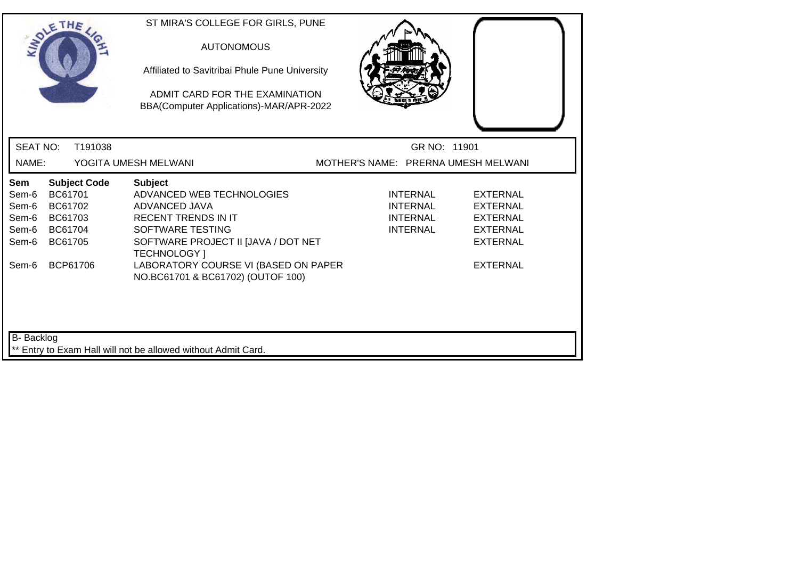|                                                           | SOLETHE .                                                                              |         | ST MIRA'S COLLEGE FOR GIRLS, PUNE<br><b>AUTONOMOUS</b><br>Affiliated to Savitribai Phule Pune University<br>ADMIT CARD FOR THE EXAMINATION<br>BBA(Computer Applications)-MAR/APR-2022                                                                     |                                     |                                                                          |                                                                                                         |
|-----------------------------------------------------------|----------------------------------------------------------------------------------------|---------|-----------------------------------------------------------------------------------------------------------------------------------------------------------------------------------------------------------------------------------------------------------|-------------------------------------|--------------------------------------------------------------------------|---------------------------------------------------------------------------------------------------------|
| <b>SEAT NO:</b>                                           |                                                                                        | T191038 |                                                                                                                                                                                                                                                           |                                     | GR NO: 11901                                                             |                                                                                                         |
| NAME:                                                     |                                                                                        |         | YOGITA UMESH MELWANI                                                                                                                                                                                                                                      | MOTHER'S NAME: PRERNA UMESH MELWANI |                                                                          |                                                                                                         |
| Sem<br>Sem-6<br>Sem-6<br>Sem-6<br>Sem-6<br>Sem-6<br>Sem-6 | <b>Subject Code</b><br>BC61701<br>BC61702<br>BC61703<br>BC61704<br>BC61705<br>BCP61706 |         | <b>Subject</b><br>ADVANCED WEB TECHNOLOGIES<br><b>ADVANCED JAVA</b><br><b>RECENT TRENDS IN IT</b><br>SOFTWARE TESTING<br>SOFTWARE PROJECT II JJAVA / DOT NET<br>TECHNOLOGY ]<br>LABORATORY COURSE VI (BASED ON PAPER<br>NO.BC61701 & BC61702) (OUTOF 100) |                                     | <b>INTERNAL</b><br><b>INTERNAL</b><br><b>INTERNAL</b><br><b>INTERNAL</b> | <b>EXTERNAL</b><br>EXTERNAL<br><b>EXTERNAL</b><br><b>EXTERNAL</b><br><b>EXTERNAL</b><br><b>EXTERNAL</b> |
| <b>B-</b> Backlog                                         |                                                                                        |         | ** Entry to Exam Hall will not be allowed without Admit Card.                                                                                                                                                                                             |                                     |                                                                          |                                                                                                         |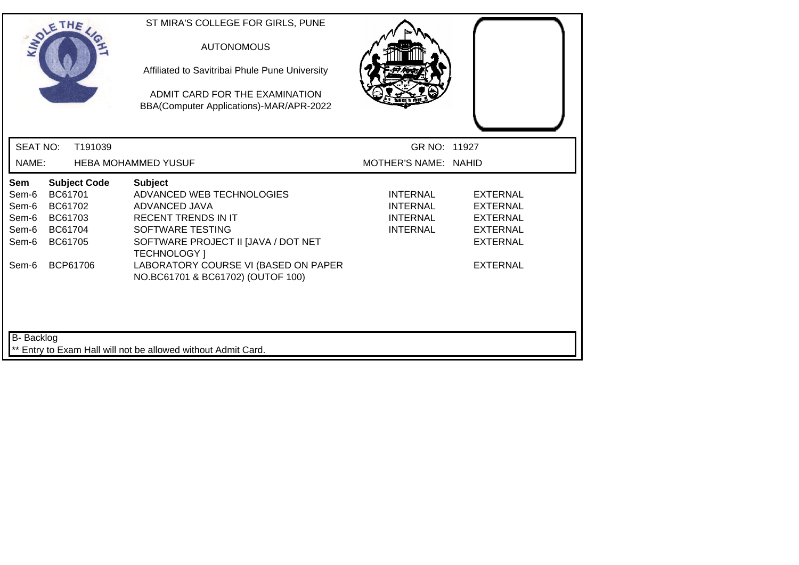|                                                           | SOLETHE .                                                       |                     | ST MIRA'S COLLEGE FOR GIRLS, PUNE<br><b>AUTONOMOUS</b><br>Affiliated to Savitribai Phule Pune University<br>ADMIT CARD FOR THE EXAMINATION<br>BBA(Computer Applications)-MAR/APR-2022                                                                     |                                                                   |                                                                                                         |
|-----------------------------------------------------------|-----------------------------------------------------------------|---------------------|-----------------------------------------------------------------------------------------------------------------------------------------------------------------------------------------------------------------------------------------------------------|-------------------------------------------------------------------|---------------------------------------------------------------------------------------------------------|
| <b>SEAT NO:</b>                                           |                                                                 | T191039             |                                                                                                                                                                                                                                                           | GR NO: 11927                                                      |                                                                                                         |
| NAME:                                                     |                                                                 |                     | <b>HEBA MOHAMMED YUSUF</b>                                                                                                                                                                                                                                | MOTHER'S NAME: NAHID                                              |                                                                                                         |
| Sem<br>Sem-6<br>Sem-6<br>Sem-6<br>Sem-6<br>Sem-6<br>Sem-6 | BC61701<br>BC61702<br>BC61703<br>BC61704<br>BC61705<br>BCP61706 | <b>Subject Code</b> | <b>Subject</b><br>ADVANCED WEB TECHNOLOGIES<br>ADVANCED JAVA<br><b>RECENT TRENDS IN IT</b><br>SOFTWARE TESTING<br>SOFTWARE PROJECT II [JAVA / DOT NET<br><b>TECHNOLOGY</b> 1<br>LABORATORY COURSE VI (BASED ON PAPER<br>NO.BC61701 & BC61702) (OUTOF 100) | INTERNAL<br><b>INTERNAL</b><br><b>INTERNAL</b><br><b>INTERNAL</b> | EXTERNAL<br><b>EXTERNAL</b><br><b>EXTERNAL</b><br><b>EXTERNAL</b><br><b>EXTERNAL</b><br><b>EXTERNAL</b> |
| B- Backlog                                                |                                                                 |                     | ** Entry to Exam Hall will not be allowed without Admit Card.                                                                                                                                                                                             |                                                                   |                                                                                                         |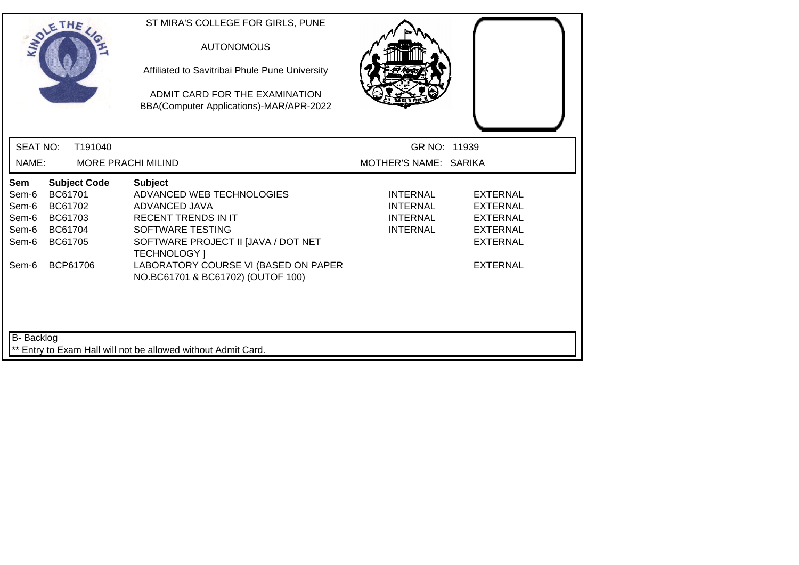|                                                           | SOLETHE .                                                                              | ST MIRA'S COLLEGE FOR GIRLS, PUNE<br><b>AUTONOMOUS</b><br>Affiliated to Savitribai Phule Pune University<br>ADMIT CARD FOR THE EXAMINATION<br>BBA(Computer Applications)-MAR/APR-2022                                                                     |                                                            |                                                                                                                |
|-----------------------------------------------------------|----------------------------------------------------------------------------------------|-----------------------------------------------------------------------------------------------------------------------------------------------------------------------------------------------------------------------------------------------------------|------------------------------------------------------------|----------------------------------------------------------------------------------------------------------------|
| <b>SEAT NO:</b>                                           | T191040                                                                                |                                                                                                                                                                                                                                                           | GR NO: 11939                                               |                                                                                                                |
| NAME:                                                     | <b>MORE PRACHI MILIND</b>                                                              |                                                                                                                                                                                                                                                           | MOTHER'S NAME: SARIKA                                      |                                                                                                                |
| Sem<br>Sem-6<br>Sem-6<br>Sem-6<br>Sem-6<br>Sem-6<br>Sem-6 | <b>Subject Code</b><br>BC61701<br>BC61702<br>BC61703<br>BC61704<br>BC61705<br>BCP61706 | <b>Subject</b><br>ADVANCED WEB TECHNOLOGIES<br>ADVANCED JAVA<br><b>RECENT TRENDS IN IT</b><br>SOFTWARE TESTING<br>SOFTWARE PROJECT II [JAVA / DOT NET<br><b>TECHNOLOGY</b> 1<br>LABORATORY COURSE VI (BASED ON PAPER<br>NO.BC61701 & BC61702) (OUTOF 100) | <b>INTERNAL</b><br>INTERNAL<br>INTERNAL<br><b>INTERNAL</b> | <b>EXTERNAL</b><br><b>EXTERNAL</b><br><b>EXTERNAL</b><br><b>EXTERNAL</b><br><b>EXTERNAL</b><br><b>EXTERNAL</b> |
| <b>B-</b> Backlog                                         |                                                                                        | ** Entry to Exam Hall will not be allowed without Admit Card.                                                                                                                                                                                             |                                                            |                                                                                                                |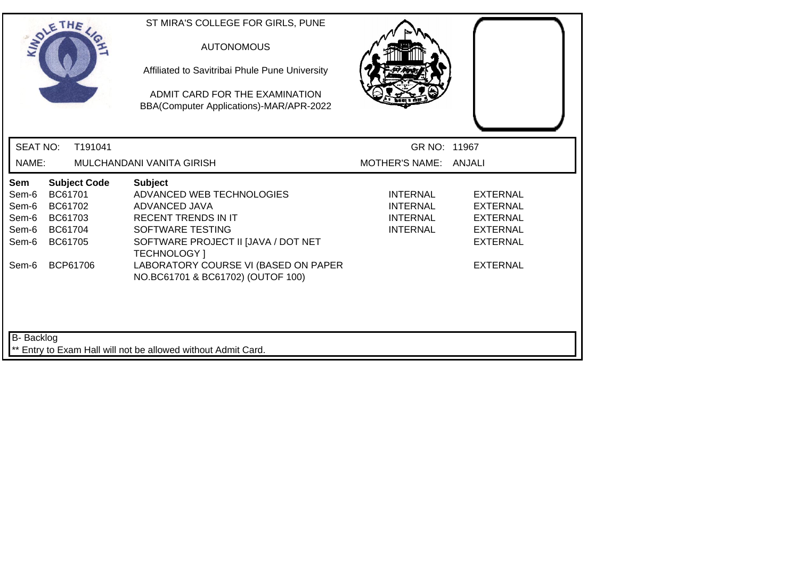| SOLETHE .                                                 |                                                                 |                     | ST MIRA'S COLLEGE FOR GIRLS, PUNE<br><b>AUTONOMOUS</b><br>Affiliated to Savitribai Phule Pune University<br>ADMIT CARD FOR THE EXAMINATION<br>BBA(Computer Applications)-MAR/APR-2022                                                                     |                                                                   |                                                                                                         |
|-----------------------------------------------------------|-----------------------------------------------------------------|---------------------|-----------------------------------------------------------------------------------------------------------------------------------------------------------------------------------------------------------------------------------------------------------|-------------------------------------------------------------------|---------------------------------------------------------------------------------------------------------|
| <b>SEAT NO:</b>                                           |                                                                 | T191041             |                                                                                                                                                                                                                                                           | GR NO: 11967                                                      |                                                                                                         |
| NAME:                                                     |                                                                 |                     | MULCHANDANI VANITA GIRISH                                                                                                                                                                                                                                 | MOTHER'S NAME: ANJALI                                             |                                                                                                         |
| Sem<br>Sem-6<br>Sem-6<br>Sem-6<br>Sem-6<br>Sem-6<br>Sem-6 | BC61701<br>BC61702<br>BC61703<br>BC61704<br>BC61705<br>BCP61706 | <b>Subject Code</b> | <b>Subject</b><br>ADVANCED WEB TECHNOLOGIES<br>ADVANCED JAVA<br><b>RECENT TRENDS IN IT</b><br>SOFTWARE TESTING<br>SOFTWARE PROJECT II [JAVA / DOT NET<br><b>TECHNOLOGY</b> 1<br>LABORATORY COURSE VI (BASED ON PAPER<br>NO.BC61701 & BC61702) (OUTOF 100) | INTERNAL<br><b>INTERNAL</b><br><b>INTERNAL</b><br><b>INTERNAL</b> | EXTERNAL<br><b>EXTERNAL</b><br><b>EXTERNAL</b><br><b>EXTERNAL</b><br><b>EXTERNAL</b><br><b>EXTERNAL</b> |
| B-Backlog                                                 |                                                                 |                     | Entry to Exam Hall will not be allowed without Admit Card.                                                                                                                                                                                                |                                                                   |                                                                                                         |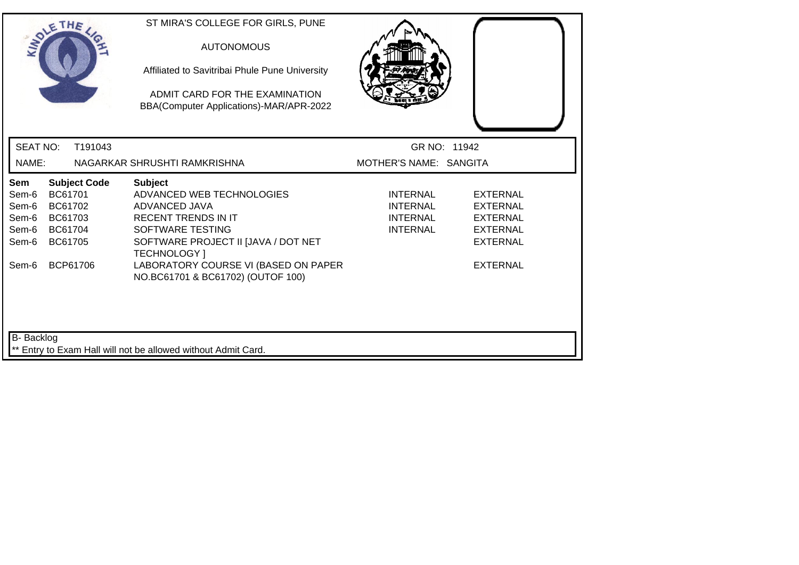| SOLETHE .                                                 |                                                                 |                     | ST MIRA'S COLLEGE FOR GIRLS, PUNE<br><b>AUTONOMOUS</b><br>Affiliated to Savitribai Phule Pune University<br>ADMIT CARD FOR THE EXAMINATION<br>BBA(Computer Applications)-MAR/APR-2022                                                                     |                                                                   |                                                                                                         |
|-----------------------------------------------------------|-----------------------------------------------------------------|---------------------|-----------------------------------------------------------------------------------------------------------------------------------------------------------------------------------------------------------------------------------------------------------|-------------------------------------------------------------------|---------------------------------------------------------------------------------------------------------|
| <b>SEAT NO:</b>                                           |                                                                 | T191043             |                                                                                                                                                                                                                                                           | GR NO: 11942                                                      |                                                                                                         |
| NAME:                                                     |                                                                 |                     | NAGARKAR SHRUSHTI RAMKRISHNA                                                                                                                                                                                                                              | MOTHER'S NAME: SANGITA                                            |                                                                                                         |
| Sem<br>Sem-6<br>Sem-6<br>Sem-6<br>Sem-6<br>Sem-6<br>Sem-6 | BC61701<br>BC61702<br>BC61703<br>BC61704<br>BC61705<br>BCP61706 | <b>Subject Code</b> | <b>Subject</b><br>ADVANCED WEB TECHNOLOGIES<br>ADVANCED JAVA<br><b>RECENT TRENDS IN IT</b><br>SOFTWARE TESTING<br>SOFTWARE PROJECT II [JAVA / DOT NET<br><b>TECHNOLOGY</b> 1<br>LABORATORY COURSE VI (BASED ON PAPER<br>NO.BC61701 & BC61702) (OUTOF 100) | INTERNAL<br><b>INTERNAL</b><br><b>INTERNAL</b><br><b>INTERNAL</b> | EXTERNAL<br><b>EXTERNAL</b><br><b>EXTERNAL</b><br><b>EXTERNAL</b><br><b>EXTERNAL</b><br><b>EXTERNAL</b> |
| B-Backlog                                                 |                                                                 |                     | Entry to Exam Hall will not be allowed without Admit Card.                                                                                                                                                                                                |                                                                   |                                                                                                         |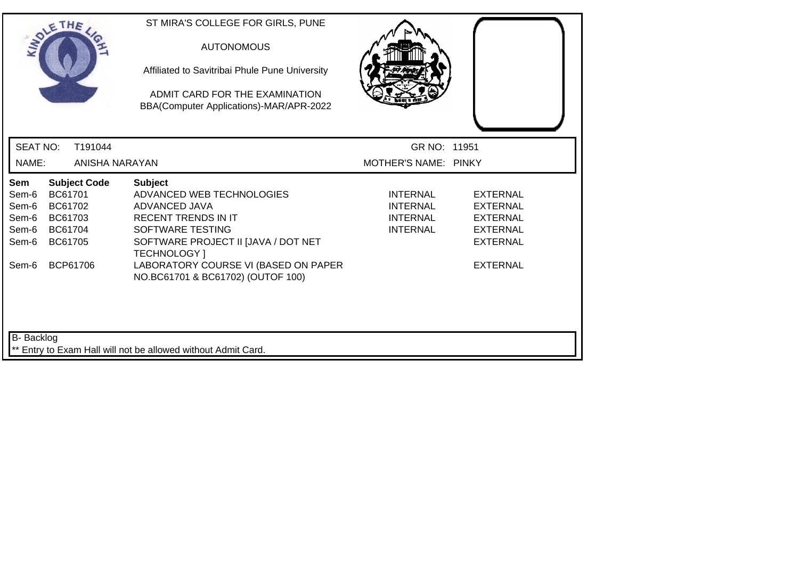| SOLETHE.                                                  |                                                     |                                 | ST MIRA'S COLLEGE FOR GIRLS, PUNE<br><b>AUTONOMOUS</b><br>Affiliated to Savitribai Phule Pune University<br>ADMIT CARD FOR THE EXAMINATION<br>BBA(Computer Applications)-MAR/APR-2022                                                                     |                                                                   |                                                                                                         |
|-----------------------------------------------------------|-----------------------------------------------------|---------------------------------|-----------------------------------------------------------------------------------------------------------------------------------------------------------------------------------------------------------------------------------------------------------|-------------------------------------------------------------------|---------------------------------------------------------------------------------------------------------|
| <b>SEAT NO:</b>                                           |                                                     | T191044                         |                                                                                                                                                                                                                                                           | GR NO: 11951                                                      |                                                                                                         |
| NAME:                                                     |                                                     | ANISHA NARAYAN                  |                                                                                                                                                                                                                                                           | MOTHER'S NAME: PINKY                                              |                                                                                                         |
| Sem<br>Sem-6<br>Sem-6<br>Sem-6<br>Sem-6<br>Sem-6<br>Sem-6 | BC61701<br>BC61702<br>BC61703<br>BC61704<br>BC61705 | <b>Subject Code</b><br>BCP61706 | <b>Subject</b><br>ADVANCED WEB TECHNOLOGIES<br>ADVANCED JAVA<br><b>RECENT TRENDS IN IT</b><br>SOFTWARE TESTING<br>SOFTWARE PROJECT II [JAVA / DOT NET<br><b>TECHNOLOGY</b> 1<br>LABORATORY COURSE VI (BASED ON PAPER<br>NO.BC61701 & BC61702) (OUTOF 100) | INTERNAL<br><b>INTERNAL</b><br><b>INTERNAL</b><br><b>INTERNAL</b> | EXTERNAL<br><b>EXTERNAL</b><br><b>EXTERNAL</b><br><b>EXTERNAL</b><br><b>EXTERNAL</b><br><b>EXTERNAL</b> |
| B- Backlog                                                |                                                     |                                 | Entry to Exam Hall will not be allowed without Admit Card.                                                                                                                                                                                                |                                                                   |                                                                                                         |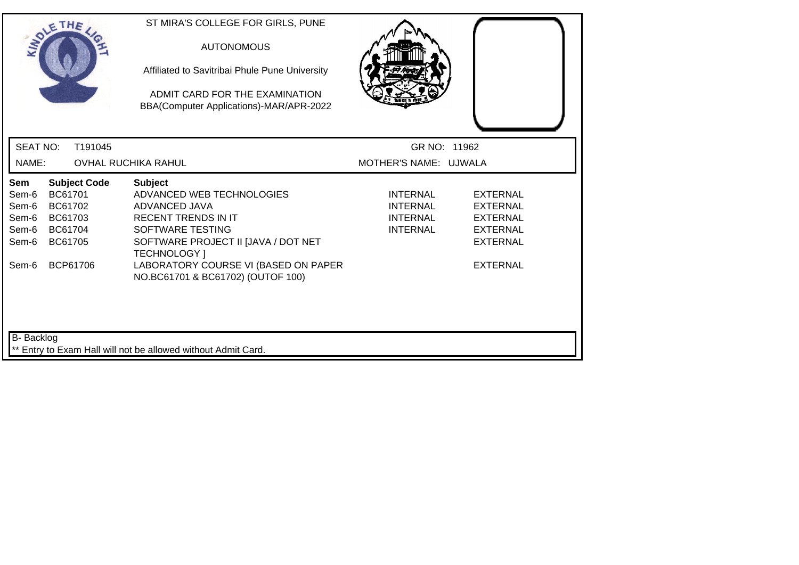|                                                           | SOLETHE .                                                       |                     | ST MIRA'S COLLEGE FOR GIRLS, PUNE<br><b>AUTONOMOUS</b><br>Affiliated to Savitribai Phule Pune University<br>ADMIT CARD FOR THE EXAMINATION<br>BBA(Computer Applications)-MAR/APR-2022                                                                     |                                                                   |                                                                                                                |
|-----------------------------------------------------------|-----------------------------------------------------------------|---------------------|-----------------------------------------------------------------------------------------------------------------------------------------------------------------------------------------------------------------------------------------------------------|-------------------------------------------------------------------|----------------------------------------------------------------------------------------------------------------|
| <b>SEAT NO:</b>                                           |                                                                 | T191045             |                                                                                                                                                                                                                                                           | GR NO: 11962                                                      |                                                                                                                |
| NAME:                                                     |                                                                 |                     | <b>OVHAL RUCHIKA RAHUL</b>                                                                                                                                                                                                                                | MOTHER'S NAME: UJWALA                                             |                                                                                                                |
| Sem<br>Sem-6<br>Sem-6<br>Sem-6<br>Sem-6<br>Sem-6<br>Sem-6 | BC61701<br>BC61702<br>BC61703<br>BC61704<br>BC61705<br>BCP61706 | <b>Subject Code</b> | <b>Subject</b><br>ADVANCED WEB TECHNOLOGIES<br>ADVANCED JAVA<br><b>RECENT TRENDS IN IT</b><br>SOFTWARE TESTING<br>SOFTWARE PROJECT II [JAVA / DOT NET<br><b>TECHNOLOGY</b> 1<br>LABORATORY COURSE VI (BASED ON PAPER<br>NO.BC61701 & BC61702) (OUTOF 100) | <b>INTERNAL</b><br>INTERNAL<br><b>INTERNAL</b><br><b>INTERNAL</b> | <b>EXTERNAL</b><br><b>EXTERNAL</b><br><b>EXTERNAL</b><br><b>EXTERNAL</b><br><b>EXTERNAL</b><br><b>EXTERNAL</b> |
| B- Backlog                                                |                                                                 |                     | ** Entry to Exam Hall will not be allowed without Admit Card.                                                                                                                                                                                             |                                                                   |                                                                                                                |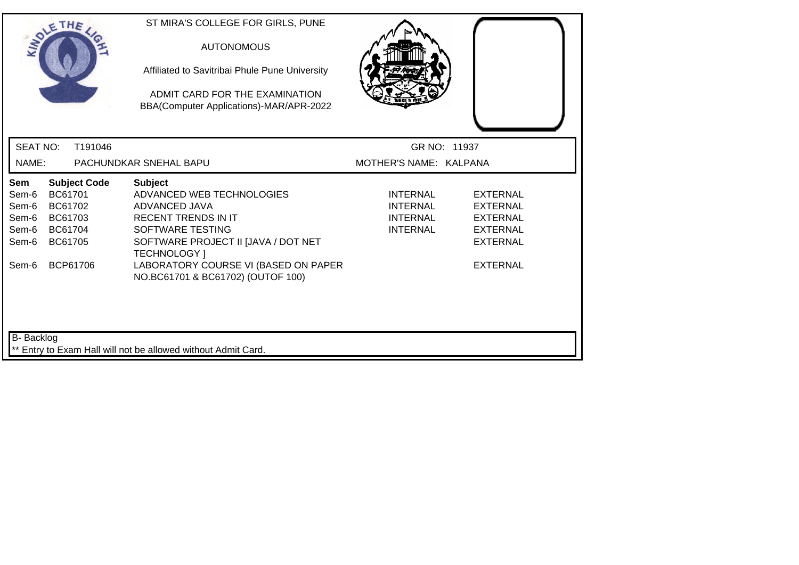|                                                           | SOLETHE .                                                                              | ST MIRA'S COLLEGE FOR GIRLS, PUNE<br><b>AUTONOMOUS</b><br>Affiliated to Savitribai Phule Pune University<br>ADMIT CARD FOR THE EXAMINATION<br>BBA(Computer Applications)-MAR/APR-2022                                |                                                                   |                                                                                                                |
|-----------------------------------------------------------|----------------------------------------------------------------------------------------|----------------------------------------------------------------------------------------------------------------------------------------------------------------------------------------------------------------------|-------------------------------------------------------------------|----------------------------------------------------------------------------------------------------------------|
| <b>SEAT NO:</b>                                           | T191046                                                                                |                                                                                                                                                                                                                      | GR NO: 11937                                                      |                                                                                                                |
| NAME:                                                     |                                                                                        | PACHUNDKAR SNEHAL BAPU                                                                                                                                                                                               | MOTHER'S NAME: KALPANA                                            |                                                                                                                |
| Sem<br>Sem-6<br>Sem-6<br>Sem-6<br>Sem-6<br>Sem-6<br>Sem-6 | <b>Subject Code</b><br>BC61701<br>BC61702<br>BC61703<br>BC61704<br>BC61705<br>BCP61706 | <b>Subject</b><br>ADVANCED WEB TECHNOLOGIES<br>ADVANCED JAVA<br><b>RECENT TRENDS IN IT</b><br>SOFTWARE TESTING<br>SOFTWARE PROJECT II [JAVA / DOT NET<br><b>TECHNOLOGY</b> 1<br>LABORATORY COURSE VI (BASED ON PAPER | <b>INTERNAL</b><br>INTERNAL<br><b>INTERNAL</b><br><b>INTERNAL</b> | <b>EXTERNAL</b><br><b>EXTERNAL</b><br><b>EXTERNAL</b><br><b>EXTERNAL</b><br><b>EXTERNAL</b><br><b>EXTERNAL</b> |
| <b>B-</b> Backlog                                         |                                                                                        | NO.BC61701 & BC61702) (OUTOF 100)<br>** Entry to Exam Hall will not be allowed without Admit Card.                                                                                                                   |                                                                   |                                                                                                                |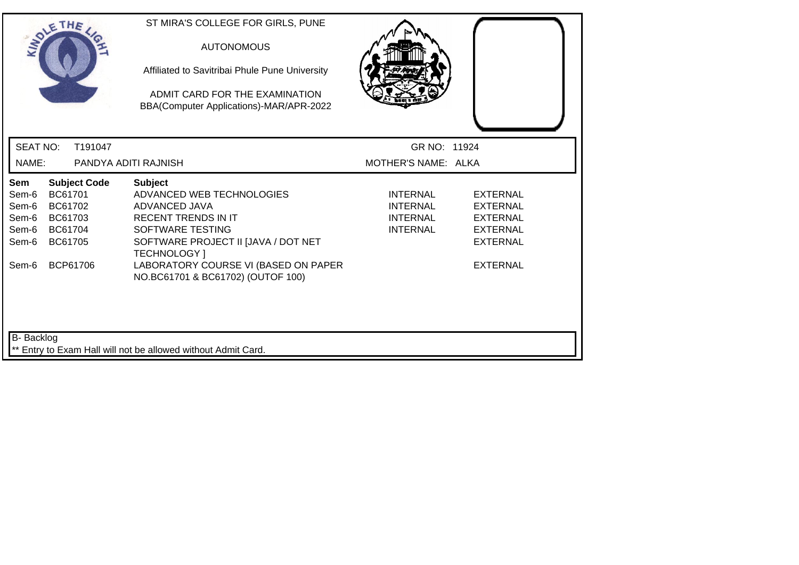|                                                           | SOLETHE .                                                                              | ST MIRA'S COLLEGE FOR GIRLS, PUNE<br><b>AUTONOMOUS</b><br>Affiliated to Savitribai Phule Pune University<br>ADMIT CARD FOR THE EXAMINATION<br>BBA(Computer Applications)-MAR/APR-2022                                                                     |                                                                   |                                                                                                                |
|-----------------------------------------------------------|----------------------------------------------------------------------------------------|-----------------------------------------------------------------------------------------------------------------------------------------------------------------------------------------------------------------------------------------------------------|-------------------------------------------------------------------|----------------------------------------------------------------------------------------------------------------|
| <b>SEAT NO:</b><br>NAME:                                  | T191047                                                                                | PANDYA ADITI RAJNISH                                                                                                                                                                                                                                      | GR NO: 11924<br>MOTHER'S NAME: ALKA                               |                                                                                                                |
| Sem<br>Sem-6<br>Sem-6<br>Sem-6<br>Sem-6<br>Sem-6<br>Sem-6 | <b>Subject Code</b><br>BC61701<br>BC61702<br>BC61703<br>BC61704<br>BC61705<br>BCP61706 | <b>Subject</b><br>ADVANCED WEB TECHNOLOGIES<br>ADVANCED JAVA<br><b>RECENT TRENDS IN IT</b><br>SOFTWARE TESTING<br>SOFTWARE PROJECT II [JAVA / DOT NET<br><b>TECHNOLOGY</b> 1<br>LABORATORY COURSE VI (BASED ON PAPER<br>NO.BC61701 & BC61702) (OUTOF 100) | <b>INTERNAL</b><br><b>INTERNAL</b><br>INTERNAL<br><b>INTERNAL</b> | <b>EXTERNAL</b><br><b>EXTERNAL</b><br><b>EXTERNAL</b><br><b>EXTERNAL</b><br><b>EXTERNAL</b><br><b>EXTERNAL</b> |
| B- Backlog                                                |                                                                                        | ** Entry to Exam Hall will not be allowed without Admit Card.                                                                                                                                                                                             |                                                                   |                                                                                                                |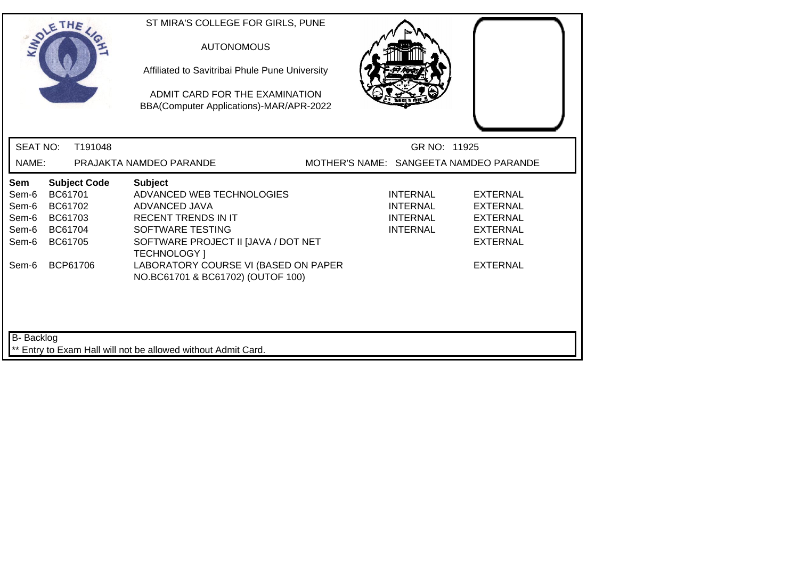| SOLETHE .                                                                                                                                           | ST MIRA'S COLLEGE FOR GIRLS, PUNE<br><b>AUTONOMOUS</b><br>Affiliated to Savitribai Phule Pune University<br>ADMIT CARD FOR THE EXAMINATION<br>BBA(Computer Applications)-MAR/APR-2022                                |                                                                                                                                                                              |  |
|-----------------------------------------------------------------------------------------------------------------------------------------------------|----------------------------------------------------------------------------------------------------------------------------------------------------------------------------------------------------------------------|------------------------------------------------------------------------------------------------------------------------------------------------------------------------------|--|
| <b>SEAT NO:</b><br>T191048                                                                                                                          |                                                                                                                                                                                                                      | GR NO: 11925                                                                                                                                                                 |  |
| NAME:                                                                                                                                               | PRAJAKTA NAMDEO PARANDE                                                                                                                                                                                              | MOTHER'S NAME: SANGEETA NAMDEO PARANDE                                                                                                                                       |  |
| Sem<br><b>Subject Code</b><br>BC61701<br>Sem-6<br>Sem-6<br>BC61702<br>Sem-6<br>BC61703<br>BC61704<br>Sem-6<br>Sem-6<br>BC61705<br>BCP61706<br>Sem-6 | <b>Subject</b><br>ADVANCED WEB TECHNOLOGIES<br>ADVANCED JAVA<br><b>RECENT TRENDS IN IT</b><br>SOFTWARE TESTING<br>SOFTWARE PROJECT II JJAVA / DOT NET<br><b>TECHNOLOGY</b> 1<br>LABORATORY COURSE VI (BASED ON PAPER | <b>INTERNAL</b><br><b>EXTERNAL</b><br>INTERNAL<br><b>EXTERNAL</b><br>INTERNAL<br><b>EXTERNAL</b><br><b>INTERNAL</b><br><b>EXTERNAL</b><br><b>EXTERNAL</b><br><b>EXTERNAL</b> |  |
| <b>B-</b> Backlog                                                                                                                                   | NO.BC61701 & BC61702) (OUTOF 100)<br>** Entry to Exam Hall will not be allowed without Admit Card.                                                                                                                   |                                                                                                                                                                              |  |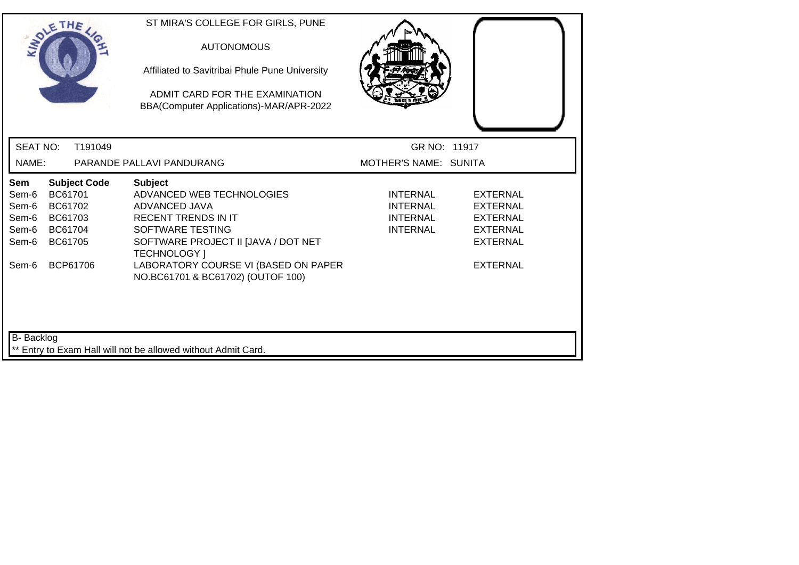| SOLETHE                                                                                                                                                    | ST MIRA'S COLLEGE FOR GIRLS, PUNE<br><b>AUTONOMOUS</b><br>Affiliated to Savitribai Phule Pune University<br>ADMIT CARD FOR THE EXAMINATION<br>BBA(Computer Applications)-MAR/APR-2022                                                                     |                                                                          |                                                                                                         |
|------------------------------------------------------------------------------------------------------------------------------------------------------------|-----------------------------------------------------------------------------------------------------------------------------------------------------------------------------------------------------------------------------------------------------------|--------------------------------------------------------------------------|---------------------------------------------------------------------------------------------------------|
| <b>SEAT NO:</b><br>T191049                                                                                                                                 |                                                                                                                                                                                                                                                           | GR NO: 11917                                                             |                                                                                                         |
| NAME:                                                                                                                                                      | PARANDE PALLAVI PANDURANG                                                                                                                                                                                                                                 | MOTHER'S NAME: SUNITA                                                    |                                                                                                         |
| <b>Subject Code</b><br><b>Sem</b><br>BC61701<br>Sem-6<br>Sem-6<br>BC61702<br>Sem-6<br>BC61703<br>Sem-6<br>BC61704<br>Sem-6<br>BC61705<br>BCP61706<br>Sem-6 | <b>Subject</b><br>ADVANCED WEB TECHNOLOGIES<br>ADVANCED JAVA<br><b>RECENT TRENDS IN IT</b><br>SOFTWARE TESTING<br>SOFTWARE PROJECT II [JAVA / DOT NET<br><b>TECHNOLOGY</b> 1<br>LABORATORY COURSE VI (BASED ON PAPER<br>NO.BC61701 & BC61702) (OUTOF 100) | <b>INTERNAL</b><br><b>INTERNAL</b><br><b>INTERNAL</b><br><b>INTERNAL</b> | <b>EXTERNAL</b><br>EXTERNAL<br><b>EXTERNAL</b><br><b>EXTERNAL</b><br><b>EXTERNAL</b><br><b>EXTERNAL</b> |
| B-Backlog                                                                                                                                                  | ** Entry to Exam Hall will not be allowed without Admit Card.                                                                                                                                                                                             |                                                                          |                                                                                                         |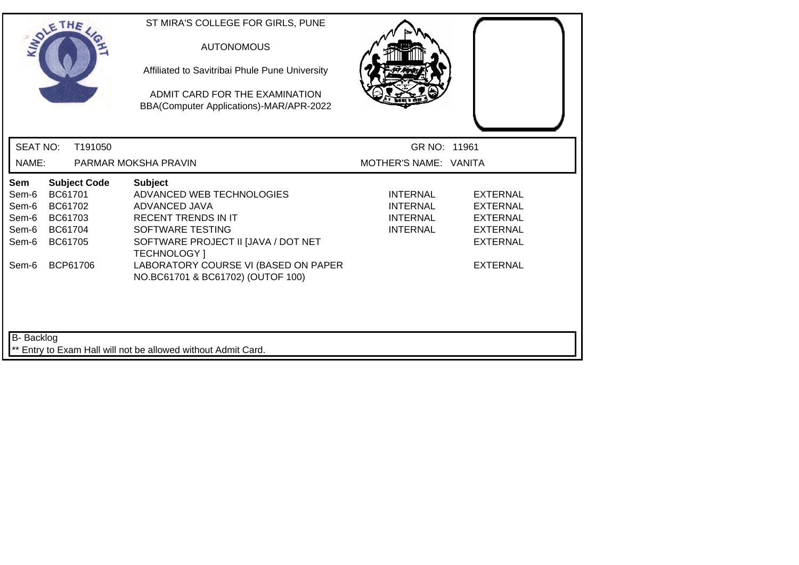|                                                                             | SOLETHE .                                                                              | ST MIRA'S COLLEGE FOR GIRLS, PUNE<br><b>AUTONOMOUS</b><br>Affiliated to Savitribai Phule Pune University<br>ADMIT CARD FOR THE EXAMINATION<br>BBA(Computer Applications)-MAR/APR-2022                                                                     |                                                                   |                                                                                                         |  |
|-----------------------------------------------------------------------------|----------------------------------------------------------------------------------------|-----------------------------------------------------------------------------------------------------------------------------------------------------------------------------------------------------------------------------------------------------------|-------------------------------------------------------------------|---------------------------------------------------------------------------------------------------------|--|
| <b>SEAT NO:</b>                                                             | T191050                                                                                |                                                                                                                                                                                                                                                           | GR NO: 11961                                                      |                                                                                                         |  |
| NAME:                                                                       |                                                                                        | PARMAR MOKSHA PRAVIN                                                                                                                                                                                                                                      | MOTHER'S NAME: VANITA                                             |                                                                                                         |  |
| Sem<br>Sem-6<br>Sem-6<br>Sem-6<br>Sem-6<br>Sem-6<br>Sem-6                   | <b>Subject Code</b><br>BC61701<br>BC61702<br>BC61703<br>BC61704<br>BC61705<br>BCP61706 | <b>Subject</b><br>ADVANCED WEB TECHNOLOGIES<br>ADVANCED JAVA<br><b>RECENT TRENDS IN IT</b><br>SOFTWARE TESTING<br>SOFTWARE PROJECT II [JAVA / DOT NET<br><b>TECHNOLOGY</b> 1<br>LABORATORY COURSE VI (BASED ON PAPER<br>NO.BC61701 & BC61702) (OUTOF 100) | INTERNAL<br><b>INTERNAL</b><br><b>INTERNAL</b><br><b>INTERNAL</b> | EXTERNAL<br><b>EXTERNAL</b><br><b>EXTERNAL</b><br><b>EXTERNAL</b><br><b>EXTERNAL</b><br><b>EXTERNAL</b> |  |
| B- Backlog<br>** Entry to Exam Hall will not be allowed without Admit Card. |                                                                                        |                                                                                                                                                                                                                                                           |                                                                   |                                                                                                         |  |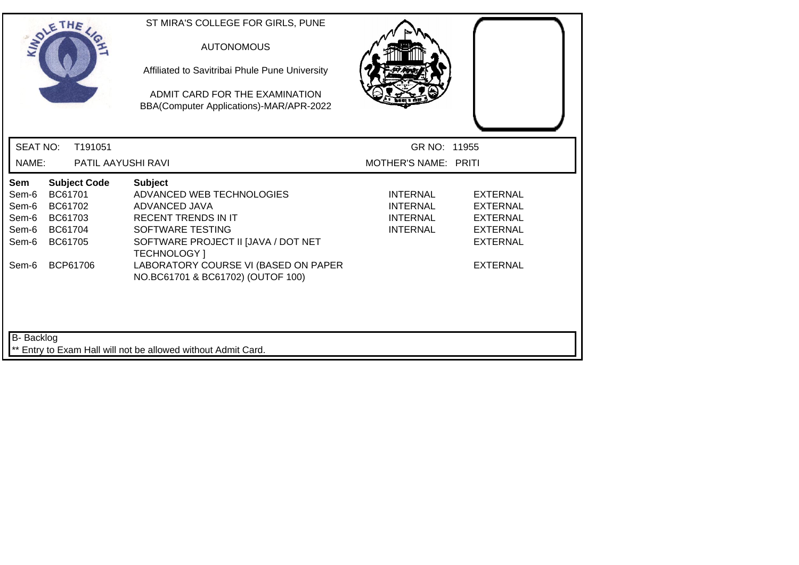| SOLETHE                                                                                                                                             | ST MIRA'S COLLEGE FOR GIRLS, PUNE<br><b>AUTONOMOUS</b><br>Affiliated to Savitribai Phule Pune University<br>ADMIT CARD FOR THE EXAMINATION<br>BBA(Computer Applications)-MAR/APR-2022                                                              |                                                                          |                                                                                                                |  |  |
|-----------------------------------------------------------------------------------------------------------------------------------------------------|----------------------------------------------------------------------------------------------------------------------------------------------------------------------------------------------------------------------------------------------------|--------------------------------------------------------------------------|----------------------------------------------------------------------------------------------------------------|--|--|
| <b>SEAT NO:</b><br>T191051                                                                                                                          |                                                                                                                                                                                                                                                    | GR NO: 11955                                                             |                                                                                                                |  |  |
| NAME:<br><b>PATIL AAYUSHI RAVI</b>                                                                                                                  |                                                                                                                                                                                                                                                    | MOTHER'S NAME: PRITI                                                     |                                                                                                                |  |  |
| <b>Subject Code</b><br>Sem<br>BC61701<br>Sem-6<br>Sem-6<br>BC61702<br>Sem-6<br>BC61703<br>Sem-6<br>BC61704<br>Sem-6<br>BC61705<br>BCP61706<br>Sem-6 | <b>Subject</b><br>ADVANCED WEB TECHNOLOGIES<br>ADVANCED JAVA<br><b>RECENT TRENDS IN IT</b><br>SOFTWARE TESTING<br>SOFTWARE PROJECT II [JAVA / DOT NET<br>TECHNOLOGY ]<br>LABORATORY COURSE VI (BASED ON PAPER<br>NO.BC61701 & BC61702) (OUTOF 100) | <b>INTERNAL</b><br><b>INTERNAL</b><br><b>INTERNAL</b><br><b>INTERNAL</b> | <b>EXTERNAL</b><br><b>EXTERNAL</b><br><b>EXTERNAL</b><br><b>EXTERNAL</b><br><b>EXTERNAL</b><br><b>EXTERNAL</b> |  |  |
| B-Backlog<br>** Entry to Exam Hall will not be allowed without Admit Card.                                                                          |                                                                                                                                                                                                                                                    |                                                                          |                                                                                                                |  |  |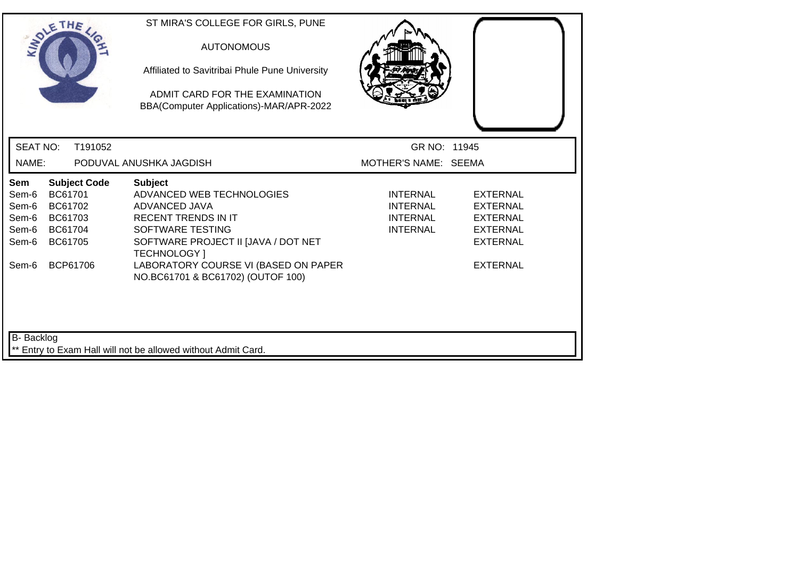| SOLETHE .                                                                                                                                           | ST MIRA'S COLLEGE FOR GIRLS, PUNE<br><b>AUTONOMOUS</b><br>Affiliated to Savitribai Phule Pune University<br>ADMIT CARD FOR THE EXAMINATION<br>BBA(Computer Applications)-MAR/APR-2022                                                                     |                                                                   |                                                                                                                |  |  |  |
|-----------------------------------------------------------------------------------------------------------------------------------------------------|-----------------------------------------------------------------------------------------------------------------------------------------------------------------------------------------------------------------------------------------------------------|-------------------------------------------------------------------|----------------------------------------------------------------------------------------------------------------|--|--|--|
| <b>SEAT NO:</b><br>T191052                                                                                                                          |                                                                                                                                                                                                                                                           | GR NO: 11945                                                      |                                                                                                                |  |  |  |
| NAME:                                                                                                                                               | PODUVAL ANUSHKA JAGDISH                                                                                                                                                                                                                                   | MOTHER'S NAME: SEEMA                                              |                                                                                                                |  |  |  |
| <b>Subject Code</b><br>Sem<br>BC61701<br>Sem-6<br>Sem-6<br>BC61702<br>Sem-6<br>BC61703<br>Sem-6<br>BC61704<br>BC61705<br>Sem-6<br>BCP61706<br>Sem-6 | <b>Subject</b><br>ADVANCED WEB TECHNOLOGIES<br>ADVANCED JAVA<br><b>RECENT TRENDS IN IT</b><br>SOFTWARE TESTING<br>SOFTWARE PROJECT II [JAVA / DOT NET<br><b>TECHNOLOGY</b> 1<br>LABORATORY COURSE VI (BASED ON PAPER<br>NO.BC61701 & BC61702) (OUTOF 100) | INTERNAL<br><b>INTERNAL</b><br><b>INTERNAL</b><br><b>INTERNAL</b> | <b>EXTERNAL</b><br><b>EXTERNAL</b><br><b>EXTERNAL</b><br><b>EXTERNAL</b><br><b>EXTERNAL</b><br><b>EXTERNAL</b> |  |  |  |
| B-Backlog<br>** Entry to Exam Hall will not be allowed without Admit Card.                                                                          |                                                                                                                                                                                                                                                           |                                                                   |                                                                                                                |  |  |  |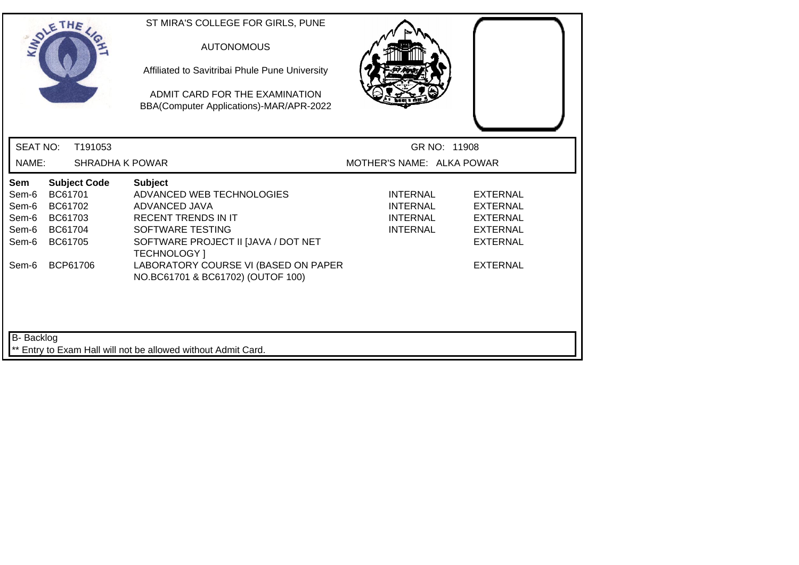|                                                           | SOLETHE .                                                                              | ST MIRA'S COLLEGE FOR GIRLS, PUNE<br><b>AUTONOMOUS</b><br>Affiliated to Savitribai Phule Pune University<br>ADMIT CARD FOR THE EXAMINATION<br>BBA(Computer Applications)-MAR/APR-2022                                |                                                                          |                                                                                                                |
|-----------------------------------------------------------|----------------------------------------------------------------------------------------|----------------------------------------------------------------------------------------------------------------------------------------------------------------------------------------------------------------------|--------------------------------------------------------------------------|----------------------------------------------------------------------------------------------------------------|
| <b>SEAT NO:</b>                                           | T191053                                                                                |                                                                                                                                                                                                                      | GR NO: 11908                                                             |                                                                                                                |
| NAME:                                                     | SHRADHA K POWAR                                                                        |                                                                                                                                                                                                                      | MOTHER'S NAME: ALKA POWAR                                                |                                                                                                                |
| Sem<br>Sem-6<br>Sem-6<br>Sem-6<br>Sem-6<br>Sem-6<br>Sem-6 | <b>Subject Code</b><br>BC61701<br>BC61702<br>BC61703<br>BC61704<br>BC61705<br>BCP61706 | <b>Subject</b><br>ADVANCED WEB TECHNOLOGIES<br>ADVANCED JAVA<br><b>RECENT TRENDS IN IT</b><br><b>SOFTWARE TESTING</b><br>SOFTWARE PROJECT II JJAVA / DOT NET<br>TECHNOLOGY ]<br>LABORATORY COURSE VI (BASED ON PAPER | <b>INTERNAL</b><br><b>INTERNAL</b><br><b>INTERNAL</b><br><b>INTERNAL</b> | <b>EXTERNAL</b><br><b>EXTERNAL</b><br><b>EXTERNAL</b><br><b>EXTERNAL</b><br><b>EXTERNAL</b><br><b>EXTERNAL</b> |
| <b>B-</b> Backlog                                         |                                                                                        | NO.BC61701 & BC61702) (OUTOF 100)<br>** Entry to Exam Hall will not be allowed without Admit Card.                                                                                                                   |                                                                          |                                                                                                                |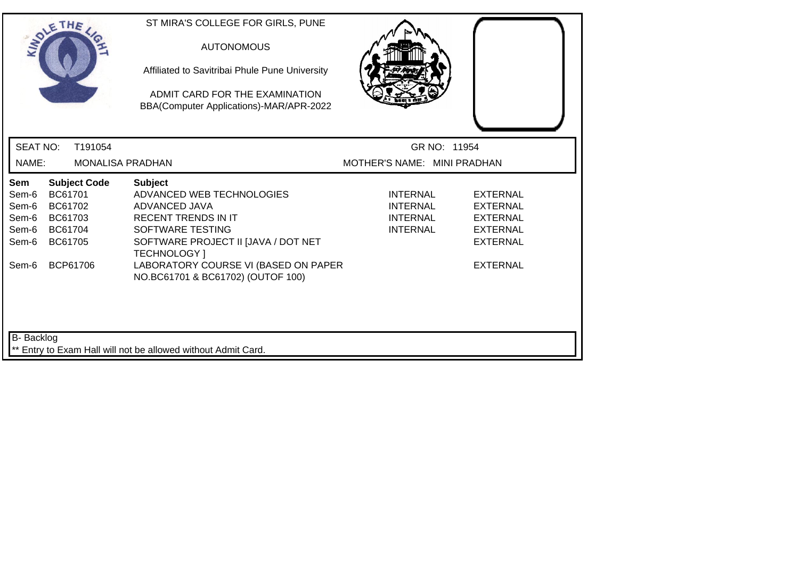|                                                           | SOLETHE .                                                                              |                         | ST MIRA'S COLLEGE FOR GIRLS, PUNE<br><b>AUTONOMOUS</b><br>Affiliated to Savitribai Phule Pune University<br>ADMIT CARD FOR THE EXAMINATION<br>BBA(Computer Applications)-MAR/APR-2022                                |                                                                          |                                                                                                                |
|-----------------------------------------------------------|----------------------------------------------------------------------------------------|-------------------------|----------------------------------------------------------------------------------------------------------------------------------------------------------------------------------------------------------------------|--------------------------------------------------------------------------|----------------------------------------------------------------------------------------------------------------|
| <b>SEAT NO:</b>                                           |                                                                                        | T191054                 |                                                                                                                                                                                                                      | GR NO: 11954                                                             |                                                                                                                |
| NAME:                                                     |                                                                                        | <b>MONALISA PRADHAN</b> |                                                                                                                                                                                                                      | MOTHER'S NAME: MINI PRADHAN                                              |                                                                                                                |
| Sem<br>Sem-6<br>Sem-6<br>Sem-6<br>Sem-6<br>Sem-6<br>Sem-6 | <b>Subject Code</b><br>BC61701<br>BC61702<br>BC61703<br>BC61704<br>BC61705<br>BCP61706 |                         | <b>Subject</b><br>ADVANCED WEB TECHNOLOGIES<br>ADVANCED JAVA<br><b>RECENT TRENDS IN IT</b><br>SOFTWARE TESTING<br>SOFTWARE PROJECT II [JAVA / DOT NET<br><b>TECHNOLOGY</b> 1<br>LABORATORY COURSE VI (BASED ON PAPER | <b>INTERNAL</b><br><b>INTERNAL</b><br><b>INTERNAL</b><br><b>INTERNAL</b> | <b>EXTERNAL</b><br><b>EXTERNAL</b><br><b>EXTERNAL</b><br><b>EXTERNAL</b><br><b>EXTERNAL</b><br><b>EXTERNAL</b> |
| <b>B-</b> Backlog                                         |                                                                                        |                         | NO.BC61701 & BC61702) (OUTOF 100)<br>** Entry to Exam Hall will not be allowed without Admit Card.                                                                                                                   |                                                                          |                                                                                                                |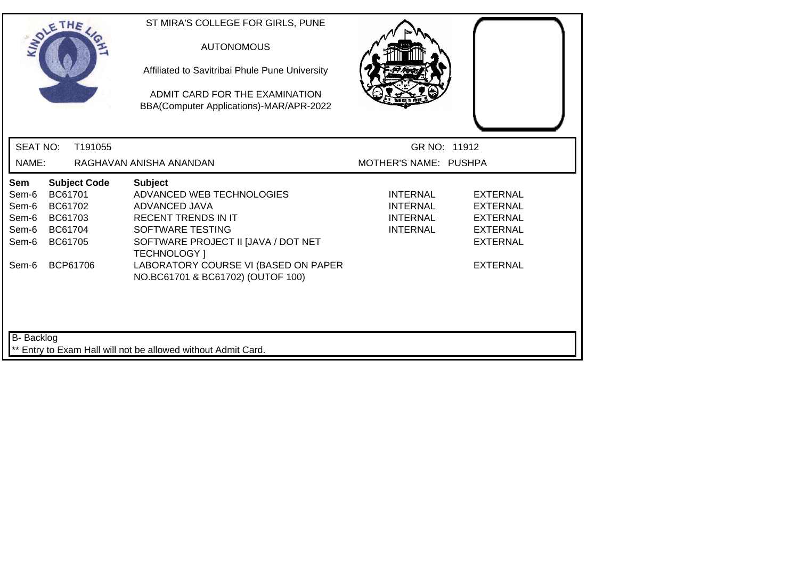|                                                                                                                         | SOLETHE .                                                                              | ST MIRA'S COLLEGE FOR GIRLS, PUNE<br><b>AUTONOMOUS</b><br>Affiliated to Savitribai Phule Pune University<br>ADMIT CARD FOR THE EXAMINATION<br>BBA(Computer Applications)-MAR/APR-2022                                |                                                                   |                                                                                                         |  |  |
|-------------------------------------------------------------------------------------------------------------------------|----------------------------------------------------------------------------------------|----------------------------------------------------------------------------------------------------------------------------------------------------------------------------------------------------------------------|-------------------------------------------------------------------|---------------------------------------------------------------------------------------------------------|--|--|
| <b>SEAT NO:</b>                                                                                                         | T191055                                                                                |                                                                                                                                                                                                                      | GR NO: 11912                                                      |                                                                                                         |  |  |
| NAME:                                                                                                                   |                                                                                        | RAGHAVAN ANISHA ANANDAN                                                                                                                                                                                              | MOTHER'S NAME: PUSHPA                                             |                                                                                                         |  |  |
| Sem<br>Sem-6<br>Sem-6<br>Sem-6<br>Sem-6<br>Sem-6<br>Sem-6                                                               | <b>Subject Code</b><br>BC61701<br>BC61702<br>BC61703<br>BC61704<br>BC61705<br>BCP61706 | <b>Subject</b><br>ADVANCED WEB TECHNOLOGIES<br>ADVANCED JAVA<br><b>RECENT TRENDS IN IT</b><br>SOFTWARE TESTING<br>SOFTWARE PROJECT II [JAVA / DOT NET<br><b>TECHNOLOGY</b> 1<br>LABORATORY COURSE VI (BASED ON PAPER | <b>INTERNAL</b><br>INTERNAL<br><b>INTERNAL</b><br><b>INTERNAL</b> | <b>EXTERNAL</b><br>EXTERNAL<br><b>EXTERNAL</b><br><b>EXTERNAL</b><br><b>EXTERNAL</b><br><b>EXTERNAL</b> |  |  |
| NO.BC61701 & BC61702) (OUTOF 100)<br><b>B-</b> Backlog<br>** Entry to Exam Hall will not be allowed without Admit Card. |                                                                                        |                                                                                                                                                                                                                      |                                                                   |                                                                                                         |  |  |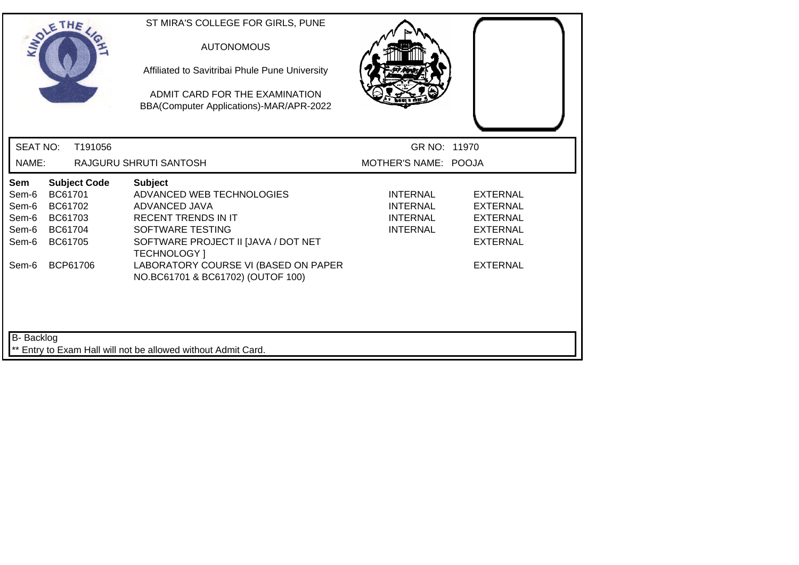| SOLETHE .                                                                                                                                           | ST MIRA'S COLLEGE FOR GIRLS, PUNE<br><b>AUTONOMOUS</b><br>Affiliated to Savitribai Phule Pune University<br>ADMIT CARD FOR THE EXAMINATION<br>BBA(Computer Applications)-MAR/APR-2022                                                                            |                                                                          |                                                                                                                |  |  |
|-----------------------------------------------------------------------------------------------------------------------------------------------------|------------------------------------------------------------------------------------------------------------------------------------------------------------------------------------------------------------------------------------------------------------------|--------------------------------------------------------------------------|----------------------------------------------------------------------------------------------------------------|--|--|
| <b>SEAT NO:</b><br>T191056                                                                                                                          |                                                                                                                                                                                                                                                                  | GR NO: 11970                                                             |                                                                                                                |  |  |
| NAME:                                                                                                                                               | RAJGURU SHRUTI SANTOSH                                                                                                                                                                                                                                           | MOTHER'S NAME: POOJA                                                     |                                                                                                                |  |  |
| <b>Subject Code</b><br>Sem<br>BC61701<br>Sem-6<br>Sem-6<br>BC61702<br>BC61703<br>Sem-6<br>Sem-6<br>BC61704<br>BC61705<br>Sem-6<br>BCP61706<br>Sem-6 | <b>Subject</b><br>ADVANCED WEB TECHNOLOGIES<br>ADVANCED JAVA<br><b>RECENT TRENDS IN IT</b><br><b>SOFTWARE TESTING</b><br>SOFTWARE PROJECT II [JAVA / DOT NET<br><b>TECHNOLOGY</b> 1<br>LABORATORY COURSE VI (BASED ON PAPER<br>NO.BC61701 & BC61702) (OUTOF 100) | <b>INTERNAL</b><br><b>INTERNAL</b><br><b>INTERNAL</b><br><b>INTERNAL</b> | <b>EXTERNAL</b><br><b>EXTERNAL</b><br><b>EXTERNAL</b><br><b>EXTERNAL</b><br><b>EXTERNAL</b><br><b>EXTERNAL</b> |  |  |
| <b>B-</b> Backlog<br>** Entry to Exam Hall will not be allowed without Admit Card.                                                                  |                                                                                                                                                                                                                                                                  |                                                                          |                                                                                                                |  |  |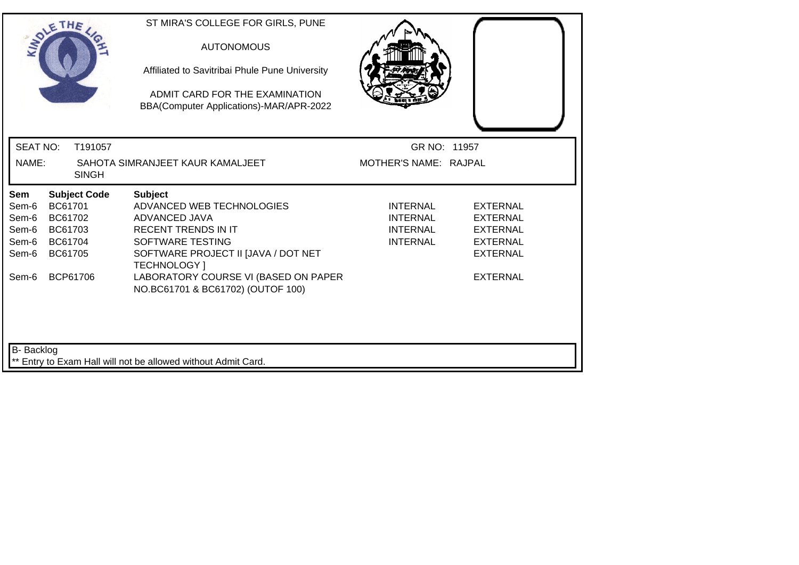| ADLE                                                                               | THE                                                                        | ST MIRA'S COLLEGE FOR GIRLS, PUNE<br><b>AUTONOMOUS</b><br>Affiliated to Savitribai Phule Pune University<br>ADMIT CARD FOR THE EXAMINATION<br>BBA(Computer Applications)-MAR/APR-2022 |                                                                          |                                                                                             |  |
|------------------------------------------------------------------------------------|----------------------------------------------------------------------------|---------------------------------------------------------------------------------------------------------------------------------------------------------------------------------------|--------------------------------------------------------------------------|---------------------------------------------------------------------------------------------|--|
| <b>SEAT NO:</b>                                                                    | T191057                                                                    |                                                                                                                                                                                       | GR NO: 11957                                                             |                                                                                             |  |
| NAME:                                                                              | <b>SINGH</b>                                                               | SAHOTA SIMRANJEET KAUR KAMALJEET                                                                                                                                                      | MOTHER'S NAME: RAJPAL                                                    |                                                                                             |  |
| Sem<br>Sem-6<br>Sem-6<br>Sem-6<br>Sem-6<br>Sem-6                                   | <b>Subject Code</b><br>BC61701<br>BC61702<br>BC61703<br>BC61704<br>BC61705 | <b>Subject</b><br>ADVANCED WEB TECHNOLOGIES<br>ADVANCED JAVA<br><b>RECENT TRENDS IN IT</b><br>SOFTWARE TESTING<br>SOFTWARE PROJECT II [JAVA / DOT NET<br><b>TECHNOLOGY</b> 1          | <b>INTERNAL</b><br><b>INTERNAL</b><br><b>INTERNAL</b><br><b>INTERNAL</b> | <b>EXTERNAL</b><br><b>EXTERNAL</b><br><b>EXTERNAL</b><br><b>EXTERNAL</b><br><b>EXTERNAL</b> |  |
| Sem-6                                                                              | BCP61706                                                                   | LABORATORY COURSE VI (BASED ON PAPER<br>NO.BC61701 & BC61702) (OUTOF 100)                                                                                                             |                                                                          | <b>EXTERNAL</b>                                                                             |  |
| <b>B-</b> Backlog<br>** Entry to Exam Hall will not be allowed without Admit Card. |                                                                            |                                                                                                                                                                                       |                                                                          |                                                                                             |  |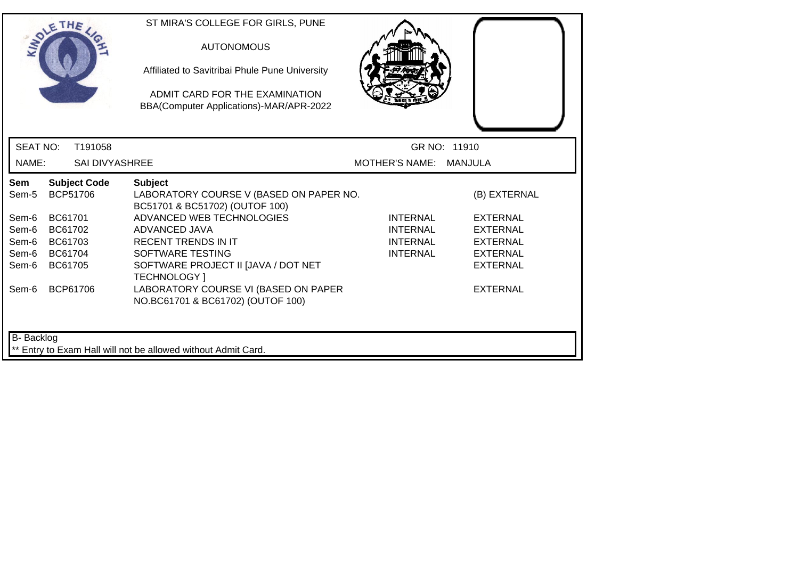|                                                                    | SOLETHE .                                                                   |                       | ST MIRA'S COLLEGE FOR GIRLS, PUNE<br><b>AUTONOMOUS</b><br>Affiliated to Savitribai Phule Pune University<br>ADMIT CARD FOR THE EXAMINATION<br>BBA(Computer Applications)-MAR/APR-2022                                                                                                                                                  |                                                                          |                                                                                                                                |
|--------------------------------------------------------------------|-----------------------------------------------------------------------------|-----------------------|----------------------------------------------------------------------------------------------------------------------------------------------------------------------------------------------------------------------------------------------------------------------------------------------------------------------------------------|--------------------------------------------------------------------------|--------------------------------------------------------------------------------------------------------------------------------|
| <b>SEAT NO:</b>                                                    |                                                                             | T191058               |                                                                                                                                                                                                                                                                                                                                        |                                                                          | GR NO: 11910                                                                                                                   |
| NAME:                                                              |                                                                             | <b>SAI DIVYASHREE</b> |                                                                                                                                                                                                                                                                                                                                        | MOTHER'S NAME: MANJULA                                                   |                                                                                                                                |
| Sem<br>Sem-5<br>Sem-6<br>Sem-6<br>Sem-6<br>Sem-6<br>Sem-6<br>Sem-6 | BCP51706<br>BC61701<br>BC61702<br>BC61703<br>BC61704<br>BC61705<br>BCP61706 | <b>Subject Code</b>   | <b>Subject</b><br>LABORATORY COURSE V (BASED ON PAPER NO.<br>BC51701 & BC51702) (OUTOF 100)<br>ADVANCED WEB TECHNOLOGIES<br>ADVANCED JAVA<br><b>RECENT TRENDS IN IT</b><br>SOFTWARE TESTING<br>SOFTWARE PROJECT II [JAVA / DOT NET<br><b>TECHNOLOGY</b> 1<br>LABORATORY COURSE VI (BASED ON PAPER<br>NO.BC61701 & BC61702) (OUTOF 100) | <b>INTERNAL</b><br><b>INTERNAL</b><br><b>INTERNAL</b><br><b>INTERNAL</b> | (B) EXTERNAL<br><b>EXTERNAL</b><br><b>EXTERNAL</b><br><b>EXTERNAL</b><br><b>EXTERNAL</b><br><b>EXTERNAL</b><br><b>EXTERNAL</b> |
| B- Backlog                                                         |                                                                             |                       | ** Entry to Exam Hall will not be allowed without Admit Card.                                                                                                                                                                                                                                                                          |                                                                          |                                                                                                                                |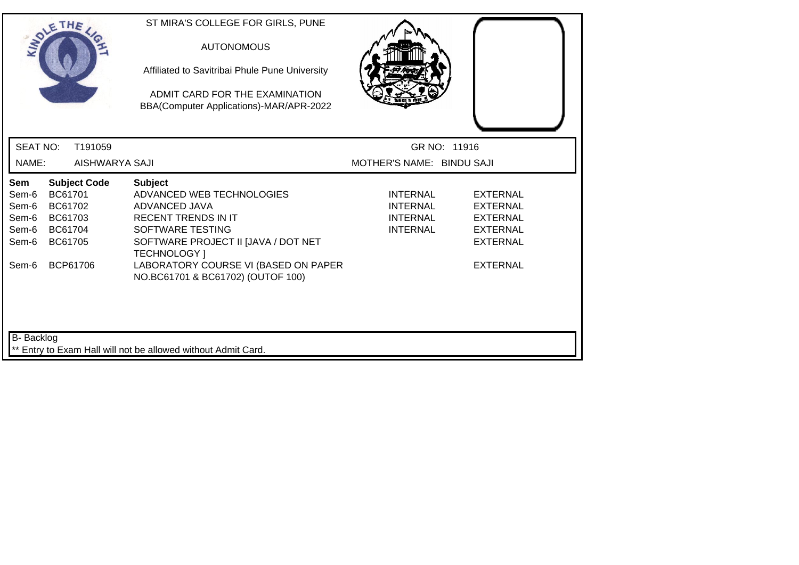| <b>SEAT NO:</b><br>T191059<br>GR NO: 11916<br>MOTHER'S NAME: BINDU SAJI<br>NAME:<br>AISHWARYA SAJI<br><b>Subject Code</b><br>Sem<br><b>Subject</b><br>BC61701<br>ADVANCED WEB TECHNOLOGIES<br><b>EXTERNAL</b><br>Sem-6<br><b>INTERNAL</b><br>Sem-6<br>BC61702<br><b>ADVANCED JAVA</b><br><b>INTERNAL</b><br><b>EXTERNAL</b><br><b>RECENT TRENDS IN IT</b><br>Sem-6<br>BC61703<br>INTERNAL<br><b>EXTERNAL</b><br>BC61704<br>SOFTWARE TESTING<br><b>INTERNAL</b><br><b>EXTERNAL</b><br>Sem-6<br>SOFTWARE PROJECT II [JAVA / DOT NET<br>Sem-6<br>BC61705<br><b>EXTERNAL</b><br><b>TECHNOLOGY</b> 1<br>LABORATORY COURSE VI (BASED ON PAPER<br><b>EXTERNAL</b><br>BCP61706<br>Sem-6<br>NO.BC61701 & BC61702) (OUTOF 100) | SOLETHE . |  | ST MIRA'S COLLEGE FOR GIRLS, PUNE<br><b>AUTONOMOUS</b><br>Affiliated to Savitribai Phule Pune University<br>ADMIT CARD FOR THE EXAMINATION<br>BBA(Computer Applications)-MAR/APR-2022 |  |
|----------------------------------------------------------------------------------------------------------------------------------------------------------------------------------------------------------------------------------------------------------------------------------------------------------------------------------------------------------------------------------------------------------------------------------------------------------------------------------------------------------------------------------------------------------------------------------------------------------------------------------------------------------------------------------------------------------------------|-----------|--|---------------------------------------------------------------------------------------------------------------------------------------------------------------------------------------|--|
|                                                                                                                                                                                                                                                                                                                                                                                                                                                                                                                                                                                                                                                                                                                      |           |  |                                                                                                                                                                                       |  |
|                                                                                                                                                                                                                                                                                                                                                                                                                                                                                                                                                                                                                                                                                                                      |           |  |                                                                                                                                                                                       |  |
|                                                                                                                                                                                                                                                                                                                                                                                                                                                                                                                                                                                                                                                                                                                      |           |  |                                                                                                                                                                                       |  |
| B- Backlog                                                                                                                                                                                                                                                                                                                                                                                                                                                                                                                                                                                                                                                                                                           |           |  |                                                                                                                                                                                       |  |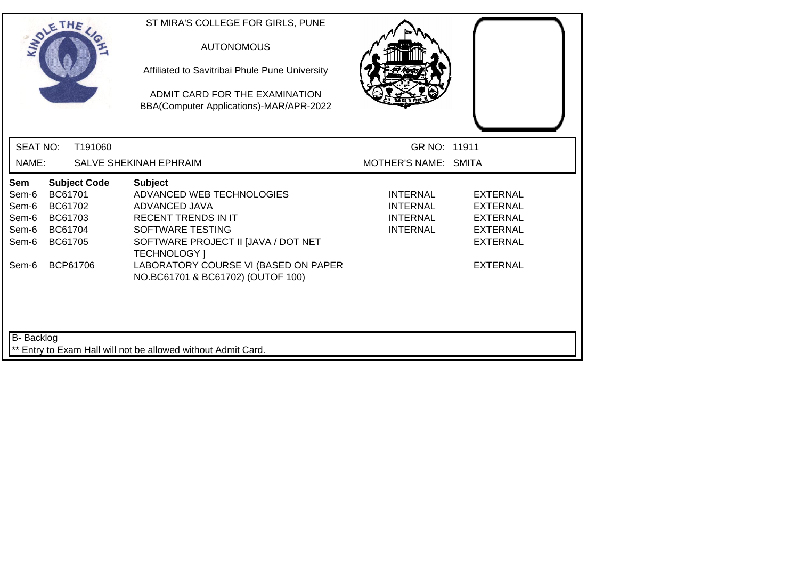| SOLETHE .                                                                                                                                           | ST MIRA'S COLLEGE FOR GIRLS, PUNE<br><b>AUTONOMOUS</b><br>Affiliated to Savitribai Phule Pune University<br>ADMIT CARD FOR THE EXAMINATION<br>BBA(Computer Applications)-MAR/APR-2022                                                                     |                                                                   |                                                                                                                |  |  |  |
|-----------------------------------------------------------------------------------------------------------------------------------------------------|-----------------------------------------------------------------------------------------------------------------------------------------------------------------------------------------------------------------------------------------------------------|-------------------------------------------------------------------|----------------------------------------------------------------------------------------------------------------|--|--|--|
| <b>SEAT NO:</b><br>T191060                                                                                                                          |                                                                                                                                                                                                                                                           | GR NO: 11911                                                      |                                                                                                                |  |  |  |
| NAME:                                                                                                                                               | SALVE SHEKINAH EPHRAIM                                                                                                                                                                                                                                    | MOTHER'S NAME: SMITA                                              |                                                                                                                |  |  |  |
| <b>Subject Code</b><br>Sem<br>BC61701<br>Sem-6<br>Sem-6<br>BC61702<br>BC61703<br>Sem-6<br>Sem-6<br>BC61704<br>BC61705<br>Sem-6<br>BCP61706<br>Sem-6 | <b>Subject</b><br>ADVANCED WEB TECHNOLOGIES<br>ADVANCED JAVA<br><b>RECENT TRENDS IN IT</b><br>SOFTWARE TESTING<br>SOFTWARE PROJECT II [JAVA / DOT NET<br><b>TECHNOLOGY</b> 1<br>LABORATORY COURSE VI (BASED ON PAPER<br>NO.BC61701 & BC61702) (OUTOF 100) | <b>INTERNAL</b><br><b>INTERNAL</b><br>INTERNAL<br><b>INTERNAL</b> | <b>EXTERNAL</b><br><b>EXTERNAL</b><br><b>EXTERNAL</b><br><b>EXTERNAL</b><br><b>EXTERNAL</b><br><b>EXTERNAL</b> |  |  |  |
| B- Backlog<br>** Entry to Exam Hall will not be allowed without Admit Card.                                                                         |                                                                                                                                                                                                                                                           |                                                                   |                                                                                                                |  |  |  |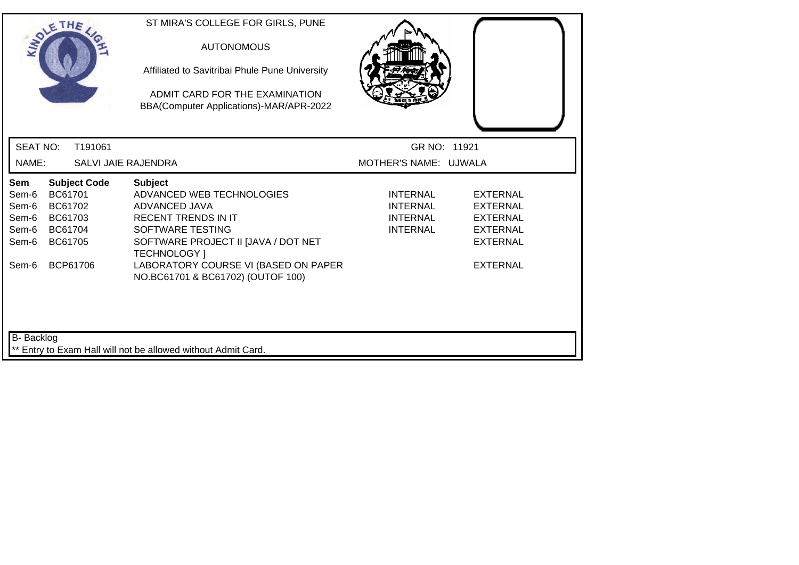| SOLETHE .                                                                  |                                                     |                                 | ST MIRA'S COLLEGE FOR GIRLS, PUNE<br><b>AUTONOMOUS</b><br>Affiliated to Savitribai Phule Pune University<br>ADMIT CARD FOR THE EXAMINATION<br>BBA(Computer Applications)-MAR/APR-2022                                                                     |                                                                          |                                                                                                                |
|----------------------------------------------------------------------------|-----------------------------------------------------|---------------------------------|-----------------------------------------------------------------------------------------------------------------------------------------------------------------------------------------------------------------------------------------------------------|--------------------------------------------------------------------------|----------------------------------------------------------------------------------------------------------------|
| <b>SEAT NO:</b>                                                            |                                                     | T191061                         |                                                                                                                                                                                                                                                           | GR NO: 11921                                                             |                                                                                                                |
| NAME:                                                                      |                                                     | <b>SALVI JAIE RAJENDRA</b>      |                                                                                                                                                                                                                                                           | MOTHER'S NAME: UJWALA                                                    |                                                                                                                |
| Sem<br>Sem-6<br>Sem-6<br>Sem-6<br>Sem-6<br>Sem-6<br>Sem-6                  | BC61701<br>BC61702<br>BC61703<br>BC61704<br>BC61705 | <b>Subject Code</b><br>BCP61706 | <b>Subject</b><br>ADVANCED WEB TECHNOLOGIES<br>ADVANCED JAVA<br><b>RECENT TRENDS IN IT</b><br>SOFTWARE TESTING<br>SOFTWARE PROJECT II [JAVA / DOT NET<br><b>TECHNOLOGY</b> 1<br>LABORATORY COURSE VI (BASED ON PAPER<br>NO.BC61701 & BC61702) (OUTOF 100) | <b>INTERNAL</b><br><b>INTERNAL</b><br><b>INTERNAL</b><br><b>INTERNAL</b> | <b>EXTERNAL</b><br><b>EXTERNAL</b><br><b>EXTERNAL</b><br><b>EXTERNAL</b><br><b>EXTERNAL</b><br><b>EXTERNAL</b> |
| B-Backlog<br>** Entry to Exam Hall will not be allowed without Admit Card. |                                                     |                                 |                                                                                                                                                                                                                                                           |                                                                          |                                                                                                                |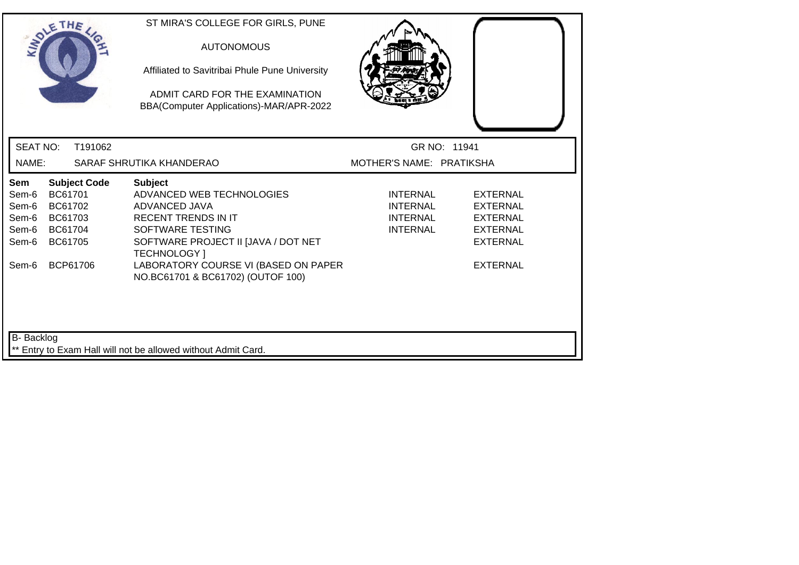|                                                           | SOLETHE .                                                       |                     | ST MIRA'S COLLEGE FOR GIRLS, PUNE<br><b>AUTONOMOUS</b><br>Affiliated to Savitribai Phule Pune University<br>ADMIT CARD FOR THE EXAMINATION<br>BBA(Computer Applications)-MAR/APR-2022                                |                                                            |                                                                                                                |
|-----------------------------------------------------------|-----------------------------------------------------------------|---------------------|----------------------------------------------------------------------------------------------------------------------------------------------------------------------------------------------------------------------|------------------------------------------------------------|----------------------------------------------------------------------------------------------------------------|
| <b>SEAT NO:</b>                                           |                                                                 | T191062             |                                                                                                                                                                                                                      | GR NO: 11941                                               |                                                                                                                |
| NAME:                                                     |                                                                 |                     | SARAF SHRUTIKA KHANDERAO                                                                                                                                                                                             | MOTHER'S NAME: PRATIKSHA                                   |                                                                                                                |
| Sem<br>Sem-6<br>Sem-6<br>Sem-6<br>Sem-6<br>Sem-6<br>Sem-6 | BC61701<br>BC61702<br>BC61703<br>BC61704<br>BC61705<br>BCP61706 | <b>Subject Code</b> | <b>Subject</b><br>ADVANCED WEB TECHNOLOGIES<br>ADVANCED JAVA<br><b>RECENT TRENDS IN IT</b><br>SOFTWARE TESTING<br>SOFTWARE PROJECT II JJAVA / DOT NET<br><b>TECHNOLOGY</b> 1<br>LABORATORY COURSE VI (BASED ON PAPER | <b>INTERNAL</b><br>INTERNAL<br>INTERNAL<br><b>INTERNAL</b> | <b>EXTERNAL</b><br><b>EXTERNAL</b><br><b>EXTERNAL</b><br><b>EXTERNAL</b><br><b>EXTERNAL</b><br><b>EXTERNAL</b> |
| <b>B-</b> Backlog                                         |                                                                 |                     | NO.BC61701 & BC61702) (OUTOF 100)<br>** Entry to Exam Hall will not be allowed without Admit Card.                                                                                                                   |                                                            |                                                                                                                |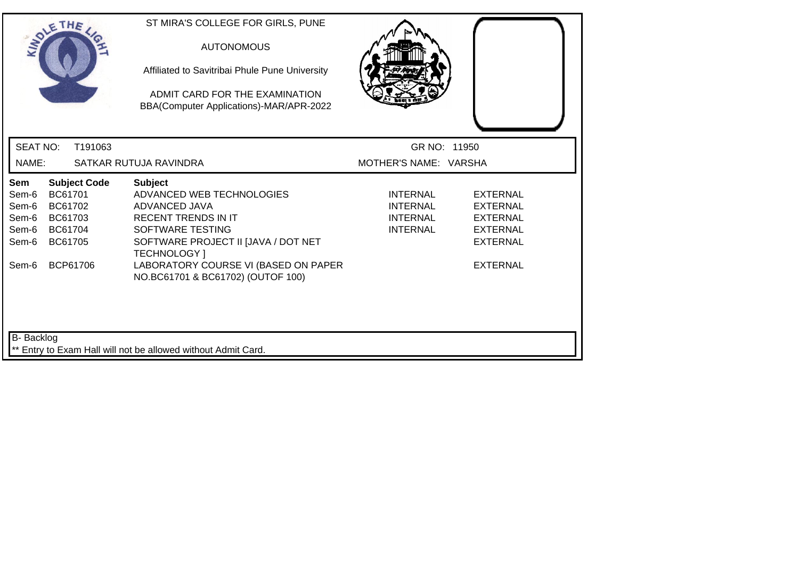|                                                                                    | SOLETHE .                                                                              |         | ST MIRA'S COLLEGE FOR GIRLS, PUNE<br><b>AUTONOMOUS</b><br>Affiliated to Savitribai Phule Pune University<br>ADMIT CARD FOR THE EXAMINATION<br>BBA(Computer Applications)-MAR/APR-2022                                                                     |                                                                   |                                                                                                         |
|------------------------------------------------------------------------------------|----------------------------------------------------------------------------------------|---------|-----------------------------------------------------------------------------------------------------------------------------------------------------------------------------------------------------------------------------------------------------------|-------------------------------------------------------------------|---------------------------------------------------------------------------------------------------------|
| <b>SEAT NO:</b>                                                                    |                                                                                        | T191063 |                                                                                                                                                                                                                                                           | GR NO: 11950                                                      |                                                                                                         |
| NAME:                                                                              |                                                                                        |         | SATKAR RUTUJA RAVINDRA                                                                                                                                                                                                                                    | MOTHER'S NAME: VARSHA                                             |                                                                                                         |
| Sem<br>Sem-6<br>Sem-6<br>Sem-6<br>Sem-6<br>Sem-6<br>Sem-6                          | <b>Subject Code</b><br>BC61701<br>BC61702<br>BC61703<br>BC61704<br>BC61705<br>BCP61706 |         | <b>Subject</b><br>ADVANCED WEB TECHNOLOGIES<br>ADVANCED JAVA<br><b>RECENT TRENDS IN IT</b><br>SOFTWARE TESTING<br>SOFTWARE PROJECT II [JAVA / DOT NET<br><b>TECHNOLOGY</b> 1<br>LABORATORY COURSE VI (BASED ON PAPER<br>NO.BC61701 & BC61702) (OUTOF 100) | INTERNAL<br><b>INTERNAL</b><br><b>INTERNAL</b><br><b>INTERNAL</b> | EXTERNAL<br><b>EXTERNAL</b><br><b>EXTERNAL</b><br><b>EXTERNAL</b><br><b>EXTERNAL</b><br><b>EXTERNAL</b> |
| <b>B-</b> Backlog<br>** Entry to Exam Hall will not be allowed without Admit Card. |                                                                                        |         |                                                                                                                                                                                                                                                           |                                                                   |                                                                                                         |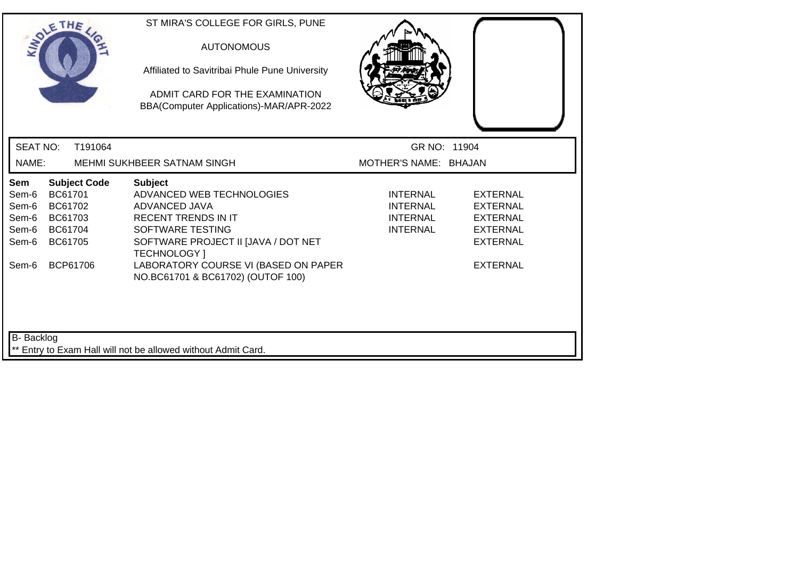|                                                           | SOLETHE .                                                                              | ST MIRA'S COLLEGE FOR GIRLS, PUNE<br><b>AUTONOMOUS</b><br>Affiliated to Savitribai Phule Pune University<br>ADMIT CARD FOR THE EXAMINATION<br>BBA(Computer Applications)-MAR/APR-2022                                                                     |                                                                   |                                                                                                                |
|-----------------------------------------------------------|----------------------------------------------------------------------------------------|-----------------------------------------------------------------------------------------------------------------------------------------------------------------------------------------------------------------------------------------------------------|-------------------------------------------------------------------|----------------------------------------------------------------------------------------------------------------|
| <b>SEAT NO:</b>                                           | T191064                                                                                |                                                                                                                                                                                                                                                           | GR NO: 11904                                                      |                                                                                                                |
| NAME:                                                     |                                                                                        | MEHMI SUKHBEER SATNAM SINGH                                                                                                                                                                                                                               | MOTHER'S NAME: BHAJAN                                             |                                                                                                                |
| Sem<br>Sem-6<br>Sem-6<br>Sem-6<br>Sem-6<br>Sem-6<br>Sem-6 | <b>Subject Code</b><br>BC61701<br>BC61702<br>BC61703<br>BC61704<br>BC61705<br>BCP61706 | <b>Subject</b><br>ADVANCED WEB TECHNOLOGIES<br>ADVANCED JAVA<br><b>RECENT TRENDS IN IT</b><br>SOFTWARE TESTING<br>SOFTWARE PROJECT II [JAVA / DOT NET<br><b>TECHNOLOGY</b> 1<br>LABORATORY COURSE VI (BASED ON PAPER<br>NO.BC61701 & BC61702) (OUTOF 100) | <b>INTERNAL</b><br>INTERNAL<br><b>INTERNAL</b><br><b>INTERNAL</b> | <b>EXTERNAL</b><br><b>EXTERNAL</b><br><b>EXTERNAL</b><br><b>EXTERNAL</b><br><b>EXTERNAL</b><br><b>EXTERNAL</b> |
| <b>B-</b> Backlog                                         |                                                                                        | ** Entry to Exam Hall will not be allowed without Admit Card.                                                                                                                                                                                             |                                                                   |                                                                                                                |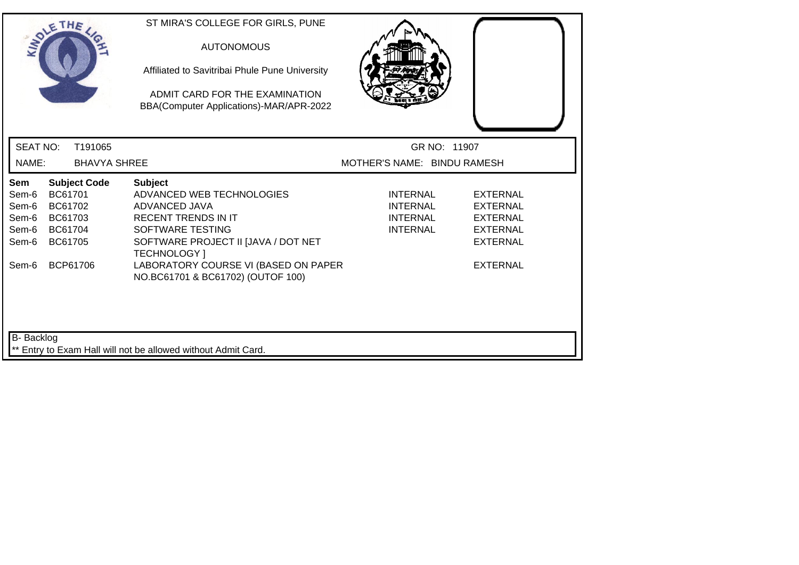| SOLETHE .                                        |                                                     |                     | ST MIRA'S COLLEGE FOR GIRLS, PUNE<br><b>AUTONOMOUS</b><br>Affiliated to Savitribai Phule Pune University<br>ADMIT CARD FOR THE EXAMINATION<br>BBA(Computer Applications)-MAR/APR-2022 |                                                                          |                                                                                             |
|--------------------------------------------------|-----------------------------------------------------|---------------------|---------------------------------------------------------------------------------------------------------------------------------------------------------------------------------------|--------------------------------------------------------------------------|---------------------------------------------------------------------------------------------|
| <b>SEAT NO:</b>                                  |                                                     | T191065             |                                                                                                                                                                                       | GR NO: 11907                                                             |                                                                                             |
| NAME:                                            |                                                     | <b>BHAVYA SHREE</b> |                                                                                                                                                                                       | MOTHER'S NAME: BINDU RAMESH                                              |                                                                                             |
| Sem<br>Sem-6<br>Sem-6<br>Sem-6<br>Sem-6<br>Sem-6 | BC61701<br>BC61702<br>BC61703<br>BC61704<br>BC61705 | <b>Subject Code</b> | <b>Subject</b><br>ADVANCED WEB TECHNOLOGIES<br>ADVANCED JAVA<br><b>RECENT TRENDS IN IT</b><br>SOFTWARE TESTING<br>SOFTWARE PROJECT II [JAVA / DOT NET<br><b>TECHNOLOGY</b> 1          | <b>INTERNAL</b><br><b>INTERNAL</b><br><b>INTERNAL</b><br><b>INTERNAL</b> | <b>EXTERNAL</b><br><b>EXTERNAL</b><br><b>EXTERNAL</b><br><b>EXTERNAL</b><br><b>EXTERNAL</b> |
| Sem-6                                            |                                                     | BCP61706            | LABORATORY COURSE VI (BASED ON PAPER<br>NO.BC61701 & BC61702) (OUTOF 100)                                                                                                             |                                                                          | <b>EXTERNAL</b>                                                                             |
| B- Backlog                                       |                                                     |                     | ** Entry to Exam Hall will not be allowed without Admit Card.                                                                                                                         |                                                                          |                                                                                             |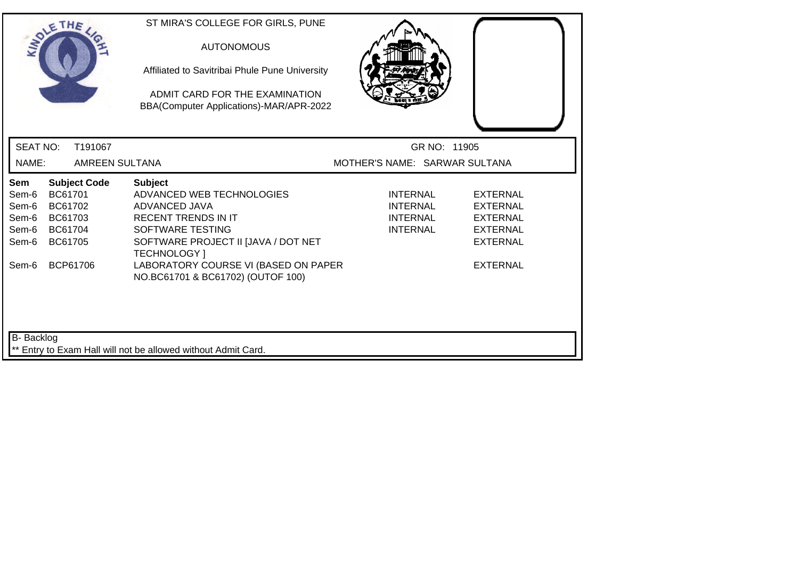| SOLETHE .                                        |                                                     |                       | ST MIRA'S COLLEGE FOR GIRLS, PUNE<br><b>AUTONOMOUS</b><br>Affiliated to Savitribai Phule Pune University<br>ADMIT CARD FOR THE EXAMINATION<br>BBA(Computer Applications)-MAR/APR-2022 |                                                                          |                                                                                             |
|--------------------------------------------------|-----------------------------------------------------|-----------------------|---------------------------------------------------------------------------------------------------------------------------------------------------------------------------------------|--------------------------------------------------------------------------|---------------------------------------------------------------------------------------------|
| <b>SEAT NO:</b>                                  |                                                     | T191067               |                                                                                                                                                                                       | GR NO: 11905                                                             |                                                                                             |
| NAME:                                            |                                                     | <b>AMREEN SULTANA</b> |                                                                                                                                                                                       | MOTHER'S NAME: SARWAR SULTANA                                            |                                                                                             |
| Sem<br>Sem-6<br>Sem-6<br>Sem-6<br>Sem-6<br>Sem-6 | BC61701<br>BC61702<br>BC61703<br>BC61704<br>BC61705 | <b>Subject Code</b>   | <b>Subject</b><br>ADVANCED WEB TECHNOLOGIES<br>ADVANCED JAVA<br><b>RECENT TRENDS IN IT</b><br>SOFTWARE TESTING<br>SOFTWARE PROJECT II [JAVA / DOT NET<br><b>TECHNOLOGY</b> ]          | <b>INTERNAL</b><br><b>INTERNAL</b><br><b>INTERNAL</b><br><b>INTERNAL</b> | <b>EXTERNAL</b><br><b>EXTERNAL</b><br><b>EXTERNAL</b><br><b>EXTERNAL</b><br><b>EXTERNAL</b> |
| Sem-6                                            | BCP61706                                            |                       | LABORATORY COURSE VI (BASED ON PAPER<br>NO.BC61701 & BC61702) (OUTOF 100)                                                                                                             |                                                                          | <b>EXTERNAL</b>                                                                             |
| B- Backlog                                       |                                                     |                       | ** Entry to Exam Hall will not be allowed without Admit Card.                                                                                                                         |                                                                          |                                                                                             |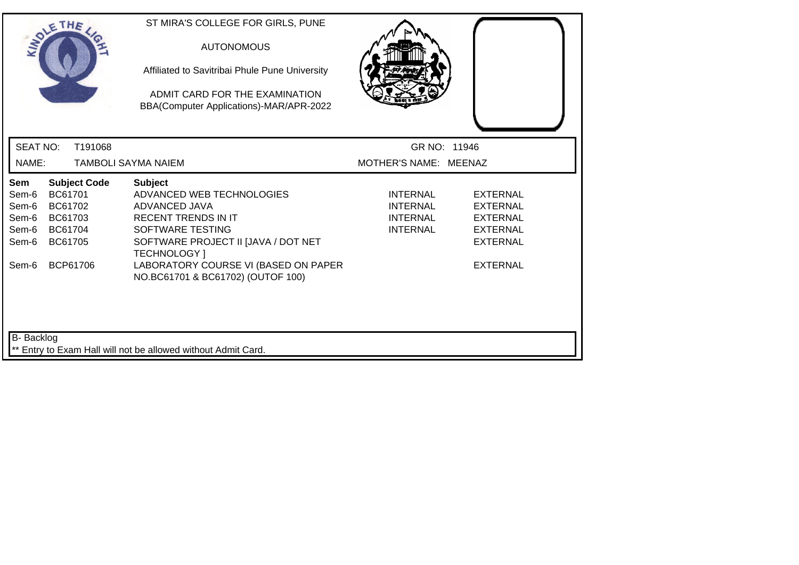|                                                                             | SOLETHE .                                                                              | ST MIRA'S COLLEGE FOR GIRLS, PUNE<br><b>AUTONOMOUS</b><br>Affiliated to Savitribai Phule Pune University<br>ADMIT CARD FOR THE EXAMINATION<br>BBA(Computer Applications)-MAR/APR-2022                                                                     |                                                                          |                                                                                                                |  |
|-----------------------------------------------------------------------------|----------------------------------------------------------------------------------------|-----------------------------------------------------------------------------------------------------------------------------------------------------------------------------------------------------------------------------------------------------------|--------------------------------------------------------------------------|----------------------------------------------------------------------------------------------------------------|--|
| <b>SEAT NO:</b>                                                             | T191068                                                                                |                                                                                                                                                                                                                                                           | GR NO: 11946                                                             |                                                                                                                |  |
| NAME:                                                                       |                                                                                        | <b>TAMBOLI SAYMA NAIEM</b>                                                                                                                                                                                                                                | MOTHER'S NAME: MEENAZ                                                    |                                                                                                                |  |
| Sem<br>Sem-6<br>Sem-6<br>Sem-6<br>Sem-6<br>Sem-6<br>Sem-6                   | <b>Subject Code</b><br>BC61701<br>BC61702<br>BC61703<br>BC61704<br>BC61705<br>BCP61706 | <b>Subject</b><br>ADVANCED WEB TECHNOLOGIES<br>ADVANCED JAVA<br><b>RECENT TRENDS IN IT</b><br>SOFTWARE TESTING<br>SOFTWARE PROJECT II [JAVA / DOT NET<br><b>TECHNOLOGY</b> 1<br>LABORATORY COURSE VI (BASED ON PAPER<br>NO.BC61701 & BC61702) (OUTOF 100) | <b>INTERNAL</b><br><b>INTERNAL</b><br><b>INTERNAL</b><br><b>INTERNAL</b> | <b>EXTERNAL</b><br><b>EXTERNAL</b><br><b>EXTERNAL</b><br><b>EXTERNAL</b><br><b>EXTERNAL</b><br><b>EXTERNAL</b> |  |
| B- Backlog<br>** Entry to Exam Hall will not be allowed without Admit Card. |                                                                                        |                                                                                                                                                                                                                                                           |                                                                          |                                                                                                                |  |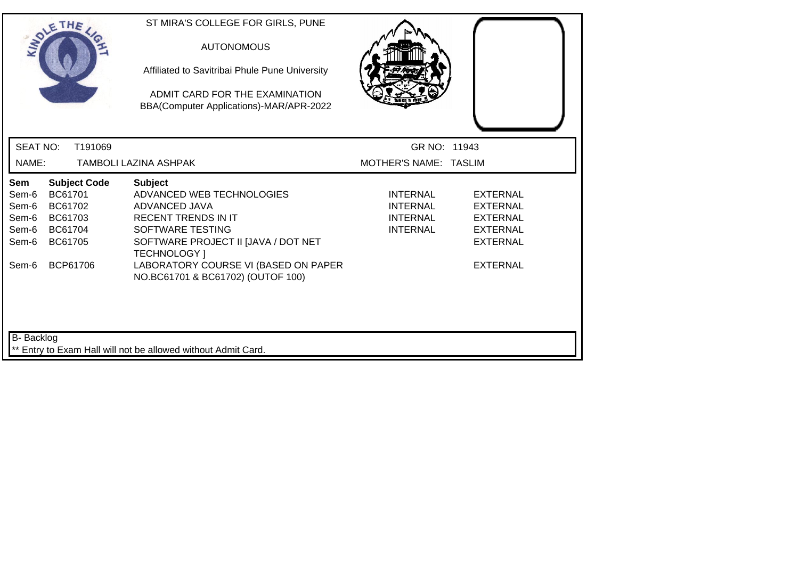| SOLETHE .                                                                                                                                           | ST MIRA'S COLLEGE FOR GIRLS, PUNE<br><b>AUTONOMOUS</b><br>Affiliated to Savitribai Phule Pune University<br>ADMIT CARD FOR THE EXAMINATION<br>BBA(Computer Applications)-MAR/APR-2022                                                                     |                                                                   |                                                                                                                |  |
|-----------------------------------------------------------------------------------------------------------------------------------------------------|-----------------------------------------------------------------------------------------------------------------------------------------------------------------------------------------------------------------------------------------------------------|-------------------------------------------------------------------|----------------------------------------------------------------------------------------------------------------|--|
| <b>SEAT NO:</b><br>T191069                                                                                                                          |                                                                                                                                                                                                                                                           | GR NO: 11943                                                      |                                                                                                                |  |
| NAME:                                                                                                                                               | TAMBOLI LAZINA ASHPAK                                                                                                                                                                                                                                     | MOTHER'S NAME: TASLIM                                             |                                                                                                                |  |
| <b>Subject Code</b><br>Sem<br>BC61701<br>Sem-6<br>Sem-6<br>BC61702<br>Sem-6<br>BC61703<br>Sem-6<br>BC61704<br>BC61705<br>Sem-6<br>BCP61706<br>Sem-6 | <b>Subject</b><br>ADVANCED WEB TECHNOLOGIES<br>ADVANCED JAVA<br><b>RECENT TRENDS IN IT</b><br>SOFTWARE TESTING<br>SOFTWARE PROJECT II [JAVA / DOT NET<br><b>TECHNOLOGY</b> 1<br>LABORATORY COURSE VI (BASED ON PAPER<br>NO.BC61701 & BC61702) (OUTOF 100) | <b>INTERNAL</b><br><b>INTERNAL</b><br>INTERNAL<br><b>INTERNAL</b> | <b>EXTERNAL</b><br><b>EXTERNAL</b><br><b>EXTERNAL</b><br><b>EXTERNAL</b><br><b>EXTERNAL</b><br><b>EXTERNAL</b> |  |
| B- Backlog                                                                                                                                          | ** Entry to Exam Hall will not be allowed without Admit Card.                                                                                                                                                                                             |                                                                   |                                                                                                                |  |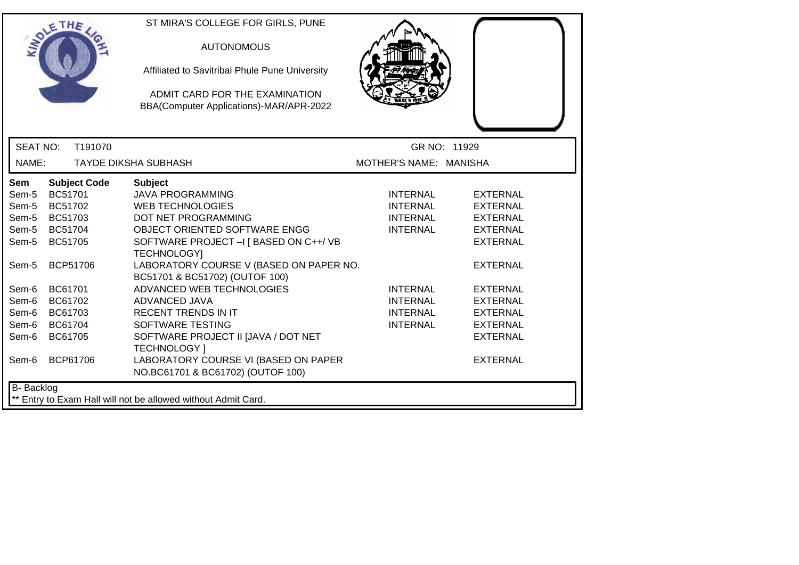| ETHE                                                                                                                                                                                                                                                                                | ST MIRA'S COLLEGE FOR GIRLS, PUNE<br><b>AUTONOMOUS</b><br>Affiliated to Savitribai Phule Pune University<br>ADMIT CARD FOR THE EXAMINATION<br>BBA(Computer Applications)-MAR/APR-2022                                                                                                                                                                                                                                                                                                                                      |                                                                                                                                                      |                                                                                                                                                                                                                                  |  |
|-------------------------------------------------------------------------------------------------------------------------------------------------------------------------------------------------------------------------------------------------------------------------------------|----------------------------------------------------------------------------------------------------------------------------------------------------------------------------------------------------------------------------------------------------------------------------------------------------------------------------------------------------------------------------------------------------------------------------------------------------------------------------------------------------------------------------|------------------------------------------------------------------------------------------------------------------------------------------------------|----------------------------------------------------------------------------------------------------------------------------------------------------------------------------------------------------------------------------------|--|
| <b>SEAT NO:</b>                                                                                                                                                                                                                                                                     | T191070                                                                                                                                                                                                                                                                                                                                                                                                                                                                                                                    |                                                                                                                                                      | GR NO: 11929                                                                                                                                                                                                                     |  |
| NAME:                                                                                                                                                                                                                                                                               | <b>TAYDE DIKSHA SUBHASH</b>                                                                                                                                                                                                                                                                                                                                                                                                                                                                                                | MOTHER'S NAME: MANISHA                                                                                                                               |                                                                                                                                                                                                                                  |  |
| <b>Subject Code</b><br>Sem<br>BC51701<br>Sem-5<br>BC51702<br>Sem-5<br>Sem-5<br>BC51703<br>BC51704<br>Sem-5<br>Sem-5<br>BC51705<br><b>BCP51706</b><br>Sem-5<br>BC61701<br>Sem-6<br>Sem-6<br>BC61702<br>Sem-6<br>BC61703<br>Sem-6<br>BC61704<br>BC61705<br>Sem-6<br>BCP61706<br>Sem-6 | <b>Subject</b><br><b>JAVA PROGRAMMING</b><br><b>WEB TECHNOLOGIES</b><br>DOT NET PROGRAMMING<br><b>OBJECT ORIENTED SOFTWARE ENGG</b><br>SOFTWARE PROJECT -I [ BASED ON C++/ VB<br><b>TECHNOLOGY</b><br>LABORATORY COURSE V (BASED ON PAPER NO.<br>BC51701 & BC51702) (OUTOF 100)<br>ADVANCED WEB TECHNOLOGIES<br>ADVANCED JAVA<br><b>RECENT TRENDS IN IT</b><br>SOFTWARE TESTING<br>SOFTWARE PROJECT II JJAVA / DOT NET<br><b>TECHNOLOGY</b> 1<br>LABORATORY COURSE VI (BASED ON PAPER<br>NO.BC61701 & BC61702) (OUTOF 100) | <b>INTERNAL</b><br><b>INTERNAL</b><br><b>INTERNAL</b><br><b>INTERNAL</b><br><b>INTERNAL</b><br><b>INTERNAL</b><br><b>INTERNAL</b><br><b>INTERNAL</b> | <b>EXTERNAL</b><br><b>EXTERNAL</b><br><b>EXTERNAL</b><br><b>EXTERNAL</b><br><b>EXTERNAL</b><br><b>EXTERNAL</b><br><b>EXTERNAL</b><br><b>EXTERNAL</b><br><b>EXTERNAL</b><br><b>EXTERNAL</b><br><b>EXTERNAL</b><br><b>EXTERNAL</b> |  |
| B- Backlog                                                                                                                                                                                                                                                                          | Entry to Exam Hall will not be allowed without Admit Card.                                                                                                                                                                                                                                                                                                                                                                                                                                                                 |                                                                                                                                                      |                                                                                                                                                                                                                                  |  |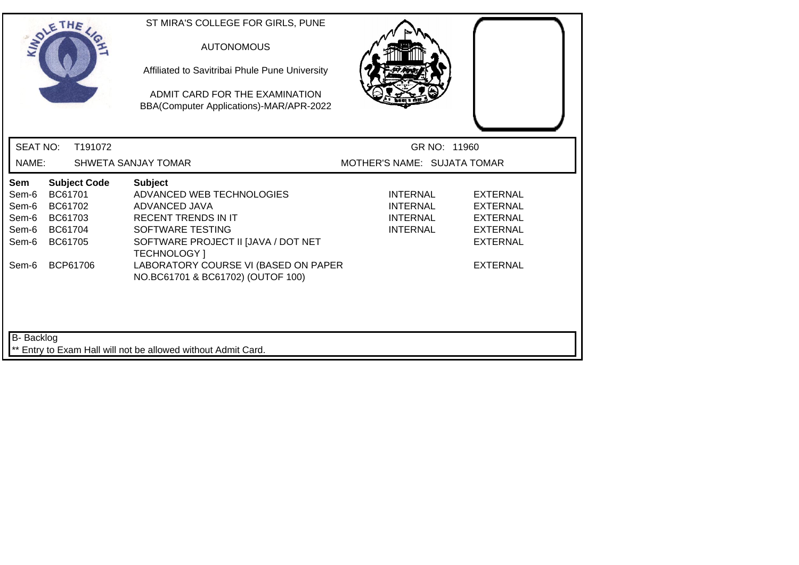|                                                           | SOLETHE .                                                                              | ST MIRA'S COLLEGE FOR GIRLS, PUNE<br><b>AUTONOMOUS</b><br>Affiliated to Savitribai Phule Pune University<br>ADMIT CARD FOR THE EXAMINATION<br>BBA(Computer Applications)-MAR/APR-2022                                |                                                                          |                                                                                                                |
|-----------------------------------------------------------|----------------------------------------------------------------------------------------|----------------------------------------------------------------------------------------------------------------------------------------------------------------------------------------------------------------------|--------------------------------------------------------------------------|----------------------------------------------------------------------------------------------------------------|
| <b>SEAT NO:</b>                                           | T191072                                                                                |                                                                                                                                                                                                                      | GR NO: 11960                                                             |                                                                                                                |
| NAME:                                                     |                                                                                        | <b>SHWETA SANJAY TOMAR</b>                                                                                                                                                                                           | MOTHER'S NAME: SUJATA TOMAR                                              |                                                                                                                |
| Sem<br>Sem-6<br>Sem-6<br>Sem-6<br>Sem-6<br>Sem-6<br>Sem-6 | <b>Subject Code</b><br>BC61701<br>BC61702<br>BC61703<br>BC61704<br>BC61705<br>BCP61706 | <b>Subject</b><br>ADVANCED WEB TECHNOLOGIES<br>ADVANCED JAVA<br><b>RECENT TRENDS IN IT</b><br>SOFTWARE TESTING<br>SOFTWARE PROJECT II JJAVA / DOT NET<br><b>TECHNOLOGY</b> 1<br>LABORATORY COURSE VI (BASED ON PAPER | <b>INTERNAL</b><br><b>INTERNAL</b><br><b>INTERNAL</b><br><b>INTERNAL</b> | <b>EXTERNAL</b><br><b>EXTERNAL</b><br><b>EXTERNAL</b><br><b>EXTERNAL</b><br><b>EXTERNAL</b><br><b>EXTERNAL</b> |
| <b>B-</b> Backlog                                         |                                                                                        | NO.BC61701 & BC61702) (OUTOF 100)<br>** Entry to Exam Hall will not be allowed without Admit Card.                                                                                                                   |                                                                          |                                                                                                                |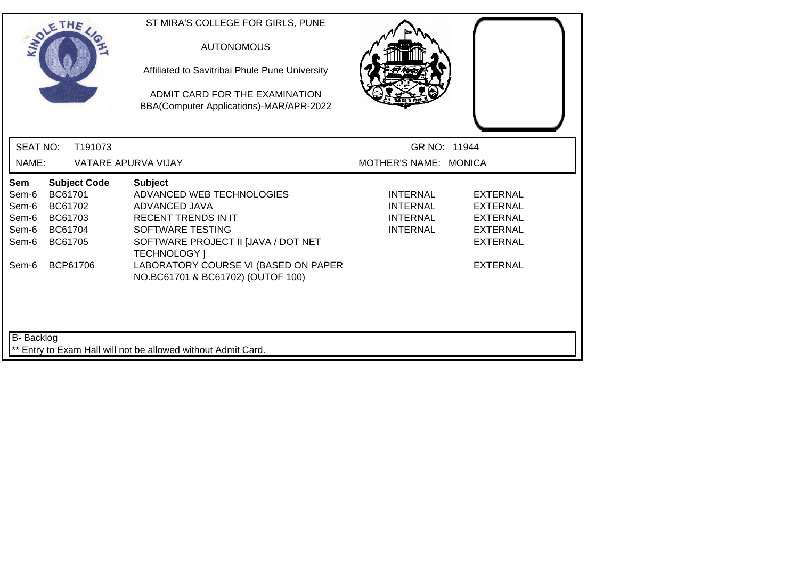| SOLETHE                                                                                                                                             | ST MIRA'S COLLEGE FOR GIRLS, PUNE<br><b>AUTONOMOUS</b><br>Affiliated to Savitribai Phule Pune University<br>ADMIT CARD FOR THE EXAMINATION<br>BBA(Computer Applications)-MAR/APR-2022                                                                     |                                                                          |                                                                                                                |
|-----------------------------------------------------------------------------------------------------------------------------------------------------|-----------------------------------------------------------------------------------------------------------------------------------------------------------------------------------------------------------------------------------------------------------|--------------------------------------------------------------------------|----------------------------------------------------------------------------------------------------------------|
| <b>SEAT NO:</b><br>T191073                                                                                                                          |                                                                                                                                                                                                                                                           | GR NO: 11944                                                             |                                                                                                                |
| NAME:                                                                                                                                               | VATARE APURVA VIJAY                                                                                                                                                                                                                                       | MOTHER'S NAME: MONICA                                                    |                                                                                                                |
| <b>Subject Code</b><br>Sem<br>BC61701<br>Sem-6<br>Sem-6<br>BC61702<br>Sem-6<br>BC61703<br>Sem-6<br>BC61704<br>Sem-6<br>BC61705<br>BCP61706<br>Sem-6 | <b>Subject</b><br>ADVANCED WEB TECHNOLOGIES<br>ADVANCED JAVA<br><b>RECENT TRENDS IN IT</b><br>SOFTWARE TESTING<br>SOFTWARE PROJECT II [JAVA / DOT NET<br><b>TECHNOLOGY</b> 1<br>LABORATORY COURSE VI (BASED ON PAPER<br>NO.BC61701 & BC61702) (OUTOF 100) | <b>INTERNAL</b><br><b>INTERNAL</b><br><b>INTERNAL</b><br><b>INTERNAL</b> | <b>EXTERNAL</b><br><b>EXTERNAL</b><br><b>EXTERNAL</b><br><b>EXTERNAL</b><br><b>EXTERNAL</b><br><b>EXTERNAL</b> |
| B- Backlog                                                                                                                                          | Entry to Exam Hall will not be allowed without Admit Card.                                                                                                                                                                                                |                                                                          |                                                                                                                |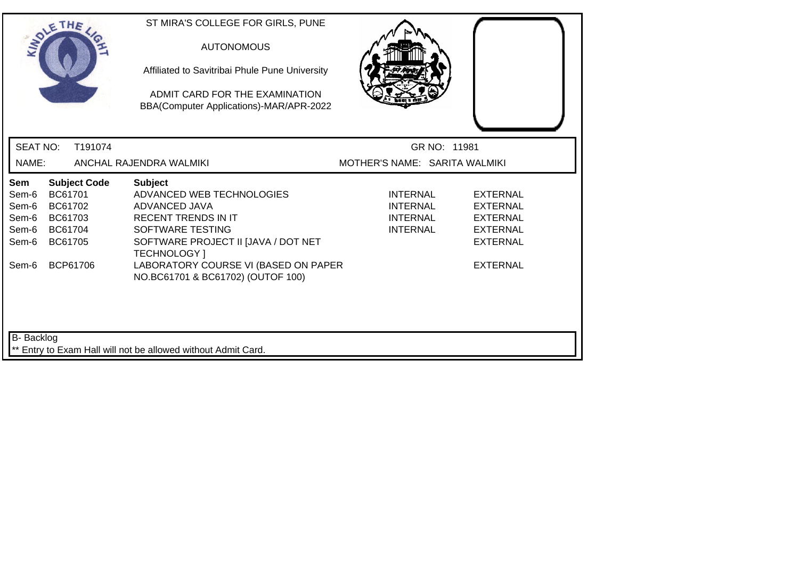|                                                           | SOLETHE                                                         |                     | ST MIRA'S COLLEGE FOR GIRLS, PUNE<br><b>AUTONOMOUS</b><br>Affiliated to Savitribai Phule Pune University<br>ADMIT CARD FOR THE EXAMINATION<br>BBA(Computer Applications)-MAR/APR-2022                                                                     |                                                            |                                                                                                         |
|-----------------------------------------------------------|-----------------------------------------------------------------|---------------------|-----------------------------------------------------------------------------------------------------------------------------------------------------------------------------------------------------------------------------------------------------------|------------------------------------------------------------|---------------------------------------------------------------------------------------------------------|
| <b>SEAT NO:</b>                                           |                                                                 | T191074             |                                                                                                                                                                                                                                                           | GR NO: 11981                                               |                                                                                                         |
| NAME:                                                     |                                                                 |                     | ANCHAL RAJENDRA WALMIKI                                                                                                                                                                                                                                   | MOTHER'S NAME: SARITA WALMIKI                              |                                                                                                         |
| Sem<br>Sem-6<br>Sem-6<br>Sem-6<br>Sem-6<br>Sem-6<br>Sem-6 | BC61701<br>BC61702<br>BC61703<br>BC61704<br>BC61705<br>BCP61706 | <b>Subject Code</b> | <b>Subject</b><br>ADVANCED WEB TECHNOLOGIES<br>ADVANCED JAVA<br><b>RECENT TRENDS IN IT</b><br>SOFTWARE TESTING<br>SOFTWARE PROJECT II [JAVA / DOT NET<br><b>TECHNOLOGY</b> 1<br>LABORATORY COURSE VI (BASED ON PAPER<br>NO.BC61701 & BC61702) (OUTOF 100) | INTERNAL<br><b>INTERNAL</b><br>INTERNAL<br><b>INTERNAL</b> | EXTERNAL<br><b>EXTERNAL</b><br><b>EXTERNAL</b><br><b>EXTERNAL</b><br><b>EXTERNAL</b><br><b>EXTERNAL</b> |
| <b>B-</b> Backlog                                         |                                                                 |                     | ** Entry to Exam Hall will not be allowed without Admit Card.                                                                                                                                                                                             |                                                            |                                                                                                         |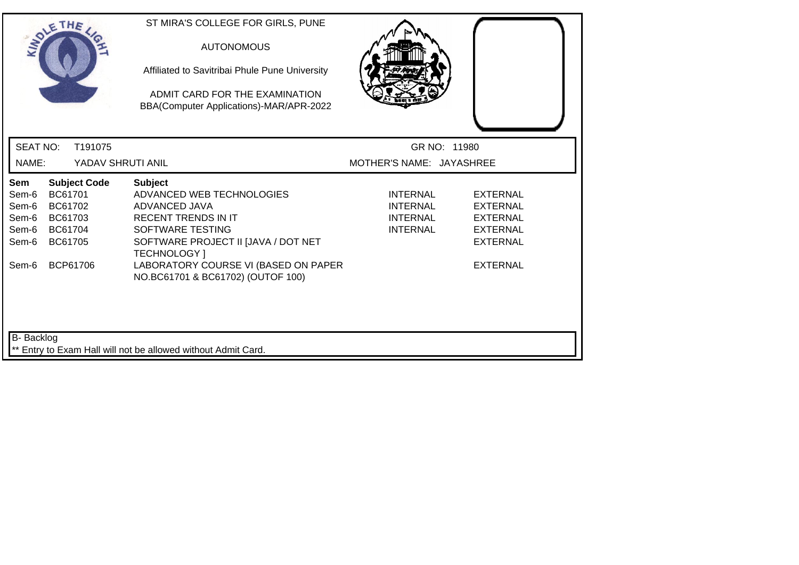|                                                           | SOLETHE .                                                       |                     | ST MIRA'S COLLEGE FOR GIRLS, PUNE<br><b>AUTONOMOUS</b><br>Affiliated to Savitribai Phule Pune University<br>ADMIT CARD FOR THE EXAMINATION<br>BBA(Computer Applications)-MAR/APR-2022                                |                                                                          |                                                                                                         |
|-----------------------------------------------------------|-----------------------------------------------------------------|---------------------|----------------------------------------------------------------------------------------------------------------------------------------------------------------------------------------------------------------------|--------------------------------------------------------------------------|---------------------------------------------------------------------------------------------------------|
| <b>SEAT NO:</b>                                           |                                                                 | T191075             |                                                                                                                                                                                                                      |                                                                          | GR NO: 11980                                                                                            |
| NAME:                                                     |                                                                 | YADAV SHRUTI ANIL   |                                                                                                                                                                                                                      | MOTHER'S NAME: JAYASHREE                                                 |                                                                                                         |
| Sem<br>Sem-6<br>Sem-6<br>Sem-6<br>Sem-6<br>Sem-6<br>Sem-6 | BC61701<br>BC61702<br>BC61703<br>BC61704<br>BC61705<br>BCP61706 | <b>Subject Code</b> | <b>Subject</b><br>ADVANCED WEB TECHNOLOGIES<br>ADVANCED JAVA<br><b>RECENT TRENDS IN IT</b><br>SOFTWARE TESTING<br>SOFTWARE PROJECT II [JAVA / DOT NET<br><b>TECHNOLOGY</b> 1<br>LABORATORY COURSE VI (BASED ON PAPER | <b>INTERNAL</b><br><b>INTERNAL</b><br><b>INTERNAL</b><br><b>INTERNAL</b> | <b>EXTERNAL</b><br>EXTERNAL<br><b>EXTERNAL</b><br><b>EXTERNAL</b><br><b>EXTERNAL</b><br><b>EXTERNAL</b> |
| <b>B-</b> Backlog                                         |                                                                 |                     | NO.BC61701 & BC61702) (OUTOF 100)<br>** Entry to Exam Hall will not be allowed without Admit Card.                                                                                                                   |                                                                          |                                                                                                         |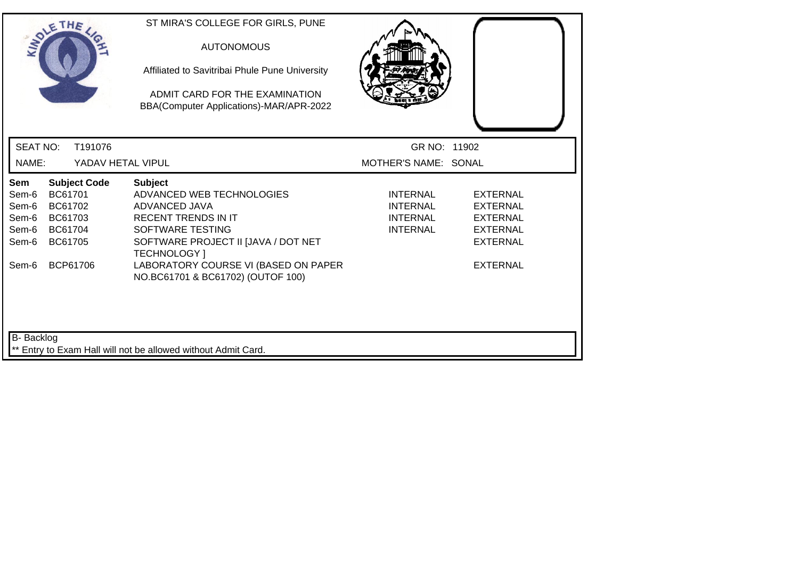| SOLETHE                                                                                                                        | ST MIRA'S COLLEGE FOR GIRLS, PUNE<br><b>AUTONOMOUS</b><br>Affiliated to Savitribai Phule Pune University<br>ADMIT CARD FOR THE EXAMINATION<br>BBA(Computer Applications)-MAR/APR-2022 |                                                                   |                                                                                             |
|--------------------------------------------------------------------------------------------------------------------------------|---------------------------------------------------------------------------------------------------------------------------------------------------------------------------------------|-------------------------------------------------------------------|---------------------------------------------------------------------------------------------|
| <b>SEAT NO:</b><br>T191076                                                                                                     |                                                                                                                                                                                       | GR NO: 11902                                                      |                                                                                             |
| NAME:<br>YADAV HETAL VIPUL                                                                                                     |                                                                                                                                                                                       | MOTHER'S NAME: SONAL                                              |                                                                                             |
| <b>Subject Code</b><br>Sem<br>BC61701<br>Sem-6<br>Sem-6<br>BC61702<br>Sem-6<br>BC61703<br>BC61704<br>Sem-6<br>Sem-6<br>BC61705 | <b>Subject</b><br>ADVANCED WEB TECHNOLOGIES<br>ADVANCED JAVA<br><b>RECENT TRENDS IN IT</b><br>SOFTWARE TESTING<br>SOFTWARE PROJECT II [JAVA / DOT NET<br><b>TECHNOLOGY</b> 1          | <b>INTERNAL</b><br><b>INTERNAL</b><br>INTERNAL<br><b>INTERNAL</b> | <b>EXTERNAL</b><br><b>EXTERNAL</b><br><b>EXTERNAL</b><br><b>EXTERNAL</b><br><b>EXTERNAL</b> |
| BCP61706<br>Sem-6                                                                                                              | LABORATORY COURSE VI (BASED ON PAPER<br>NO.BC61701 & BC61702) (OUTOF 100)                                                                                                             |                                                                   | <b>EXTERNAL</b>                                                                             |
| <b>B-</b> Backlog                                                                                                              | ** Entry to Exam Hall will not be allowed without Admit Card.                                                                                                                         |                                                                   |                                                                                             |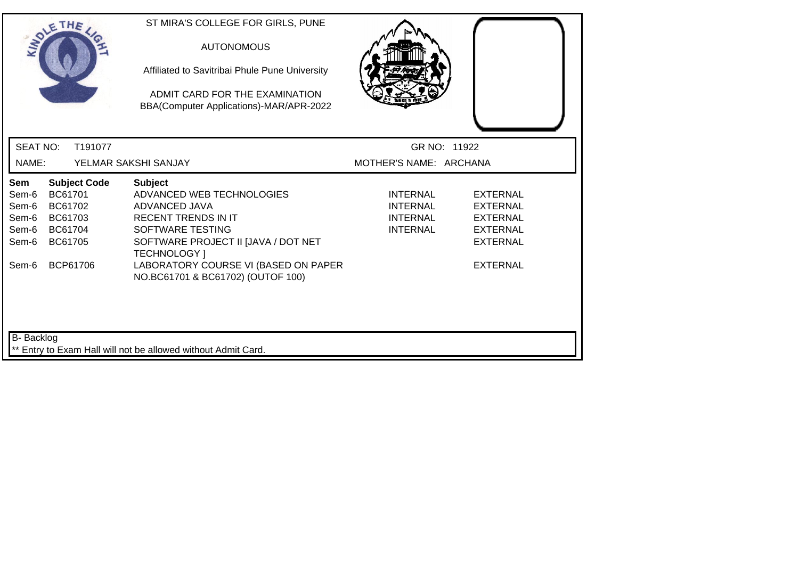|                                                           | SOLETHE .                                                                              | ST MIRA'S COLLEGE FOR GIRLS, PUNE<br><b>AUTONOMOUS</b><br>Affiliated to Savitribai Phule Pune University<br>ADMIT CARD FOR THE EXAMINATION<br>BBA(Computer Applications)-MAR/APR-2022                                |                                                                          |                                                                                                                |
|-----------------------------------------------------------|----------------------------------------------------------------------------------------|----------------------------------------------------------------------------------------------------------------------------------------------------------------------------------------------------------------------|--------------------------------------------------------------------------|----------------------------------------------------------------------------------------------------------------|
| <b>SEAT NO:</b>                                           | T191077                                                                                |                                                                                                                                                                                                                      |                                                                          | GR NO: 11922                                                                                                   |
| NAME:                                                     |                                                                                        | YELMAR SAKSHI SANJAY                                                                                                                                                                                                 | MOTHER'S NAME: ARCHANA                                                   |                                                                                                                |
| Sem<br>Sem-6<br>Sem-6<br>Sem-6<br>Sem-6<br>Sem-6<br>Sem-6 | <b>Subject Code</b><br>BC61701<br>BC61702<br>BC61703<br>BC61704<br>BC61705<br>BCP61706 | <b>Subject</b><br>ADVANCED WEB TECHNOLOGIES<br>ADVANCED JAVA<br><b>RECENT TRENDS IN IT</b><br>SOFTWARE TESTING<br>SOFTWARE PROJECT II [JAVA / DOT NET<br><b>TECHNOLOGY</b> 1<br>LABORATORY COURSE VI (BASED ON PAPER | <b>INTERNAL</b><br><b>INTERNAL</b><br><b>INTERNAL</b><br><b>INTERNAL</b> | <b>EXTERNAL</b><br><b>EXTERNAL</b><br><b>EXTERNAL</b><br><b>EXTERNAL</b><br><b>EXTERNAL</b><br><b>EXTERNAL</b> |
| <b>B-</b> Backlog                                         |                                                                                        | NO.BC61701 & BC61702) (OUTOF 100)<br>Entry to Exam Hall will not be allowed without Admit Card.                                                                                                                      |                                                                          |                                                                                                                |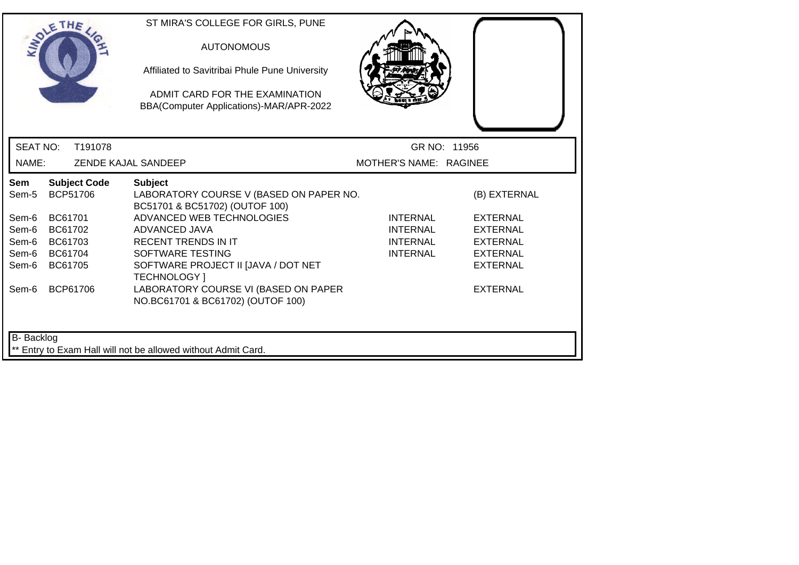| SOLETHE                                                            |                                                     |                                             | ST MIRA'S COLLEGE FOR GIRLS, PUNE<br><b>AUTONOMOUS</b><br>Affiliated to Savitribai Phule Pune University<br>ADMIT CARD FOR THE EXAMINATION<br>BBA(Computer Applications)-MAR/APR-2022                                                                                                                                           |                                                            |                                                                                                                                |
|--------------------------------------------------------------------|-----------------------------------------------------|---------------------------------------------|---------------------------------------------------------------------------------------------------------------------------------------------------------------------------------------------------------------------------------------------------------------------------------------------------------------------------------|------------------------------------------------------------|--------------------------------------------------------------------------------------------------------------------------------|
| <b>SEAT NO:</b>                                                    |                                                     | T191078                                     |                                                                                                                                                                                                                                                                                                                                 | GR NO: 11956                                               |                                                                                                                                |
| NAME:                                                              |                                                     |                                             | <b>ZENDE KAJAL SANDEEP</b>                                                                                                                                                                                                                                                                                                      | MOTHER'S NAME: RAGINEE                                     |                                                                                                                                |
| Sem<br>Sem-5<br>Sem-6<br>Sem-6<br>Sem-6<br>Sem-6<br>Sem-6<br>Sem-6 | BC61701<br>BC61702<br>BC61703<br>BC61704<br>BC61705 | <b>Subject Code</b><br>BCP51706<br>BCP61706 | <b>Subject</b><br>LABORATORY COURSE V (BASED ON PAPER NO.<br>BC51701 & BC51702) (OUTOF 100)<br>ADVANCED WEB TECHNOLOGIES<br>ADVANCED JAVA<br><b>RECENT TRENDS IN IT</b><br>SOFTWARE TESTING<br>SOFTWARE PROJECT II [JAVA / DOT NET<br>TECHNOLOGY ]<br>LABORATORY COURSE VI (BASED ON PAPER<br>NO.BC61701 & BC61702) (OUTOF 100) | <b>INTERNAL</b><br>INTERNAL<br>INTERNAL<br><b>INTERNAL</b> | (B) EXTERNAL<br><b>EXTERNAL</b><br><b>EXTERNAL</b><br><b>EXTERNAL</b><br><b>EXTERNAL</b><br><b>EXTERNAL</b><br><b>EXTERNAL</b> |
| B- Backlog                                                         |                                                     |                                             | ** Entry to Exam Hall will not be allowed without Admit Card.                                                                                                                                                                                                                                                                   |                                                            |                                                                                                                                |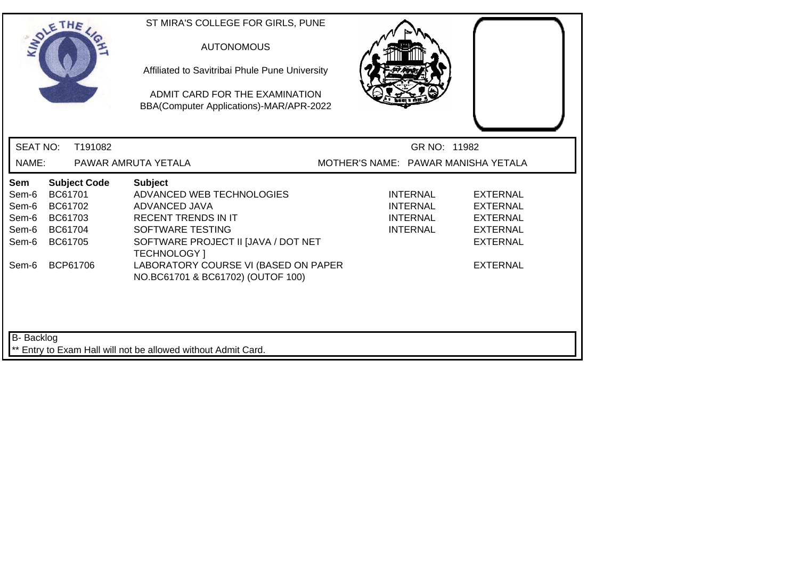| SOLETHE .                                                        |                                                                 |                     | ST MIRA'S COLLEGE FOR GIRLS, PUNE<br><b>AUTONOMOUS</b><br>Affiliated to Savitribai Phule Pune University<br>ADMIT CARD FOR THE EXAMINATION<br>BBA(Computer Applications)-MAR/APR-2022                                |                                     |                                                                          |                                                                                                         |
|------------------------------------------------------------------|-----------------------------------------------------------------|---------------------|----------------------------------------------------------------------------------------------------------------------------------------------------------------------------------------------------------------------|-------------------------------------|--------------------------------------------------------------------------|---------------------------------------------------------------------------------------------------------|
| <b>SEAT NO:</b>                                                  |                                                                 | T191082             |                                                                                                                                                                                                                      |                                     | GR NO: 11982                                                             |                                                                                                         |
| NAME:                                                            |                                                                 |                     | PAWAR AMRUTA YETALA                                                                                                                                                                                                  | MOTHER'S NAME: PAWAR MANISHA YETALA |                                                                          |                                                                                                         |
| <b>Sem</b><br>Sem-6<br>Sem-6<br>Sem-6<br>Sem-6<br>Sem-6<br>Sem-6 | BC61701<br>BC61702<br>BC61703<br>BC61704<br>BC61705<br>BCP61706 | <b>Subject Code</b> | <b>Subject</b><br>ADVANCED WEB TECHNOLOGIES<br>ADVANCED JAVA<br><b>RECENT TRENDS IN IT</b><br>SOFTWARE TESTING<br>SOFTWARE PROJECT II [JAVA / DOT NET<br><b>TECHNOLOGY</b> 1<br>LABORATORY COURSE VI (BASED ON PAPER |                                     | <b>INTERNAL</b><br><b>INTERNAL</b><br><b>INTERNAL</b><br><b>INTERNAL</b> | EXTERNAL<br><b>EXTERNAL</b><br><b>EXTERNAL</b><br><b>EXTERNAL</b><br><b>EXTERNAL</b><br><b>EXTERNAL</b> |
| <b>B-</b> Backlog                                                |                                                                 |                     | NO.BC61701 & BC61702) (OUTOF 100)<br>** Entry to Exam Hall will not be allowed without Admit Card.                                                                                                                   |                                     |                                                                          |                                                                                                         |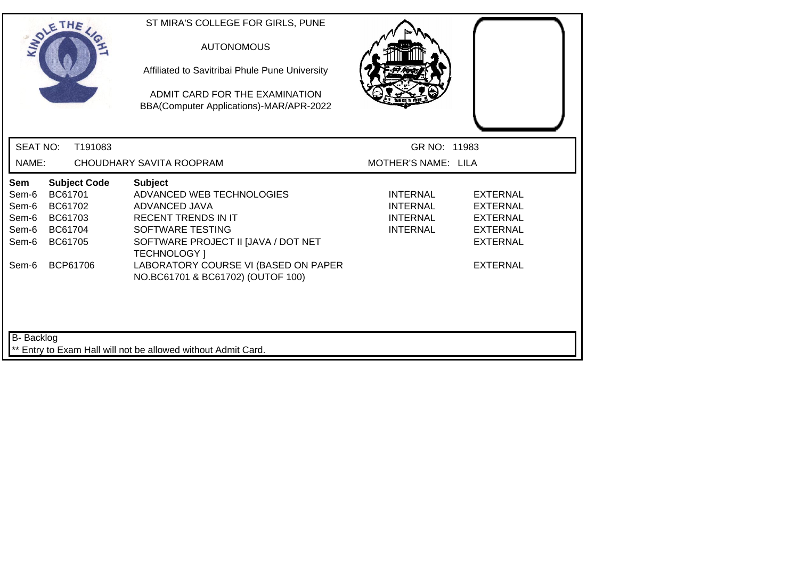|                                                           | SOLETHE                                                                                | ST MIRA'S COLLEGE FOR GIRLS, PUNE<br><b>AUTONOMOUS</b><br>Affiliated to Savitribai Phule Pune University<br>ADMIT CARD FOR THE EXAMINATION<br>BBA(Computer Applications)-MAR/APR-2022                                                                     |                                                                          |                                                                                                         |
|-----------------------------------------------------------|----------------------------------------------------------------------------------------|-----------------------------------------------------------------------------------------------------------------------------------------------------------------------------------------------------------------------------------------------------------|--------------------------------------------------------------------------|---------------------------------------------------------------------------------------------------------|
| <b>SEAT NO:</b>                                           | T191083                                                                                |                                                                                                                                                                                                                                                           | GR NO: 11983                                                             |                                                                                                         |
| NAME:                                                     |                                                                                        | CHOUDHARY SAVITA ROOPRAM                                                                                                                                                                                                                                  | <b>MOTHER'S NAME: LILA</b>                                               |                                                                                                         |
| Sem<br>Sem-6<br>Sem-6<br>Sem-6<br>Sem-6<br>Sem-6<br>Sem-6 | <b>Subject Code</b><br>BC61701<br>BC61702<br>BC61703<br>BC61704<br>BC61705<br>BCP61706 | <b>Subject</b><br>ADVANCED WEB TECHNOLOGIES<br>ADVANCED JAVA<br><b>RECENT TRENDS IN IT</b><br>SOFTWARE TESTING<br>SOFTWARE PROJECT II [JAVA / DOT NET<br><b>TECHNOLOGY</b> 1<br>LABORATORY COURSE VI (BASED ON PAPER<br>NO.BC61701 & BC61702) (OUTOF 100) | <b>INTERNAL</b><br><b>INTERNAL</b><br><b>INTERNAL</b><br><b>INTERNAL</b> | <b>EXTERNAL</b><br>EXTERNAL<br><b>EXTERNAL</b><br><b>EXTERNAL</b><br><b>EXTERNAL</b><br><b>EXTERNAL</b> |
| B- Backlog                                                |                                                                                        | ** Entry to Exam Hall will not be allowed without Admit Card.                                                                                                                                                                                             |                                                                          |                                                                                                         |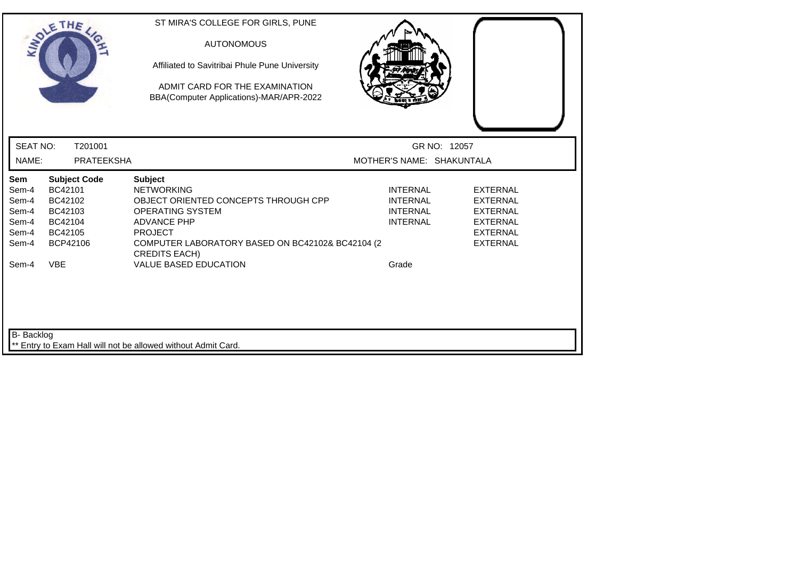|                                                                    | SOLETHE,                                                                                             | ST MIRA'S COLLEGE FOR GIRLS, PUNE<br><b>AUTONOMOUS</b><br>Affiliated to Savitribai Phule Pune University<br>ADMIT CARD FOR THE EXAMINATION<br>BBA(Computer Applications)-MAR/APR-2022                                                                      |                                                                                   |                                                                                                                |
|--------------------------------------------------------------------|------------------------------------------------------------------------------------------------------|------------------------------------------------------------------------------------------------------------------------------------------------------------------------------------------------------------------------------------------------------------|-----------------------------------------------------------------------------------|----------------------------------------------------------------------------------------------------------------|
| <b>SEAT NO:</b>                                                    | T201001                                                                                              |                                                                                                                                                                                                                                                            | GR NO: 12057                                                                      |                                                                                                                |
| NAME:                                                              | <b>PRATEEKSHA</b>                                                                                    |                                                                                                                                                                                                                                                            | MOTHER'S NAME: SHAKUNTALA                                                         |                                                                                                                |
| Sem<br>Sem-4<br>Sem-4<br>Sem-4<br>Sem-4<br>Sem-4<br>Sem-4<br>Sem-4 | <b>Subject Code</b><br>BC42101<br>BC42102<br>BC42103<br>BC42104<br>BC42105<br>BCP42106<br><b>VBE</b> | <b>Subject</b><br><b>NETWORKING</b><br>OBJECT ORIENTED CONCEPTS THROUGH CPP<br><b>OPERATING SYSTEM</b><br><b>ADVANCE PHP</b><br><b>PROJECT</b><br>COMPUTER LABORATORY BASED ON BC42102& BC42104 (2<br><b>CREDITS EACH)</b><br><b>VALUE BASED EDUCATION</b> | <b>INTERNAL</b><br><b>INTERNAL</b><br><b>INTERNAL</b><br><b>INTERNAL</b><br>Grade | <b>EXTERNAL</b><br><b>EXTERNAL</b><br><b>EXTERNAL</b><br><b>EXTERNAL</b><br><b>EXTERNAL</b><br><b>EXTERNAL</b> |
| <b>B-</b> Backlog                                                  |                                                                                                      | Entry to Exam Hall will not be allowed without Admit Card.                                                                                                                                                                                                 |                                                                                   |                                                                                                                |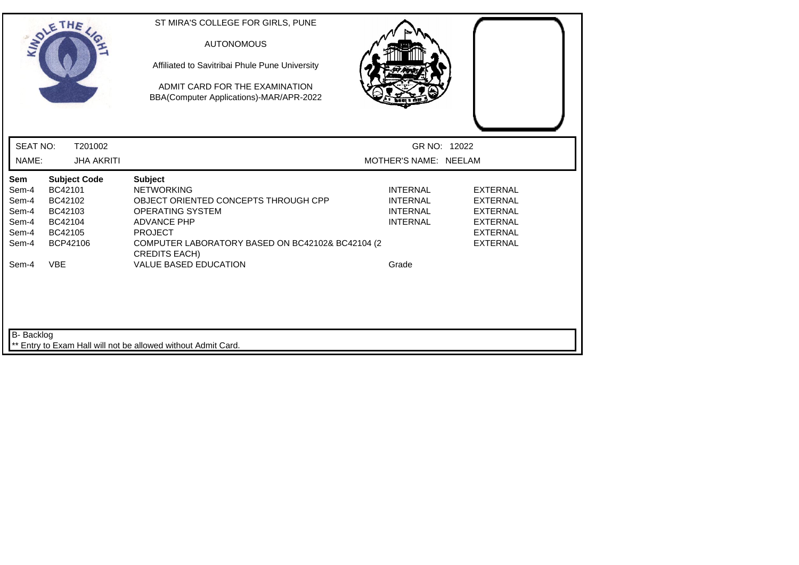|                                                                    | SOLETHE ,                                                                                            | ST MIRA'S COLLEGE FOR GIRLS, PUNE<br><b>AUTONOMOUS</b><br>Affiliated to Savitribai Phule Pune University<br>ADMIT CARD FOR THE EXAMINATION<br>BBA(Computer Applications)-MAR/APR-2022                                                                      |                                                                                   |                                                                                                                |
|--------------------------------------------------------------------|------------------------------------------------------------------------------------------------------|------------------------------------------------------------------------------------------------------------------------------------------------------------------------------------------------------------------------------------------------------------|-----------------------------------------------------------------------------------|----------------------------------------------------------------------------------------------------------------|
| <b>SEAT NO:</b>                                                    | T201002                                                                                              |                                                                                                                                                                                                                                                            | GR NO: 12022                                                                      |                                                                                                                |
| NAME:                                                              | <b>JHA AKRITI</b>                                                                                    |                                                                                                                                                                                                                                                            | MOTHER'S NAME: NEELAM                                                             |                                                                                                                |
| Sem<br>Sem-4<br>Sem-4<br>Sem-4<br>Sem-4<br>Sem-4<br>Sem-4<br>Sem-4 | <b>Subject Code</b><br>BC42101<br>BC42102<br>BC42103<br>BC42104<br>BC42105<br>BCP42106<br><b>VBE</b> | <b>Subject</b><br><b>NETWORKING</b><br>OBJECT ORIENTED CONCEPTS THROUGH CPP<br><b>OPERATING SYSTEM</b><br><b>ADVANCE PHP</b><br><b>PROJECT</b><br>COMPUTER LABORATORY BASED ON BC42102& BC42104 (2<br><b>CREDITS EACH)</b><br><b>VALUE BASED EDUCATION</b> | <b>INTERNAL</b><br><b>INTERNAL</b><br><b>INTERNAL</b><br><b>INTERNAL</b><br>Grade | <b>EXTERNAL</b><br><b>EXTERNAL</b><br><b>EXTERNAL</b><br><b>EXTERNAL</b><br><b>EXTERNAL</b><br><b>EXTERNAL</b> |
| B- Backlog                                                         |                                                                                                      | ** Entry to Exam Hall will not be allowed without Admit Card.                                                                                                                                                                                              |                                                                                   |                                                                                                                |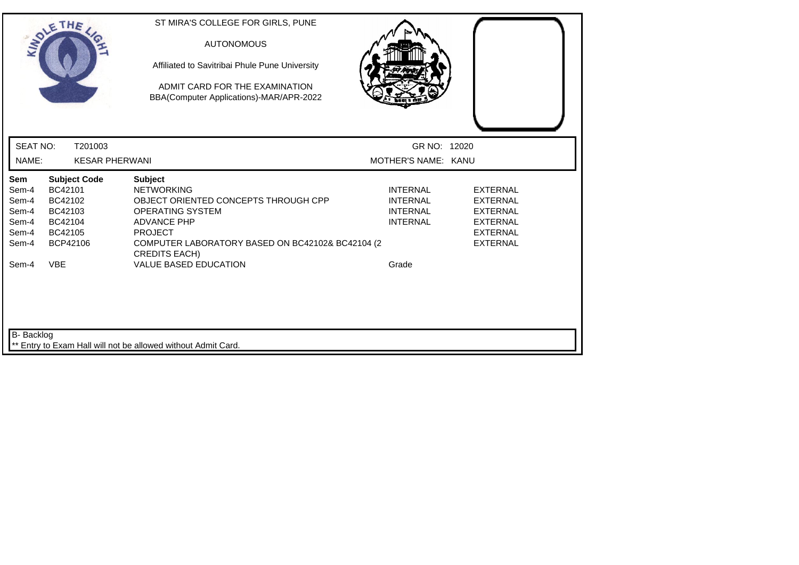|                                                                    | SOLETHE ,                                                                                            | ST MIRA'S COLLEGE FOR GIRLS, PUNE<br><b>AUTONOMOUS</b><br>Affiliated to Savitribai Phule Pune University<br>ADMIT CARD FOR THE EXAMINATION<br>BBA(Computer Applications)-MAR/APR-2022                                                               |                                                                                   |                                                                                                         |
|--------------------------------------------------------------------|------------------------------------------------------------------------------------------------------|-----------------------------------------------------------------------------------------------------------------------------------------------------------------------------------------------------------------------------------------------------|-----------------------------------------------------------------------------------|---------------------------------------------------------------------------------------------------------|
| <b>SEAT NO:</b>                                                    | T201003                                                                                              |                                                                                                                                                                                                                                                     | GR NO: 12020                                                                      |                                                                                                         |
| NAME:                                                              | <b>KESAR PHERWANI</b>                                                                                |                                                                                                                                                                                                                                                     | MOTHER'S NAME: KANU                                                               |                                                                                                         |
| Sem<br>Sem-4<br>Sem-4<br>Sem-4<br>Sem-4<br>Sem-4<br>Sem-4<br>Sem-4 | <b>Subject Code</b><br>BC42101<br>BC42102<br>BC42103<br>BC42104<br>BC42105<br>BCP42106<br><b>VBE</b> | <b>Subject</b><br><b>NETWORKING</b><br>OBJECT ORIENTED CONCEPTS THROUGH CPP<br>OPERATING SYSTEM<br><b>ADVANCE PHP</b><br><b>PROJECT</b><br>COMPUTER LABORATORY BASED ON BC42102& BC42104 (2<br><b>CREDITS EACH)</b><br><b>VALUE BASED EDUCATION</b> | <b>INTERNAL</b><br><b>INTERNAL</b><br><b>INTERNAL</b><br><b>INTERNAL</b><br>Grade | <b>EXTERNAL</b><br>EXTERNAL<br><b>EXTERNAL</b><br><b>EXTERNAL</b><br><b>EXTERNAL</b><br><b>EXTERNAL</b> |
| B- Backlog                                                         |                                                                                                      | ** Entry to Exam Hall will not be allowed without Admit Card.                                                                                                                                                                                       |                                                                                   |                                                                                                         |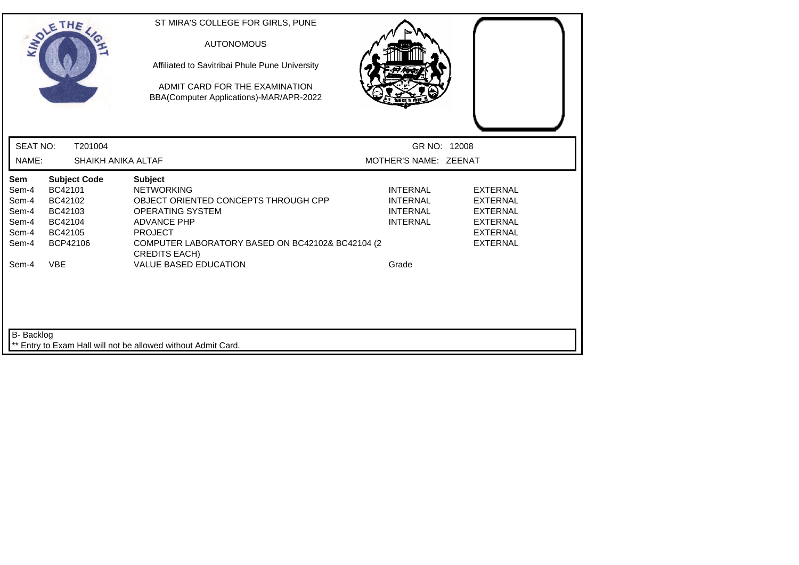| ST MIRA'S COLLEGE FOR GIRLS, PUNE                                         |                                                                                                           |                                                                                                                           |
|---------------------------------------------------------------------------|-----------------------------------------------------------------------------------------------------------|---------------------------------------------------------------------------------------------------------------------------|
| Affiliated to Savitribai Phule Pune University                            |                                                                                                           |                                                                                                                           |
| ADMIT CARD FOR THE EXAMINATION<br>BBA(Computer Applications)-MAR/APR-2022 |                                                                                                           |                                                                                                                           |
|                                                                           |                                                                                                           |                                                                                                                           |
| SHAIKH ANIKA ALTAF                                                        | MOTHER'S NAME: ZEENAT                                                                                     |                                                                                                                           |
| <b>Subject</b>                                                            |                                                                                                           |                                                                                                                           |
|                                                                           |                                                                                                           | <b>EXTERNAL</b><br><b>EXTERNAL</b>                                                                                        |
|                                                                           |                                                                                                           | <b>EXTERNAL</b>                                                                                                           |
| <b>ADVANCE PHP</b>                                                        | <b>INTERNAL</b>                                                                                           | <b>EXTERNAL</b>                                                                                                           |
| <b>PROJECT</b>                                                            |                                                                                                           | <b>EXTERNAL</b>                                                                                                           |
| <b>CREDITS EACH)</b>                                                      |                                                                                                           | <b>EXTERNAL</b>                                                                                                           |
| <b>VALUE BASED EDUCATION</b>                                              | Grade                                                                                                     |                                                                                                                           |
|                                                                           |                                                                                                           |                                                                                                                           |
| ** Entry to Exam Hall will not be allowed without Admit Card.             |                                                                                                           |                                                                                                                           |
|                                                                           | <b>AUTONOMOUS</b><br><b>NETWORKING</b><br>OBJECT ORIENTED CONCEPTS THROUGH CPP<br><b>OPERATING SYSTEM</b> | GR NO: 12008<br><b>INTERNAL</b><br><b>INTERNAL</b><br><b>INTERNAL</b><br>COMPUTER LABORATORY BASED ON BC42102& BC42104 (2 |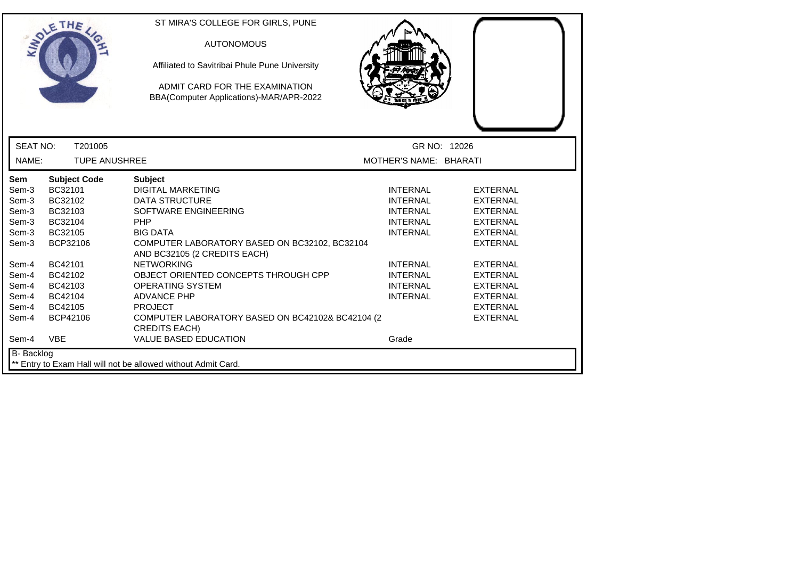| THE                                                                                                                                                                                                                                                                          | ST MIRA'S COLLEGE FOR GIRLS, PUNE<br><b>AUTONOMOUS</b><br>Affiliated to Savitribai Phule Pune University<br>ADMIT CARD FOR THE EXAMINATION<br>BBA(Computer Applications)-MAR/APR-2022                                                                                                                                                                                                                                                              |                                                                                                                                                                                  |                                                                                                                                                                                                                                  |  |
|------------------------------------------------------------------------------------------------------------------------------------------------------------------------------------------------------------------------------------------------------------------------------|----------------------------------------------------------------------------------------------------------------------------------------------------------------------------------------------------------------------------------------------------------------------------------------------------------------------------------------------------------------------------------------------------------------------------------------------------|----------------------------------------------------------------------------------------------------------------------------------------------------------------------------------|----------------------------------------------------------------------------------------------------------------------------------------------------------------------------------------------------------------------------------|--|
| <b>SEAT NO:</b><br>T201005                                                                                                                                                                                                                                                   |                                                                                                                                                                                                                                                                                                                                                                                                                                                    | GR NO: 12026                                                                                                                                                                     |                                                                                                                                                                                                                                  |  |
| NAME:<br><b>TUPE ANUSHREE</b>                                                                                                                                                                                                                                                |                                                                                                                                                                                                                                                                                                                                                                                                                                                    | MOTHER'S NAME: BHARATI                                                                                                                                                           |                                                                                                                                                                                                                                  |  |
| Sem<br><b>Subject Code</b><br>BC32101<br>Sem-3<br>Sem-3<br>BC32102<br>Sem-3<br>BC32103<br>Sem-3<br>BC32104<br>BC32105<br>Sem-3<br>BCP32106<br>Sem-3<br>BC42101<br>Sem-4<br>Sem-4<br>BC42102<br>Sem-4<br>BC42103<br>Sem-4<br>BC42104<br>Sem-4<br>BC42105<br>BCP42106<br>Sem-4 | <b>Subject</b><br><b>DIGITAL MARKETING</b><br><b>DATA STRUCTURE</b><br>SOFTWARE ENGINEERING<br><b>PHP</b><br><b>BIG DATA</b><br>COMPUTER LABORATORY BASED ON BC32102, BC32104<br>AND BC32105 (2 CREDITS EACH)<br><b>NETWORKING</b><br>OBJECT ORIENTED CONCEPTS THROUGH CPP<br>OPERATING SYSTEM<br><b>ADVANCE PHP</b><br><b>PROJECT</b><br>COMPUTER LABORATORY BASED ON BC42102& BC42104 (2<br><b>CREDITS EACH)</b><br><b>VALUE BASED EDUCATION</b> | <b>INTERNAL</b><br><b>INTERNAL</b><br><b>INTERNAL</b><br><b>INTERNAL</b><br><b>INTERNAL</b><br><b>INTERNAL</b><br><b>INTERNAL</b><br><b>INTERNAL</b><br><b>INTERNAL</b><br>Grade | <b>EXTERNAL</b><br><b>EXTERNAL</b><br><b>EXTERNAL</b><br><b>EXTERNAL</b><br><b>EXTERNAL</b><br><b>EXTERNAL</b><br><b>EXTERNAL</b><br><b>EXTERNAL</b><br><b>EXTERNAL</b><br><b>EXTERNAL</b><br><b>EXTERNAL</b><br><b>EXTERNAL</b> |  |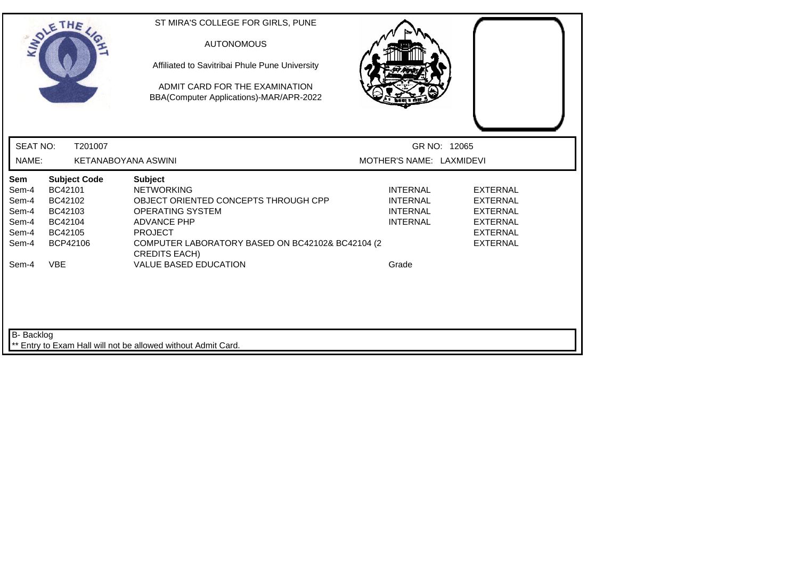|                                                                    | SOLETHE ,                                                                                            | ST MIRA'S COLLEGE FOR GIRLS, PUNE<br><b>AUTONOMOUS</b><br>Affiliated to Savitribai Phule Pune University<br>ADMIT CARD FOR THE EXAMINATION<br>BBA(Computer Applications)-MAR/APR-2022                                                                      |                                                                                   |                                                                                                                |
|--------------------------------------------------------------------|------------------------------------------------------------------------------------------------------|------------------------------------------------------------------------------------------------------------------------------------------------------------------------------------------------------------------------------------------------------------|-----------------------------------------------------------------------------------|----------------------------------------------------------------------------------------------------------------|
| <b>SEAT NO:</b>                                                    | T201007                                                                                              |                                                                                                                                                                                                                                                            | GR NO: 12065                                                                      |                                                                                                                |
| NAME:                                                              |                                                                                                      | <b>KETANABOYANA ASWINI</b>                                                                                                                                                                                                                                 | MOTHER'S NAME: LAXMIDEVI                                                          |                                                                                                                |
| Sem<br>Sem-4<br>Sem-4<br>Sem-4<br>Sem-4<br>Sem-4<br>Sem-4<br>Sem-4 | <b>Subject Code</b><br>BC42101<br>BC42102<br>BC42103<br>BC42104<br>BC42105<br>BCP42106<br><b>VBE</b> | <b>Subject</b><br><b>NETWORKING</b><br>OBJECT ORIENTED CONCEPTS THROUGH CPP<br><b>OPERATING SYSTEM</b><br><b>ADVANCE PHP</b><br><b>PROJECT</b><br>COMPUTER LABORATORY BASED ON BC42102& BC42104 (2<br><b>CREDITS EACH)</b><br><b>VALUE BASED EDUCATION</b> | <b>INTERNAL</b><br><b>INTERNAL</b><br><b>INTERNAL</b><br><b>INTERNAL</b><br>Grade | <b>EXTERNAL</b><br><b>EXTERNAL</b><br><b>EXTERNAL</b><br><b>EXTERNAL</b><br><b>EXTERNAL</b><br><b>EXTERNAL</b> |
| B- Backlog                                                         |                                                                                                      | Entry to Exam Hall will not be allowed without Admit Card.                                                                                                                                                                                                 |                                                                                   |                                                                                                                |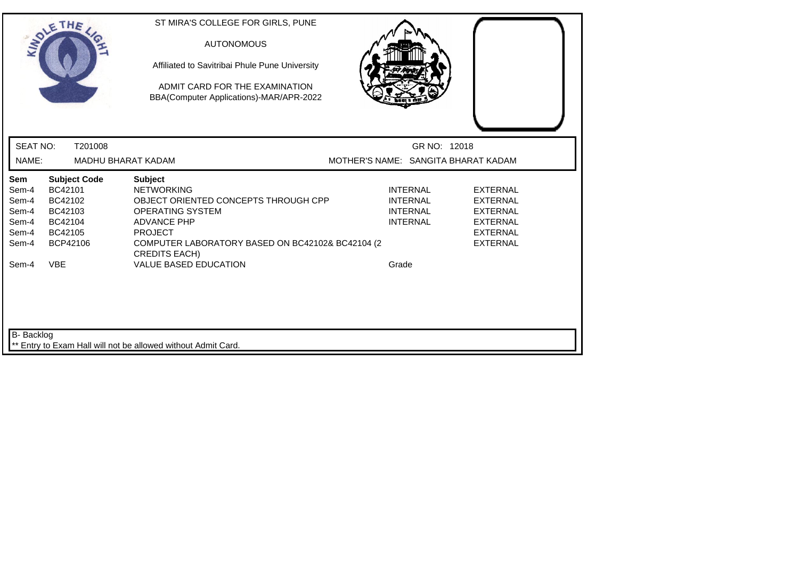|                                                           | SOLETHE ,                                                                              | ST MIRA'S COLLEGE FOR GIRLS, PUNE<br><b>AUTONOMOUS</b><br>Affiliated to Savitribai Phule Pune University<br>ADMIT CARD FOR THE EXAMINATION<br>BBA(Computer Applications)-MAR/APR-2022                                      |                                                                          |                                                                                                                |
|-----------------------------------------------------------|----------------------------------------------------------------------------------------|----------------------------------------------------------------------------------------------------------------------------------------------------------------------------------------------------------------------------|--------------------------------------------------------------------------|----------------------------------------------------------------------------------------------------------------|
| <b>SEAT NO:</b>                                           | T201008                                                                                |                                                                                                                                                                                                                            | GR NO: 12018                                                             |                                                                                                                |
| NAME:                                                     |                                                                                        | MADHU BHARAT KADAM                                                                                                                                                                                                         | MOTHER'S NAME: SANGITA BHARAT KADAM                                      |                                                                                                                |
| Sem<br>Sem-4<br>Sem-4<br>Sem-4<br>Sem-4<br>Sem-4<br>Sem-4 | <b>Subject Code</b><br>BC42101<br>BC42102<br>BC42103<br>BC42104<br>BC42105<br>BCP42106 | <b>Subject</b><br><b>NETWORKING</b><br>OBJECT ORIENTED CONCEPTS THROUGH CPP<br><b>OPERATING SYSTEM</b><br><b>ADVANCE PHP</b><br><b>PROJECT</b><br>COMPUTER LABORATORY BASED ON BC42102& BC42104 (2<br><b>CREDITS EACH)</b> | <b>INTERNAL</b><br><b>INTERNAL</b><br><b>INTERNAL</b><br><b>INTERNAL</b> | <b>EXTERNAL</b><br><b>EXTERNAL</b><br><b>EXTERNAL</b><br><b>EXTERNAL</b><br><b>EXTERNAL</b><br><b>EXTERNAL</b> |
| Sem-4<br>B- Backlog                                       | <b>VBE</b>                                                                             | <b>VALUE BASED EDUCATION</b><br>** Entry to Exam Hall will not be allowed without Admit Card.                                                                                                                              | Grade                                                                    |                                                                                                                |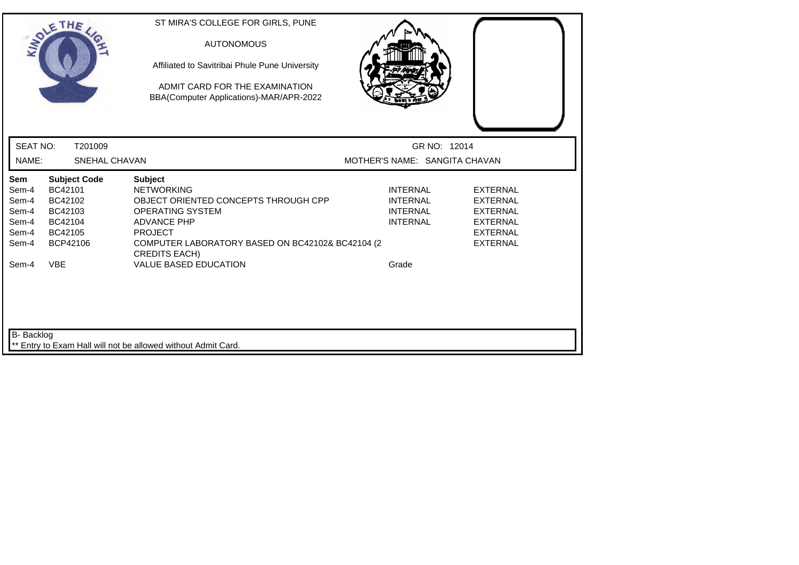|                          | SOLETHE,                        | ST MIRA'S COLLEGE FOR GIRLS, PUNE<br><b>AUTONOMOUS</b><br>Affiliated to Savitribai Phule Pune University<br>ADMIT CARD FOR THE EXAMINATION<br>BBA(Computer Applications)-MAR/APR-2022 |                                               |                                    |
|--------------------------|---------------------------------|---------------------------------------------------------------------------------------------------------------------------------------------------------------------------------------|-----------------------------------------------|------------------------------------|
| <b>SEAT NO:</b><br>NAME: | T201009<br><b>SNEHAL CHAVAN</b> |                                                                                                                                                                                       | GR NO: 12014<br>MOTHER'S NAME: SANGITA CHAVAN |                                    |
| Sem                      | <b>Subject Code</b>             | <b>Subject</b>                                                                                                                                                                        |                                               |                                    |
| Sem-4<br>Sem-4           | BC42101<br>BC42102              | <b>NETWORKING</b><br>OBJECT ORIENTED CONCEPTS THROUGH CPP                                                                                                                             | <b>INTERNAL</b><br><b>INTERNAL</b>            | <b>EXTERNAL</b><br><b>EXTERNAL</b> |
| Sem-4                    | BC42103                         | <b>OPERATING SYSTEM</b>                                                                                                                                                               | <b>INTERNAL</b>                               | <b>EXTERNAL</b>                    |
| Sem-4                    | BC42104                         | <b>ADVANCE PHP</b>                                                                                                                                                                    | <b>INTERNAL</b>                               | <b>EXTERNAL</b>                    |
| Sem-4                    | BC42105                         | <b>PROJECT</b>                                                                                                                                                                        |                                               | <b>EXTERNAL</b>                    |
| Sem-4                    | BCP42106                        | COMPUTER LABORATORY BASED ON BC42102& BC42104 (2<br><b>CREDITS EACH)</b>                                                                                                              |                                               | <b>EXTERNAL</b>                    |
| Sem-4                    | <b>VBE</b>                      | <b>VALUE BASED EDUCATION</b>                                                                                                                                                          | Grade                                         |                                    |
| B- Backlog               |                                 | ** Entry to Exam Hall will not be allowed without Admit Card.                                                                                                                         |                                               |                                    |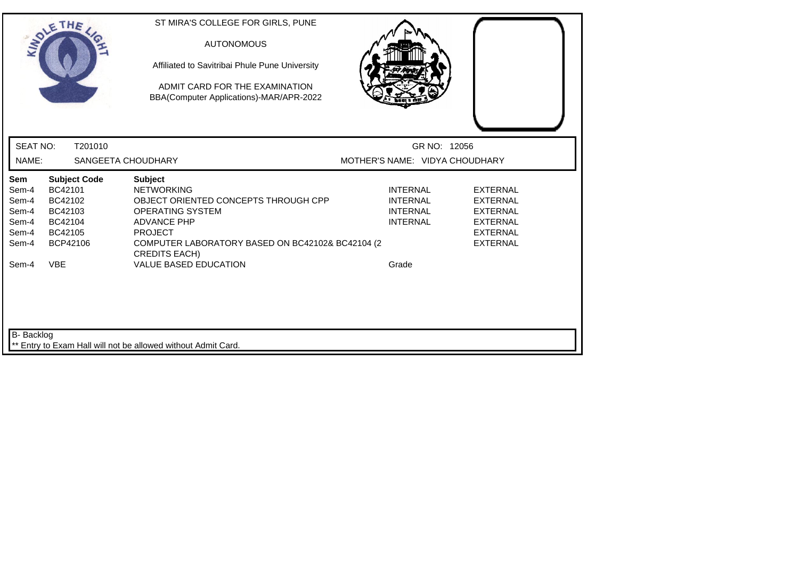| SOLETHE,                                                                                                                                            | ST MIRA'S COLLEGE FOR GIRLS, PUNE<br><b>AUTONOMOUS</b><br>Affiliated to Savitribai Phule Pune University<br>ADMIT CARD FOR THE EXAMINATION<br>BBA(Computer Applications)-MAR/APR-2022                                      |                                                                          |                                                                                                                |
|-----------------------------------------------------------------------------------------------------------------------------------------------------|----------------------------------------------------------------------------------------------------------------------------------------------------------------------------------------------------------------------------|--------------------------------------------------------------------------|----------------------------------------------------------------------------------------------------------------|
| <b>SEAT NO:</b><br>T201010                                                                                                                          |                                                                                                                                                                                                                            | GR NO: 12056                                                             |                                                                                                                |
| NAME:                                                                                                                                               | SANGEETA CHOUDHARY                                                                                                                                                                                                         | MOTHER'S NAME: VIDYA CHOUDHARY                                           |                                                                                                                |
| Sem<br><b>Subject Code</b><br>BC42101<br>Sem-4<br>BC42102<br>Sem-4<br>Sem-4<br>BC42103<br>Sem-4<br>BC42104<br>Sem-4<br>BC42105<br>BCP42106<br>Sem-4 | <b>Subject</b><br><b>NETWORKING</b><br>OBJECT ORIENTED CONCEPTS THROUGH CPP<br><b>OPERATING SYSTEM</b><br><b>ADVANCE PHP</b><br><b>PROJECT</b><br>COMPUTER LABORATORY BASED ON BC42102& BC42104 (2<br><b>CREDITS EACH)</b> | <b>INTERNAL</b><br><b>INTERNAL</b><br><b>INTERNAL</b><br><b>INTERNAL</b> | <b>EXTERNAL</b><br><b>EXTERNAL</b><br><b>EXTERNAL</b><br><b>EXTERNAL</b><br><b>EXTERNAL</b><br><b>EXTERNAL</b> |
| <b>VBE</b><br>Sem-4                                                                                                                                 | <b>VALUE BASED EDUCATION</b>                                                                                                                                                                                               | Grade                                                                    |                                                                                                                |
| B- Backlog                                                                                                                                          | ** Entry to Exam Hall will not be allowed without Admit Card.                                                                                                                                                              |                                                                          |                                                                                                                |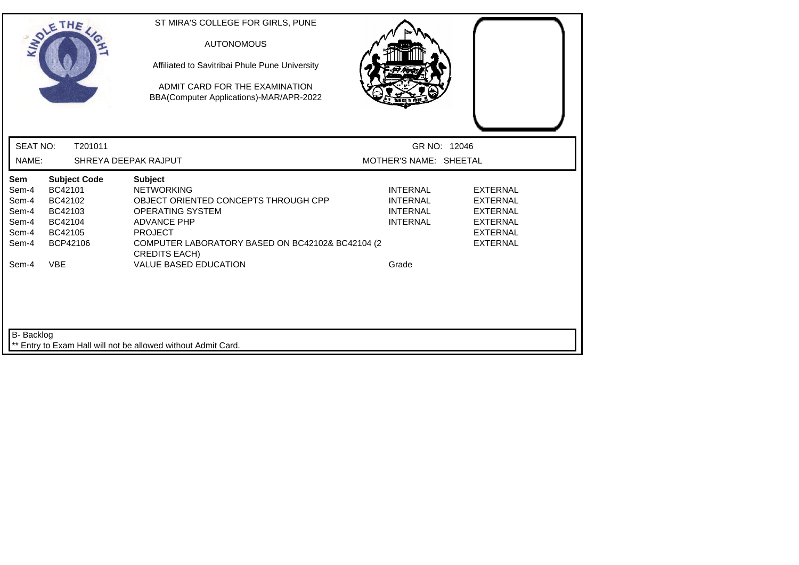|                          | SOLETHE ,           | ST MIRA'S COLLEGE FOR GIRLS, PUNE<br><b>AUTONOMOUS</b><br>Affiliated to Savitribai Phule Pune University<br>ADMIT CARD FOR THE EXAMINATION<br>BBA(Computer Applications)-MAR/APR-2022 |                                        |                                    |
|--------------------------|---------------------|---------------------------------------------------------------------------------------------------------------------------------------------------------------------------------------|----------------------------------------|------------------------------------|
| <b>SEAT NO:</b><br>NAME: | T201011             | SHREYA DEEPAK RAJPUT                                                                                                                                                                  | GR NO: 12046<br>MOTHER'S NAME: SHEETAL |                                    |
| Sem                      | <b>Subject Code</b> | <b>Subject</b>                                                                                                                                                                        |                                        |                                    |
| Sem-4                    | BC42101             | <b>NETWORKING</b>                                                                                                                                                                     | <b>INTERNAL</b>                        | <b>EXTERNAL</b>                    |
| Sem-4<br>Sem-4           | BC42102<br>BC42103  | OBJECT ORIENTED CONCEPTS THROUGH CPP<br><b>OPERATING SYSTEM</b>                                                                                                                       | <b>INTERNAL</b><br><b>INTERNAL</b>     | <b>EXTERNAL</b><br><b>EXTERNAL</b> |
| Sem-4                    | BC42104             | <b>ADVANCE PHP</b>                                                                                                                                                                    | <b>INTERNAL</b>                        | <b>EXTERNAL</b>                    |
| Sem-4                    | BC42105             | <b>PROJECT</b>                                                                                                                                                                        |                                        | <b>EXTERNAL</b>                    |
| Sem-4                    | BCP42106            | COMPUTER LABORATORY BASED ON BC42102& BC42104 (2<br><b>CREDITS EACH)</b>                                                                                                              |                                        | <b>EXTERNAL</b>                    |
| Sem-4                    | <b>VBE</b>          | <b>VALUE BASED EDUCATION</b>                                                                                                                                                          | Grade                                  |                                    |
| B- Backlog               |                     | ** Entry to Exam Hall will not be allowed without Admit Card.                                                                                                                         |                                        |                                    |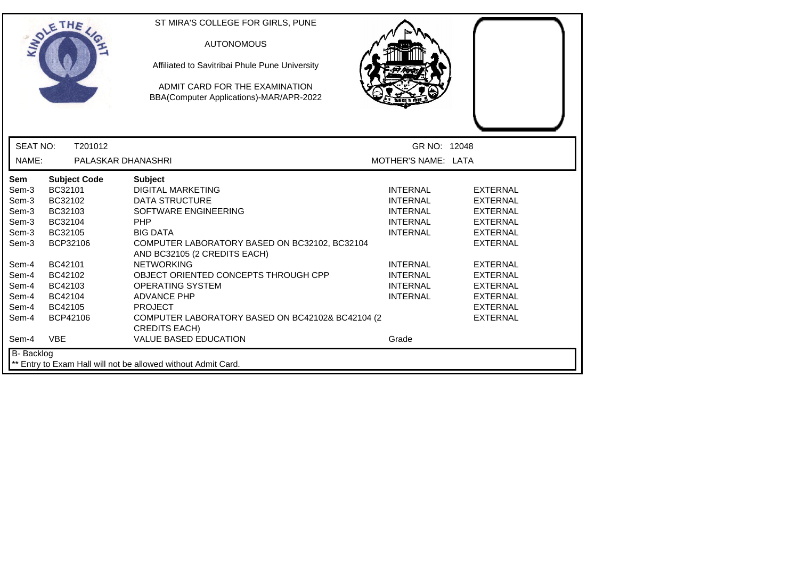| THE                                                                                                                                                                                                                                                                                                        | ST MIRA'S COLLEGE FOR GIRLS, PUNE<br><b>AUTONOMOUS</b><br>Affiliated to Savitribai Phule Pune University<br>ADMIT CARD FOR THE EXAMINATION<br>BBA(Computer Applications)-MAR/APR-2022                                                                                                                                                                                                                                                                                                                                                                                                                                                                                                                                                                                                                                                                                              |
|------------------------------------------------------------------------------------------------------------------------------------------------------------------------------------------------------------------------------------------------------------------------------------------------------------|------------------------------------------------------------------------------------------------------------------------------------------------------------------------------------------------------------------------------------------------------------------------------------------------------------------------------------------------------------------------------------------------------------------------------------------------------------------------------------------------------------------------------------------------------------------------------------------------------------------------------------------------------------------------------------------------------------------------------------------------------------------------------------------------------------------------------------------------------------------------------------|
| <b>SEAT NO:</b><br>T201012                                                                                                                                                                                                                                                                                 | GR NO: 12048                                                                                                                                                                                                                                                                                                                                                                                                                                                                                                                                                                                                                                                                                                                                                                                                                                                                       |
| NAME:                                                                                                                                                                                                                                                                                                      | PALASKAR DHANASHRI<br>MOTHER'S NAME: LATA                                                                                                                                                                                                                                                                                                                                                                                                                                                                                                                                                                                                                                                                                                                                                                                                                                          |
| <b>Subject Code</b><br><b>Sem</b><br>BC32101<br>Sem-3<br>BC32102<br>Sem-3<br>Sem-3<br>BC32103<br>Sem-3<br>BC32104<br>BC32105<br>Sem-3<br>BCP32106<br>Sem-3<br>BC42101<br>Sem-4<br>BC42102<br>Sem-4<br>Sem-4<br>BC42103<br>Sem-4<br>BC42104<br>Sem-4<br>BC42105<br>Sem-4<br>BCP42106<br>Sem-4<br><b>VBE</b> | <b>Subject</b><br><b>DIGITAL MARKETING</b><br><b>INTERNAL</b><br><b>EXTERNAL</b><br><b>DATA STRUCTURE</b><br><b>INTERNAL</b><br><b>EXTERNAL</b><br>SOFTWARE ENGINEERING<br><b>INTERNAL</b><br><b>EXTERNAL</b><br><b>PHP</b><br><b>INTERNAL</b><br><b>EXTERNAL</b><br><b>INTERNAL</b><br><b>BIG DATA</b><br><b>EXTERNAL</b><br>COMPUTER LABORATORY BASED ON BC32102, BC32104<br><b>EXTERNAL</b><br>AND BC32105 (2 CREDITS EACH)<br><b>NETWORKING</b><br><b>INTERNAL</b><br><b>EXTERNAL</b><br>OBJECT ORIENTED CONCEPTS THROUGH CPP<br><b>INTERNAL</b><br><b>EXTERNAL</b><br><b>OPERATING SYSTEM</b><br><b>INTERNAL</b><br><b>EXTERNAL</b><br><b>ADVANCE PHP</b><br><b>INTERNAL</b><br><b>EXTERNAL</b><br><b>PROJECT</b><br><b>EXTERNAL</b><br>COMPUTER LABORATORY BASED ON BC42102& BC42104 (2)<br><b>EXTERNAL</b><br><b>CREDITS EACH)</b><br><b>VALUE BASED EDUCATION</b><br>Grade |
| B- Backlog                                                                                                                                                                                                                                                                                                 | ** Entry to Exam Hall will not be allowed without Admit Card.                                                                                                                                                                                                                                                                                                                                                                                                                                                                                                                                                                                                                                                                                                                                                                                                                      |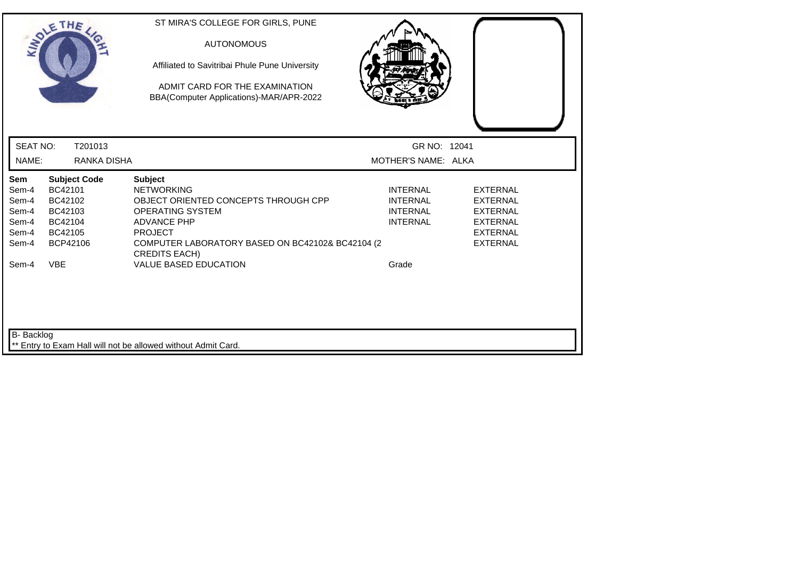| SOLETHE,                                                                                                                                                                   | ST MIRA'S COLLEGE FOR GIRLS, PUNE<br><b>AUTONOMOUS</b><br>Affiliated to Savitribai Phule Pune University<br>ADMIT CARD FOR THE EXAMINATION<br>BBA(Computer Applications)-MAR/APR-2022                                                                      |                                                                                   |                                                                                                                |
|----------------------------------------------------------------------------------------------------------------------------------------------------------------------------|------------------------------------------------------------------------------------------------------------------------------------------------------------------------------------------------------------------------------------------------------------|-----------------------------------------------------------------------------------|----------------------------------------------------------------------------------------------------------------|
| <b>SEAT NO:</b><br>T201013<br>NAME:<br>RANKA DISHA                                                                                                                         |                                                                                                                                                                                                                                                            | GR NO: 12041<br>MOTHER'S NAME: ALKA                                               |                                                                                                                |
|                                                                                                                                                                            |                                                                                                                                                                                                                                                            |                                                                                   |                                                                                                                |
| Sem<br><b>Subject Code</b><br>BC42101<br>Sem-4<br>Sem-4<br>BC42102<br>Sem-4<br>BC42103<br>Sem-4<br>BC42104<br>Sem-4<br>BC42105<br>BCP42106<br>Sem-4<br><b>VBE</b><br>Sem-4 | <b>Subject</b><br><b>NETWORKING</b><br>OBJECT ORIENTED CONCEPTS THROUGH CPP<br><b>OPERATING SYSTEM</b><br><b>ADVANCE PHP</b><br><b>PROJECT</b><br>COMPUTER LABORATORY BASED ON BC42102& BC42104 (2<br><b>CREDITS EACH)</b><br><b>VALUE BASED EDUCATION</b> | <b>INTERNAL</b><br><b>INTERNAL</b><br><b>INTERNAL</b><br><b>INTERNAL</b><br>Grade | <b>EXTERNAL</b><br><b>EXTERNAL</b><br><b>EXTERNAL</b><br><b>EXTERNAL</b><br><b>EXTERNAL</b><br><b>EXTERNAL</b> |
| <b>B-</b> Backlog                                                                                                                                                          | Entry to Exam Hall will not be allowed without Admit Card.                                                                                                                                                                                                 |                                                                                   |                                                                                                                |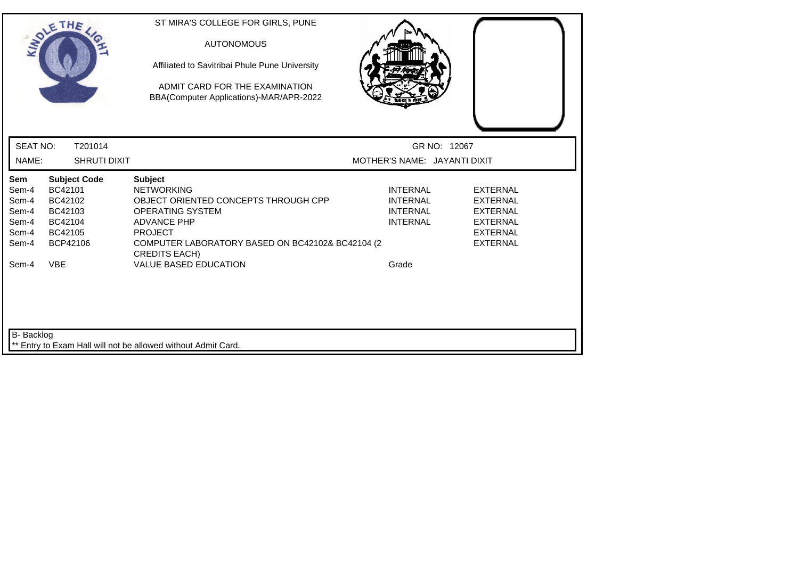|                                                                    | SOLETHE ,                                                                                            | ST MIRA'S COLLEGE FOR GIRLS, PUNE<br><b>AUTONOMOUS</b><br>Affiliated to Savitribai Phule Pune University<br>ADMIT CARD FOR THE EXAMINATION<br>BBA(Computer Applications)-MAR/APR-2022                                                                       |                                                                                   |                                                                                                                |
|--------------------------------------------------------------------|------------------------------------------------------------------------------------------------------|-------------------------------------------------------------------------------------------------------------------------------------------------------------------------------------------------------------------------------------------------------------|-----------------------------------------------------------------------------------|----------------------------------------------------------------------------------------------------------------|
| <b>SEAT NO:</b>                                                    | T201014                                                                                              |                                                                                                                                                                                                                                                             | GR NO: 12067                                                                      |                                                                                                                |
| NAME:                                                              | SHRUTI DIXIT                                                                                         |                                                                                                                                                                                                                                                             | MOTHER'S NAME: JAYANTI DIXIT                                                      |                                                                                                                |
| Sem<br>Sem-4<br>Sem-4<br>Sem-4<br>Sem-4<br>Sem-4<br>Sem-4<br>Sem-4 | <b>Subject Code</b><br>BC42101<br>BC42102<br>BC42103<br>BC42104<br>BC42105<br>BCP42106<br><b>VBE</b> | <b>Subject</b><br><b>NETWORKING</b><br>OBJECT ORIENTED CONCEPTS THROUGH CPP<br><b>OPERATING SYSTEM</b><br><b>ADVANCE PHP</b><br><b>PROJECT</b><br>COMPUTER LABORATORY BASED ON BC42102& BC42104 (2)<br><b>CREDITS EACH)</b><br><b>VALUE BASED EDUCATION</b> | <b>INTERNAL</b><br><b>INTERNAL</b><br><b>INTERNAL</b><br><b>INTERNAL</b><br>Grade | <b>EXTERNAL</b><br><b>EXTERNAL</b><br><b>EXTERNAL</b><br><b>EXTERNAL</b><br><b>EXTERNAL</b><br><b>EXTERNAL</b> |
| B- Backlog                                                         |                                                                                                      | Entry to Exam Hall will not be allowed without Admit Card.                                                                                                                                                                                                  |                                                                                   |                                                                                                                |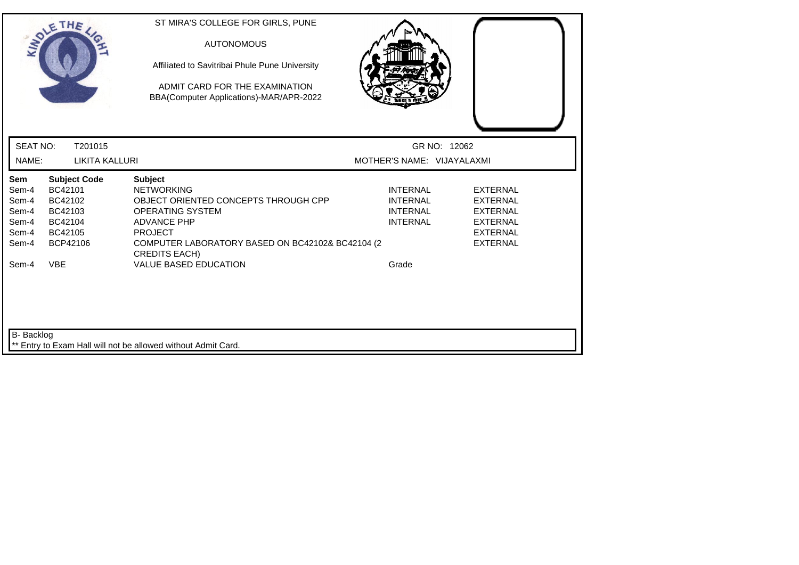|                                                                    | SOLETHE,                                                                                             | ST MIRA'S COLLEGE FOR GIRLS, PUNE<br><b>AUTONOMOUS</b><br>Affiliated to Savitribai Phule Pune University<br>ADMIT CARD FOR THE EXAMINATION<br>BBA(Computer Applications)-MAR/APR-2022                                                                      |                                                                                   |                                                                                                                |
|--------------------------------------------------------------------|------------------------------------------------------------------------------------------------------|------------------------------------------------------------------------------------------------------------------------------------------------------------------------------------------------------------------------------------------------------------|-----------------------------------------------------------------------------------|----------------------------------------------------------------------------------------------------------------|
| <b>SEAT NO:</b>                                                    | T201015                                                                                              |                                                                                                                                                                                                                                                            | GR NO: 12062                                                                      |                                                                                                                |
| NAME:                                                              | <b>LIKITA KALLURI</b>                                                                                |                                                                                                                                                                                                                                                            | MOTHER'S NAME: VIJAYALAXMI                                                        |                                                                                                                |
| Sem<br>Sem-4<br>Sem-4<br>Sem-4<br>Sem-4<br>Sem-4<br>Sem-4<br>Sem-4 | <b>Subject Code</b><br>BC42101<br>BC42102<br>BC42103<br>BC42104<br>BC42105<br>BCP42106<br><b>VBE</b> | <b>Subject</b><br><b>NETWORKING</b><br>OBJECT ORIENTED CONCEPTS THROUGH CPP<br><b>OPERATING SYSTEM</b><br><b>ADVANCE PHP</b><br><b>PROJECT</b><br>COMPUTER LABORATORY BASED ON BC42102& BC42104 (2<br><b>CREDITS EACH)</b><br><b>VALUE BASED EDUCATION</b> | <b>INTERNAL</b><br><b>INTERNAL</b><br><b>INTERNAL</b><br><b>INTERNAL</b><br>Grade | <b>EXTERNAL</b><br><b>EXTERNAL</b><br><b>EXTERNAL</b><br><b>EXTERNAL</b><br><b>EXTERNAL</b><br><b>EXTERNAL</b> |
| B- Backlog                                                         |                                                                                                      | Entry to Exam Hall will not be allowed without Admit Card.                                                                                                                                                                                                 |                                                                                   |                                                                                                                |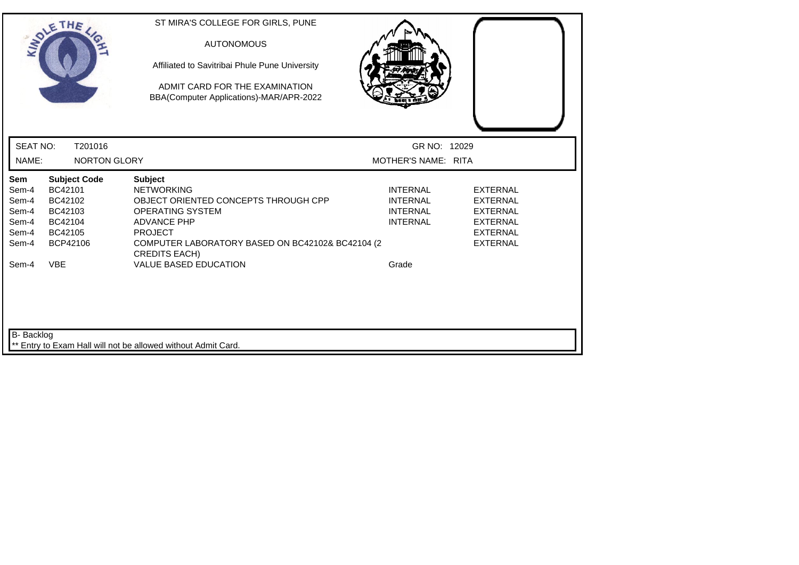| SOLETHE .                                                                        |                                                                                        | ST MIRA'S COLLEGE FOR GIRLS, PUNE<br><b>AUTONOMOUS</b><br>Affiliated to Savitribai Phule Pune University<br>ADMIT CARD FOR THE EXAMINATION<br>BBA(Computer Applications)-MAR/APR-2022                                                                |                                                                                   |                                                                                                                |
|----------------------------------------------------------------------------------|----------------------------------------------------------------------------------------|------------------------------------------------------------------------------------------------------------------------------------------------------------------------------------------------------------------------------------------------------|-----------------------------------------------------------------------------------|----------------------------------------------------------------------------------------------------------------|
| <b>SEAT NO:</b>                                                                  | T201016                                                                                |                                                                                                                                                                                                                                                      | GR NO: 12029                                                                      |                                                                                                                |
| NAME:                                                                            | <b>NORTON GLORY</b>                                                                    |                                                                                                                                                                                                                                                      | MOTHER'S NAME: RITA                                                               |                                                                                                                |
| Sem<br>Sem-4<br>Sem-4<br>Sem-4<br>Sem-4<br>Sem-4<br>Sem-4<br><b>VBE</b><br>Sem-4 | <b>Subject Code</b><br>BC42101<br>BC42102<br>BC42103<br>BC42104<br>BC42105<br>BCP42106 | <b>Subject</b><br><b>NETWORKING</b><br>OBJECT ORIENTED CONCEPTS THROUGH CPP<br>OPERATING SYSTEM<br><b>ADVANCE PHP</b><br><b>PROJECT</b><br>COMPUTER LABORATORY BASED ON BC42102& BC42104 (2)<br><b>CREDITS EACH)</b><br><b>VALUE BASED EDUCATION</b> | <b>INTERNAL</b><br><b>INTERNAL</b><br><b>INTERNAL</b><br><b>INTERNAL</b><br>Grade | <b>EXTERNAL</b><br><b>EXTERNAL</b><br><b>EXTERNAL</b><br><b>EXTERNAL</b><br><b>EXTERNAL</b><br><b>EXTERNAL</b> |
| B- Backlog                                                                       |                                                                                        | Entry to Exam Hall will not be allowed without Admit Card.                                                                                                                                                                                           |                                                                                   |                                                                                                                |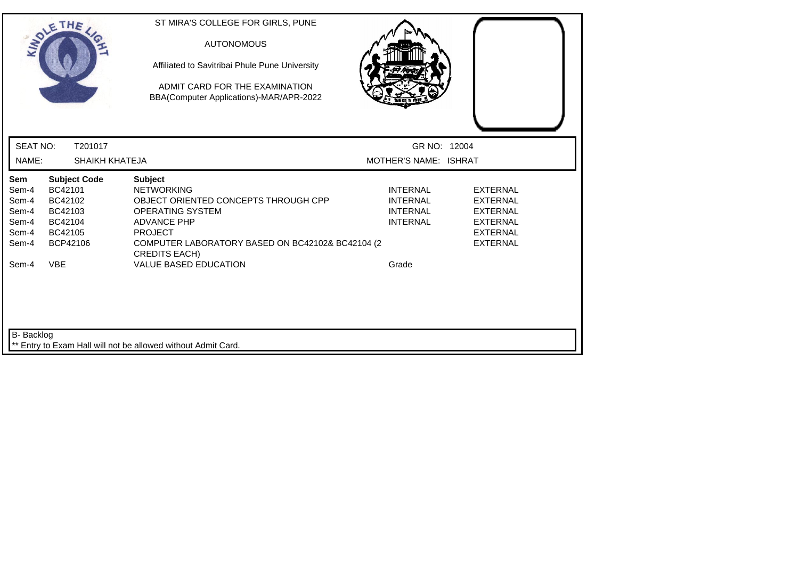|                                                                           | SOLETHE .                                                                                            | ST MIRA'S COLLEGE FOR GIRLS, PUNE<br><b>AUTONOMOUS</b><br>Affiliated to Savitribai Phule Pune University<br>ADMIT CARD FOR THE EXAMINATION<br>BBA(Computer Applications)-MAR/APR-2022                                                                      |                                                                                   |                                                                                                                |
|---------------------------------------------------------------------------|------------------------------------------------------------------------------------------------------|------------------------------------------------------------------------------------------------------------------------------------------------------------------------------------------------------------------------------------------------------------|-----------------------------------------------------------------------------------|----------------------------------------------------------------------------------------------------------------|
| <b>SEAT NO:</b>                                                           | T201017                                                                                              |                                                                                                                                                                                                                                                            | GR NO: 12004                                                                      |                                                                                                                |
| NAME:                                                                     | <b>SHAIKH KHATEJA</b>                                                                                |                                                                                                                                                                                                                                                            | MOTHER'S NAME: ISHRAT                                                             |                                                                                                                |
| <b>Sem</b><br>Sem-4<br>Sem-4<br>Sem-4<br>Sem-4<br>Sem-4<br>Sem-4<br>Sem-4 | <b>Subject Code</b><br>BC42101<br>BC42102<br>BC42103<br>BC42104<br>BC42105<br>BCP42106<br><b>VBE</b> | <b>Subject</b><br><b>NETWORKING</b><br>OBJECT ORIENTED CONCEPTS THROUGH CPP<br><b>OPERATING SYSTEM</b><br><b>ADVANCE PHP</b><br><b>PROJECT</b><br>COMPUTER LABORATORY BASED ON BC42102& BC42104 (2<br><b>CREDITS EACH)</b><br><b>VALUE BASED EDUCATION</b> | <b>INTERNAL</b><br><b>INTERNAL</b><br><b>INTERNAL</b><br><b>INTERNAL</b><br>Grade | <b>EXTERNAL</b><br><b>EXTERNAL</b><br><b>EXTERNAL</b><br><b>EXTERNAL</b><br><b>EXTERNAL</b><br><b>EXTERNAL</b> |
| B- Backlog                                                                |                                                                                                      | ** Entry to Exam Hall will not be allowed without Admit Card.                                                                                                                                                                                              |                                                                                   |                                                                                                                |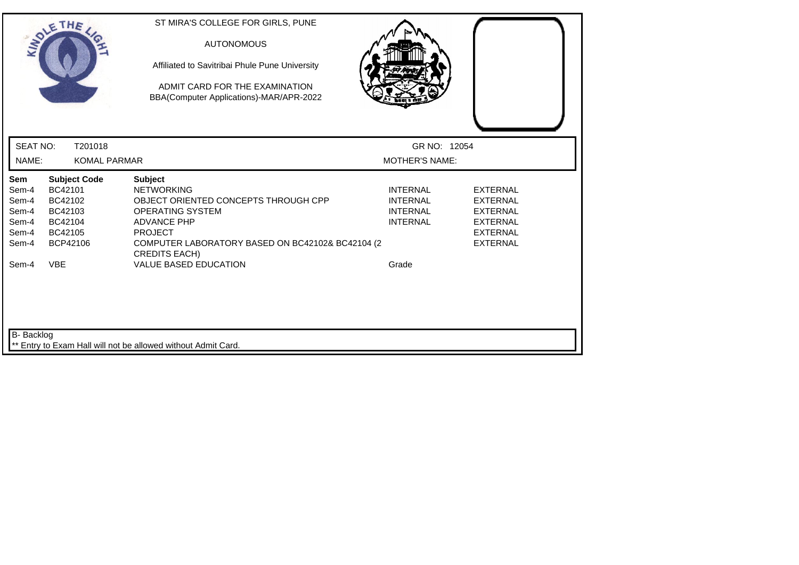| SOLETHE ,                                                                                                                                           | ST MIRA'S COLLEGE FOR GIRLS, PUNE<br><b>AUTONOMOUS</b><br>Affiliated to Savitribai Phule Pune University<br>ADMIT CARD FOR THE EXAMINATION<br>BBA(Computer Applications)-MAR/APR-2022                               |                                                                          |                                                                                                                |
|-----------------------------------------------------------------------------------------------------------------------------------------------------|---------------------------------------------------------------------------------------------------------------------------------------------------------------------------------------------------------------------|--------------------------------------------------------------------------|----------------------------------------------------------------------------------------------------------------|
| <b>SEAT NO:</b><br>T201018                                                                                                                          |                                                                                                                                                                                                                     | GR NO: 12054                                                             |                                                                                                                |
| NAME:<br><b>KOMAL PARMAR</b>                                                                                                                        |                                                                                                                                                                                                                     | <b>MOTHER'S NAME:</b>                                                    |                                                                                                                |
| Sem<br><b>Subject Code</b><br>BC42101<br>Sem-4<br>Sem-4<br>BC42102<br>Sem-4<br>BC42103<br>Sem-4<br>BC42104<br>Sem-4<br>BC42105<br>Sem-4<br>BCP42106 | <b>Subject</b><br><b>NETWORKING</b><br>OBJECT ORIENTED CONCEPTS THROUGH CPP<br>OPERATING SYSTEM<br><b>ADVANCE PHP</b><br><b>PROJECT</b><br>COMPUTER LABORATORY BASED ON BC42102& BC42104 (2<br><b>CREDITS EACH)</b> | <b>INTERNAL</b><br><b>INTERNAL</b><br><b>INTERNAL</b><br><b>INTERNAL</b> | <b>EXTERNAL</b><br><b>EXTERNAL</b><br><b>EXTERNAL</b><br><b>EXTERNAL</b><br><b>EXTERNAL</b><br><b>EXTERNAL</b> |
| Sem-4<br><b>VBE</b>                                                                                                                                 | <b>VALUE BASED EDUCATION</b>                                                                                                                                                                                        | Grade                                                                    |                                                                                                                |
| <b>B-</b> Backlog                                                                                                                                   | ** Entry to Exam Hall will not be allowed without Admit Card.                                                                                                                                                       |                                                                          |                                                                                                                |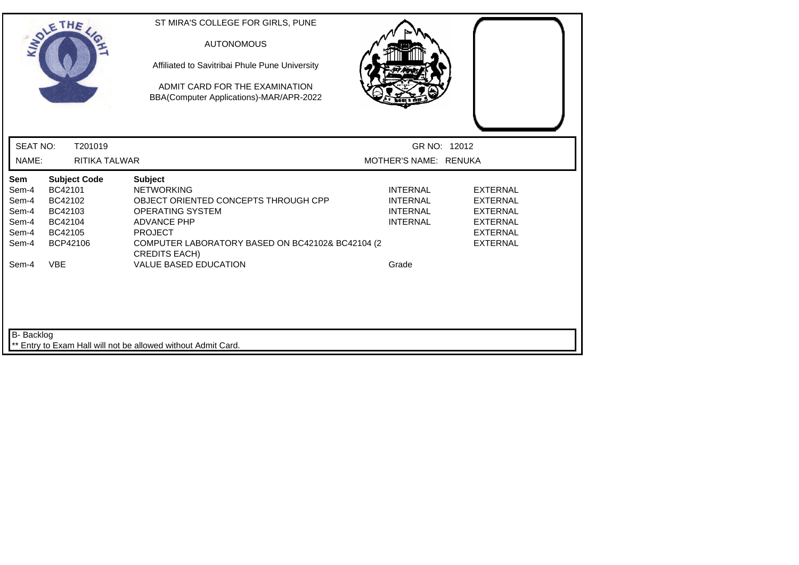| SOLETHE ,                                                                        |                                                                                        | ST MIRA'S COLLEGE FOR GIRLS, PUNE<br><b>AUTONOMOUS</b><br>Affiliated to Savitribai Phule Pune University<br>ADMIT CARD FOR THE EXAMINATION<br>BBA(Computer Applications)-MAR/APR-2022                                                                      |                                                                                   |                                                                                                                |
|----------------------------------------------------------------------------------|----------------------------------------------------------------------------------------|------------------------------------------------------------------------------------------------------------------------------------------------------------------------------------------------------------------------------------------------------------|-----------------------------------------------------------------------------------|----------------------------------------------------------------------------------------------------------------|
| <b>SEAT NO:</b><br>NAME:                                                         | T201019<br>RITIKA TALWAR                                                               |                                                                                                                                                                                                                                                            | GR NO: 12012<br>MOTHER'S NAME: RENUKA                                             |                                                                                                                |
| Sem<br>Sem-4<br>Sem-4<br>Sem-4<br>Sem-4<br>Sem-4<br>Sem-4<br><b>VBE</b><br>Sem-4 | <b>Subject Code</b><br>BC42101<br>BC42102<br>BC42103<br>BC42104<br>BC42105<br>BCP42106 | <b>Subject</b><br><b>NETWORKING</b><br>OBJECT ORIENTED CONCEPTS THROUGH CPP<br><b>OPERATING SYSTEM</b><br><b>ADVANCE PHP</b><br><b>PROJECT</b><br>COMPUTER LABORATORY BASED ON BC42102& BC42104 (2<br><b>CREDITS EACH)</b><br><b>VALUE BASED EDUCATION</b> | <b>INTERNAL</b><br><b>INTERNAL</b><br><b>INTERNAL</b><br><b>INTERNAL</b><br>Grade | <b>EXTERNAL</b><br><b>EXTERNAL</b><br><b>EXTERNAL</b><br><b>EXTERNAL</b><br><b>EXTERNAL</b><br><b>EXTERNAL</b> |
| <b>B-</b> Backlog                                                                |                                                                                        | ** Entry to Exam Hall will not be allowed without Admit Card.                                                                                                                                                                                              |                                                                                   |                                                                                                                |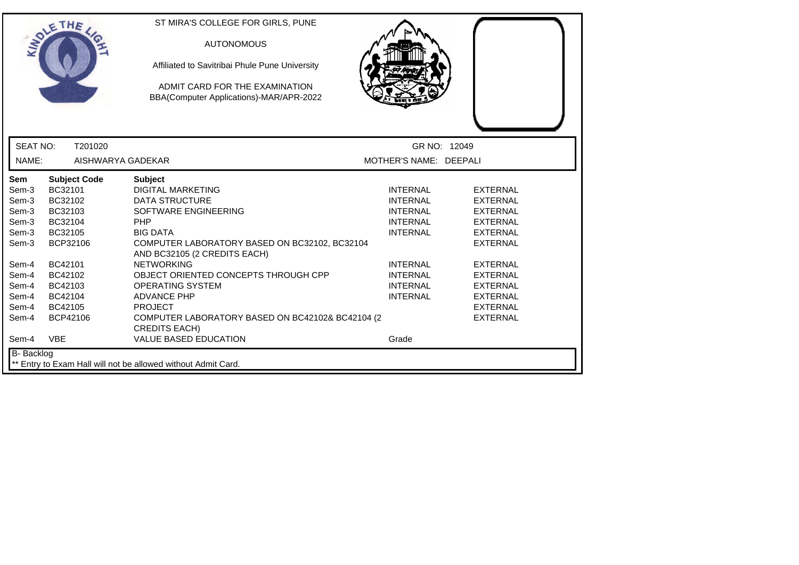|                   | THE                 | ST MIRA'S COLLEGE FOR GIRLS, PUNE<br><b>AUTONOMOUS</b>                        |                        |                 |
|-------------------|---------------------|-------------------------------------------------------------------------------|------------------------|-----------------|
|                   |                     | Affiliated to Savitribai Phule Pune University                                |                        |                 |
|                   |                     | ADMIT CARD FOR THE EXAMINATION<br>BBA(Computer Applications)-MAR/APR-2022     |                        |                 |
|                   |                     |                                                                               |                        |                 |
| <b>SEAT NO:</b>   | T201020             |                                                                               | GR NO: 12049           |                 |
| NAME:             | AISHWARYA GADEKAR   |                                                                               | MOTHER'S NAME: DEEPALI |                 |
| <b>Sem</b>        | <b>Subject Code</b> | <b>Subject</b>                                                                |                        |                 |
| Sem-3             | BC32101             | <b>DIGITAL MARKETING</b>                                                      | <b>INTERNAL</b>        | <b>EXTERNAL</b> |
| Sem-3             | BC32102             | <b>DATA STRUCTURE</b>                                                         | <b>INTERNAL</b>        | <b>EXTERNAL</b> |
| Sem-3             | BC32103             | SOFTWARE ENGINEERING                                                          | <b>INTERNAL</b>        | <b>EXTERNAL</b> |
| Sem-3             | BC32104             | PHP                                                                           | <b>INTERNAL</b>        | <b>EXTERNAL</b> |
| Sem-3             | BC32105             | <b>BIG DATA</b>                                                               | <b>INTERNAL</b>        | <b>EXTERNAL</b> |
| Sem-3             | BCP32106            | COMPUTER LABORATORY BASED ON BC32102, BC32104<br>AND BC32105 (2 CREDITS EACH) |                        | <b>EXTERNAL</b> |
| Sem-4             | BC42101             | <b>NETWORKING</b>                                                             | <b>INTERNAL</b>        | <b>EXTERNAL</b> |
| Sem-4             | BC42102             | OBJECT ORIENTED CONCEPTS THROUGH CPP                                          | <b>INTERNAL</b>        | <b>EXTERNAL</b> |
| Sem-4             | BC42103             | <b>OPERATING SYSTEM</b>                                                       | <b>INTERNAL</b>        | <b>EXTERNAL</b> |
| Sem-4             | BC42104             | <b>ADVANCE PHP</b>                                                            | <b>INTERNAL</b>        | <b>EXTERNAL</b> |
| Sem-4             | BC42105             | <b>PROJECT</b>                                                                |                        | <b>EXTERNAL</b> |
| Sem-4             | BCP42106            | COMPUTER LABORATORY BASED ON BC42102& BC42104 (2)<br><b>CREDITS EACH)</b>     |                        | <b>EXTERNAL</b> |
| Sem-4             | <b>VBE</b>          | <b>VALUE BASED EDUCATION</b>                                                  | Grade                  |                 |
| <b>B-</b> Backlog |                     | ** Entry to Exam Hall will not be allowed without Admit Card.                 |                        |                 |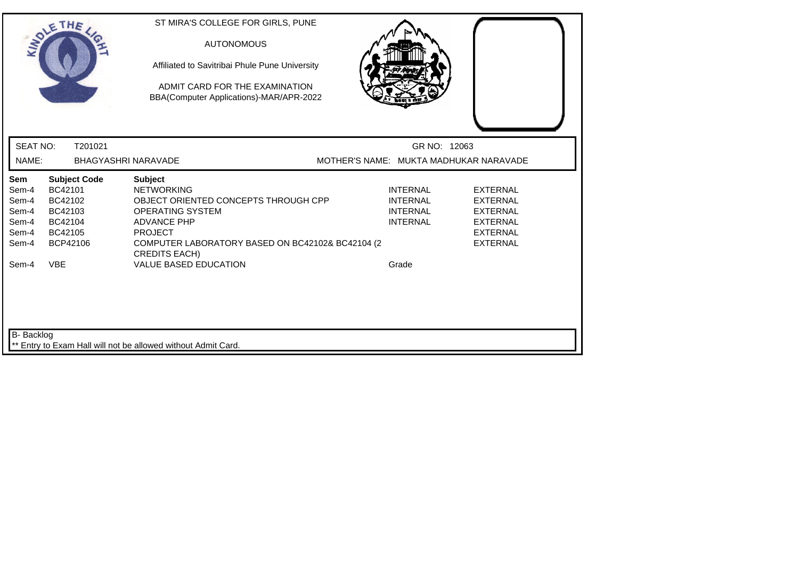|                                                                    | SOLETHE .                                                                                            | ST MIRA'S COLLEGE FOR GIRLS, PUNE<br><b>AUTONOMOUS</b><br>Affiliated to Savitribai Phule Pune University<br>ADMIT CARD FOR THE EXAMINATION<br>BBA(Computer Applications)-MAR/APR-2022                                                                      |                                                                                   |                                                                                                                |
|--------------------------------------------------------------------|------------------------------------------------------------------------------------------------------|------------------------------------------------------------------------------------------------------------------------------------------------------------------------------------------------------------------------------------------------------------|-----------------------------------------------------------------------------------|----------------------------------------------------------------------------------------------------------------|
| <b>SEAT NO:</b>                                                    | T201021                                                                                              |                                                                                                                                                                                                                                                            | GR NO: 12063                                                                      |                                                                                                                |
| NAME:                                                              |                                                                                                      | <b>BHAGYASHRI NARAVADE</b>                                                                                                                                                                                                                                 | MOTHER'S NAME: MUKTA MADHUKAR NARAVADE                                            |                                                                                                                |
| Sem<br>Sem-4<br>Sem-4<br>Sem-4<br>Sem-4<br>Sem-4<br>Sem-4<br>Sem-4 | <b>Subject Code</b><br>BC42101<br>BC42102<br>BC42103<br>BC42104<br>BC42105<br>BCP42106<br><b>VBE</b> | <b>Subject</b><br><b>NETWORKING</b><br>OBJECT ORIENTED CONCEPTS THROUGH CPP<br><b>OPERATING SYSTEM</b><br><b>ADVANCE PHP</b><br><b>PROJECT</b><br>COMPUTER LABORATORY BASED ON BC42102& BC42104 (2<br><b>CREDITS EACH)</b><br><b>VALUE BASED EDUCATION</b> | <b>INTERNAL</b><br><b>INTERNAL</b><br><b>INTERNAL</b><br><b>INTERNAL</b><br>Grade | <b>EXTERNAL</b><br><b>EXTERNAL</b><br><b>EXTERNAL</b><br><b>EXTERNAL</b><br><b>EXTERNAL</b><br><b>EXTERNAL</b> |
| B- Backlog                                                         |                                                                                                      | Entry to Exam Hall will not be allowed without Admit Card.                                                                                                                                                                                                 |                                                                                   |                                                                                                                |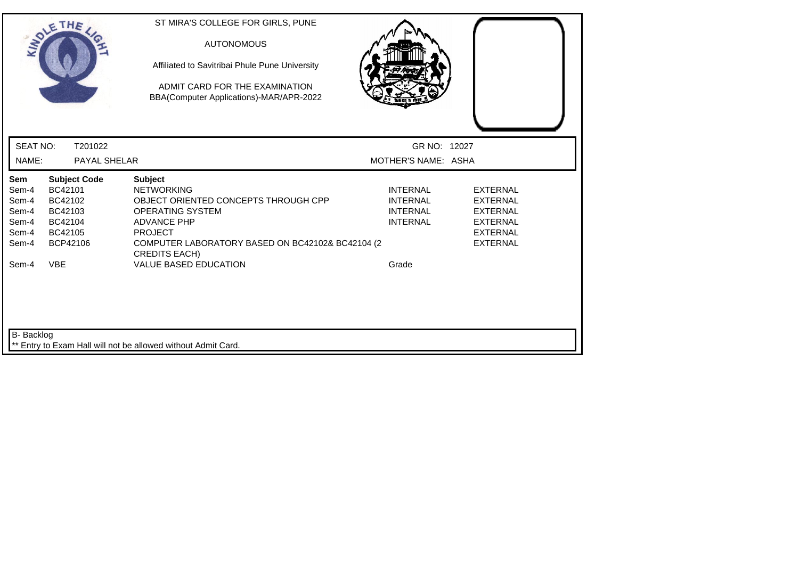|                          | SOLETHE ,                      | ST MIRA'S COLLEGE FOR GIRLS, PUNE<br><b>AUTONOMOUS</b><br>Affiliated to Savitribai Phule Pune University<br>ADMIT CARD FOR THE EXAMINATION<br>BBA(Computer Applications)-MAR/APR-2022 |                                     |                 |
|--------------------------|--------------------------------|---------------------------------------------------------------------------------------------------------------------------------------------------------------------------------------|-------------------------------------|-----------------|
| <b>SEAT NO:</b><br>NAME: | T201022<br>PAYAL SHELAR        |                                                                                                                                                                                       | GR NO: 12027<br>MOTHER'S NAME: ASHA |                 |
|                          |                                |                                                                                                                                                                                       |                                     |                 |
| Sem<br>Sem-4             | <b>Subject Code</b><br>BC42101 | <b>Subject</b><br><b>NETWORKING</b>                                                                                                                                                   | <b>INTERNAL</b>                     | <b>EXTERNAL</b> |
| Sem-4                    | BC42102                        | OBJECT ORIENTED CONCEPTS THROUGH CPP                                                                                                                                                  | <b>INTERNAL</b>                     | <b>EXTERNAL</b> |
| Sem-4                    | BC42103                        | <b>OPERATING SYSTEM</b>                                                                                                                                                               | <b>INTERNAL</b>                     | <b>EXTERNAL</b> |
| Sem-4                    | BC42104                        | <b>ADVANCE PHP</b>                                                                                                                                                                    | <b>INTERNAL</b>                     | <b>EXTERNAL</b> |
| Sem-4                    | BC42105                        | <b>PROJECT</b>                                                                                                                                                                        |                                     | <b>EXTERNAL</b> |
| Sem-4                    | BCP42106                       | COMPUTER LABORATORY BASED ON BC42102& BC42104 (2<br><b>CREDITS EACH)</b>                                                                                                              |                                     | <b>EXTERNAL</b> |
| Sem-4                    | <b>VBE</b>                     | <b>VALUE BASED EDUCATION</b>                                                                                                                                                          | Grade                               |                 |
| B- Backlog               |                                | Entry to Exam Hall will not be allowed without Admit Card.                                                                                                                            |                                     |                 |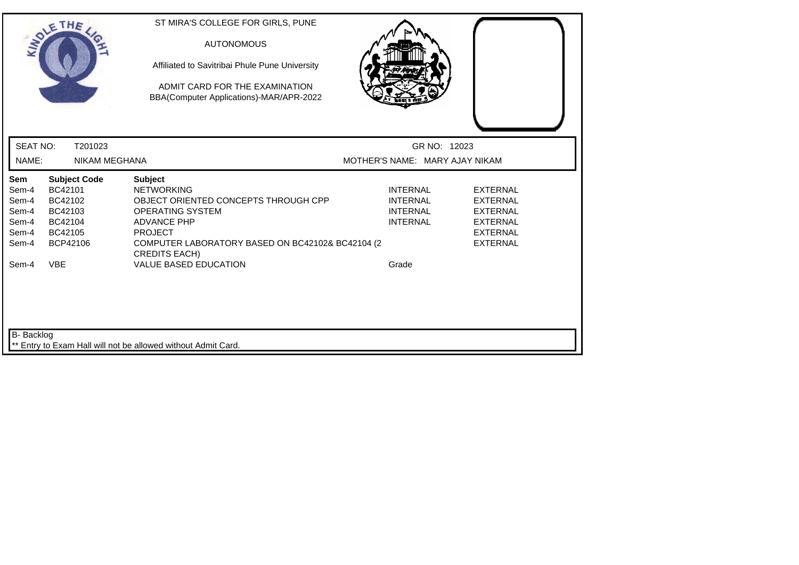|                                                           | SOLETHE ,                                                                              | ST MIRA'S COLLEGE FOR GIRLS, PUNE<br><b>AUTONOMOUS</b><br>Affiliated to Savitribai Phule Pune University<br>ADMIT CARD FOR THE EXAMINATION<br>BBA(Computer Applications)-MAR/APR-2022                                       |                                                                          |                                                                                                                |
|-----------------------------------------------------------|----------------------------------------------------------------------------------------|-----------------------------------------------------------------------------------------------------------------------------------------------------------------------------------------------------------------------------|--------------------------------------------------------------------------|----------------------------------------------------------------------------------------------------------------|
| <b>SEAT NO:</b>                                           | T201023                                                                                |                                                                                                                                                                                                                             | GR NO: 12023                                                             |                                                                                                                |
| NAME:                                                     | <b>NIKAM MEGHANA</b>                                                                   |                                                                                                                                                                                                                             | MOTHER'S NAME: MARY AJAY NIKAM                                           |                                                                                                                |
| Sem<br>Sem-4<br>Sem-4<br>Sem-4<br>Sem-4<br>Sem-4<br>Sem-4 | <b>Subject Code</b><br>BC42101<br>BC42102<br>BC42103<br>BC42104<br>BC42105<br>BCP42106 | <b>Subject</b><br><b>NETWORKING</b><br>OBJECT ORIENTED CONCEPTS THROUGH CPP<br><b>OPERATING SYSTEM</b><br><b>ADVANCE PHP</b><br><b>PROJECT</b><br>COMPUTER LABORATORY BASED ON BC42102& BC42104 (2)<br><b>CREDITS EACH)</b> | <b>INTERNAL</b><br><b>INTERNAL</b><br><b>INTERNAL</b><br><b>INTERNAL</b> | <b>EXTERNAL</b><br><b>EXTERNAL</b><br><b>EXTERNAL</b><br><b>EXTERNAL</b><br><b>EXTERNAL</b><br><b>EXTERNAL</b> |
| Sem-4                                                     | <b>VBE</b>                                                                             | <b>VALUE BASED EDUCATION</b>                                                                                                                                                                                                | Grade                                                                    |                                                                                                                |
| B- Backlog                                                |                                                                                        | ** Entry to Exam Hall will not be allowed without Admit Card.                                                                                                                                                               |                                                                          |                                                                                                                |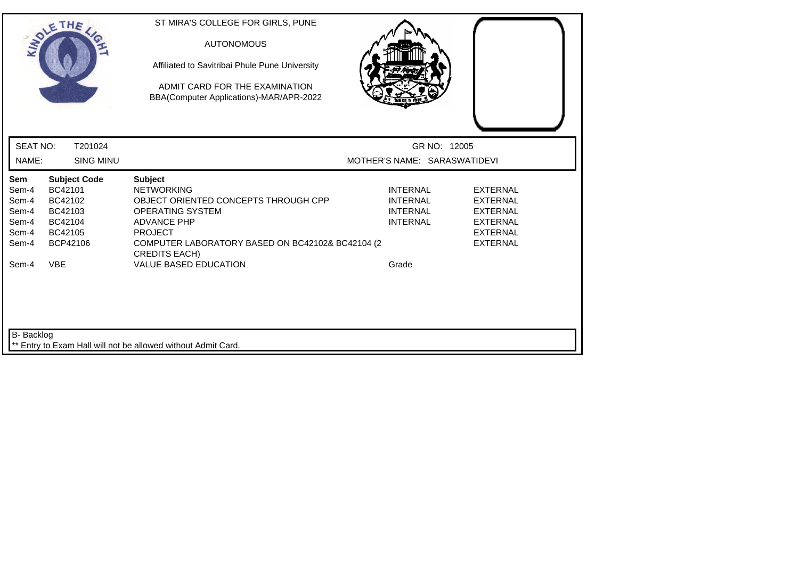|                                                                    | SOLETHE,                                                                                             | ST MIRA'S COLLEGE FOR GIRLS, PUNE<br><b>AUTONOMOUS</b><br>Affiliated to Savitribai Phule Pune University<br>ADMIT CARD FOR THE EXAMINATION<br>BBA(Computer Applications)-MAR/APR-2022                                                               |                                                                                   |                                                                                                                |
|--------------------------------------------------------------------|------------------------------------------------------------------------------------------------------|-----------------------------------------------------------------------------------------------------------------------------------------------------------------------------------------------------------------------------------------------------|-----------------------------------------------------------------------------------|----------------------------------------------------------------------------------------------------------------|
| <b>SEAT NO:</b>                                                    | T201024                                                                                              |                                                                                                                                                                                                                                                     | GR NO: 12005                                                                      |                                                                                                                |
| NAME:                                                              | <b>SING MINU</b>                                                                                     |                                                                                                                                                                                                                                                     | MOTHER'S NAME: SARASWATIDEVI                                                      |                                                                                                                |
| Sem<br>Sem-4<br>Sem-4<br>Sem-4<br>Sem-4<br>Sem-4<br>Sem-4<br>Sem-4 | <b>Subject Code</b><br>BC42101<br>BC42102<br>BC42103<br>BC42104<br>BC42105<br>BCP42106<br><b>VBE</b> | <b>Subject</b><br><b>NETWORKING</b><br>OBJECT ORIENTED CONCEPTS THROUGH CPP<br>OPERATING SYSTEM<br><b>ADVANCE PHP</b><br><b>PROJECT</b><br>COMPUTER LABORATORY BASED ON BC42102& BC42104 (2<br><b>CREDITS EACH)</b><br><b>VALUE BASED EDUCATION</b> | <b>INTERNAL</b><br><b>INTERNAL</b><br><b>INTERNAL</b><br><b>INTERNAL</b><br>Grade | <b>EXTERNAL</b><br><b>EXTERNAL</b><br><b>EXTERNAL</b><br><b>EXTERNAL</b><br><b>EXTERNAL</b><br><b>EXTERNAL</b> |
| B- Backlog                                                         |                                                                                                      | ** Entry to Exam Hall will not be allowed without Admit Card.                                                                                                                                                                                       |                                                                                   |                                                                                                                |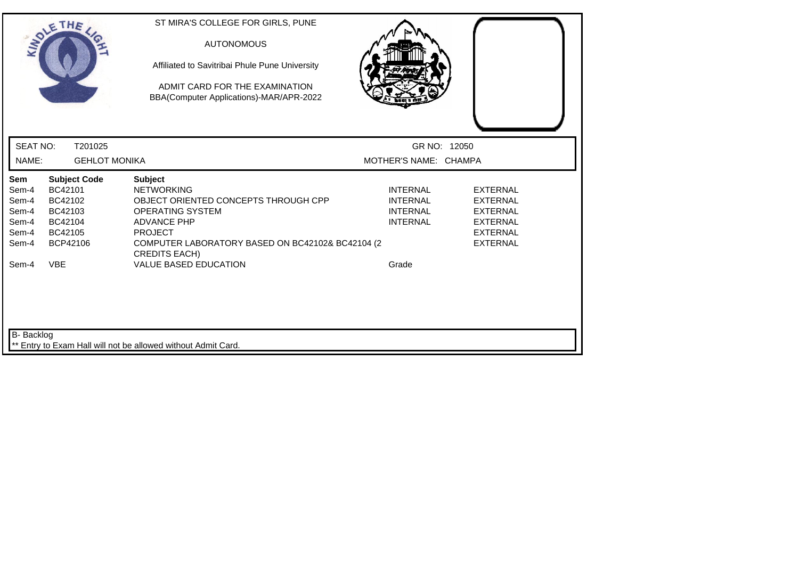| SOLETHE,                                                                                                                                |                                 | ST MIRA'S COLLEGE FOR GIRLS, PUNE<br><b>AUTONOMOUS</b><br>Affiliated to Savitribai Phule Pune University<br>ADMIT CARD FOR THE EXAMINATION<br>BBA(Computer Applications)-MAR/APR-2022                                                               |                                                                                   |                                                                                                                |
|-----------------------------------------------------------------------------------------------------------------------------------------|---------------------------------|-----------------------------------------------------------------------------------------------------------------------------------------------------------------------------------------------------------------------------------------------------|-----------------------------------------------------------------------------------|----------------------------------------------------------------------------------------------------------------|
| <b>SEAT NO:</b>                                                                                                                         | T201025                         |                                                                                                                                                                                                                                                     | GR NO: 12050                                                                      |                                                                                                                |
| NAME:                                                                                                                                   | <b>GEHLOT MONIKA</b>            |                                                                                                                                                                                                                                                     | MOTHER'S NAME: CHAMPA                                                             |                                                                                                                |
| Sem<br>BC42101<br>Sem-4<br>Sem-4<br>BC42102<br>Sem-4<br>BC42103<br>Sem-4<br>BC42104<br>Sem-4<br>BC42105<br>Sem-4<br><b>VBE</b><br>Sem-4 | <b>Subject Code</b><br>BCP42106 | <b>Subject</b><br><b>NETWORKING</b><br>OBJECT ORIENTED CONCEPTS THROUGH CPP<br>OPERATING SYSTEM<br><b>ADVANCE PHP</b><br><b>PROJECT</b><br>COMPUTER LABORATORY BASED ON BC42102& BC42104 (2<br><b>CREDITS EACH)</b><br><b>VALUE BASED EDUCATION</b> | <b>INTERNAL</b><br><b>INTERNAL</b><br><b>INTERNAL</b><br><b>INTERNAL</b><br>Grade | <b>EXTERNAL</b><br><b>EXTERNAL</b><br><b>EXTERNAL</b><br><b>EXTERNAL</b><br><b>EXTERNAL</b><br><b>EXTERNAL</b> |
| B- Backlog                                                                                                                              |                                 | ** Entry to Exam Hall will not be allowed without Admit Card.                                                                                                                                                                                       |                                                                                   |                                                                                                                |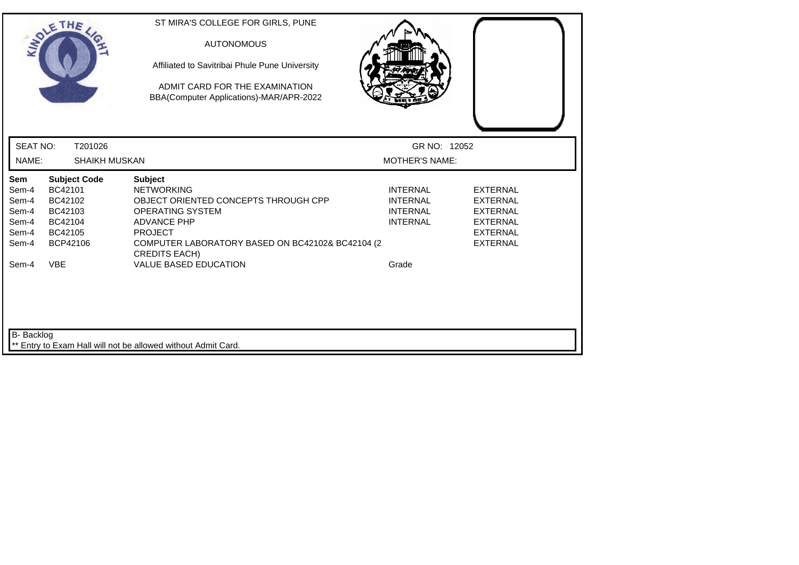| SOLETHE .                                                                                                                                           | ST MIRA'S COLLEGE FOR GIRLS, PUNE<br><b>AUTONOMOUS</b><br>Affiliated to Savitribai Phule Pune University<br>ADMIT CARD FOR THE EXAMINATION<br>BBA(Computer Applications)-MAR/APR-2022                                      |                                                                          |                                                                                                                |
|-----------------------------------------------------------------------------------------------------------------------------------------------------|----------------------------------------------------------------------------------------------------------------------------------------------------------------------------------------------------------------------------|--------------------------------------------------------------------------|----------------------------------------------------------------------------------------------------------------|
| <b>SEAT NO:</b><br>T201026                                                                                                                          |                                                                                                                                                                                                                            | GR NO: 12052                                                             |                                                                                                                |
| NAME:<br><b>SHAIKH MUSKAN</b>                                                                                                                       |                                                                                                                                                                                                                            | <b>MOTHER'S NAME:</b>                                                    |                                                                                                                |
| Sem<br><b>Subject Code</b><br>BC42101<br>Sem-4<br>BC42102<br>Sem-4<br>Sem-4<br>BC42103<br>Sem-4<br>BC42104<br>Sem-4<br>BC42105<br>BCP42106<br>Sem-4 | <b>Subject</b><br><b>NETWORKING</b><br>OBJECT ORIENTED CONCEPTS THROUGH CPP<br><b>OPERATING SYSTEM</b><br><b>ADVANCE PHP</b><br><b>PROJECT</b><br>COMPUTER LABORATORY BASED ON BC42102& BC42104 (2<br><b>CREDITS EACH)</b> | <b>INTERNAL</b><br><b>INTERNAL</b><br><b>INTERNAL</b><br><b>INTERNAL</b> | <b>EXTERNAL</b><br><b>EXTERNAL</b><br><b>EXTERNAL</b><br><b>EXTERNAL</b><br><b>EXTERNAL</b><br><b>EXTERNAL</b> |
| <b>VBE</b><br>Sem-4<br>B- Backlog                                                                                                                   | <b>VALUE BASED EDUCATION</b><br>Entry to Exam Hall will not be allowed without Admit Card.                                                                                                                                 | Grade                                                                    |                                                                                                                |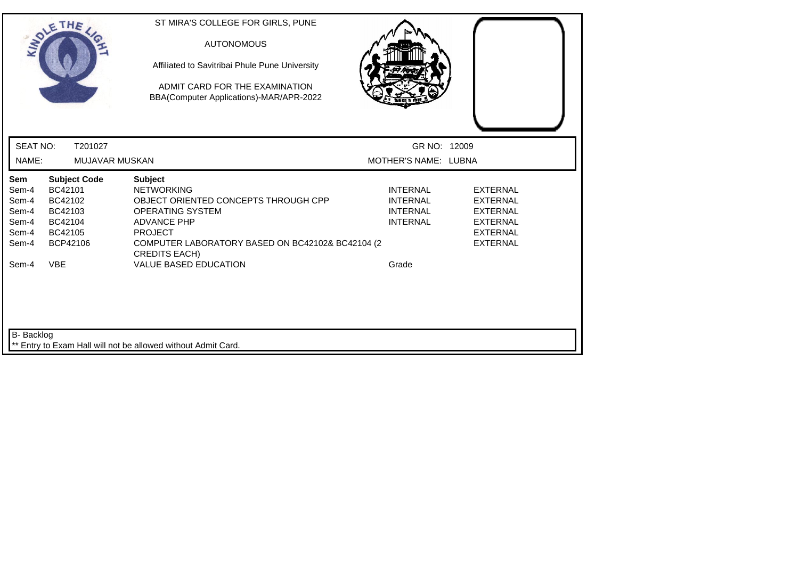| SOLETHE,                                                                                                                                                          | ST MIRA'S COLLEGE FOR GIRLS, PUNE<br><b>AUTONOMOUS</b><br>Affiliated to Savitribai Phule Pune University<br>ADMIT CARD FOR THE EXAMINATION<br>BBA(Computer Applications)-MAR/APR-2022                                |                                                                                   |                                                                                                                |
|-------------------------------------------------------------------------------------------------------------------------------------------------------------------|----------------------------------------------------------------------------------------------------------------------------------------------------------------------------------------------------------------------|-----------------------------------------------------------------------------------|----------------------------------------------------------------------------------------------------------------|
| <b>SEAT NO:</b><br>T201027                                                                                                                                        |                                                                                                                                                                                                                      | GR NO: 12009                                                                      |                                                                                                                |
| NAME:                                                                                                                                                             | <b>MUJAVAR MUSKAN</b>                                                                                                                                                                                                | MOTHER'S NAME: LUBNA                                                              |                                                                                                                |
| Sem<br><b>Subject Code</b><br>BC42101<br>Sem-4<br>Sem-4<br>BC42102<br>Sem-4<br>BC42103<br>Sem-4<br>BC42104<br>Sem-4<br>BC42105<br>BCP42106<br>Sem-4<br><b>VBE</b> | <b>Subject</b><br><b>NETWORKING</b><br>OBJECT ORIENTED CONCEPTS THROUGH CPP<br>OPERATING SYSTEM<br><b>ADVANCE PHP</b><br><b>PROJECT</b><br>COMPUTER LABORATORY BASED ON BC42102& BC42104 (2)<br><b>CREDITS EACH)</b> | <b>INTERNAL</b><br><b>INTERNAL</b><br><b>INTERNAL</b><br><b>INTERNAL</b><br>Grade | <b>EXTERNAL</b><br><b>EXTERNAL</b><br><b>EXTERNAL</b><br><b>EXTERNAL</b><br><b>EXTERNAL</b><br><b>EXTERNAL</b> |
| Sem-4                                                                                                                                                             | <b>VALUE BASED EDUCATION</b>                                                                                                                                                                                         |                                                                                   |                                                                                                                |
| B- Backlog                                                                                                                                                        | Entry to Exam Hall will not be allowed without Admit Card.                                                                                                                                                           |                                                                                   |                                                                                                                |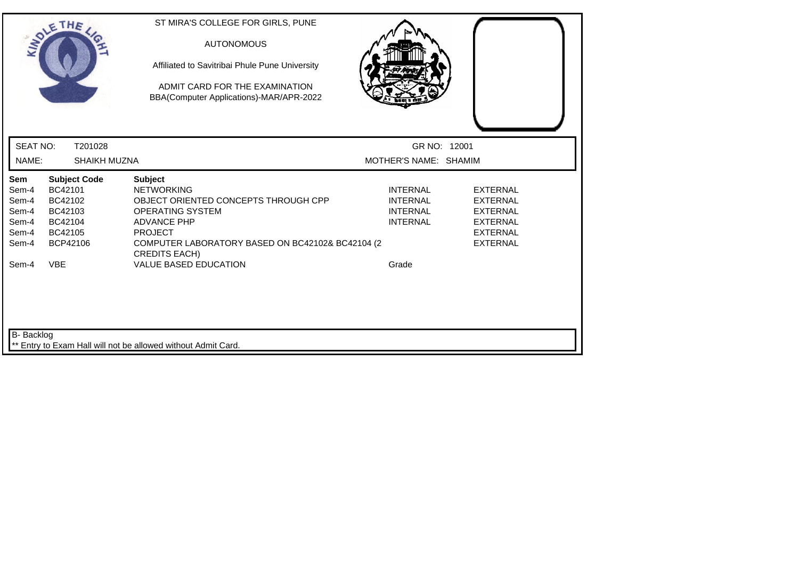|                          | SOLETHE,                | ST MIRA'S COLLEGE FOR GIRLS, PUNE<br><b>AUTONOMOUS</b><br>Affiliated to Savitribai Phule Pune University<br>ADMIT CARD FOR THE EXAMINATION<br>BBA(Computer Applications)-MAR/APR-2022 |                                       |                                    |
|--------------------------|-------------------------|---------------------------------------------------------------------------------------------------------------------------------------------------------------------------------------|---------------------------------------|------------------------------------|
| <b>SEAT NO:</b><br>NAME: | T201028<br>SHAIKH MUZNA |                                                                                                                                                                                       | GR NO: 12001<br>MOTHER'S NAME: SHAMIM |                                    |
| Sem                      | <b>Subject Code</b>     | <b>Subject</b>                                                                                                                                                                        |                                       |                                    |
| Sem-4                    | BC42101                 | <b>NETWORKING</b>                                                                                                                                                                     | <b>INTERNAL</b>                       | <b>EXTERNAL</b>                    |
| Sem-4<br>Sem-4           | BC42102<br>BC42103      | OBJECT ORIENTED CONCEPTS THROUGH CPP<br><b>OPERATING SYSTEM</b>                                                                                                                       | <b>INTERNAL</b><br><b>INTERNAL</b>    | <b>EXTERNAL</b><br><b>EXTERNAL</b> |
| Sem-4                    | BC42104                 | <b>ADVANCE PHP</b>                                                                                                                                                                    | <b>INTERNAL</b>                       | <b>EXTERNAL</b>                    |
| Sem-4                    | BC42105                 | <b>PROJECT</b>                                                                                                                                                                        |                                       | <b>EXTERNAL</b>                    |
| Sem-4                    | BCP42106                | COMPUTER LABORATORY BASED ON BC42102& BC42104 (2<br><b>CREDITS EACH)</b>                                                                                                              |                                       | <b>EXTERNAL</b>                    |
| Sem-4                    | <b>VBE</b>              | <b>VALUE BASED EDUCATION</b>                                                                                                                                                          | Grade                                 |                                    |
| B- Backlog               |                         | Entry to Exam Hall will not be allowed without Admit Card.                                                                                                                            |                                       |                                    |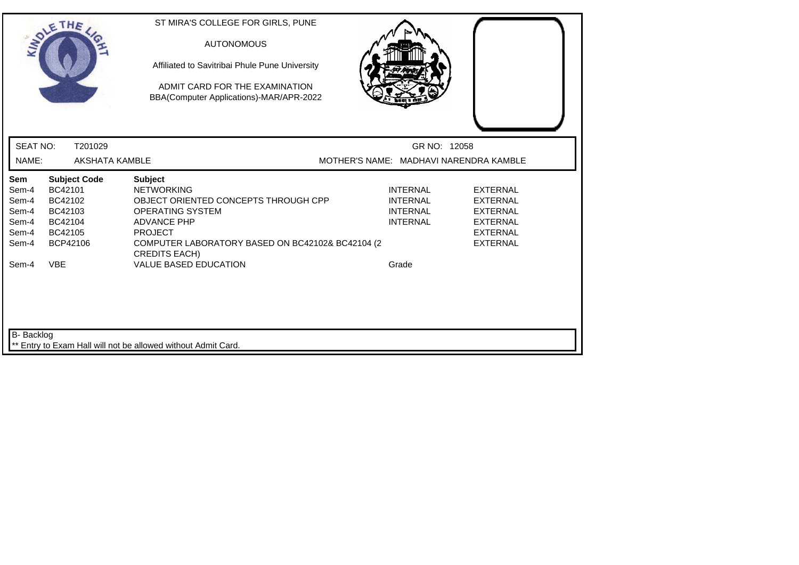|                                                           | SOLETHE .                                                                              | ST MIRA'S COLLEGE FOR GIRLS, PUNE<br><b>AUTONOMOUS</b><br>Affiliated to Savitribai Phule Pune University<br>ADMIT CARD FOR THE EXAMINATION<br>BBA(Computer Applications)-MAR/APR-2022                                      |                                                                          |                                                                                                                |
|-----------------------------------------------------------|----------------------------------------------------------------------------------------|----------------------------------------------------------------------------------------------------------------------------------------------------------------------------------------------------------------------------|--------------------------------------------------------------------------|----------------------------------------------------------------------------------------------------------------|
| <b>SEAT NO:</b>                                           | T201029                                                                                |                                                                                                                                                                                                                            | GR NO: 12058                                                             |                                                                                                                |
| NAME:                                                     | <b>AKSHATA KAMBLE</b>                                                                  |                                                                                                                                                                                                                            | MOTHER'S NAME: MADHAVI NARENDRA KAMBLE                                   |                                                                                                                |
| Sem<br>Sem-4<br>Sem-4<br>Sem-4<br>Sem-4<br>Sem-4<br>Sem-4 | <b>Subject Code</b><br>BC42101<br>BC42102<br>BC42103<br>BC42104<br>BC42105<br>BCP42106 | <b>Subject</b><br><b>NETWORKING</b><br>OBJECT ORIENTED CONCEPTS THROUGH CPP<br><b>OPERATING SYSTEM</b><br><b>ADVANCE PHP</b><br><b>PROJECT</b><br>COMPUTER LABORATORY BASED ON BC42102& BC42104 (2<br><b>CREDITS EACH)</b> | <b>INTERNAL</b><br><b>INTERNAL</b><br><b>INTERNAL</b><br><b>INTERNAL</b> | <b>EXTERNAL</b><br><b>EXTERNAL</b><br><b>EXTERNAL</b><br><b>EXTERNAL</b><br><b>EXTERNAL</b><br><b>EXTERNAL</b> |
| Sem-4<br><b>B-</b> Backlog                                | <b>VBE</b>                                                                             | <b>VALUE BASED EDUCATION</b><br>** Entry to Exam Hall will not be allowed without Admit Card.                                                                                                                              | Grade                                                                    |                                                                                                                |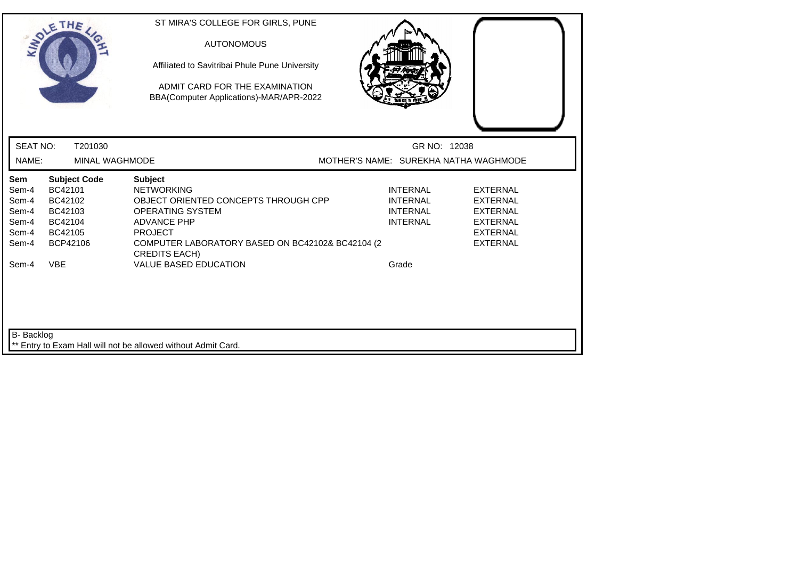|                                                           | SOLETHE .                                                                                            | ST MIRA'S COLLEGE FOR GIRLS, PUNE<br><b>AUTONOMOUS</b><br>Affiliated to Savitribai Phule Pune University<br>ADMIT CARD FOR THE EXAMINATION<br>BBA(Computer Applications)-MAR/APR-2022                                                                      |                                                                                   |                                                                                                                |
|-----------------------------------------------------------|------------------------------------------------------------------------------------------------------|------------------------------------------------------------------------------------------------------------------------------------------------------------------------------------------------------------------------------------------------------------|-----------------------------------------------------------------------------------|----------------------------------------------------------------------------------------------------------------|
| <b>SEAT NO:</b>                                           | T201030                                                                                              |                                                                                                                                                                                                                                                            | GR NO: 12038                                                                      |                                                                                                                |
| NAME:                                                     | <b>MINAL WAGHMODE</b>                                                                                |                                                                                                                                                                                                                                                            | MOTHER'S NAME: SUREKHA NATHA WAGHMODE                                             |                                                                                                                |
| Sem<br>Sem-4<br>Sem-4<br>Sem-4<br>Sem-4<br>Sem-4<br>Sem-4 | <b>Subject Code</b><br>BC42101<br>BC42102<br>BC42103<br>BC42104<br>BC42105<br>BCP42106<br><b>VBE</b> | <b>Subject</b><br><b>NETWORKING</b><br>OBJECT ORIENTED CONCEPTS THROUGH CPP<br><b>OPERATING SYSTEM</b><br><b>ADVANCE PHP</b><br><b>PROJECT</b><br>COMPUTER LABORATORY BASED ON BC42102& BC42104 (2<br><b>CREDITS EACH)</b><br><b>VALUE BASED EDUCATION</b> | <b>INTERNAL</b><br><b>INTERNAL</b><br><b>INTERNAL</b><br><b>INTERNAL</b><br>Grade | <b>EXTERNAL</b><br><b>EXTERNAL</b><br><b>EXTERNAL</b><br><b>EXTERNAL</b><br><b>EXTERNAL</b><br><b>EXTERNAL</b> |
| Sem-4<br>B- Backlog                                       |                                                                                                      | Entry to Exam Hall will not be allowed without Admit Card.                                                                                                                                                                                                 |                                                                                   |                                                                                                                |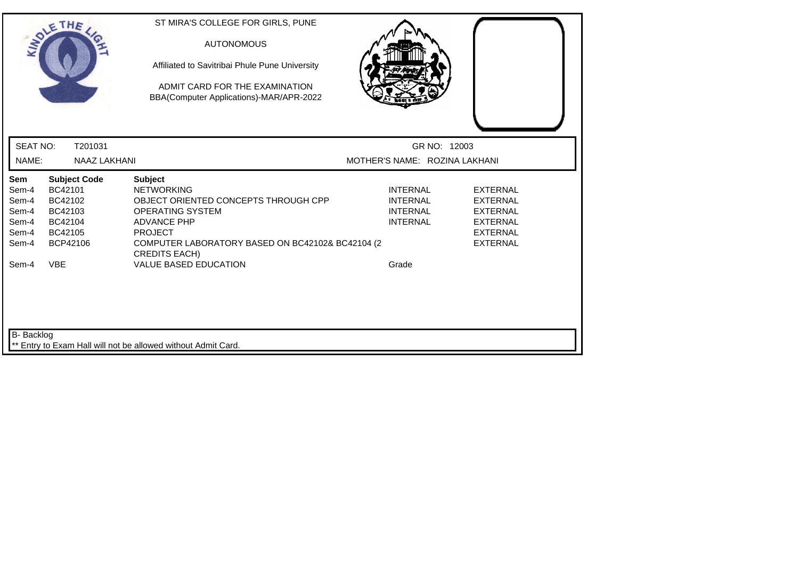|                          | SOLETHE,                | ST MIRA'S COLLEGE FOR GIRLS, PUNE<br><b>AUTONOMOUS</b><br>Affiliated to Savitribai Phule Pune University<br>ADMIT CARD FOR THE EXAMINATION<br>BBA(Computer Applications)-MAR/APR-2022 |                                               |                 |
|--------------------------|-------------------------|---------------------------------------------------------------------------------------------------------------------------------------------------------------------------------------|-----------------------------------------------|-----------------|
| <b>SEAT NO:</b><br>NAME: | T201031<br>NAAZ LAKHANI |                                                                                                                                                                                       | GR NO: 12003<br>MOTHER'S NAME: ROZINA LAKHANI |                 |
| Sem                      | <b>Subject Code</b>     | <b>Subject</b>                                                                                                                                                                        |                                               |                 |
| Sem-4                    | BC42101                 | <b>NETWORKING</b>                                                                                                                                                                     | <b>INTERNAL</b>                               | <b>EXTERNAL</b> |
| Sem-4                    | BC42102                 | OBJECT ORIENTED CONCEPTS THROUGH CPP                                                                                                                                                  | <b>INTERNAL</b>                               | <b>EXTERNAL</b> |
| Sem-4                    | BC42103                 | <b>OPERATING SYSTEM</b>                                                                                                                                                               | <b>INTERNAL</b>                               | <b>EXTERNAL</b> |
| Sem-4                    | BC42104                 | <b>ADVANCE PHP</b>                                                                                                                                                                    | <b>INTERNAL</b>                               | <b>EXTERNAL</b> |
| Sem-4                    | BC42105                 | <b>PROJECT</b>                                                                                                                                                                        |                                               | <b>EXTERNAL</b> |
| Sem-4                    | BCP42106                | COMPUTER LABORATORY BASED ON BC42102& BC42104 (2<br><b>CREDITS EACH)</b>                                                                                                              |                                               | <b>EXTERNAL</b> |
| Sem-4                    | <b>VBE</b>              | <b>VALUE BASED EDUCATION</b>                                                                                                                                                          | Grade                                         |                 |
| B- Backlog               |                         | ** Entry to Exam Hall will not be allowed without Admit Card.                                                                                                                         |                                               |                 |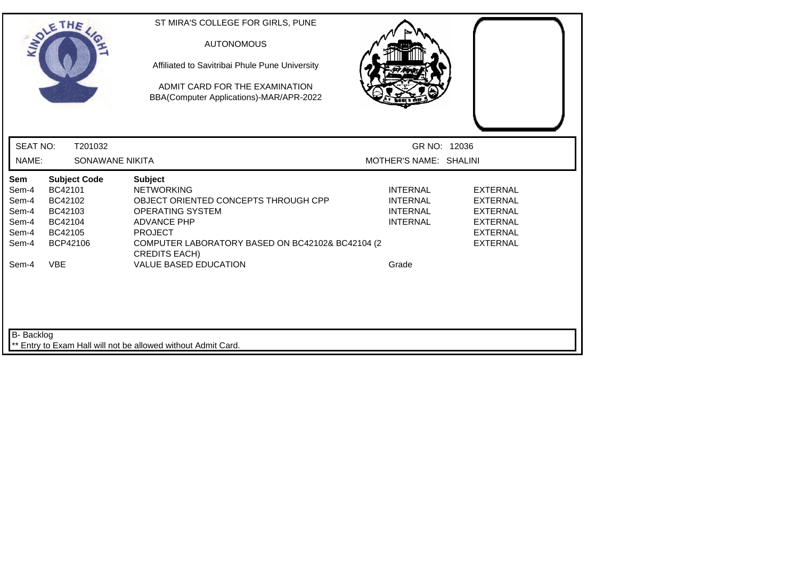| SOLETHE,                                       |                                                               | ST MIRA'S COLLEGE FOR GIRLS, PUNE<br><b>AUTONOMOUS</b><br>Affiliated to Savitribai Phule Pune University<br>ADMIT CARD FOR THE EXAMINATION<br>BBA(Computer Applications)-MAR/APR-2022 |       |                                        |                                    |
|------------------------------------------------|---------------------------------------------------------------|---------------------------------------------------------------------------------------------------------------------------------------------------------------------------------------|-------|----------------------------------------|------------------------------------|
| <b>SEAT NO:</b><br>NAME:                       | T201032<br>SONAWANE NIKITA                                    |                                                                                                                                                                                       |       | GR NO: 12036<br>MOTHER'S NAME: SHALINI |                                    |
| Sem<br><b>Subject Code</b><br>BC42101<br>Sem-4 | <b>Subject</b><br><b>NETWORKING</b>                           |                                                                                                                                                                                       |       | <b>INTERNAL</b>                        | <b>EXTERNAL</b>                    |
| BC42102<br>Sem-4<br>Sem-4<br>BC42103           | <b>OPERATING SYSTEM</b>                                       | OBJECT ORIENTED CONCEPTS THROUGH CPP                                                                                                                                                  |       | <b>INTERNAL</b><br><b>INTERNAL</b>     | <b>EXTERNAL</b><br><b>EXTERNAL</b> |
| Sem-4<br>BC42104                               | <b>ADVANCE PHP</b>                                            |                                                                                                                                                                                       |       | <b>INTERNAL</b>                        | <b>EXTERNAL</b>                    |
| Sem-4<br>BC42105                               | <b>PROJECT</b>                                                |                                                                                                                                                                                       |       |                                        | <b>EXTERNAL</b>                    |
| BCP42106<br>Sem-4                              | <b>CREDITS EACH)</b>                                          | COMPUTER LABORATORY BASED ON BC42102& BC42104 (2                                                                                                                                      |       |                                        | <b>EXTERNAL</b>                    |
| <b>VBE</b><br>Sem-4                            |                                                               | <b>VALUE BASED EDUCATION</b>                                                                                                                                                          | Grade |                                        |                                    |
|                                                |                                                               |                                                                                                                                                                                       |       |                                        |                                    |
| B- Backlog                                     |                                                               |                                                                                                                                                                                       |       |                                        |                                    |
|                                                | ** Entry to Exam Hall will not be allowed without Admit Card. |                                                                                                                                                                                       |       |                                        |                                    |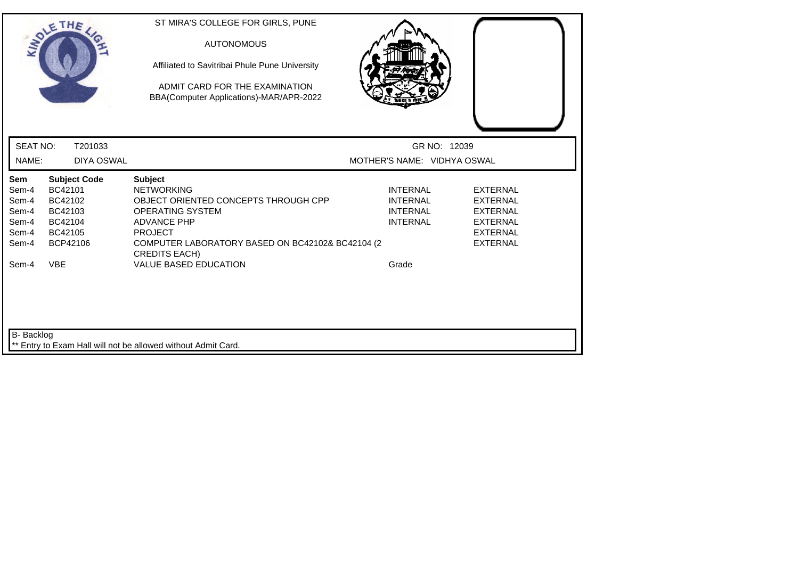|                                                                    | SOLETHE,                                                                                             | ST MIRA'S COLLEGE FOR GIRLS, PUNE<br><b>AUTONOMOUS</b><br>Affiliated to Savitribai Phule Pune University<br>ADMIT CARD FOR THE EXAMINATION<br>BBA(Computer Applications)-MAR/APR-2022                                                                      |                                                                                   |                                                                                                                |
|--------------------------------------------------------------------|------------------------------------------------------------------------------------------------------|------------------------------------------------------------------------------------------------------------------------------------------------------------------------------------------------------------------------------------------------------------|-----------------------------------------------------------------------------------|----------------------------------------------------------------------------------------------------------------|
| <b>SEAT NO:</b>                                                    | T201033                                                                                              |                                                                                                                                                                                                                                                            | GR NO: 12039                                                                      |                                                                                                                |
| NAME:                                                              | <b>DIYA OSWAL</b>                                                                                    |                                                                                                                                                                                                                                                            | MOTHER'S NAME: VIDHYA OSWAL                                                       |                                                                                                                |
| Sem<br>Sem-4<br>Sem-4<br>Sem-4<br>Sem-4<br>Sem-4<br>Sem-4<br>Sem-4 | <b>Subject Code</b><br>BC42101<br>BC42102<br>BC42103<br>BC42104<br>BC42105<br>BCP42106<br><b>VBE</b> | <b>Subject</b><br><b>NETWORKING</b><br>OBJECT ORIENTED CONCEPTS THROUGH CPP<br><b>OPERATING SYSTEM</b><br><b>ADVANCE PHP</b><br><b>PROJECT</b><br>COMPUTER LABORATORY BASED ON BC42102& BC42104 (2<br><b>CREDITS EACH)</b><br><b>VALUE BASED EDUCATION</b> | <b>INTERNAL</b><br><b>INTERNAL</b><br><b>INTERNAL</b><br><b>INTERNAL</b><br>Grade | <b>EXTERNAL</b><br><b>EXTERNAL</b><br><b>EXTERNAL</b><br><b>EXTERNAL</b><br><b>EXTERNAL</b><br><b>EXTERNAL</b> |
| <b>B-</b> Backlog                                                  |                                                                                                      | Entry to Exam Hall will not be allowed without Admit Card.                                                                                                                                                                                                 |                                                                                   |                                                                                                                |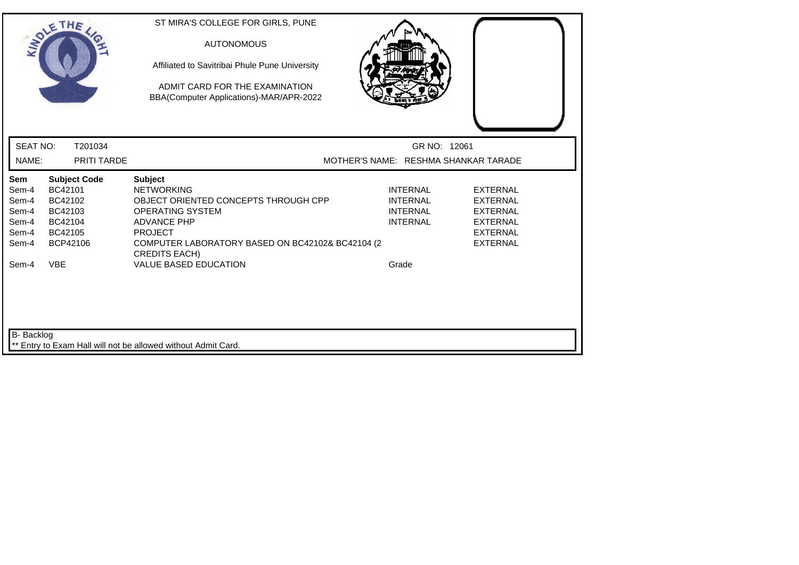|                                                                    | SOLETHE,                                                                                             | ST MIRA'S COLLEGE FOR GIRLS, PUNE<br><b>AUTONOMOUS</b><br>Affiliated to Savitribai Phule Pune University<br>ADMIT CARD FOR THE EXAMINATION<br>BBA(Computer Applications)-MAR/APR-2022                                                                      |                                                                                   |                                                                                                                |
|--------------------------------------------------------------------|------------------------------------------------------------------------------------------------------|------------------------------------------------------------------------------------------------------------------------------------------------------------------------------------------------------------------------------------------------------------|-----------------------------------------------------------------------------------|----------------------------------------------------------------------------------------------------------------|
| <b>SEAT NO:</b>                                                    | T201034                                                                                              |                                                                                                                                                                                                                                                            | GR NO: 12061                                                                      |                                                                                                                |
| NAME:                                                              | <b>PRITI TARDE</b>                                                                                   |                                                                                                                                                                                                                                                            | MOTHER'S NAME: RESHMA SHANKAR TARADE                                              |                                                                                                                |
| Sem<br>Sem-4<br>Sem-4<br>Sem-4<br>Sem-4<br>Sem-4<br>Sem-4<br>Sem-4 | <b>Subject Code</b><br>BC42101<br>BC42102<br>BC42103<br>BC42104<br>BC42105<br>BCP42106<br><b>VBE</b> | <b>Subject</b><br><b>NETWORKING</b><br>OBJECT ORIENTED CONCEPTS THROUGH CPP<br><b>OPERATING SYSTEM</b><br><b>ADVANCE PHP</b><br><b>PROJECT</b><br>COMPUTER LABORATORY BASED ON BC42102& BC42104 (2<br><b>CREDITS EACH)</b><br><b>VALUE BASED EDUCATION</b> | <b>INTERNAL</b><br><b>INTERNAL</b><br><b>INTERNAL</b><br><b>INTERNAL</b><br>Grade | <b>EXTERNAL</b><br><b>EXTERNAL</b><br><b>EXTERNAL</b><br><b>EXTERNAL</b><br><b>EXTERNAL</b><br><b>EXTERNAL</b> |
| B- Backlog                                                         |                                                                                                      | ** Entry to Exam Hall will not be allowed without Admit Card.                                                                                                                                                                                              |                                                                                   |                                                                                                                |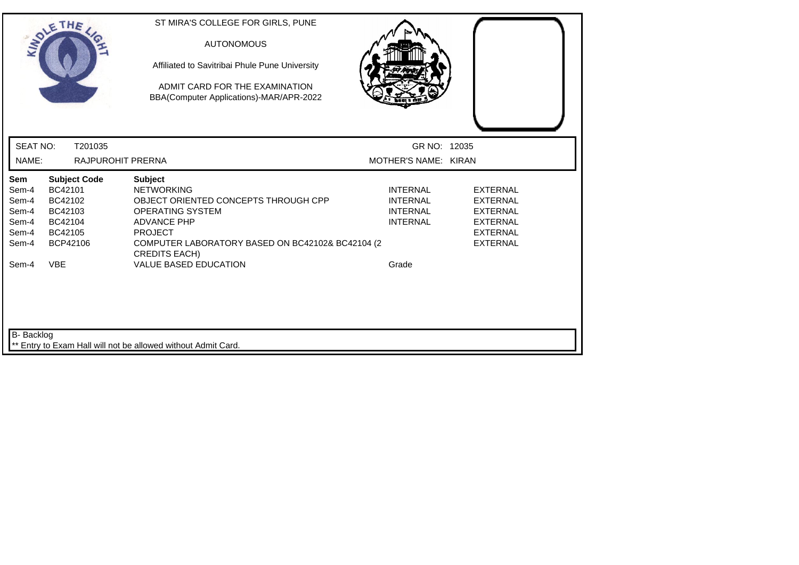|                          | SOLETHE ,                    | ST MIRA'S COLLEGE FOR GIRLS, PUNE<br><b>AUTONOMOUS</b><br>Affiliated to Savitribai Phule Pune University<br>ADMIT CARD FOR THE EXAMINATION<br>BBA(Computer Applications)-MAR/APR-2022 |                                      |                 |
|--------------------------|------------------------------|---------------------------------------------------------------------------------------------------------------------------------------------------------------------------------------|--------------------------------------|-----------------|
| <b>SEAT NO:</b><br>NAME: | T201035<br>RAJPUROHIT PRERNA |                                                                                                                                                                                       | GR NO: 12035<br>MOTHER'S NAME: KIRAN |                 |
| Sem                      | <b>Subject Code</b>          | <b>Subject</b>                                                                                                                                                                        |                                      |                 |
| Sem-4                    | BC42101                      | <b>NETWORKING</b>                                                                                                                                                                     | <b>INTERNAL</b>                      | <b>EXTERNAL</b> |
| Sem-4                    | BC42102                      | OBJECT ORIENTED CONCEPTS THROUGH CPP                                                                                                                                                  | <b>INTERNAL</b>                      | <b>EXTERNAL</b> |
| Sem-4                    | BC42103                      | <b>OPERATING SYSTEM</b>                                                                                                                                                               | <b>INTERNAL</b>                      | <b>EXTERNAL</b> |
| Sem-4                    | BC42104                      | <b>ADVANCE PHP</b>                                                                                                                                                                    | <b>INTERNAL</b>                      | <b>EXTERNAL</b> |
| Sem-4                    | BC42105                      | <b>PROJECT</b>                                                                                                                                                                        |                                      | <b>EXTERNAL</b> |
| Sem-4                    | BCP42106                     | COMPUTER LABORATORY BASED ON BC42102& BC42104 (2<br><b>CREDITS EACH)</b>                                                                                                              |                                      | <b>EXTERNAL</b> |
| Sem-4                    | <b>VBE</b>                   | <b>VALUE BASED EDUCATION</b>                                                                                                                                                          | Grade                                |                 |
| B- Backlog               |                              | Entry to Exam Hall will not be allowed without Admit Card.                                                                                                                            |                                      |                 |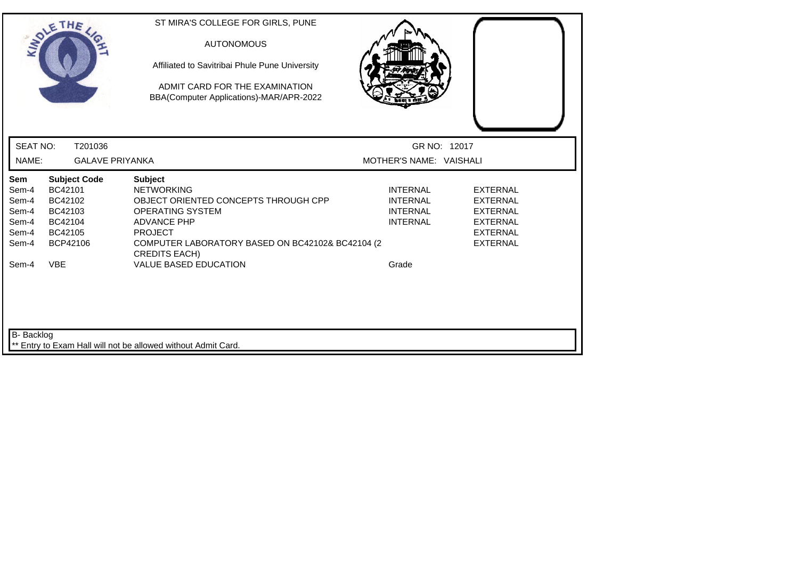|                                                                           | SOLETHE,                                                                                             | ST MIRA'S COLLEGE FOR GIRLS, PUNE<br><b>AUTONOMOUS</b><br>Affiliated to Savitribai Phule Pune University<br>ADMIT CARD FOR THE EXAMINATION<br>BBA(Computer Applications)-MAR/APR-2022                                                                      |                                                                                   |                                                                                                                |
|---------------------------------------------------------------------------|------------------------------------------------------------------------------------------------------|------------------------------------------------------------------------------------------------------------------------------------------------------------------------------------------------------------------------------------------------------------|-----------------------------------------------------------------------------------|----------------------------------------------------------------------------------------------------------------|
| <b>SEAT NO:</b>                                                           | T201036                                                                                              |                                                                                                                                                                                                                                                            | GR NO: 12017                                                                      |                                                                                                                |
| NAME:                                                                     | <b>GALAVE PRIYANKA</b>                                                                               |                                                                                                                                                                                                                                                            | MOTHER'S NAME: VAISHALI                                                           |                                                                                                                |
| <b>Sem</b><br>Sem-4<br>Sem-4<br>Sem-4<br>Sem-4<br>Sem-4<br>Sem-4<br>Sem-4 | <b>Subject Code</b><br>BC42101<br>BC42102<br>BC42103<br>BC42104<br>BC42105<br>BCP42106<br><b>VBE</b> | <b>Subject</b><br><b>NETWORKING</b><br>OBJECT ORIENTED CONCEPTS THROUGH CPP<br><b>OPERATING SYSTEM</b><br><b>ADVANCE PHP</b><br><b>PROJECT</b><br>COMPUTER LABORATORY BASED ON BC42102& BC42104 (2<br><b>CREDITS EACH)</b><br><b>VALUE BASED EDUCATION</b> | <b>INTERNAL</b><br><b>INTERNAL</b><br><b>INTERNAL</b><br><b>INTERNAL</b><br>Grade | <b>EXTERNAL</b><br><b>EXTERNAL</b><br><b>EXTERNAL</b><br><b>EXTERNAL</b><br><b>EXTERNAL</b><br><b>EXTERNAL</b> |
| B- Backlog                                                                |                                                                                                      | ** Entry to Exam Hall will not be allowed without Admit Card.                                                                                                                                                                                              |                                                                                   |                                                                                                                |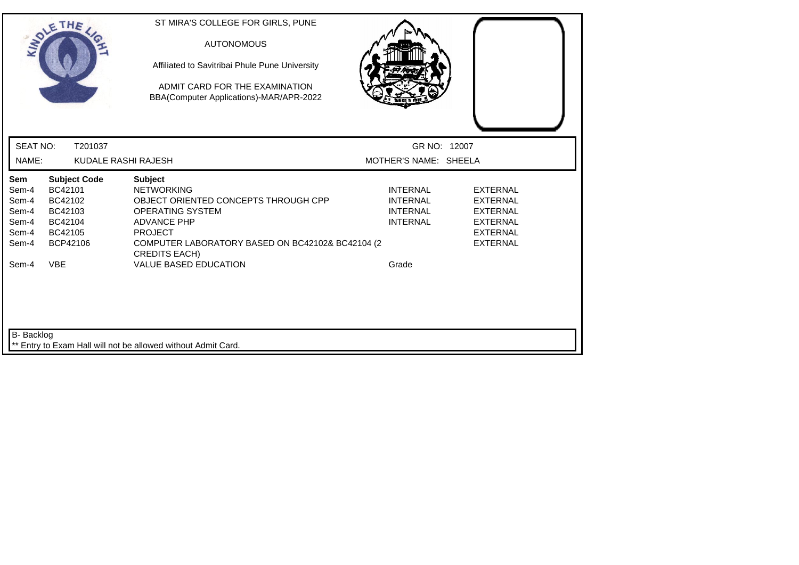|                                                                    | SOLETHE ,                                                                                            | ST MIRA'S COLLEGE FOR GIRLS, PUNE<br><b>AUTONOMOUS</b><br>Affiliated to Savitribai Phule Pune University<br>ADMIT CARD FOR THE EXAMINATION<br>BBA(Computer Applications)-MAR/APR-2022                                                                       |                                                                                   |                                                                                                                |
|--------------------------------------------------------------------|------------------------------------------------------------------------------------------------------|-------------------------------------------------------------------------------------------------------------------------------------------------------------------------------------------------------------------------------------------------------------|-----------------------------------------------------------------------------------|----------------------------------------------------------------------------------------------------------------|
| <b>SEAT NO:</b>                                                    | T201037                                                                                              |                                                                                                                                                                                                                                                             | GR NO: 12007                                                                      |                                                                                                                |
| NAME:                                                              | KUDALE RASHI RAJESH                                                                                  |                                                                                                                                                                                                                                                             | MOTHER'S NAME: SHEELA                                                             |                                                                                                                |
| Sem<br>Sem-4<br>Sem-4<br>Sem-4<br>Sem-4<br>Sem-4<br>Sem-4<br>Sem-4 | <b>Subject Code</b><br>BC42101<br>BC42102<br>BC42103<br>BC42104<br>BC42105<br>BCP42106<br><b>VBE</b> | <b>Subject</b><br><b>NETWORKING</b><br>OBJECT ORIENTED CONCEPTS THROUGH CPP<br><b>OPERATING SYSTEM</b><br><b>ADVANCE PHP</b><br><b>PROJECT</b><br>COMPUTER LABORATORY BASED ON BC42102& BC42104 (2)<br><b>CREDITS EACH)</b><br><b>VALUE BASED EDUCATION</b> | <b>INTERNAL</b><br><b>INTERNAL</b><br><b>INTERNAL</b><br><b>INTERNAL</b><br>Grade | <b>EXTERNAL</b><br><b>EXTERNAL</b><br><b>EXTERNAL</b><br><b>EXTERNAL</b><br><b>EXTERNAL</b><br><b>EXTERNAL</b> |
| B- Backlog                                                         |                                                                                                      | Entry to Exam Hall will not be allowed without Admit Card.                                                                                                                                                                                                  |                                                                                   |                                                                                                                |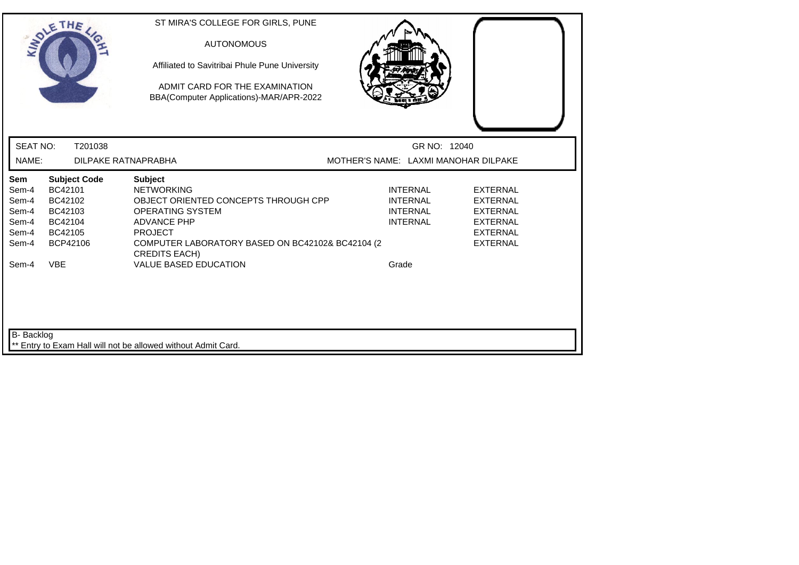|                                                                    | SOLETHE .                                                                                            | ST MIRA'S COLLEGE FOR GIRLS, PUNE<br><b>AUTONOMOUS</b><br>Affiliated to Savitribai Phule Pune University<br>ADMIT CARD FOR THE EXAMINATION<br>BBA(Computer Applications)-MAR/APR-2022                                                                      |                                                                                   |                                                                                                                |
|--------------------------------------------------------------------|------------------------------------------------------------------------------------------------------|------------------------------------------------------------------------------------------------------------------------------------------------------------------------------------------------------------------------------------------------------------|-----------------------------------------------------------------------------------|----------------------------------------------------------------------------------------------------------------|
| <b>SEAT NO:</b>                                                    | T201038                                                                                              |                                                                                                                                                                                                                                                            | GR NO: 12040                                                                      |                                                                                                                |
| NAME:                                                              | <b>DILPAKE RATNAPRABHA</b>                                                                           |                                                                                                                                                                                                                                                            | MOTHER'S NAME: LAXMI MANOHAR DILPAKE                                              |                                                                                                                |
| Sem<br>Sem-4<br>Sem-4<br>Sem-4<br>Sem-4<br>Sem-4<br>Sem-4<br>Sem-4 | <b>Subject Code</b><br>BC42101<br>BC42102<br>BC42103<br>BC42104<br>BC42105<br>BCP42106<br><b>VBE</b> | <b>Subject</b><br><b>NETWORKING</b><br>OBJECT ORIENTED CONCEPTS THROUGH CPP<br><b>OPERATING SYSTEM</b><br><b>ADVANCE PHP</b><br><b>PROJECT</b><br>COMPUTER LABORATORY BASED ON BC42102& BC42104 (2<br><b>CREDITS EACH)</b><br><b>VALUE BASED EDUCATION</b> | <b>INTERNAL</b><br><b>INTERNAL</b><br><b>INTERNAL</b><br><b>INTERNAL</b><br>Grade | <b>EXTERNAL</b><br><b>EXTERNAL</b><br><b>EXTERNAL</b><br><b>EXTERNAL</b><br><b>EXTERNAL</b><br><b>EXTERNAL</b> |
| B- Backlog                                                         |                                                                                                      | ** Entry to Exam Hall will not be allowed without Admit Card.                                                                                                                                                                                              |                                                                                   |                                                                                                                |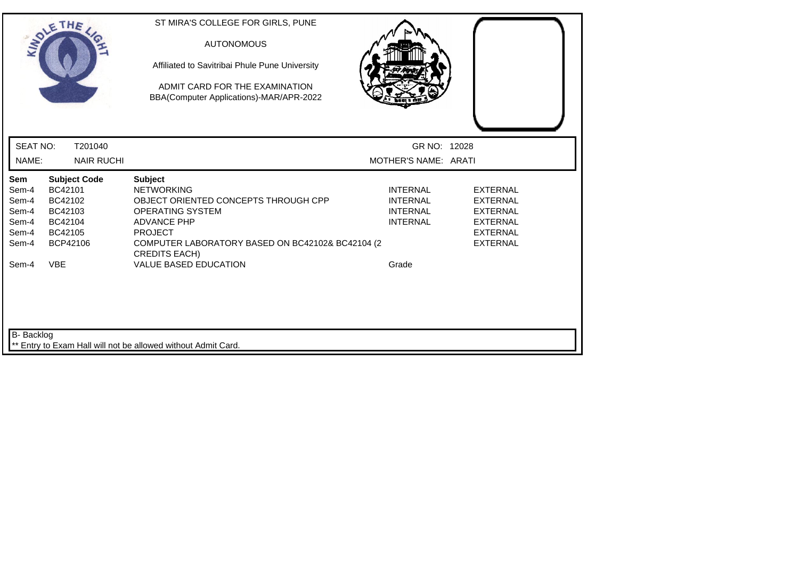|                                                                    | SOLETHE ,                                                                                            | ST MIRA'S COLLEGE FOR GIRLS, PUNE<br><b>AUTONOMOUS</b><br>Affiliated to Savitribai Phule Pune University<br>ADMIT CARD FOR THE EXAMINATION<br>BBA(Computer Applications)-MAR/APR-2022                                                                      |                                                                                   |                                                                                                                |
|--------------------------------------------------------------------|------------------------------------------------------------------------------------------------------|------------------------------------------------------------------------------------------------------------------------------------------------------------------------------------------------------------------------------------------------------------|-----------------------------------------------------------------------------------|----------------------------------------------------------------------------------------------------------------|
| <b>SEAT NO:</b>                                                    | T201040                                                                                              |                                                                                                                                                                                                                                                            | GR NO: 12028                                                                      |                                                                                                                |
| NAME:                                                              | <b>NAIR RUCHI</b>                                                                                    |                                                                                                                                                                                                                                                            | MOTHER'S NAME: ARATI                                                              |                                                                                                                |
| Sem<br>Sem-4<br>Sem-4<br>Sem-4<br>Sem-4<br>Sem-4<br>Sem-4<br>Sem-4 | <b>Subject Code</b><br>BC42101<br>BC42102<br>BC42103<br>BC42104<br>BC42105<br>BCP42106<br><b>VBE</b> | <b>Subject</b><br><b>NETWORKING</b><br>OBJECT ORIENTED CONCEPTS THROUGH CPP<br><b>OPERATING SYSTEM</b><br><b>ADVANCE PHP</b><br><b>PROJECT</b><br>COMPUTER LABORATORY BASED ON BC42102& BC42104 (2<br><b>CREDITS EACH)</b><br><b>VALUE BASED EDUCATION</b> | <b>INTERNAL</b><br><b>INTERNAL</b><br><b>INTERNAL</b><br><b>INTERNAL</b><br>Grade | <b>EXTERNAL</b><br><b>EXTERNAL</b><br><b>EXTERNAL</b><br><b>EXTERNAL</b><br><b>EXTERNAL</b><br><b>EXTERNAL</b> |
| B- Backlog                                                         |                                                                                                      | ** Entry to Exam Hall will not be allowed without Admit Card.                                                                                                                                                                                              |                                                                                   |                                                                                                                |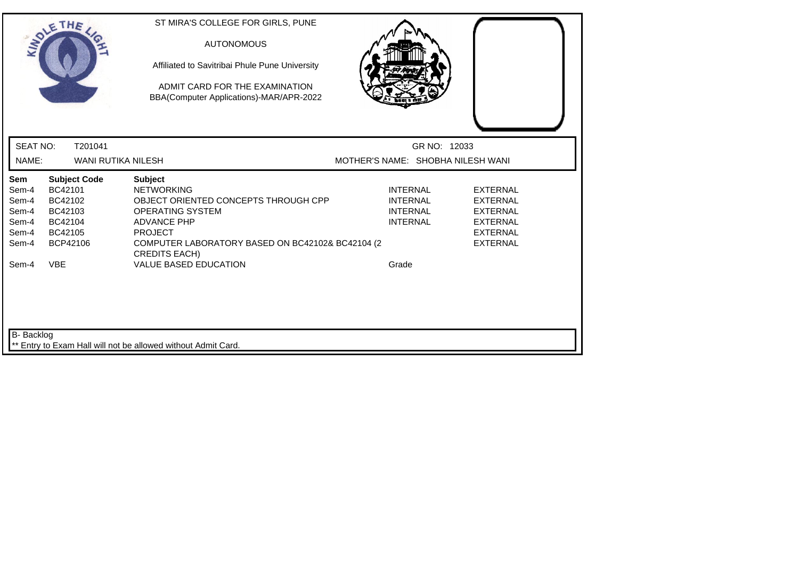|                                                                           | SOLETHE,                                                                                             | ST MIRA'S COLLEGE FOR GIRLS, PUNE<br><b>AUTONOMOUS</b><br>Affiliated to Savitribai Phule Pune University<br>ADMIT CARD FOR THE EXAMINATION<br>BBA(Computer Applications)-MAR/APR-2022                                                                      |                                                                                   |                                                                                                                |
|---------------------------------------------------------------------------|------------------------------------------------------------------------------------------------------|------------------------------------------------------------------------------------------------------------------------------------------------------------------------------------------------------------------------------------------------------------|-----------------------------------------------------------------------------------|----------------------------------------------------------------------------------------------------------------|
| <b>SEAT NO:</b>                                                           | T201041                                                                                              |                                                                                                                                                                                                                                                            | GR NO: 12033                                                                      |                                                                                                                |
| NAME:                                                                     | <b>WANI RUTIKA NILESH</b>                                                                            |                                                                                                                                                                                                                                                            | MOTHER'S NAME: SHOBHA NILESH WANI                                                 |                                                                                                                |
| <b>Sem</b><br>Sem-4<br>Sem-4<br>Sem-4<br>Sem-4<br>Sem-4<br>Sem-4<br>Sem-4 | <b>Subject Code</b><br>BC42101<br>BC42102<br>BC42103<br>BC42104<br>BC42105<br>BCP42106<br><b>VBE</b> | <b>Subject</b><br><b>NETWORKING</b><br>OBJECT ORIENTED CONCEPTS THROUGH CPP<br><b>OPERATING SYSTEM</b><br><b>ADVANCE PHP</b><br><b>PROJECT</b><br>COMPUTER LABORATORY BASED ON BC42102& BC42104 (2<br><b>CREDITS EACH)</b><br><b>VALUE BASED EDUCATION</b> | <b>INTERNAL</b><br><b>INTERNAL</b><br><b>INTERNAL</b><br><b>INTERNAL</b><br>Grade | <b>EXTERNAL</b><br><b>EXTERNAL</b><br><b>EXTERNAL</b><br><b>EXTERNAL</b><br><b>EXTERNAL</b><br><b>EXTERNAL</b> |
| B- Backlog                                                                |                                                                                                      |                                                                                                                                                                                                                                                            |                                                                                   |                                                                                                                |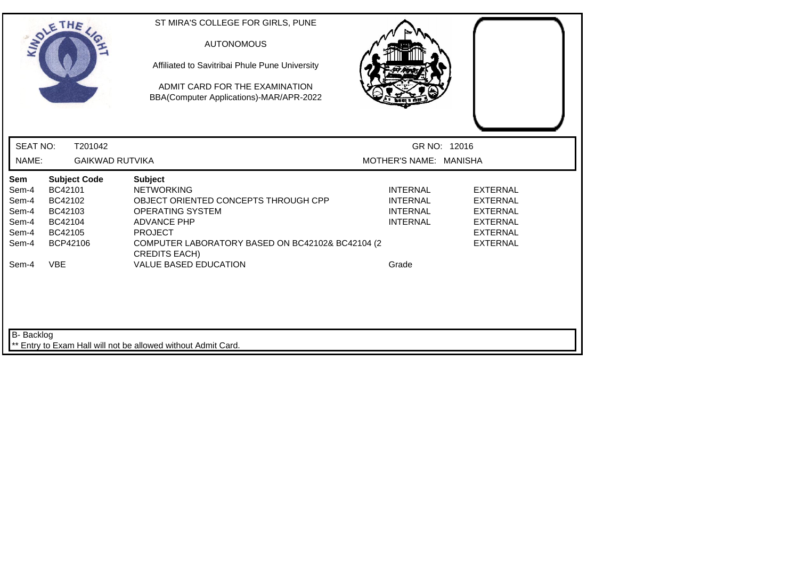| ST MIRA'S COLLEGE FOR GIRLS, PUNE<br><b>AUTONOMOUS</b><br>Affiliated to Savitribai Phule Pune University<br>ADMIT CARD FOR THE EXAMINATION<br>BBA(Computer Applications)-MAR/APR-2022 |                                                                          |                                                                                                                |
|---------------------------------------------------------------------------------------------------------------------------------------------------------------------------------------|--------------------------------------------------------------------------|----------------------------------------------------------------------------------------------------------------|
|                                                                                                                                                                                       |                                                                          |                                                                                                                |
|                                                                                                                                                                                       |                                                                          |                                                                                                                |
| <b>Subject</b><br><b>NETWORKING</b><br>OBJECT ORIENTED CONCEPTS THROUGH CPP<br><b>OPERATING SYSTEM</b><br><b>ADVANCE PHP</b><br><b>PROJECT</b><br><b>CREDITS EACH)</b>                | <b>INTERNAL</b><br><b>INTERNAL</b><br><b>INTERNAL</b><br><b>INTERNAL</b> | <b>EXTERNAL</b><br><b>EXTERNAL</b><br><b>EXTERNAL</b><br><b>EXTERNAL</b><br><b>EXTERNAL</b><br><b>EXTERNAL</b> |
|                                                                                                                                                                                       |                                                                          |                                                                                                                |
|                                                                                                                                                                                       | <b>GAIKWAD RUTVIKA</b><br><b>VALUE BASED EDUCATION</b>                   | GR NO: 12016<br>MOTHER'S NAME: MANISHA<br>COMPUTER LABORATORY BASED ON BC42102& BC42104 (2<br>Grade            |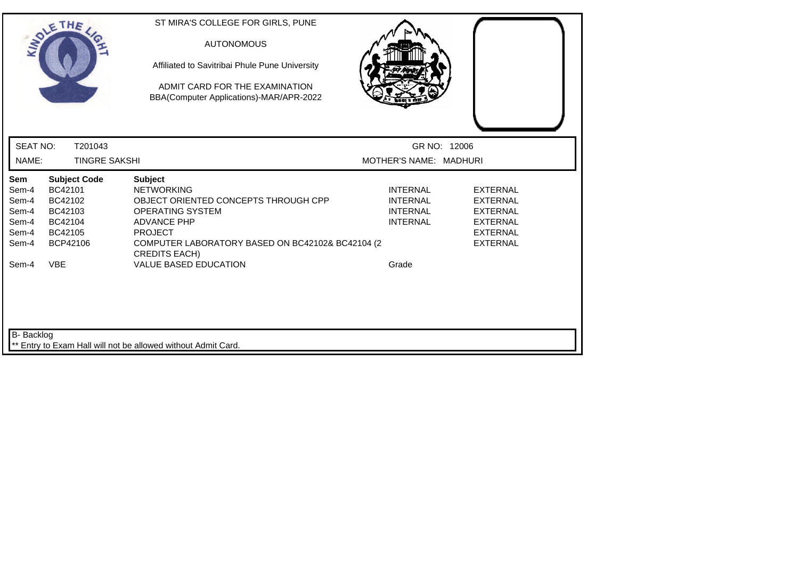| SOLETHE,                                                                                                                                                                          | ST MIRA'S COLLEGE FOR GIRLS, PUNE<br><b>AUTONOMOUS</b><br>Affiliated to Savitribai Phule Pune University<br>ADMIT CARD FOR THE EXAMINATION<br>BBA(Computer Applications)-MAR/APR-2022                                                                      |                                                                                   |                                                                                                                |
|-----------------------------------------------------------------------------------------------------------------------------------------------------------------------------------|------------------------------------------------------------------------------------------------------------------------------------------------------------------------------------------------------------------------------------------------------------|-----------------------------------------------------------------------------------|----------------------------------------------------------------------------------------------------------------|
| <b>SEAT NO:</b>                                                                                                                                                                   | T201043                                                                                                                                                                                                                                                    | GR NO: 12006                                                                      |                                                                                                                |
| NAME:                                                                                                                                                                             | <b>TINGRE SAKSHI</b>                                                                                                                                                                                                                                       | MOTHER'S NAME: MADHURI                                                            |                                                                                                                |
| <b>Subject Code</b><br><b>Sem</b><br>BC42101<br>Sem-4<br>Sem-4<br>BC42102<br>BC42103<br>Sem-4<br>Sem-4<br>BC42104<br>BC42105<br>Sem-4<br>BCP42106<br>Sem-4<br><b>VBE</b><br>Sem-4 | <b>Subject</b><br><b>NETWORKING</b><br>OBJECT ORIENTED CONCEPTS THROUGH CPP<br><b>OPERATING SYSTEM</b><br><b>ADVANCE PHP</b><br><b>PROJECT</b><br>COMPUTER LABORATORY BASED ON BC42102& BC42104 (2<br><b>CREDITS EACH)</b><br><b>VALUE BASED EDUCATION</b> | <b>INTERNAL</b><br><b>INTERNAL</b><br><b>INTERNAL</b><br><b>INTERNAL</b><br>Grade | <b>EXTERNAL</b><br><b>EXTERNAL</b><br><b>EXTERNAL</b><br><b>EXTERNAL</b><br><b>EXTERNAL</b><br><b>EXTERNAL</b> |
| <b>B-</b> Backlog                                                                                                                                                                 |                                                                                                                                                                                                                                                            |                                                                                   |                                                                                                                |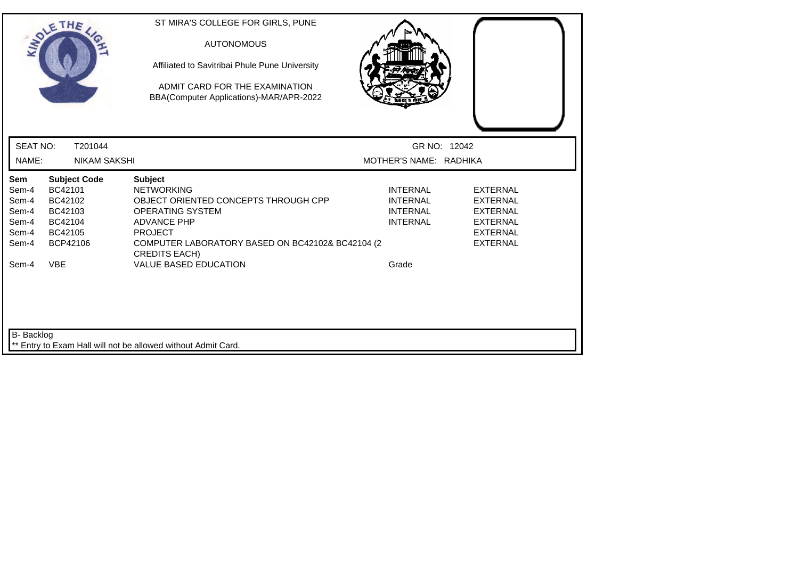|                                                           | SOLETHE ,                                                                              | ST MIRA'S COLLEGE FOR GIRLS, PUNE<br><b>AUTONOMOUS</b><br>Affiliated to Savitribai Phule Pune University<br>ADMIT CARD FOR THE EXAMINATION<br>BBA(Computer Applications)-MAR/APR-2022                                      |                                                                          |                                                                                                                |
|-----------------------------------------------------------|----------------------------------------------------------------------------------------|----------------------------------------------------------------------------------------------------------------------------------------------------------------------------------------------------------------------------|--------------------------------------------------------------------------|----------------------------------------------------------------------------------------------------------------|
| <b>SEAT NO:</b>                                           | T201044                                                                                |                                                                                                                                                                                                                            | GR NO: 12042                                                             |                                                                                                                |
| NAME:                                                     | <b>NIKAM SAKSHI</b>                                                                    |                                                                                                                                                                                                                            | MOTHER'S NAME: RADHIKA                                                   |                                                                                                                |
| Sem<br>Sem-4<br>Sem-4<br>Sem-4<br>Sem-4<br>Sem-4<br>Sem-4 | <b>Subject Code</b><br>BC42101<br>BC42102<br>BC42103<br>BC42104<br>BC42105<br>BCP42106 | <b>Subject</b><br><b>NETWORKING</b><br>OBJECT ORIENTED CONCEPTS THROUGH CPP<br><b>OPERATING SYSTEM</b><br><b>ADVANCE PHP</b><br><b>PROJECT</b><br>COMPUTER LABORATORY BASED ON BC42102& BC42104 (2<br><b>CREDITS EACH)</b> | <b>INTERNAL</b><br><b>INTERNAL</b><br><b>INTERNAL</b><br><b>INTERNAL</b> | <b>EXTERNAL</b><br><b>EXTERNAL</b><br><b>EXTERNAL</b><br><b>EXTERNAL</b><br><b>EXTERNAL</b><br><b>EXTERNAL</b> |
| Sem-4                                                     | <b>VBE</b>                                                                             | <b>VALUE BASED EDUCATION</b>                                                                                                                                                                                               | Grade                                                                    |                                                                                                                |
| <b>B-</b> Backlog                                         |                                                                                        | ** Entry to Exam Hall will not be allowed without Admit Card.                                                                                                                                                              |                                                                          |                                                                                                                |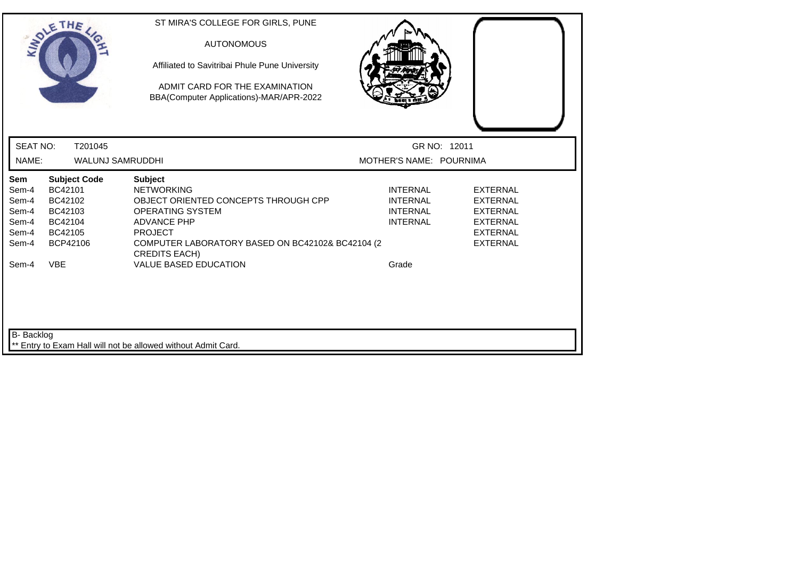| SOLETHE .                                                                                                                                           | ST MIRA'S COLLEGE FOR GIRLS, PUNE<br><b>AUTONOMOUS</b><br>Affiliated to Savitribai Phule Pune University<br>ADMIT CARD FOR THE EXAMINATION<br>BBA(Computer Applications)-MAR/APR-2022                                      |                                                                                                                                                                                            |  |
|-----------------------------------------------------------------------------------------------------------------------------------------------------|----------------------------------------------------------------------------------------------------------------------------------------------------------------------------------------------------------------------------|--------------------------------------------------------------------------------------------------------------------------------------------------------------------------------------------|--|
| <b>SEAT NO:</b>                                                                                                                                     | T201045                                                                                                                                                                                                                    | GR NO: 12011                                                                                                                                                                               |  |
| NAME:                                                                                                                                               | <b>WALUNJ SAMRUDDHI</b>                                                                                                                                                                                                    | MOTHER'S NAME: POURNIMA                                                                                                                                                                    |  |
| Sem<br><b>Subject Code</b><br>BC42101<br>Sem-4<br>BC42102<br>Sem-4<br>BC42103<br>Sem-4<br>BC42104<br>Sem-4<br>Sem-4<br>BC42105<br>BCP42106<br>Sem-4 | <b>Subject</b><br><b>NETWORKING</b><br>OBJECT ORIENTED CONCEPTS THROUGH CPP<br><b>OPERATING SYSTEM</b><br><b>ADVANCE PHP</b><br><b>PROJECT</b><br>COMPUTER LABORATORY BASED ON BC42102& BC42104 (2<br><b>CREDITS EACH)</b> | <b>INTERNAL</b><br><b>EXTERNAL</b><br><b>INTERNAL</b><br><b>EXTERNAL</b><br><b>INTERNAL</b><br><b>EXTERNAL</b><br><b>INTERNAL</b><br><b>EXTERNAL</b><br><b>EXTERNAL</b><br><b>EXTERNAL</b> |  |
| <b>VBE</b><br>Sem-4                                                                                                                                 | <b>VALUE BASED EDUCATION</b>                                                                                                                                                                                               | Grade                                                                                                                                                                                      |  |
| B- Backlog                                                                                                                                          | ** Entry to Exam Hall will not be allowed without Admit Card.                                                                                                                                                              |                                                                                                                                                                                            |  |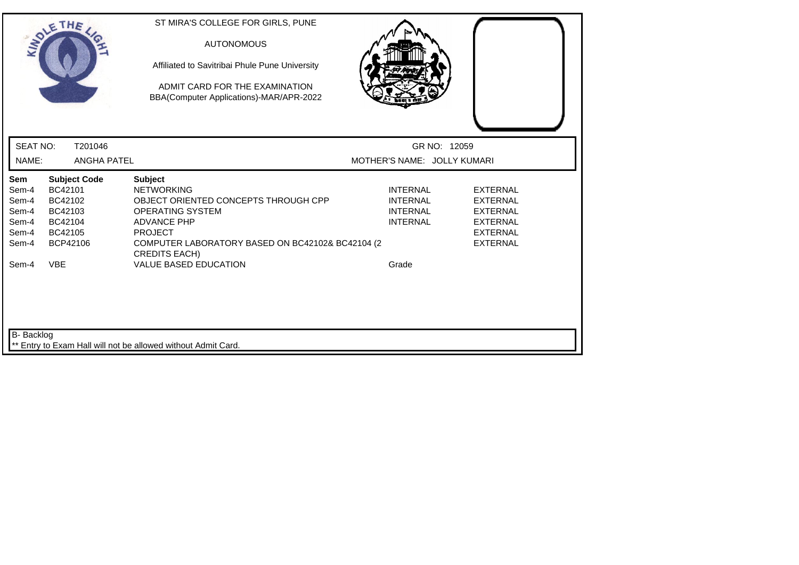|                                                                    | SOLETHE,                                                                                             | ST MIRA'S COLLEGE FOR GIRLS, PUNE<br><b>AUTONOMOUS</b><br>Affiliated to Savitribai Phule Pune University<br>ADMIT CARD FOR THE EXAMINATION<br>BBA(Computer Applications)-MAR/APR-2022                                                                      |                                                                                   |                                                                                                                |
|--------------------------------------------------------------------|------------------------------------------------------------------------------------------------------|------------------------------------------------------------------------------------------------------------------------------------------------------------------------------------------------------------------------------------------------------------|-----------------------------------------------------------------------------------|----------------------------------------------------------------------------------------------------------------|
| <b>SEAT NO:</b>                                                    | T201046                                                                                              |                                                                                                                                                                                                                                                            | GR NO: 12059                                                                      |                                                                                                                |
| NAME:                                                              | <b>ANGHA PATEL</b>                                                                                   |                                                                                                                                                                                                                                                            | MOTHER'S NAME: JOLLY KUMARI                                                       |                                                                                                                |
| Sem<br>Sem-4<br>Sem-4<br>Sem-4<br>Sem-4<br>Sem-4<br>Sem-4<br>Sem-4 | <b>Subject Code</b><br>BC42101<br>BC42102<br>BC42103<br>BC42104<br>BC42105<br>BCP42106<br><b>VBE</b> | <b>Subject</b><br><b>NETWORKING</b><br>OBJECT ORIENTED CONCEPTS THROUGH CPP<br><b>OPERATING SYSTEM</b><br><b>ADVANCE PHP</b><br><b>PROJECT</b><br>COMPUTER LABORATORY BASED ON BC42102& BC42104 (2<br><b>CREDITS EACH)</b><br><b>VALUE BASED EDUCATION</b> | <b>INTERNAL</b><br><b>INTERNAL</b><br><b>INTERNAL</b><br><b>INTERNAL</b><br>Grade | <b>EXTERNAL</b><br><b>EXTERNAL</b><br><b>EXTERNAL</b><br><b>EXTERNAL</b><br><b>EXTERNAL</b><br><b>EXTERNAL</b> |
| <b>B-</b> Backlog                                                  |                                                                                                      | Entry to Exam Hall will not be allowed without Admit Card.                                                                                                                                                                                                 |                                                                                   |                                                                                                                |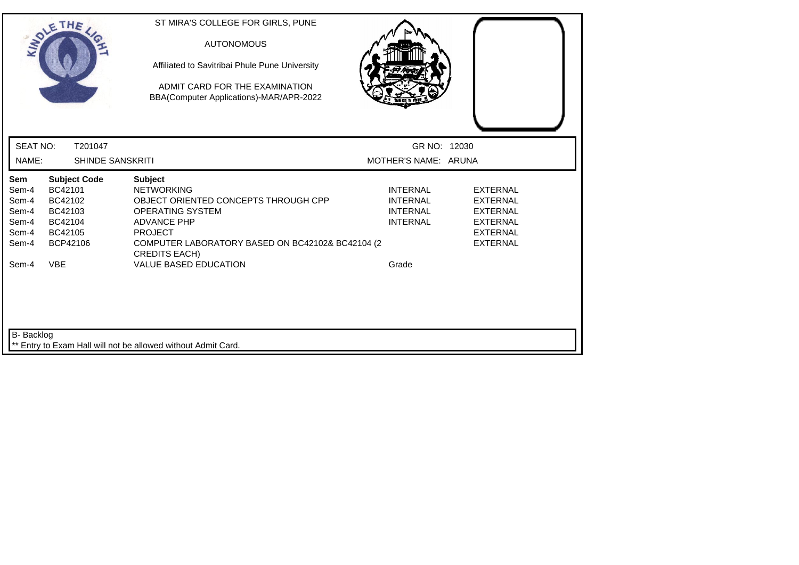| SOLETHE ,                                                                        |                                                                                        | ST MIRA'S COLLEGE FOR GIRLS, PUNE<br><b>AUTONOMOUS</b><br>Affiliated to Savitribai Phule Pune University<br>ADMIT CARD FOR THE EXAMINATION<br>BBA(Computer Applications)-MAR/APR-2022                                                                      |                                                                                   |                                                                                                                |
|----------------------------------------------------------------------------------|----------------------------------------------------------------------------------------|------------------------------------------------------------------------------------------------------------------------------------------------------------------------------------------------------------------------------------------------------------|-----------------------------------------------------------------------------------|----------------------------------------------------------------------------------------------------------------|
| <b>SEAT NO:</b>                                                                  | T201047                                                                                |                                                                                                                                                                                                                                                            | GR NO: 12030                                                                      |                                                                                                                |
| NAME:                                                                            | <b>SHINDE SANSKRITI</b>                                                                |                                                                                                                                                                                                                                                            | MOTHER'S NAME: ARUNA                                                              |                                                                                                                |
| Sem<br>Sem-4<br>Sem-4<br>Sem-4<br>Sem-4<br>Sem-4<br>Sem-4<br><b>VBE</b><br>Sem-4 | <b>Subject Code</b><br>BC42101<br>BC42102<br>BC42103<br>BC42104<br>BC42105<br>BCP42106 | <b>Subject</b><br><b>NETWORKING</b><br>OBJECT ORIENTED CONCEPTS THROUGH CPP<br><b>OPERATING SYSTEM</b><br><b>ADVANCE PHP</b><br><b>PROJECT</b><br>COMPUTER LABORATORY BASED ON BC42102& BC42104 (2<br><b>CREDITS EACH)</b><br><b>VALUE BASED EDUCATION</b> | <b>INTERNAL</b><br><b>INTERNAL</b><br><b>INTERNAL</b><br><b>INTERNAL</b><br>Grade | <b>EXTERNAL</b><br><b>EXTERNAL</b><br><b>EXTERNAL</b><br><b>EXTERNAL</b><br><b>EXTERNAL</b><br><b>EXTERNAL</b> |
| <b>B-</b> Backlog                                                                |                                                                                        | ** Entry to Exam Hall will not be allowed without Admit Card.                                                                                                                                                                                              |                                                                                   |                                                                                                                |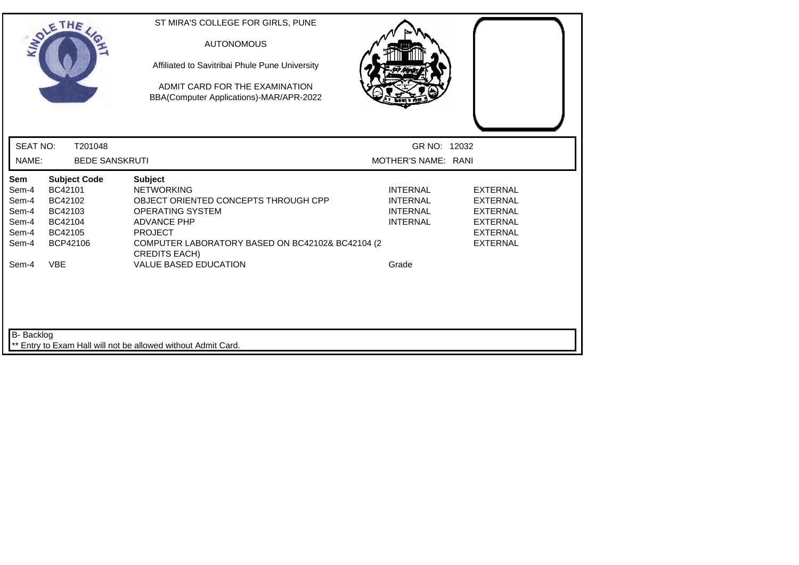|                                                                    | SOLETHE,                                                                                             | ST MIRA'S COLLEGE FOR GIRLS, PUNE<br><b>AUTONOMOUS</b><br>Affiliated to Savitribai Phule Pune University<br>ADMIT CARD FOR THE EXAMINATION<br>BBA(Computer Applications)-MAR/APR-2022                                                               |                                                                                   |                                                                                                                |
|--------------------------------------------------------------------|------------------------------------------------------------------------------------------------------|-----------------------------------------------------------------------------------------------------------------------------------------------------------------------------------------------------------------------------------------------------|-----------------------------------------------------------------------------------|----------------------------------------------------------------------------------------------------------------|
| <b>SEAT NO:</b>                                                    | T201048                                                                                              |                                                                                                                                                                                                                                                     | GR NO: 12032                                                                      |                                                                                                                |
| NAME:                                                              | <b>BEDE SANSKRUTI</b>                                                                                |                                                                                                                                                                                                                                                     | MOTHER'S NAME: RANI                                                               |                                                                                                                |
| Sem<br>Sem-4<br>Sem-4<br>Sem-4<br>Sem-4<br>Sem-4<br>Sem-4<br>Sem-4 | <b>Subject Code</b><br>BC42101<br>BC42102<br>BC42103<br>BC42104<br>BC42105<br>BCP42106<br><b>VBE</b> | <b>Subject</b><br><b>NETWORKING</b><br>OBJECT ORIENTED CONCEPTS THROUGH CPP<br>OPERATING SYSTEM<br><b>ADVANCE PHP</b><br><b>PROJECT</b><br>COMPUTER LABORATORY BASED ON BC42102& BC42104 (2<br><b>CREDITS EACH)</b><br><b>VALUE BASED EDUCATION</b> | <b>INTERNAL</b><br><b>INTERNAL</b><br><b>INTERNAL</b><br><b>INTERNAL</b><br>Grade | <b>EXTERNAL</b><br><b>EXTERNAL</b><br><b>EXTERNAL</b><br><b>EXTERNAL</b><br><b>EXTERNAL</b><br><b>EXTERNAL</b> |
| <b>B-</b> Backlog                                                  |                                                                                                      | ** Entry to Exam Hall will not be allowed without Admit Card.                                                                                                                                                                                       |                                                                                   |                                                                                                                |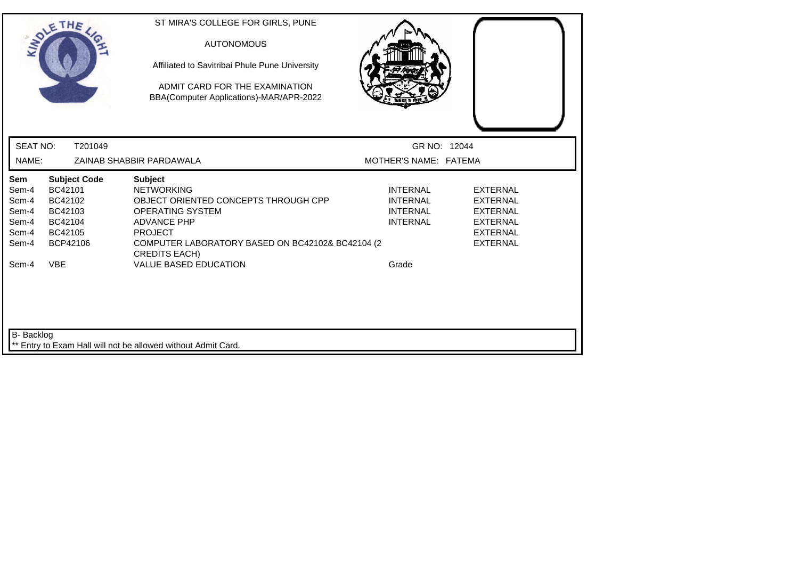|                                                           | SOLETHE,                                                                               | ST MIRA'S COLLEGE FOR GIRLS, PUNE<br><b>AUTONOMOUS</b><br>Affiliated to Savitribai Phule Pune University<br>ADMIT CARD FOR THE EXAMINATION<br>BBA(Computer Applications)-MAR/APR-2022                                      |                                                                          |                                                                                                                |
|-----------------------------------------------------------|----------------------------------------------------------------------------------------|----------------------------------------------------------------------------------------------------------------------------------------------------------------------------------------------------------------------------|--------------------------------------------------------------------------|----------------------------------------------------------------------------------------------------------------|
| <b>SEAT NO:</b>                                           | T201049                                                                                |                                                                                                                                                                                                                            | GR NO: 12044                                                             |                                                                                                                |
| NAME:                                                     |                                                                                        | ZAINAB SHABBIR PARDAWALA                                                                                                                                                                                                   | MOTHER'S NAME: FATEMA                                                    |                                                                                                                |
| Sem<br>Sem-4<br>Sem-4<br>Sem-4<br>Sem-4<br>Sem-4<br>Sem-4 | <b>Subject Code</b><br>BC42101<br>BC42102<br>BC42103<br>BC42104<br>BC42105<br>BCP42106 | <b>Subject</b><br><b>NETWORKING</b><br>OBJECT ORIENTED CONCEPTS THROUGH CPP<br><b>OPERATING SYSTEM</b><br><b>ADVANCE PHP</b><br><b>PROJECT</b><br>COMPUTER LABORATORY BASED ON BC42102& BC42104 (2<br><b>CREDITS EACH)</b> | <b>INTERNAL</b><br><b>INTERNAL</b><br><b>INTERNAL</b><br><b>INTERNAL</b> | <b>EXTERNAL</b><br><b>EXTERNAL</b><br><b>EXTERNAL</b><br><b>EXTERNAL</b><br><b>EXTERNAL</b><br><b>EXTERNAL</b> |
| Sem-4                                                     | <b>VBE</b>                                                                             | <b>VALUE BASED EDUCATION</b>                                                                                                                                                                                               | Grade                                                                    |                                                                                                                |
| B- Backlog                                                |                                                                                        |                                                                                                                                                                                                                            |                                                                          |                                                                                                                |
|                                                           |                                                                                        | ** Entry to Exam Hall will not be allowed without Admit Card.                                                                                                                                                              |                                                                          |                                                                                                                |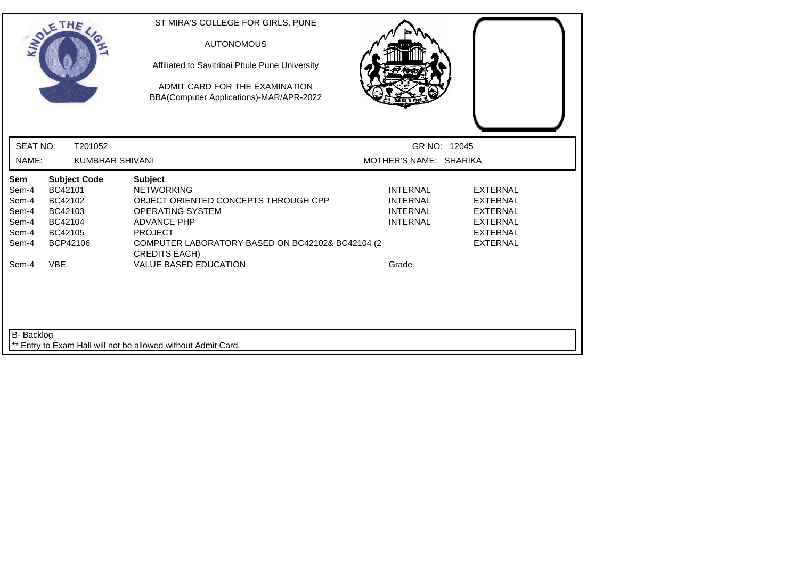|                                                           | SOLETHE ,                                                                              | ST MIRA'S COLLEGE FOR GIRLS, PUNE<br><b>AUTONOMOUS</b><br>Affiliated to Savitribai Phule Pune University<br>ADMIT CARD FOR THE EXAMINATION<br>BBA(Computer Applications)-MAR/APR-2022                               |                                                                          |                                                                                                                |
|-----------------------------------------------------------|----------------------------------------------------------------------------------------|---------------------------------------------------------------------------------------------------------------------------------------------------------------------------------------------------------------------|--------------------------------------------------------------------------|----------------------------------------------------------------------------------------------------------------|
| <b>SEAT NO:</b>                                           | T201052                                                                                |                                                                                                                                                                                                                     | GR NO: 12045                                                             |                                                                                                                |
| NAME:                                                     | <b>KUMBHAR SHIVANI</b>                                                                 |                                                                                                                                                                                                                     | MOTHER'S NAME: SHARIKA                                                   |                                                                                                                |
| Sem<br>Sem-4<br>Sem-4<br>Sem-4<br>Sem-4<br>Sem-4<br>Sem-4 | <b>Subject Code</b><br>BC42101<br>BC42102<br>BC42103<br>BC42104<br>BC42105<br>BCP42106 | <b>Subject</b><br><b>NETWORKING</b><br>OBJECT ORIENTED CONCEPTS THROUGH CPP<br>OPERATING SYSTEM<br><b>ADVANCE PHP</b><br><b>PROJECT</b><br>COMPUTER LABORATORY BASED ON BC42102& BC42104 (2<br><b>CREDITS EACH)</b> | <b>INTERNAL</b><br><b>INTERNAL</b><br><b>INTERNAL</b><br><b>INTERNAL</b> | <b>EXTERNAL</b><br><b>EXTERNAL</b><br><b>EXTERNAL</b><br><b>EXTERNAL</b><br><b>EXTERNAL</b><br><b>EXTERNAL</b> |
| Sem-4                                                     | <b>VBE</b>                                                                             | <b>VALUE BASED EDUCATION</b>                                                                                                                                                                                        | Grade                                                                    |                                                                                                                |
| B- Backlog                                                |                                                                                        | ** Entry to Exam Hall will not be allowed without Admit Card.                                                                                                                                                       |                                                                          |                                                                                                                |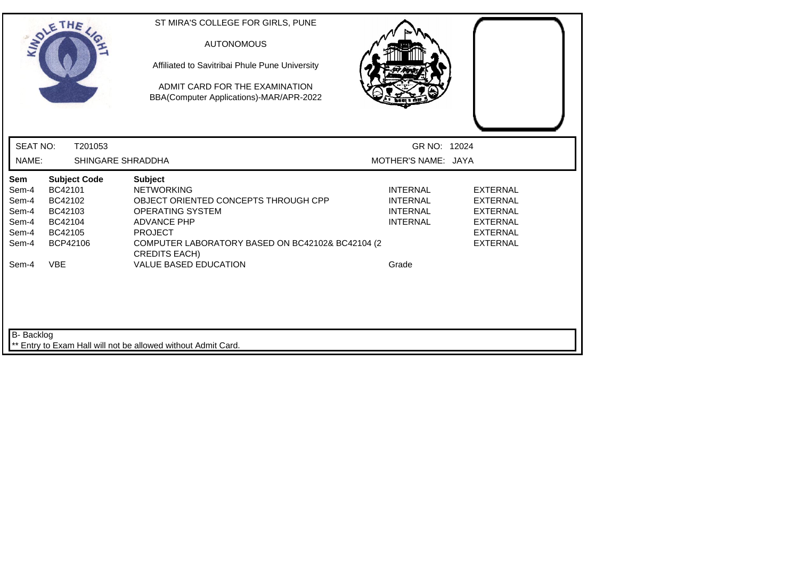| SOLETHE,                                                                                                                                                                   | ST MIRA'S COLLEGE FOR GIRLS, PUNE<br><b>AUTONOMOUS</b><br>Affiliated to Savitribai Phule Pune University<br>ADMIT CARD FOR THE EXAMINATION<br>BBA(Computer Applications)-MAR/APR-2022                                                                |                                                                                   |                                                                                                                |
|----------------------------------------------------------------------------------------------------------------------------------------------------------------------------|------------------------------------------------------------------------------------------------------------------------------------------------------------------------------------------------------------------------------------------------------|-----------------------------------------------------------------------------------|----------------------------------------------------------------------------------------------------------------|
| <b>SEAT NO:</b><br>T201053                                                                                                                                                 |                                                                                                                                                                                                                                                      | GR NO: 12024                                                                      |                                                                                                                |
| NAME:                                                                                                                                                                      | SHINGARE SHRADDHA                                                                                                                                                                                                                                    | MOTHER'S NAME: JAYA                                                               |                                                                                                                |
| Sem<br><b>Subject Code</b><br>BC42101<br>Sem-4<br>Sem-4<br>BC42102<br>Sem-4<br>BC42103<br>Sem-4<br>BC42104<br>Sem-4<br>BC42105<br>BCP42106<br>Sem-4<br><b>VBE</b><br>Sem-4 | <b>Subject</b><br><b>NETWORKING</b><br>OBJECT ORIENTED CONCEPTS THROUGH CPP<br>OPERATING SYSTEM<br><b>ADVANCE PHP</b><br><b>PROJECT</b><br>COMPUTER LABORATORY BASED ON BC42102& BC42104 (2)<br><b>CREDITS EACH)</b><br><b>VALUE BASED EDUCATION</b> | <b>INTERNAL</b><br><b>INTERNAL</b><br><b>INTERNAL</b><br><b>INTERNAL</b><br>Grade | <b>EXTERNAL</b><br><b>EXTERNAL</b><br><b>EXTERNAL</b><br><b>EXTERNAL</b><br><b>EXTERNAL</b><br><b>EXTERNAL</b> |
| <b>B-</b> Backlog                                                                                                                                                          | ** Entry to Exam Hall will not be allowed without Admit Card.                                                                                                                                                                                        |                                                                                   |                                                                                                                |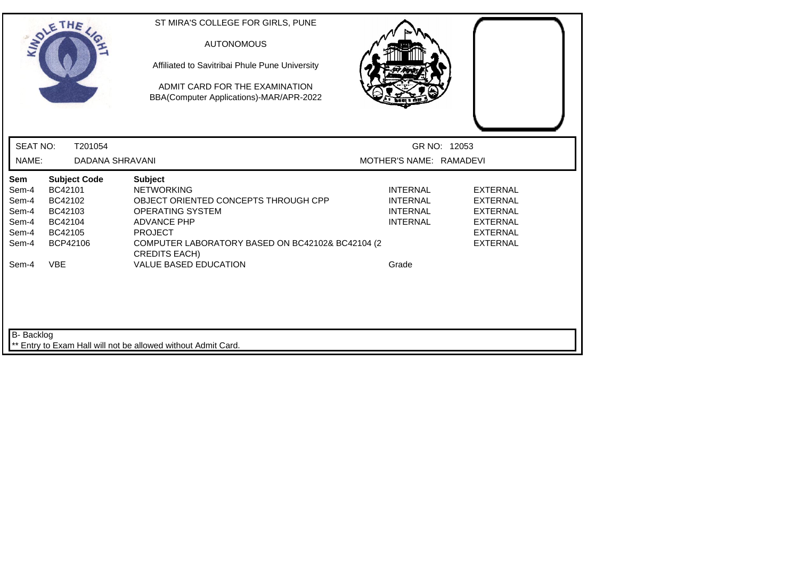| SOLE THE                                                                                                                                                                   | ST MIRA'S COLLEGE FOR GIRLS, PUNE<br><b>AUTONOMOUS</b><br>Affiliated to Savitribai Phule Pune University<br>ADMIT CARD FOR THE EXAMINATION<br>BBA(Computer Applications)-MAR/APR-2022                                                                      |                                                                                   |                                                                                                                |
|----------------------------------------------------------------------------------------------------------------------------------------------------------------------------|------------------------------------------------------------------------------------------------------------------------------------------------------------------------------------------------------------------------------------------------------------|-----------------------------------------------------------------------------------|----------------------------------------------------------------------------------------------------------------|
| <b>SEAT NO:</b><br>T201054                                                                                                                                                 |                                                                                                                                                                                                                                                            | GR NO: 12053                                                                      |                                                                                                                |
| NAME:                                                                                                                                                                      | <b>DADANA SHRAVANI</b>                                                                                                                                                                                                                                     | MOTHER'S NAME: RAMADEVI                                                           |                                                                                                                |
| Sem<br><b>Subject Code</b><br>BC42101<br>Sem-4<br>BC42102<br>Sem-4<br>Sem-4<br>BC42103<br>Sem-4<br>BC42104<br>Sem-4<br>BC42105<br>BCP42106<br>Sem-4<br><b>VBE</b><br>Sem-4 | <b>Subject</b><br><b>NETWORKING</b><br>OBJECT ORIENTED CONCEPTS THROUGH CPP<br><b>OPERATING SYSTEM</b><br><b>ADVANCE PHP</b><br><b>PROJECT</b><br>COMPUTER LABORATORY BASED ON BC42102& BC42104 (2<br><b>CREDITS EACH)</b><br><b>VALUE BASED EDUCATION</b> | <b>INTERNAL</b><br><b>INTERNAL</b><br><b>INTERNAL</b><br><b>INTERNAL</b><br>Grade | <b>EXTERNAL</b><br><b>EXTERNAL</b><br><b>EXTERNAL</b><br><b>EXTERNAL</b><br><b>EXTERNAL</b><br><b>EXTERNAL</b> |
| B- Backlog                                                                                                                                                                 |                                                                                                                                                                                                                                                            |                                                                                   |                                                                                                                |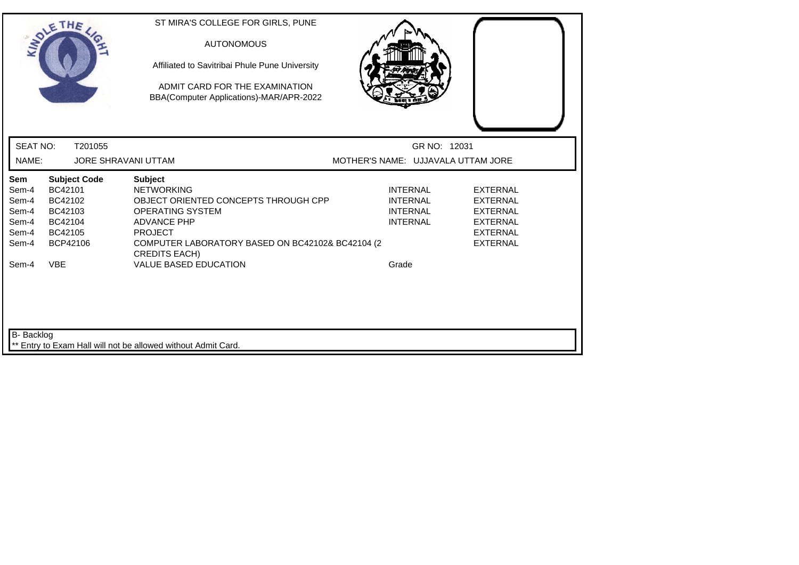|                                                           | SOLETHE ,                                                                              | ST MIRA'S COLLEGE FOR GIRLS, PUNE<br><b>AUTONOMOUS</b><br>Affiliated to Savitribai Phule Pune University<br>ADMIT CARD FOR THE EXAMINATION<br>BBA(Computer Applications)-MAR/APR-2022                                      |                                                                          |                                                                                                                |
|-----------------------------------------------------------|----------------------------------------------------------------------------------------|----------------------------------------------------------------------------------------------------------------------------------------------------------------------------------------------------------------------------|--------------------------------------------------------------------------|----------------------------------------------------------------------------------------------------------------|
| <b>SEAT NO:</b>                                           | T201055                                                                                |                                                                                                                                                                                                                            | GR NO: 12031                                                             |                                                                                                                |
| NAME:                                                     | <b>JORE SHRAVANI UTTAM</b>                                                             |                                                                                                                                                                                                                            | MOTHER'S NAME: UJJAVALA UTTAM JORE                                       |                                                                                                                |
| Sem<br>Sem-4<br>Sem-4<br>Sem-4<br>Sem-4<br>Sem-4<br>Sem-4 | <b>Subject Code</b><br>BC42101<br>BC42102<br>BC42103<br>BC42104<br>BC42105<br>BCP42106 | <b>Subject</b><br><b>NETWORKING</b><br>OBJECT ORIENTED CONCEPTS THROUGH CPP<br><b>OPERATING SYSTEM</b><br><b>ADVANCE PHP</b><br><b>PROJECT</b><br>COMPUTER LABORATORY BASED ON BC42102& BC42104 (2<br><b>CREDITS EACH)</b> | <b>INTERNAL</b><br><b>INTERNAL</b><br><b>INTERNAL</b><br><b>INTERNAL</b> | <b>EXTERNAL</b><br><b>EXTERNAL</b><br><b>EXTERNAL</b><br><b>EXTERNAL</b><br><b>EXTERNAL</b><br><b>EXTERNAL</b> |
| Sem-4                                                     | <b>VBE</b>                                                                             | <b>VALUE BASED EDUCATION</b>                                                                                                                                                                                               | Grade                                                                    |                                                                                                                |
| <b>B-</b> Backlog                                         |                                                                                        | Entry to Exam Hall will not be allowed without Admit Card.                                                                                                                                                                 |                                                                          |                                                                                                                |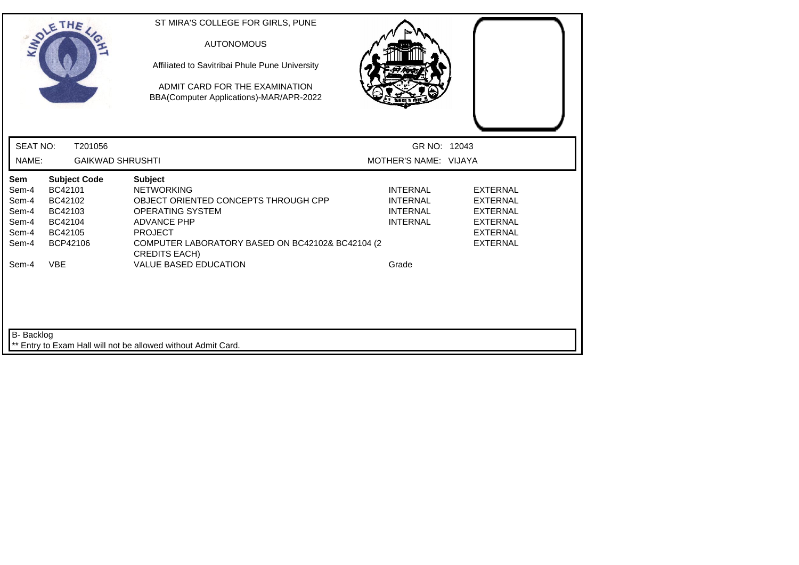|                 | SOLETHE ,               | ST MIRA'S COLLEGE FOR GIRLS, PUNE                                        |                       |                 |
|-----------------|-------------------------|--------------------------------------------------------------------------|-----------------------|-----------------|
|                 |                         | <b>AUTONOMOUS</b>                                                        |                       |                 |
|                 |                         | Affiliated to Savitribai Phule Pune University                           |                       |                 |
|                 |                         | ADMIT CARD FOR THE EXAMINATION                                           |                       |                 |
|                 |                         | BBA(Computer Applications)-MAR/APR-2022                                  |                       |                 |
|                 |                         |                                                                          |                       |                 |
| <b>SEAT NO:</b> | T201056                 |                                                                          | GR NO: 12043          |                 |
| NAME:           | <b>GAIKWAD SHRUSHTI</b> |                                                                          | MOTHER'S NAME: VIJAYA |                 |
| Sem             | <b>Subject Code</b>     | <b>Subject</b>                                                           |                       |                 |
| Sem-4           | BC42101                 | <b>NETWORKING</b>                                                        | <b>INTERNAL</b>       | <b>EXTERNAL</b> |
| Sem-4           | BC42102                 | OBJECT ORIENTED CONCEPTS THROUGH CPP                                     | <b>INTERNAL</b>       | <b>EXTERNAL</b> |
| Sem-4           | BC42103                 | <b>OPERATING SYSTEM</b>                                                  | <b>INTERNAL</b>       | <b>EXTERNAL</b> |
| Sem-4           | BC42104                 | <b>ADVANCE PHP</b>                                                       | <b>INTERNAL</b>       | EXTERNAL        |
| Sem-4           | BC42105                 | <b>PROJECT</b>                                                           |                       | <b>EXTERNAL</b> |
| Sem-4           | BCP42106                | COMPUTER LABORATORY BASED ON BC42102& BC42104 (2<br><b>CREDITS EACH)</b> |                       | <b>EXTERNAL</b> |
| Sem-4           | <b>VBE</b>              | <b>VALUE BASED EDUCATION</b>                                             | Grade                 |                 |
|                 |                         |                                                                          |                       |                 |
| B- Backlog      |                         |                                                                          |                       |                 |
|                 |                         | Entry to Exam Hall will not be allowed without Admit Card.               |                       |                 |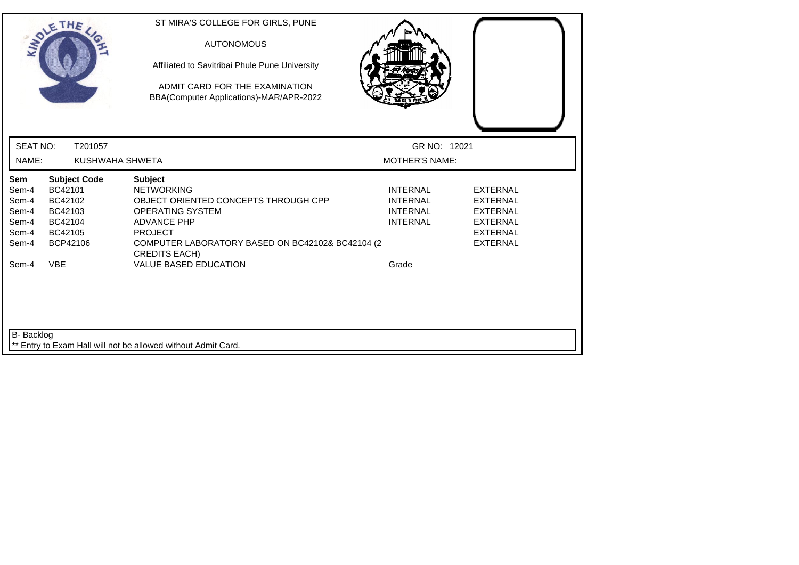|                                                           | SOLETHE,                                                                               | ST MIRA'S COLLEGE FOR GIRLS, PUNE<br><b>AUTONOMOUS</b><br>Affiliated to Savitribai Phule Pune University<br>ADMIT CARD FOR THE EXAMINATION<br>BBA(Computer Applications)-MAR/APR-2022                                      |                                                                          |                                                                                                                |
|-----------------------------------------------------------|----------------------------------------------------------------------------------------|----------------------------------------------------------------------------------------------------------------------------------------------------------------------------------------------------------------------------|--------------------------------------------------------------------------|----------------------------------------------------------------------------------------------------------------|
| <b>SEAT NO:</b>                                           | T201057                                                                                |                                                                                                                                                                                                                            | GR NO: 12021                                                             |                                                                                                                |
| NAME:                                                     | KUSHWAHA SHWETA                                                                        |                                                                                                                                                                                                                            | <b>MOTHER'S NAME:</b>                                                    |                                                                                                                |
| Sem<br>Sem-4<br>Sem-4<br>Sem-4<br>Sem-4<br>Sem-4<br>Sem-4 | <b>Subject Code</b><br>BC42101<br>BC42102<br>BC42103<br>BC42104<br>BC42105<br>BCP42106 | <b>Subject</b><br><b>NETWORKING</b><br>OBJECT ORIENTED CONCEPTS THROUGH CPP<br><b>OPERATING SYSTEM</b><br><b>ADVANCE PHP</b><br><b>PROJECT</b><br>COMPUTER LABORATORY BASED ON BC42102& BC42104 (2<br><b>CREDITS EACH)</b> | <b>INTERNAL</b><br><b>INTERNAL</b><br><b>INTERNAL</b><br><b>INTERNAL</b> | <b>EXTERNAL</b><br><b>EXTERNAL</b><br><b>EXTERNAL</b><br><b>EXTERNAL</b><br><b>EXTERNAL</b><br><b>EXTERNAL</b> |
| Sem-4                                                     | <b>VBE</b>                                                                             | <b>VALUE BASED EDUCATION</b>                                                                                                                                                                                               | Grade                                                                    |                                                                                                                |
| <b>B-</b> Backlog                                         |                                                                                        | ** Entry to Exam Hall will not be allowed without Admit Card.                                                                                                                                                              |                                                                          |                                                                                                                |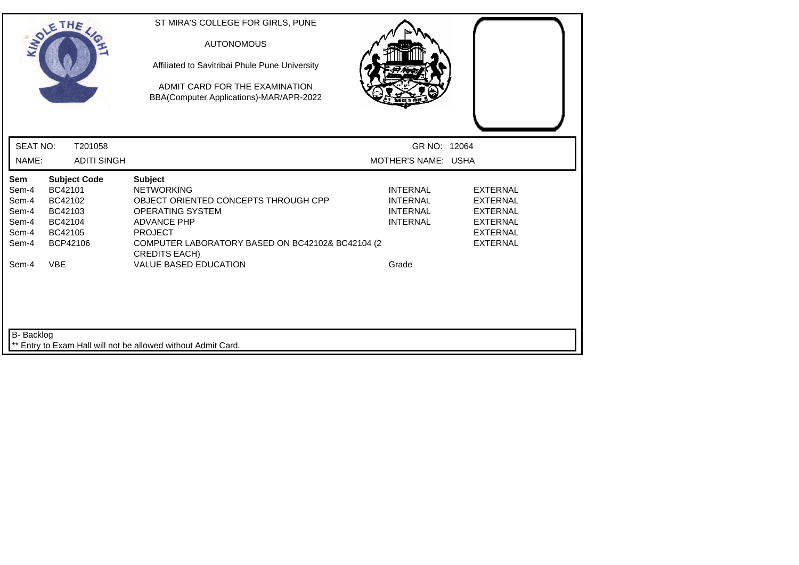|                                                                    | SOLETHE,                                                                                             | ST MIRA'S COLLEGE FOR GIRLS, PUNE<br><b>AUTONOMOUS</b><br>Affiliated to Savitribai Phule Pune University<br>ADMIT CARD FOR THE EXAMINATION<br>BBA(Computer Applications)-MAR/APR-2022                                                                      |                                                                                   |                                                                                                                |
|--------------------------------------------------------------------|------------------------------------------------------------------------------------------------------|------------------------------------------------------------------------------------------------------------------------------------------------------------------------------------------------------------------------------------------------------------|-----------------------------------------------------------------------------------|----------------------------------------------------------------------------------------------------------------|
| <b>SEAT NO:</b>                                                    | T201058                                                                                              |                                                                                                                                                                                                                                                            | GR NO: 12064                                                                      |                                                                                                                |
| NAME:                                                              | <b>ADITI SINGH</b>                                                                                   |                                                                                                                                                                                                                                                            | MOTHER'S NAME: USHA                                                               |                                                                                                                |
| Sem<br>Sem-4<br>Sem-4<br>Sem-4<br>Sem-4<br>Sem-4<br>Sem-4<br>Sem-4 | <b>Subject Code</b><br>BC42101<br>BC42102<br>BC42103<br>BC42104<br>BC42105<br>BCP42106<br><b>VBE</b> | <b>Subject</b><br><b>NETWORKING</b><br>OBJECT ORIENTED CONCEPTS THROUGH CPP<br><b>OPERATING SYSTEM</b><br><b>ADVANCE PHP</b><br><b>PROJECT</b><br>COMPUTER LABORATORY BASED ON BC42102& BC42104 (2<br><b>CREDITS EACH)</b><br><b>VALUE BASED EDUCATION</b> | <b>INTERNAL</b><br><b>INTERNAL</b><br><b>INTERNAL</b><br><b>INTERNAL</b><br>Grade | <b>EXTERNAL</b><br><b>EXTERNAL</b><br><b>EXTERNAL</b><br><b>EXTERNAL</b><br><b>EXTERNAL</b><br><b>EXTERNAL</b> |
| B- Backlog                                                         |                                                                                                      | ** Entry to Exam Hall will not be allowed without Admit Card.                                                                                                                                                                                              |                                                                                   |                                                                                                                |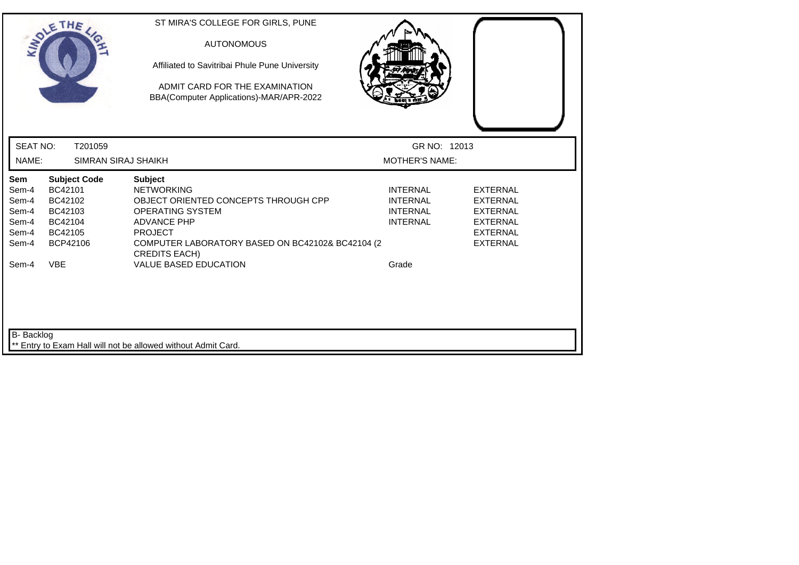|                                                                  | SOLETHE,                                                                               | ST MIRA'S COLLEGE FOR GIRLS, PUNE<br><b>AUTONOMOUS</b><br>Affiliated to Savitribai Phule Pune University<br>ADMIT CARD FOR THE EXAMINATION<br>BBA(Computer Applications)-MAR/APR-2022                                      |                                                                          |                                                                                                                |
|------------------------------------------------------------------|----------------------------------------------------------------------------------------|----------------------------------------------------------------------------------------------------------------------------------------------------------------------------------------------------------------------------|--------------------------------------------------------------------------|----------------------------------------------------------------------------------------------------------------|
| <b>SEAT NO:</b><br>NAME:                                         | T201059<br>SIMRAN SIRAJ SHAIKH                                                         |                                                                                                                                                                                                                            | GR NO: 12013<br><b>MOTHER'S NAME:</b>                                    |                                                                                                                |
| <b>Sem</b><br>Sem-4<br>Sem-4<br>Sem-4<br>Sem-4<br>Sem-4<br>Sem-4 | <b>Subject Code</b><br>BC42101<br>BC42102<br>BC42103<br>BC42104<br>BC42105<br>BCP42106 | <b>Subject</b><br><b>NETWORKING</b><br>OBJECT ORIENTED CONCEPTS THROUGH CPP<br><b>OPERATING SYSTEM</b><br><b>ADVANCE PHP</b><br><b>PROJECT</b><br>COMPUTER LABORATORY BASED ON BC42102& BC42104 (2<br><b>CREDITS EACH)</b> | <b>INTERNAL</b><br><b>INTERNAL</b><br><b>INTERNAL</b><br><b>INTERNAL</b> | <b>EXTERNAL</b><br><b>EXTERNAL</b><br><b>EXTERNAL</b><br><b>EXTERNAL</b><br><b>EXTERNAL</b><br><b>EXTERNAL</b> |
| Sem-4                                                            | <b>VBE</b>                                                                             | <b>VALUE BASED EDUCATION</b>                                                                                                                                                                                               | Grade                                                                    |                                                                                                                |
| B- Backlog                                                       |                                                                                        | ** Entry to Exam Hall will not be allowed without Admit Card.                                                                                                                                                              |                                                                          |                                                                                                                |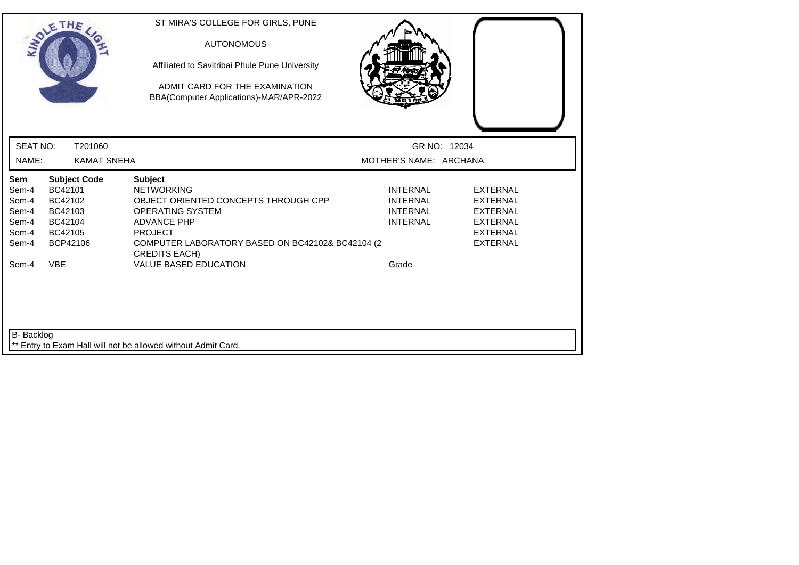|                          | SOLE THE                      | ST MIRA'S COLLEGE FOR GIRLS, PUNE<br><b>AUTONOMOUS</b><br>Affiliated to Savitribai Phule Pune University |                                        |                                    |
|--------------------------|-------------------------------|----------------------------------------------------------------------------------------------------------|----------------------------------------|------------------------------------|
|                          |                               | ADMIT CARD FOR THE EXAMINATION<br>BBA(Computer Applications)-MAR/APR-2022                                |                                        |                                    |
| <b>SEAT NO:</b><br>NAME: | T201060<br><b>KAMAT SNEHA</b> |                                                                                                          | GR NO: 12034<br>MOTHER'S NAME: ARCHANA |                                    |
| Sem                      | <b>Subject Code</b>           | <b>Subject</b>                                                                                           |                                        |                                    |
| Sem-4                    | BC42101                       | <b>NETWORKING</b>                                                                                        | <b>INTERNAL</b>                        | <b>EXTERNAL</b>                    |
| Sem-4                    | BC42102                       | OBJECT ORIENTED CONCEPTS THROUGH CPP                                                                     | <b>INTERNAL</b>                        | <b>EXTERNAL</b>                    |
| Sem-4                    | BC42103                       | <b>OPERATING SYSTEM</b>                                                                                  | <b>INTERNAL</b>                        | <b>EXTERNAL</b>                    |
| Sem-4                    | BC42104                       | <b>ADVANCE PHP</b>                                                                                       | <b>INTERNAL</b>                        | <b>EXTERNAL</b>                    |
| Sem-4<br>Sem-4           | BC42105<br>BCP42106           | <b>PROJECT</b><br>COMPUTER LABORATORY BASED ON BC42102& BC42104 (2<br><b>CREDITS EACH)</b>               |                                        | <b>EXTERNAL</b><br><b>EXTERNAL</b> |
| Sem-4                    | <b>VBE</b>                    | <b>VALUE BASED EDUCATION</b>                                                                             | Grade                                  |                                    |
| B- Backlog               |                               | Entry to Exam Hall will not be allowed without Admit Card.                                               |                                        |                                    |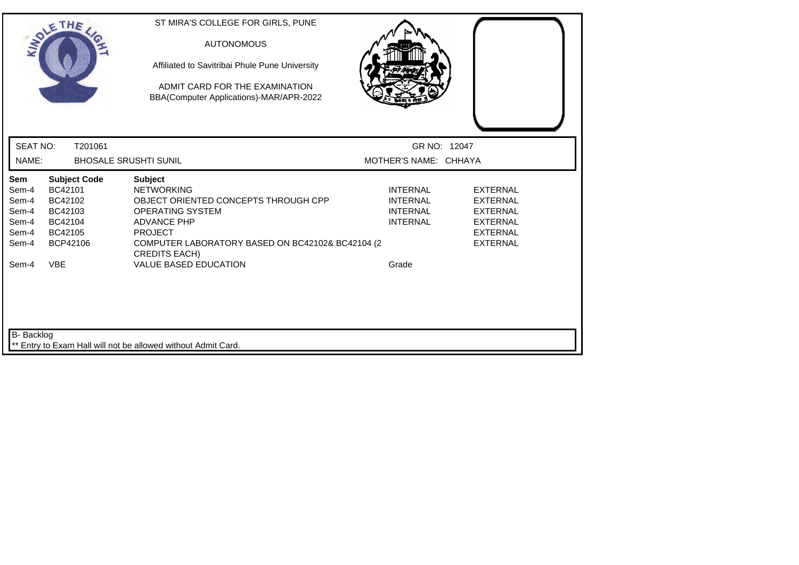|                          | SOLETHE,                       | ST MIRA'S COLLEGE FOR GIRLS, PUNE<br><b>AUTONOMOUS</b><br>Affiliated to Savitribai Phule Pune University<br>ADMIT CARD FOR THE EXAMINATION<br>BBA(Computer Applications)-MAR/APR-2022 |                                       |                 |
|--------------------------|--------------------------------|---------------------------------------------------------------------------------------------------------------------------------------------------------------------------------------|---------------------------------------|-----------------|
| <b>SEAT NO:</b><br>NAME: | T201061                        | <b>BHOSALE SRUSHTI SUNIL</b>                                                                                                                                                          | GR NO: 12047<br>MOTHER'S NAME: CHHAYA |                 |
|                          |                                |                                                                                                                                                                                       |                                       |                 |
| Sem<br>Sem-4             | <b>Subject Code</b><br>BC42101 | <b>Subject</b><br><b>NETWORKING</b>                                                                                                                                                   | <b>INTERNAL</b>                       | <b>EXTERNAL</b> |
| Sem-4                    | BC42102                        | OBJECT ORIENTED CONCEPTS THROUGH CPP                                                                                                                                                  | <b>INTERNAL</b>                       | <b>EXTERNAL</b> |
| Sem-4                    | BC42103                        | <b>OPERATING SYSTEM</b>                                                                                                                                                               | <b>INTERNAL</b>                       | <b>EXTERNAL</b> |
| Sem-4                    | BC42104                        | <b>ADVANCE PHP</b>                                                                                                                                                                    | <b>INTERNAL</b>                       | <b>EXTERNAL</b> |
| Sem-4                    | BC42105                        | <b>PROJECT</b>                                                                                                                                                                        |                                       | <b>EXTERNAL</b> |
| Sem-4                    | BCP42106                       | COMPUTER LABORATORY BASED ON BC42102& BC42104 (2<br><b>CREDITS EACH)</b>                                                                                                              |                                       | <b>EXTERNAL</b> |
| Sem-4                    | <b>VBE</b>                     | <b>VALUE BASED EDUCATION</b>                                                                                                                                                          | Grade                                 |                 |
| B- Backlog               |                                | Entry to Exam Hall will not be allowed without Admit Card.                                                                                                                            |                                       |                 |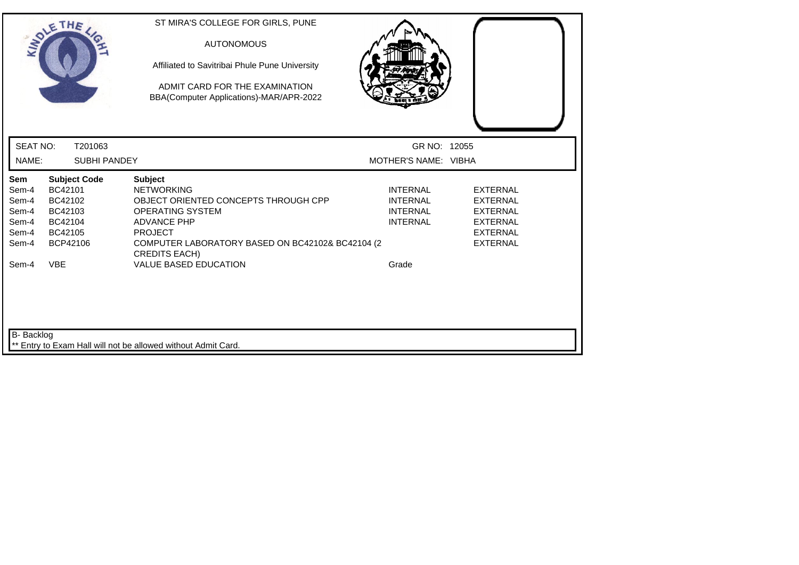| SOLETHE,                                                                         |                                                                                        | ST MIRA'S COLLEGE FOR GIRLS, PUNE<br><b>AUTONOMOUS</b><br>Affiliated to Savitribai Phule Pune University<br>ADMIT CARD FOR THE EXAMINATION<br>BBA(Computer Applications)-MAR/APR-2022                                                                      |                                                                                   |                                                                                                                |
|----------------------------------------------------------------------------------|----------------------------------------------------------------------------------------|------------------------------------------------------------------------------------------------------------------------------------------------------------------------------------------------------------------------------------------------------------|-----------------------------------------------------------------------------------|----------------------------------------------------------------------------------------------------------------|
| <b>SEAT NO:</b>                                                                  | T201063                                                                                |                                                                                                                                                                                                                                                            | GR NO: 12055                                                                      |                                                                                                                |
| NAME:                                                                            | <b>SUBHI PANDEY</b>                                                                    |                                                                                                                                                                                                                                                            | MOTHER'S NAME: VIBHA                                                              |                                                                                                                |
| Sem<br>Sem-4<br>Sem-4<br>Sem-4<br>Sem-4<br>Sem-4<br>Sem-4<br><b>VBE</b><br>Sem-4 | <b>Subject Code</b><br>BC42101<br>BC42102<br>BC42103<br>BC42104<br>BC42105<br>BCP42106 | <b>Subject</b><br><b>NETWORKING</b><br>OBJECT ORIENTED CONCEPTS THROUGH CPP<br><b>OPERATING SYSTEM</b><br><b>ADVANCE PHP</b><br><b>PROJECT</b><br>COMPUTER LABORATORY BASED ON BC42102& BC42104 (2<br><b>CREDITS EACH)</b><br><b>VALUE BASED EDUCATION</b> | <b>INTERNAL</b><br><b>INTERNAL</b><br><b>INTERNAL</b><br><b>INTERNAL</b><br>Grade | <b>EXTERNAL</b><br><b>EXTERNAL</b><br><b>EXTERNAL</b><br><b>EXTERNAL</b><br><b>EXTERNAL</b><br><b>EXTERNAL</b> |
| B- Backlog                                                                       |                                                                                        | ** Entry to Exam Hall will not be allowed without Admit Card.                                                                                                                                                                                              |                                                                                   |                                                                                                                |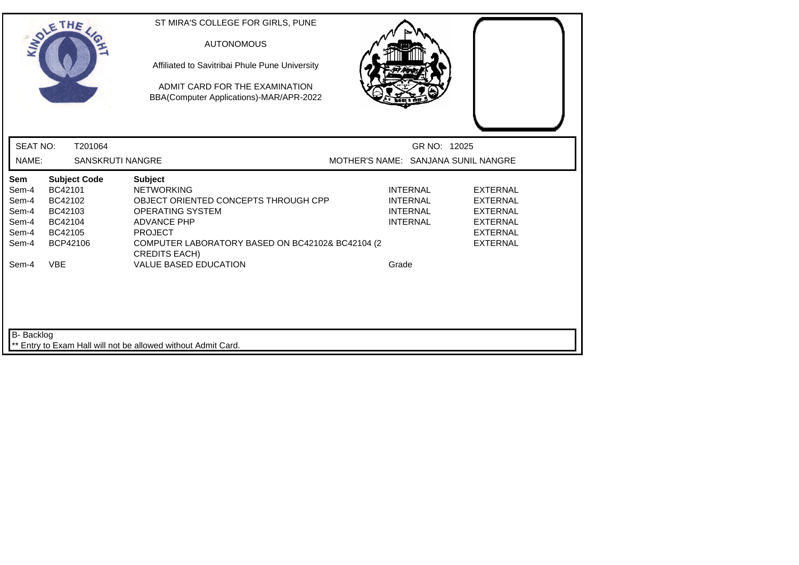| SOLETHE ,                                                 |                                                                                        | ST MIRA'S COLLEGE FOR GIRLS, PUNE<br><b>AUTONOMOUS</b><br>Affiliated to Savitribai Phule Pune University<br>ADMIT CARD FOR THE EXAMINATION<br>BBA(Computer Applications)-MAR/APR-2022                                      |                                                                          |                                                                                                                |
|-----------------------------------------------------------|----------------------------------------------------------------------------------------|----------------------------------------------------------------------------------------------------------------------------------------------------------------------------------------------------------------------------|--------------------------------------------------------------------------|----------------------------------------------------------------------------------------------------------------|
| <b>SEAT NO:</b>                                           | T201064                                                                                |                                                                                                                                                                                                                            | GR NO: 12025                                                             |                                                                                                                |
| NAME:                                                     | <b>SANSKRUTI NANGRE</b>                                                                |                                                                                                                                                                                                                            | MOTHER'S NAME: SANJANA SUNIL NANGRE                                      |                                                                                                                |
| Sem<br>Sem-4<br>Sem-4<br>Sem-4<br>Sem-4<br>Sem-4<br>Sem-4 | <b>Subject Code</b><br>BC42101<br>BC42102<br>BC42103<br>BC42104<br>BC42105<br>BCP42106 | <b>Subject</b><br><b>NETWORKING</b><br>OBJECT ORIENTED CONCEPTS THROUGH CPP<br><b>OPERATING SYSTEM</b><br><b>ADVANCE PHP</b><br><b>PROJECT</b><br>COMPUTER LABORATORY BASED ON BC42102& BC42104 (2<br><b>CREDITS EACH)</b> | <b>INTERNAL</b><br><b>INTERNAL</b><br><b>INTERNAL</b><br><b>INTERNAL</b> | <b>EXTERNAL</b><br><b>EXTERNAL</b><br><b>EXTERNAL</b><br><b>EXTERNAL</b><br><b>EXTERNAL</b><br><b>EXTERNAL</b> |
| <b>VBE</b><br>Sem-4<br><b>B-</b> Backlog                  |                                                                                        | <b>VALUE BASED EDUCATION</b>                                                                                                                                                                                               | Grade                                                                    |                                                                                                                |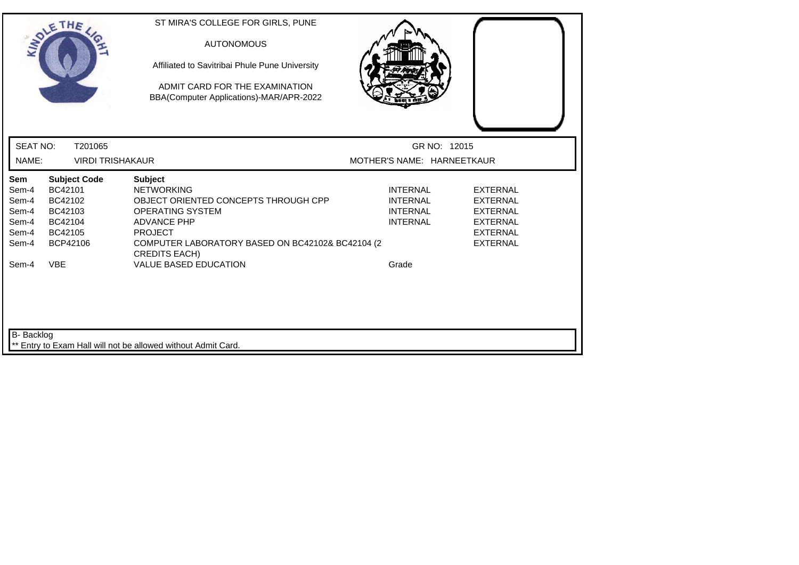| SOLETHE,                                                                                                                                            | ST MIRA'S COLLEGE FOR GIRLS, PUNE<br><b>AUTONOMOUS</b><br>Affiliated to Savitribai Phule Pune University<br>ADMIT CARD FOR THE EXAMINATION<br>BBA(Computer Applications)-MAR/APR-2022                                      |                                                                          |                                                                                                                |
|-----------------------------------------------------------------------------------------------------------------------------------------------------|----------------------------------------------------------------------------------------------------------------------------------------------------------------------------------------------------------------------------|--------------------------------------------------------------------------|----------------------------------------------------------------------------------------------------------------|
| <b>SEAT NO:</b><br>T201065                                                                                                                          |                                                                                                                                                                                                                            | GR NO: 12015                                                             |                                                                                                                |
| NAME:                                                                                                                                               | <b>VIRDI TRISHAKAUR</b>                                                                                                                                                                                                    | MOTHER'S NAME: HARNEETKAUR                                               |                                                                                                                |
| Sem<br><b>Subject Code</b><br>BC42101<br>Sem-4<br>Sem-4<br>BC42102<br>Sem-4<br>BC42103<br>Sem-4<br>BC42104<br>Sem-4<br>BC42105<br>Sem-4<br>BCP42106 | <b>Subject</b><br><b>NETWORKING</b><br>OBJECT ORIENTED CONCEPTS THROUGH CPP<br><b>OPERATING SYSTEM</b><br><b>ADVANCE PHP</b><br><b>PROJECT</b><br>COMPUTER LABORATORY BASED ON BC42102& BC42104 (2<br><b>CREDITS EACH)</b> | <b>INTERNAL</b><br><b>INTERNAL</b><br><b>INTERNAL</b><br><b>INTERNAL</b> | <b>EXTERNAL</b><br><b>EXTERNAL</b><br><b>EXTERNAL</b><br><b>EXTERNAL</b><br><b>EXTERNAL</b><br><b>EXTERNAL</b> |
| <b>VBE</b><br>Sem-4                                                                                                                                 | <b>VALUE BASED EDUCATION</b>                                                                                                                                                                                               | Grade                                                                    |                                                                                                                |
|                                                                                                                                                     |                                                                                                                                                                                                                            |                                                                          |                                                                                                                |
| B- Backlog                                                                                                                                          | ** Entry to Exam Hall will not be allowed without Admit Card.                                                                                                                                                              |                                                                          |                                                                                                                |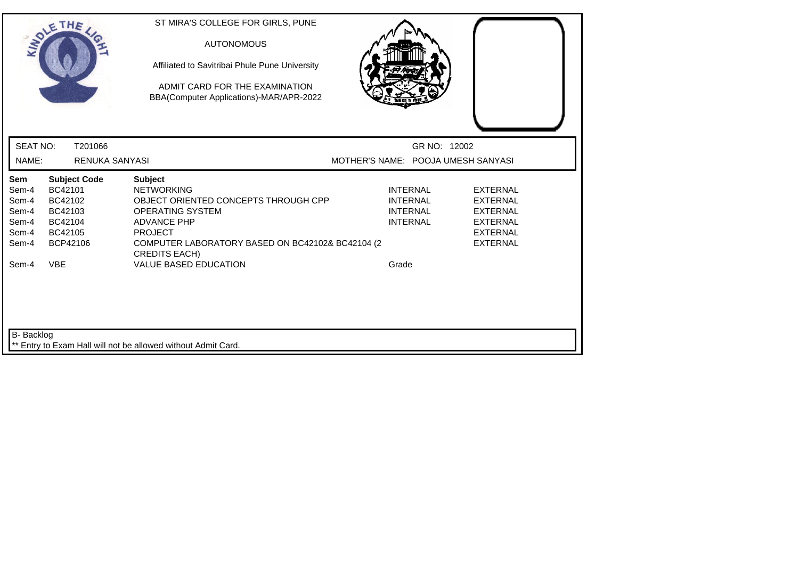| SOLETHE,                                                                                                                                            | ST MIRA'S COLLEGE FOR GIRLS, PUNE<br><b>AUTONOMOUS</b><br>Affiliated to Savitribai Phule Pune University<br>ADMIT CARD FOR THE EXAMINATION<br>BBA(Computer Applications)-MAR/APR-2022                                      |                                                                          |                                                                                                                |
|-----------------------------------------------------------------------------------------------------------------------------------------------------|----------------------------------------------------------------------------------------------------------------------------------------------------------------------------------------------------------------------------|--------------------------------------------------------------------------|----------------------------------------------------------------------------------------------------------------|
| <b>SEAT NO:</b>                                                                                                                                     | T201066                                                                                                                                                                                                                    | GR NO: 12002                                                             |                                                                                                                |
| NAME:                                                                                                                                               | <b>RENUKA SANYASI</b>                                                                                                                                                                                                      | MOTHER'S NAME: POOJA UMESH SANYASI                                       |                                                                                                                |
| Sem<br><b>Subject Code</b><br>BC42101<br>Sem-4<br>Sem-4<br>BC42102<br>BC42103<br>Sem-4<br>Sem-4<br>BC42104<br>Sem-4<br>BC42105<br>BCP42106<br>Sem-4 | <b>Subject</b><br><b>NETWORKING</b><br>OBJECT ORIENTED CONCEPTS THROUGH CPP<br><b>OPERATING SYSTEM</b><br><b>ADVANCE PHP</b><br><b>PROJECT</b><br>COMPUTER LABORATORY BASED ON BC42102& BC42104 (2<br><b>CREDITS EACH)</b> | <b>INTERNAL</b><br><b>INTERNAL</b><br><b>INTERNAL</b><br><b>INTERNAL</b> | <b>EXTERNAL</b><br><b>EXTERNAL</b><br><b>EXTERNAL</b><br><b>EXTERNAL</b><br><b>EXTERNAL</b><br><b>EXTERNAL</b> |
| <b>VBE</b><br>Sem-4                                                                                                                                 | <b>VALUE BASED EDUCATION</b>                                                                                                                                                                                               | Grade                                                                    |                                                                                                                |
| <b>B-</b> Backlog                                                                                                                                   | Entry to Exam Hall will not be allowed without Admit Card.                                                                                                                                                                 |                                                                          |                                                                                                                |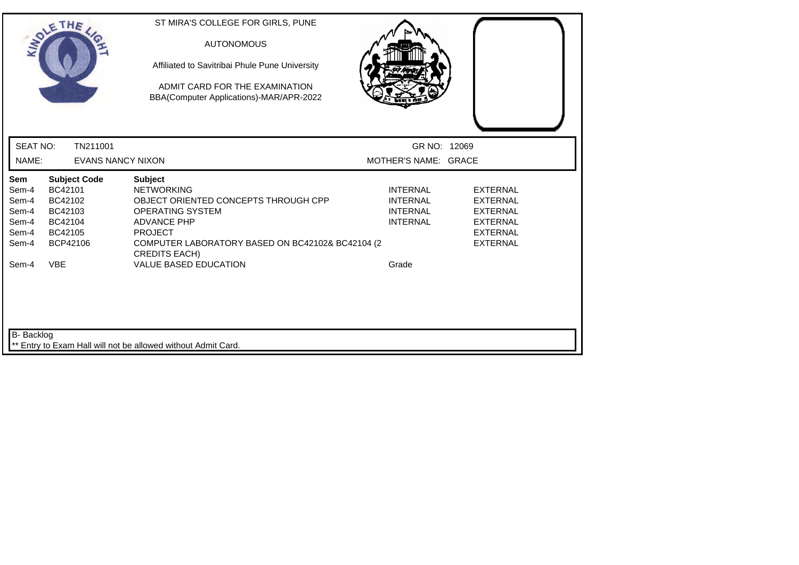|                                                                    | SOLETHE ,                                                                                            | ST MIRA'S COLLEGE FOR GIRLS, PUNE<br><b>AUTONOMOUS</b><br>Affiliated to Savitribai Phule Pune University<br>ADMIT CARD FOR THE EXAMINATION<br>BBA(Computer Applications)-MAR/APR-2022                                                                      |                                                                                   |                                                                                                                |
|--------------------------------------------------------------------|------------------------------------------------------------------------------------------------------|------------------------------------------------------------------------------------------------------------------------------------------------------------------------------------------------------------------------------------------------------------|-----------------------------------------------------------------------------------|----------------------------------------------------------------------------------------------------------------|
| <b>SEAT NO:</b>                                                    | TN211001                                                                                             |                                                                                                                                                                                                                                                            | GR NO: 12069                                                                      |                                                                                                                |
| NAME:                                                              | <b>EVANS NANCY NIXON</b>                                                                             |                                                                                                                                                                                                                                                            | MOTHER'S NAME: GRACE                                                              |                                                                                                                |
| Sem<br>Sem-4<br>Sem-4<br>Sem-4<br>Sem-4<br>Sem-4<br>Sem-4<br>Sem-4 | <b>Subject Code</b><br>BC42101<br>BC42102<br>BC42103<br>BC42104<br>BC42105<br>BCP42106<br><b>VBE</b> | <b>Subject</b><br><b>NETWORKING</b><br>OBJECT ORIENTED CONCEPTS THROUGH CPP<br><b>OPERATING SYSTEM</b><br><b>ADVANCE PHP</b><br><b>PROJECT</b><br>COMPUTER LABORATORY BASED ON BC42102& BC42104 (2<br><b>CREDITS EACH)</b><br><b>VALUE BASED EDUCATION</b> | <b>INTERNAL</b><br><b>INTERNAL</b><br><b>INTERNAL</b><br><b>INTERNAL</b><br>Grade | <b>EXTERNAL</b><br><b>EXTERNAL</b><br><b>EXTERNAL</b><br><b>EXTERNAL</b><br><b>EXTERNAL</b><br><b>EXTERNAL</b> |
| <b>B-</b> Backlog                                                  |                                                                                                      | ** Entry to Exam Hall will not be allowed without Admit Card.                                                                                                                                                                                              |                                                                                   |                                                                                                                |